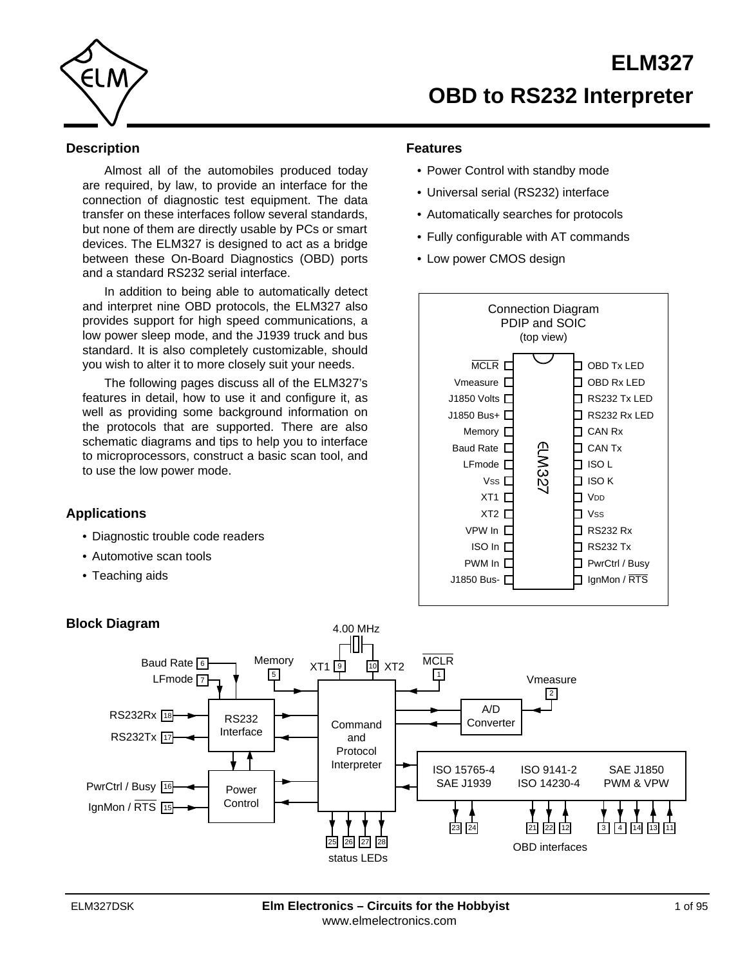<span id="page-0-0"></span>

# **Description**

Almost all of the automobiles produced today are required, by law, to provide an interface for the connection of diagnostic test equipment. The data transfer on these interfaces follow several standards, but none of them are directly usable by PCs or smart devices. The ELM327 is designed to act as a bridge between these On-Board Diagnostics (OBD) ports and a standard RS232 serial interface.

In addition to being able to automatically detect and interpret nine OBD protocols, the ELM327 also provides support for high speed communications, a low power sleep mode, and the J1939 truck and bus standard. It is also completely customizable, should you wish to alter it to more closely suit your needs.

The following pages discuss all of the ELM327's features in detail, how to use it and configure it, as well as providing some background information on the protocols that are supported. There are also schematic diagrams and tips to help you to interface to microprocessors, construct a basic scan tool, and to use the low power mode.

# **Applications**

- Diagnostic trouble code readers
- Automotive scan tools
- Teaching aids

# **Features**

- Power Control with standby mode
- Universal serial (RS232) interface
- Automatically searches for protocols
- Fully configurable with AT commands
- Low power CMOS design



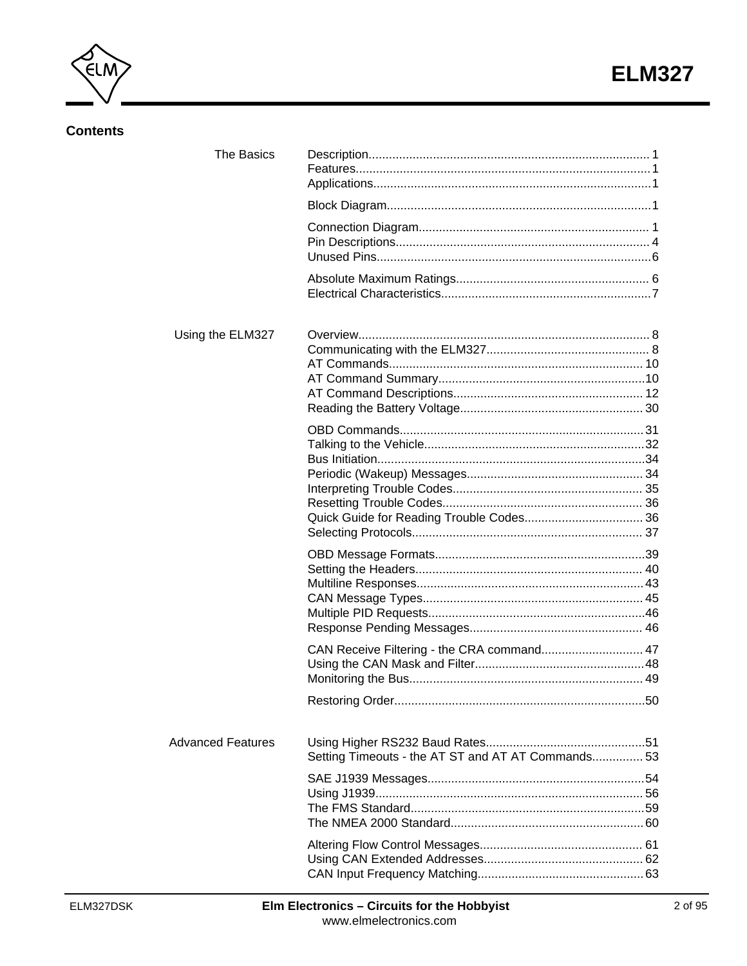

# **Contents**

| <b>The Basics</b>        |                                                    |  |
|--------------------------|----------------------------------------------------|--|
|                          |                                                    |  |
|                          |                                                    |  |
|                          |                                                    |  |
| Using the ELM327         |                                                    |  |
|                          |                                                    |  |
|                          |                                                    |  |
|                          | CAN Receive Filtering - the CRA command 47         |  |
|                          |                                                    |  |
| <b>Advanced Features</b> | Setting Timeouts - the AT ST and AT AT Commands 53 |  |
|                          |                                                    |  |
|                          |                                                    |  |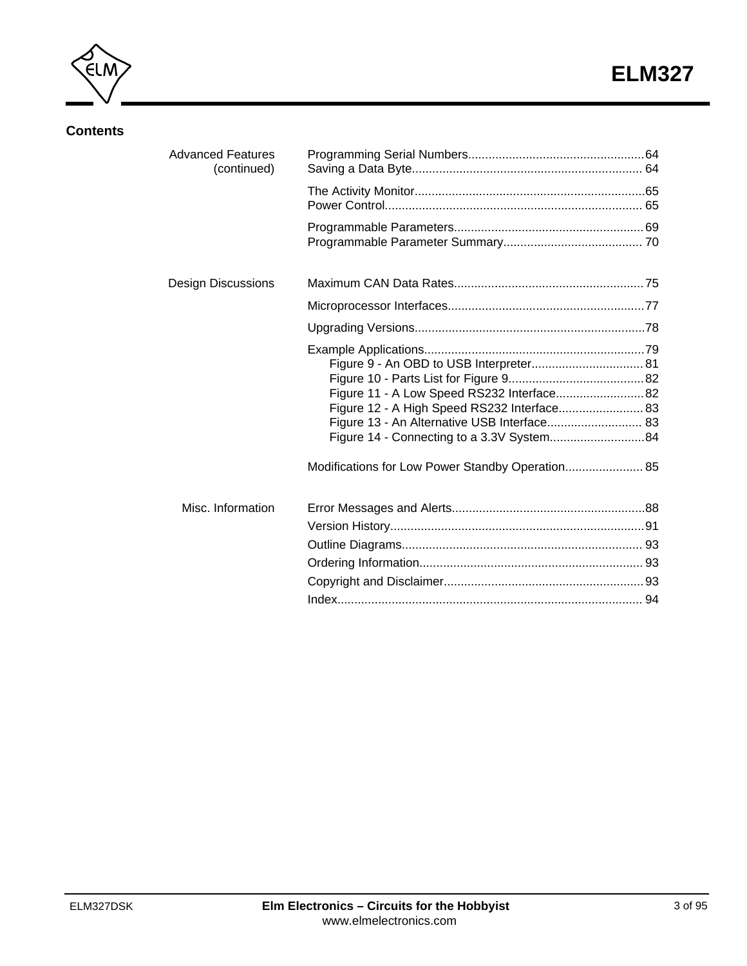

# **Contents**

| <b>Advanced Features</b><br>(continued) |                                                                                                                                                                                                                                           |  |
|-----------------------------------------|-------------------------------------------------------------------------------------------------------------------------------------------------------------------------------------------------------------------------------------------|--|
|                                         |                                                                                                                                                                                                                                           |  |
|                                         |                                                                                                                                                                                                                                           |  |
| <b>Design Discussions</b>               |                                                                                                                                                                                                                                           |  |
|                                         |                                                                                                                                                                                                                                           |  |
|                                         |                                                                                                                                                                                                                                           |  |
|                                         | Figure 11 - A Low Speed RS232 Interface 82<br>Figure 12 - A High Speed RS232 Interface 83<br>Figure 13 - An Alternative USB Interface 83<br>Figure 14 - Connecting to a 3.3V System84<br>Modifications for Low Power Standby Operation 85 |  |
| Misc. Information                       |                                                                                                                                                                                                                                           |  |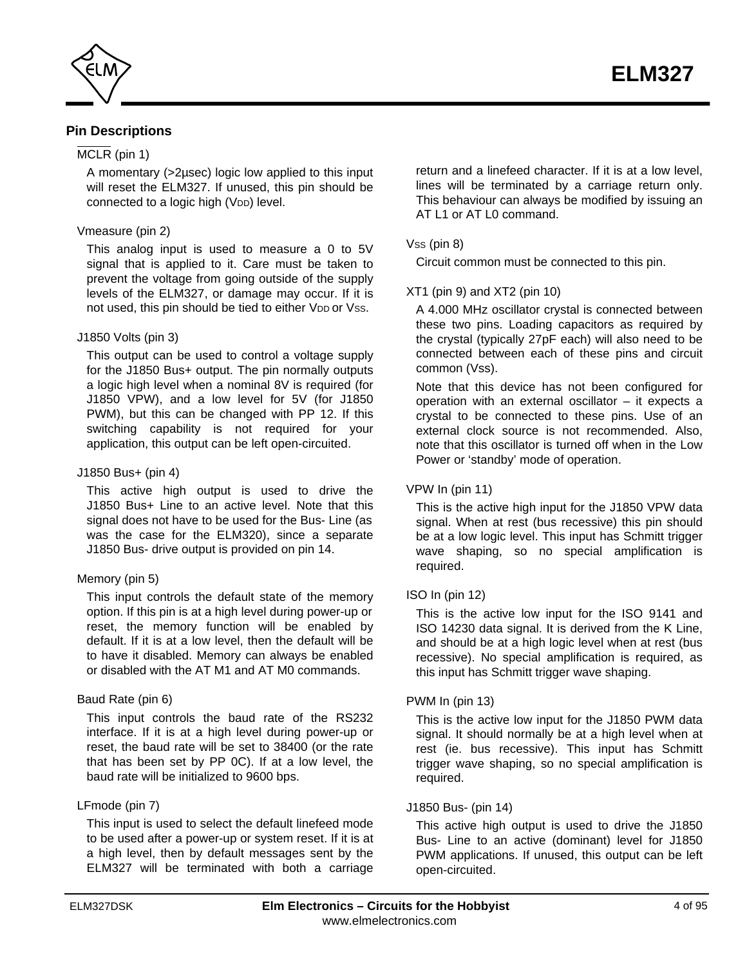<span id="page-3-0"></span>

# **Pin Descriptions**

# MCLR (pin 1)

A momentary (>2µsec) logic low applied to this input will reset the ELM327. If unused, this pin should be connected to a logic high (VDD) level.

#### Vmeasure (pin 2)

This analog input is used to measure a 0 to 5V signal that is applied to it. Care must be taken to prevent the voltage from going outside of the supply levels of the ELM327, or damage may occur. If it is not used, this pin should be tied to either VDD or Vss.

#### J1850 Volts (pin 3)

This output can be used to control a voltage supply for the J1850 Bus+ output. The pin normally outputs a logic high level when a nominal 8V is required (for J1850 VPW), and a low level for 5V (for J1850 PWM), but this can be changed with PP 12. If this switching capability is not required for your application, this output can be left open-circuited.

#### J1850 Bus+ (pin 4)

This active high output is used to drive the J1850 Bus+ Line to an active level. Note that this signal does not have to be used for the Bus- Line (as was the case for the ELM320), since a separate J1850 Bus- drive output is provided on pin 14.

### Memory (pin 5)

This input controls the default state of the memory option. If this pin is at a high level during power-up or reset, the memory function will be enabled by default. If it is at a low level, then the default will be to have it disabled. Memory can always be enabled or disabled with the AT M1 and AT M0 commands.

### Baud Rate (pin 6)

This input controls the baud rate of the RS232 interface. If it is at a high level during power-up or reset, the baud rate will be set to 38400 (or the rate that has been set by PP 0C). If at a low level, the baud rate will be initialized to 9600 bps.

### LFmode (pin 7)

This input is used to select the default linefeed mode to be used after a power-up or system reset. If it is at a high level, then by default messages sent by the ELM327 will be terminated with both a carriage

return and a linefeed character. If it is at a low level, lines will be terminated by a carriage return only. This behaviour can always be modified by issuing an AT L1 or AT L0 command.

### Vss (pin 8)

Circuit common must be connected to this pin.

### XT1 (pin 9) and XT2 (pin 10)

A 4.000 MHz oscillator crystal is connected between these two pins. Loading capacitors as required by the crystal (typically 27pF each) will also need to be connected between each of these pins and circuit common (Vss).

Note that this device has not been configured for operation with an external oscillator – it expects a crystal to be connected to these pins. Use of an external clock source is not recommended. Also, note that this oscillator is turned off when in the Low Power or 'standby' mode of operation.

### VPW In (pin 11)

This is the active high input for the J1850 VPW data signal. When at rest (bus recessive) this pin should be at a low logic level. This input has Schmitt trigger wave shaping, so no special amplification is required.

### ISO In (pin 12)

This is the active low input for the ISO 9141 and ISO 14230 data signal. It is derived from the K Line, and should be at a high logic level when at rest (bus recessive). No special amplification is required, as this input has Schmitt trigger wave shaping.

### PWM In (pin 13)

This is the active low input for the J1850 PWM data signal. It should normally be at a high level when at rest (ie. bus recessive). This input has Schmitt trigger wave shaping, so no special amplification is required.

### J1850 Bus- (pin 14)

This active high output is used to drive the J1850 Bus- Line to an active (dominant) level for J1850 PWM applications. If unused, this output can be left open-circuited.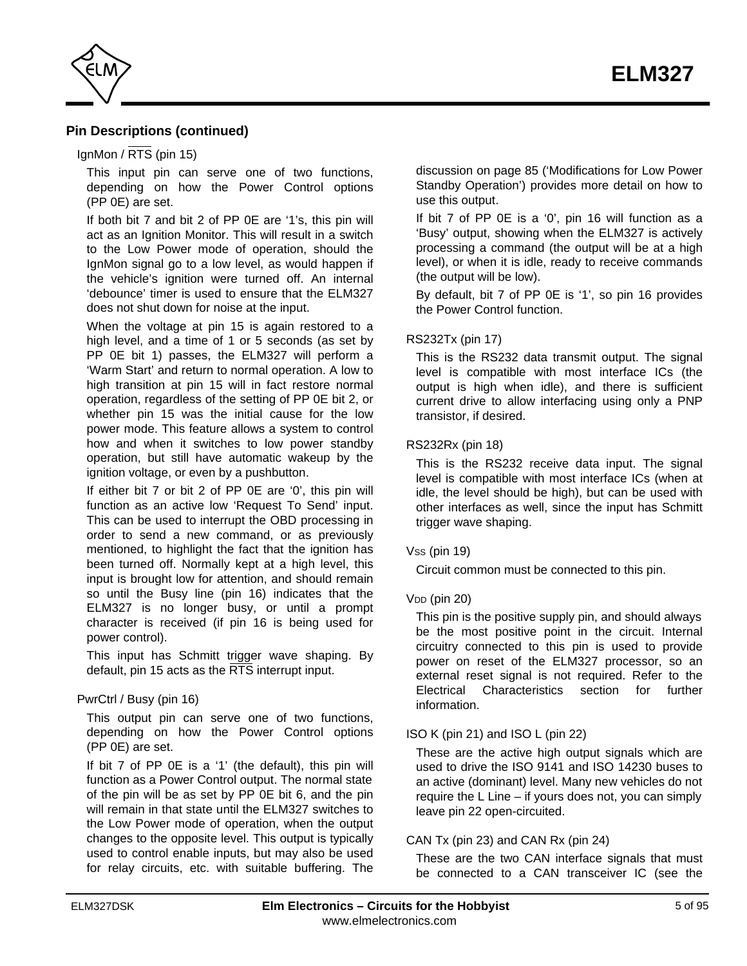

# **Pin Descriptions (continued)**

#### IgnMon /  $\overline{\text{RTS}}$  (pin 15)

This input pin can serve one of two functions, depending on how the Power Control options (PP 0E) are set.

If both bit 7 and bit 2 of PP 0E are '1's, this pin will act as an Ignition Monitor. This will result in a switch to the Low Power mode of operation, should the IgnMon signal go to a low level, as would happen if the vehicle's ignition were turned off. An internal 'debounce' timer is used to ensure that the ELM327 does not shut down for noise at the input.

When the voltage at pin 15 is again restored to a high level, and a time of 1 or 5 seconds (as set by PP 0E bit 1) passes, the ELM327 will perform a 'Warm Start' and return to normal operation. A low to high transition at pin 15 will in fact restore normal operation, regardless of the setting of PP 0E bit 2, or whether pin 15 was the initial cause for the low power mode. This feature allows a system to control how and when it switches to low power standby operation, but still have automatic wakeup by the ignition voltage, or even by a pushbutton.

If either bit 7 or bit 2 of PP 0E are '0', this pin will function as an active low 'Request To Send' input. This can be used to interrupt the OBD processing in order to send a new command, or as previously mentioned, to highlight the fact that the ignition has been turned off. Normally kept at a high level, this input is brought low for attention, and should remain so until the Busy line (pin 16) indicates that the ELM327 is no longer busy, or until a prompt character is received (if pin 16 is being used for power control).

This input has Schmitt trigger wave shaping. By default, pin 15 acts as the  $\overline{\text{RTS}}$  interrupt input.

#### PwrCtrl / Busy (pin 16)

This output pin can serve one of two functions, depending on how the Power Control options (PP 0E) are set.

If bit 7 of PP 0E is a '1' (the default), this pin will function as a Power Control output. The normal state of the pin will be as set by PP 0E bit 6, and the pin will remain in that state until the ELM327 switches to the Low Power mode of operation, when the output changes to the opposite level. This output is typically used to control enable inputs, but may also be used for relay circuits, etc. with suitable buffering. The

discussion on page 85 ('Modifications for Low Power [Standby Operation'\) provides more detail on how to](#page-84-0) use this output.

If bit 7 of PP 0E is a '0', pin 16 will function as a 'Busy' output, showing when the ELM327 is actively processing a command (the output will be at a high level), or when it is idle, ready to receive commands (the output will be low).

By default, bit 7 of PP 0E is '1', so pin 16 provides the Power Control function.

#### RS232Tx (pin 17)

This is the RS232 data transmit output. The signal level is compatible with most interface ICs (the output is high when idle), and there is sufficient current drive to allow interfacing using only a PNP transistor, if desired.

#### RS232Rx (pin 18)

This is the RS232 receive data input. The signal level is compatible with most interface ICs (when at idle, the level should be high), but can be used with other interfaces as well, since the input has Schmitt trigger wave shaping.

#### Vss (pin 19)

Circuit common must be connected to this pin.

#### $V<sub>DD</sub>$  (pin 20)

This pin is the positive supply pin, and should always be the most positive point in the circuit. Internal circuitry connected to this pin is used to provide power on reset of the ELM327 processor, so an external reset signal is not required. Refer to the [Electrical Characteristics section for further](#page-6-0) information.

### ISO K (pin 21) and ISO L (pin 22)

These are the active high output signals which are used to drive the ISO 9141 and ISO 14230 buses to an active (dominant) level. Many new vehicles do not require the L Line – if yours does not, you can simply leave pin 22 open-circuited.

#### CAN Tx (pin 23) and CAN Rx (pin 24)

These are the two CAN interface signals that must be connected to a CAN transceiver IC (see the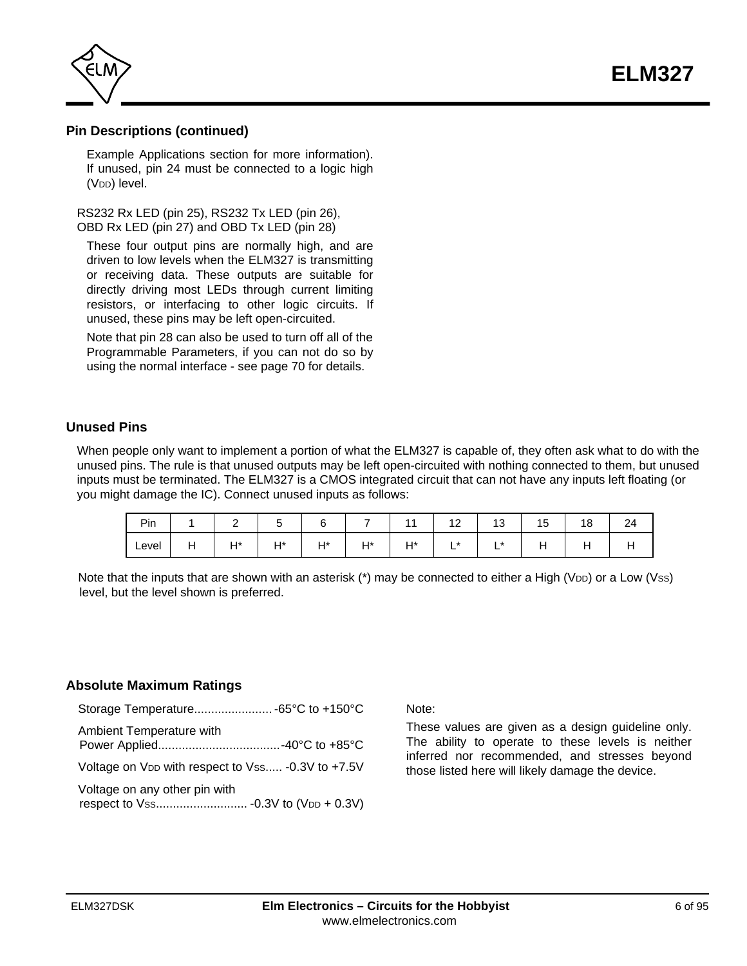**ELM327**

<span id="page-5-0"></span>

# **Pin Descriptions (continued)**

[Example Applications section for more information\).](#page-78-0) If unused, pin 24 must be connected to a logic high (V<sub>DD</sub>) level.

RS232 Rx LED (pin 25), RS232 Tx LED (pin 26), OBD Rx LED (pin 27) and OBD Tx LED (pin 28)

These four output pins are normally high, and are driven to low levels when the ELM327 is transmitting or receiving data. These outputs are suitable for directly driving most LEDs through current limiting resistors, or interfacing to other logic circuits. If unused, these pins may be left open-circuited.

Note that pin 28 can also be used to turn off all of the Programmable Parameters, if you can not do so by using the normal interface [- see page 70 for details.](#page-69-0)

# **Unused Pins**

When people only want to implement a portion of what the ELM327 is capable of, they often ask what to do with the unused pins. The rule is that unused outputs may be left open-circuited with nothing connected to them, but unused inputs must be terminated. The ELM327 is a CMOS integrated circuit that can not have any inputs left floating (or you might damage the IC). Connect unused inputs as follows:

| Pin   |          | -         |           |             |              |    | $\sqrt{2}$<br>$\overline{\phantom{a}}$ | . ب       | 15. | . .<br>ັ | 24  |
|-------|----------|-----------|-----------|-------------|--------------|----|----------------------------------------|-----------|-----|----------|-----|
| Level | -<br>. . | ц*<br>. . | ц*<br>. . | $H*$<br>. . | $H^*$<br>. . | ⊿* | $\star$<br>-                           | l *<br>-- | . . | . .      | . . |

Note that the inputs that are shown with an asterisk  $(*)$  may be connected to either a High (V<sub>DD</sub>) or a Low (Vss) level, but the level shown is preferred.

### **Absolute Maximum Ratings**

| Ambient Temperature with                                      |  |
|---------------------------------------------------------------|--|
| Voltage on V <sub>DD</sub> with respect to Vss -0.3V to +7.5V |  |
| Voltage on any other pin with                                 |  |

Note:

These values are given as a design guideline only. The ability to operate to these levels is neither inferred nor recommended, and stresses beyond those listed here will likely damage the device.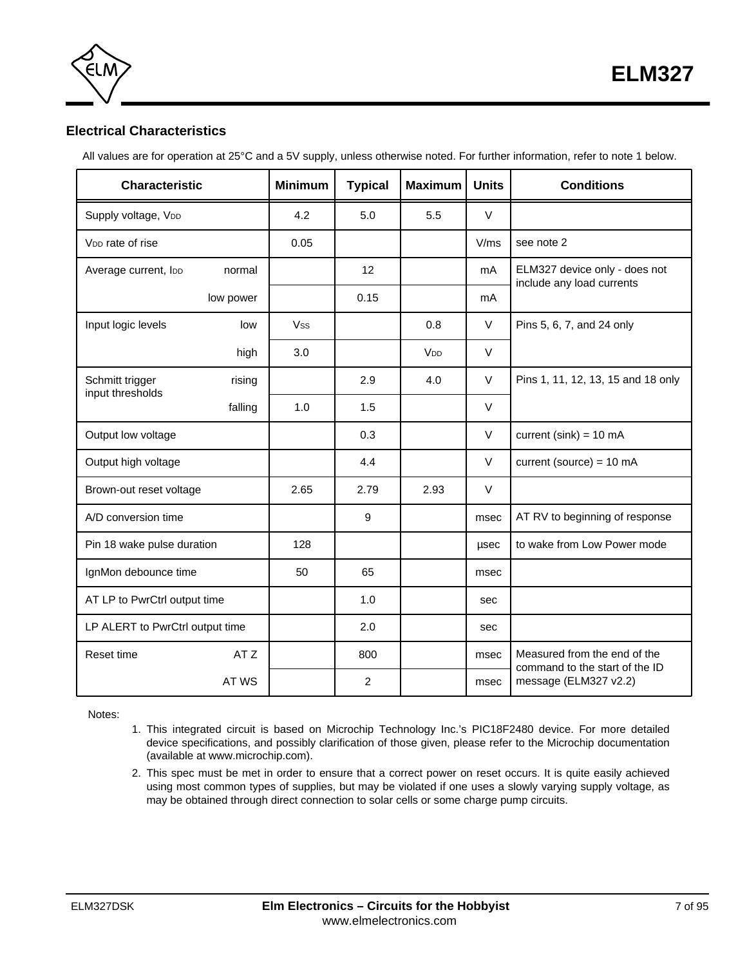

<span id="page-6-0"></span>

# **Electrical Characteristics**

All values are for operation at 25°C and a 5V supply, unless otherwise noted. For further information, refer to note 1 below.

| <b>Characteristic</b>               |                         | <b>Minimum</b> | <b>Typical</b> | <b>Maximum</b>  | <b>Units</b> | <b>Conditions</b>                                              |
|-------------------------------------|-------------------------|----------------|----------------|-----------------|--------------|----------------------------------------------------------------|
| Supply voltage, VDD                 |                         | 4.2            | 5.0            | 5.5             | $\vee$       |                                                                |
| V <sub>DD</sub> rate of rise        |                         | 0.05           |                |                 | V/ms         | see note 2                                                     |
| Average current, loo                | normal                  |                | 12             |                 | mA           | ELM327 device only - does not<br>include any load currents     |
|                                     | low power               |                | 0.15           |                 | mA           |                                                                |
| Input logic levels                  | low                     | <b>Vss</b>     |                | 0.8             | $\vee$       | Pins 5, 6, 7, and 24 only                                      |
|                                     | high                    | 3.0            |                | V <sub>DD</sub> | $\vee$       |                                                                |
| Schmitt trigger<br>input thresholds | rising                  |                | 2.9            | 4.0             | $\vee$       | Pins 1, 11, 12, 13, 15 and 18 only                             |
|                                     | falling                 | 1.0            | 1.5            |                 | $\vee$       |                                                                |
| Output low voltage                  |                         |                | 0.3            |                 | $\vee$       | current (sink) = $10 \text{ mA}$                               |
| Output high voltage                 |                         |                | 4.4            |                 | $\vee$       | current (source) = $10 \text{ mA}$                             |
|                                     | Brown-out reset voltage |                | 2.79           | 2.93            | $\vee$       |                                                                |
| A/D conversion time                 |                         |                | 9              |                 | msec         | AT RV to beginning of response                                 |
| Pin 18 wake pulse duration          |                         | 128            |                |                 | usec         | to wake from Low Power mode                                    |
| IgnMon debounce time                |                         | 50             | 65             |                 | msec         |                                                                |
| AT LP to PwrCtrl output time        |                         |                | 1.0            |                 | sec          |                                                                |
| LP ALERT to PwrCtrl output time     |                         |                | 2.0            |                 | sec          |                                                                |
| Reset time                          | AT Z                    |                | 800            |                 | msec         | Measured from the end of the<br>command to the start of the ID |
|                                     | AT WS                   |                | $\overline{2}$ |                 | msec         | message (ELM327 v2.2)                                          |

Notes:

- 1. This integrated circuit is based on Microchip Technology Inc.'s PIC18F2480 device. For more detailed device specifications, and possibly clarification of those given, please refer to the Microchip documentation (available [at www.microchip.com\).](http://www.microchip.com/)
- 2. This spec must be met in order to ensure that a correct power on reset occurs. It is quite easily achieved using most common types of supplies, but may be violated if one uses a slowly varying supply voltage, as may be obtained through direct connection to solar cells or some charge pump circuits.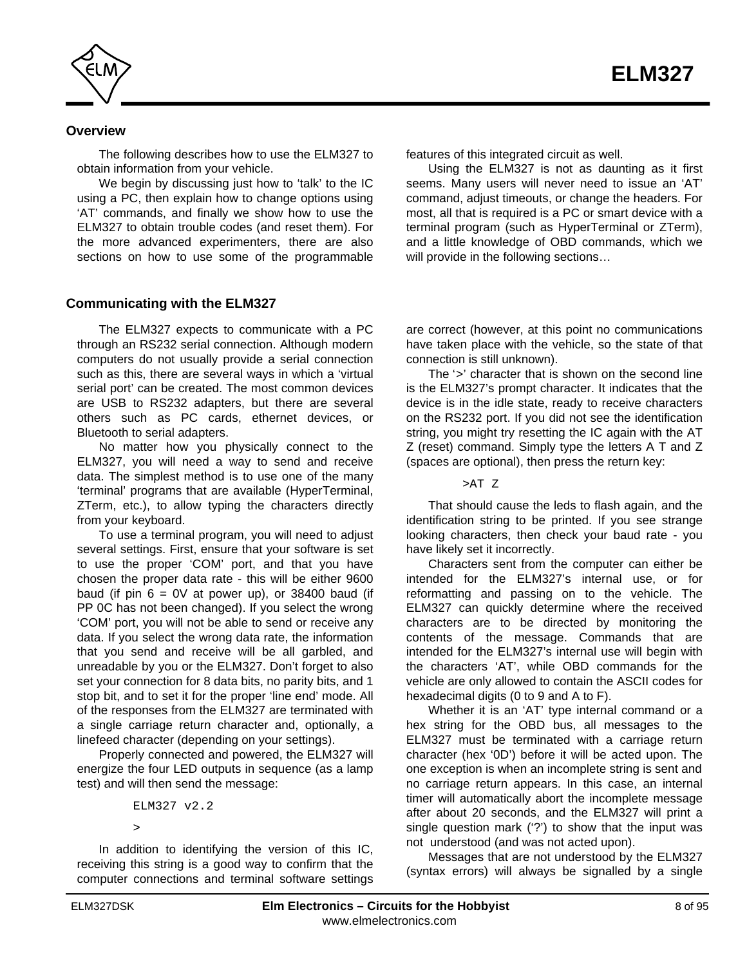<span id="page-7-0"></span>

### **Overview**

The following describes how to use the ELM327 to obtain information from your vehicle.

We begin by discussing just how to 'talk' to the IC using a PC, then explain how to change options using 'AT' commands, and finally we show how to use the ELM327 to obtain trouble codes (and reset them). For the more advanced experimenters, there are also sections on how to use some of the programmable

#### **Communicating with the ELM327**

The ELM327 expects to communicate with a PC through an RS232 serial connection. Although modern computers do not usually provide a serial connection such as this, there are several ways in which a 'virtual serial port' can be created. The most common devices are USB to RS232 adapters, but there are several others such as PC cards, ethernet devices, or Bluetooth to serial adapters.

No matter how you physically connect to the ELM327, you will need a way to send and receive data. The simplest method is to use one of the many 'terminal' programs that are available (HyperTerminal, ZTerm, etc.), to allow typing the characters directly from your keyboard.

To use a terminal program, you will need to adjust several settings. First, ensure that your software is set to use the proper 'COM' port, and that you have chosen the proper data rate - this will be either 9600 baud (if pin  $6 = 0V$  at power up), or 38400 baud (if PP 0C has not been changed). If you select the wrong 'COM' port, you will not be able to send or receive any data. If you select the wrong data rate, the information that you send and receive will be all garbled, and unreadable by you or the ELM327. Don't forget to also set your connection for 8 data bits, no parity bits, and 1 stop bit, and to set it for the proper 'line end' mode. All of the responses from the ELM327 are terminated with a single carriage return character and, optionally, a linefeed character (depending on your settings).

Properly connected and powered, the ELM327 will energize the four LED outputs in sequence (as a lamp test) and will then send the message:

ELM327 v2.2 >

In addition to identifying the version of this IC, receiving this string is a good way to confirm that the computer connections and terminal software settings features of this integrated circuit as well.

Using the ELM327 is not as daunting as it first seems. Many users will never need to issue an 'AT' command, adjust timeouts, or change the headers. For most, all that is required is a PC or smart device with a terminal program (such as HyperTerminal or ZTerm), and a little knowledge of OBD commands, which we will provide in the following sections…

are correct (however, at this point no communications have taken place with the vehicle, so the state of that connection is still unknown).

The '>' character that is shown on the second line is the ELM327's prompt character. It indicates that the device is in the idle state, ready to receive characters on the RS232 port. If you did not see the identification string, you might try resetting the IC again with the AT Z (reset) command. Simply type the letters A T and Z (spaces are optional), then press the return key:

>AT Z

That should cause the leds to flash again, and the identification string to be printed. If you see strange looking characters, then check your baud rate - you have likely set it incorrectly.

Characters sent from the computer can either be intended for the ELM327's internal use, or for reformatting and passing on to the vehicle. The ELM327 can quickly determine where the received characters are to be directed by monitoring the contents of the message. Commands that are intended for the ELM327's internal use will begin with the characters 'AT', while OBD commands for the vehicle are only allowed to contain the ASCII codes for hexadecimal digits (0 to 9 and A to F).

Whether it is an 'AT' type internal command or a hex string for the OBD bus, all messages to the ELM327 must be terminated with a carriage return character (hex '0D') before it will be acted upon. The one exception is when an incomplete string is sent and no carriage return appears. In this case, an internal timer will automatically abort the incomplete message after about 20 seconds, and the ELM327 will print a single question mark ('?') to show that the input was not understood (and was not acted upon).

Messages that are not understood by the ELM327 (syntax errors) will always be signalled by a single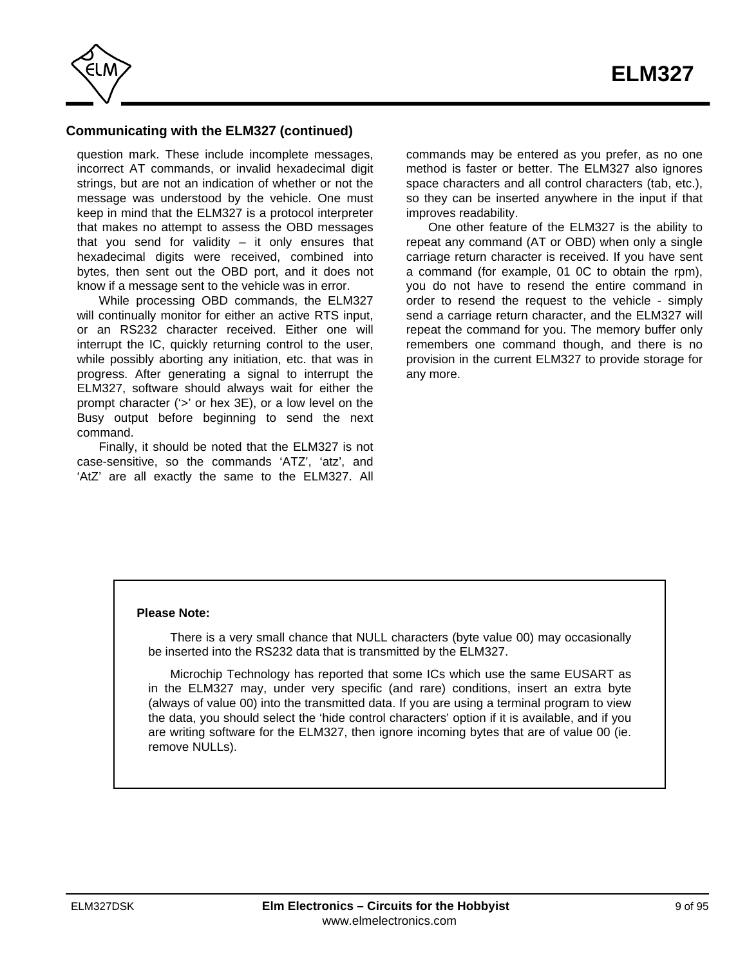

# **Communicating with the ELM327 (continued)**

question mark. These include incomplete messages, incorrect AT commands, or invalid hexadecimal digit strings, but are not an indication of whether or not the message was understood by the vehicle. One must keep in mind that the ELM327 is a protocol interpreter that makes no attempt to assess the OBD messages that you send for validity  $-$  it only ensures that hexadecimal digits were received, combined into bytes, then sent out the OBD port, and it does not know if a message sent to the vehicle was in error.

While processing OBD commands, the ELM327 will continually monitor for either an active RTS input, or an RS232 character received. Either one will interrupt the IC, quickly returning control to the user, while possibly aborting any initiation, etc. that was in progress. After generating a signal to interrupt the ELM327, software should always wait for either the prompt character ('>' or hex 3E), or a low level on the Busy output before beginning to send the next command.

Finally, it should be noted that the ELM327 is not case-sensitive, so the commands 'ATZ', 'atz', and 'AtZ' are all exactly the same to the ELM327. All

commands may be entered as you prefer, as no one method is faster or better. The ELM327 also ignores space characters and all control characters (tab, etc.), so they can be inserted anywhere in the input if that improves readability.

One other feature of the ELM327 is the ability to repeat any command (AT or OBD) when only a single carriage return character is received. If you have sent a command (for example, 01 0C to obtain the rpm), you do not have to resend the entire command in order to resend the request to the vehicle - simply send a carriage return character, and the ELM327 will repeat the command for you. The memory buffer only remembers one command though, and there is no provision in the current ELM327 to provide storage for any more.

#### **Please Note:**

There is a very small chance that NULL characters (byte value 00) may occasionally be inserted into the RS232 data that is transmitted by the ELM327.

Microchip Technology has reported that some ICs which use the same EUSART as in the ELM327 may, under very specific (and rare) conditions, insert an extra byte (always of value 00) into the transmitted data. If you are using a terminal program to view the data, you should select the 'hide control characters' option if it is available, and if you are writing software for the ELM327, then ignore incoming bytes that are of value 00 (ie. remove NULLs).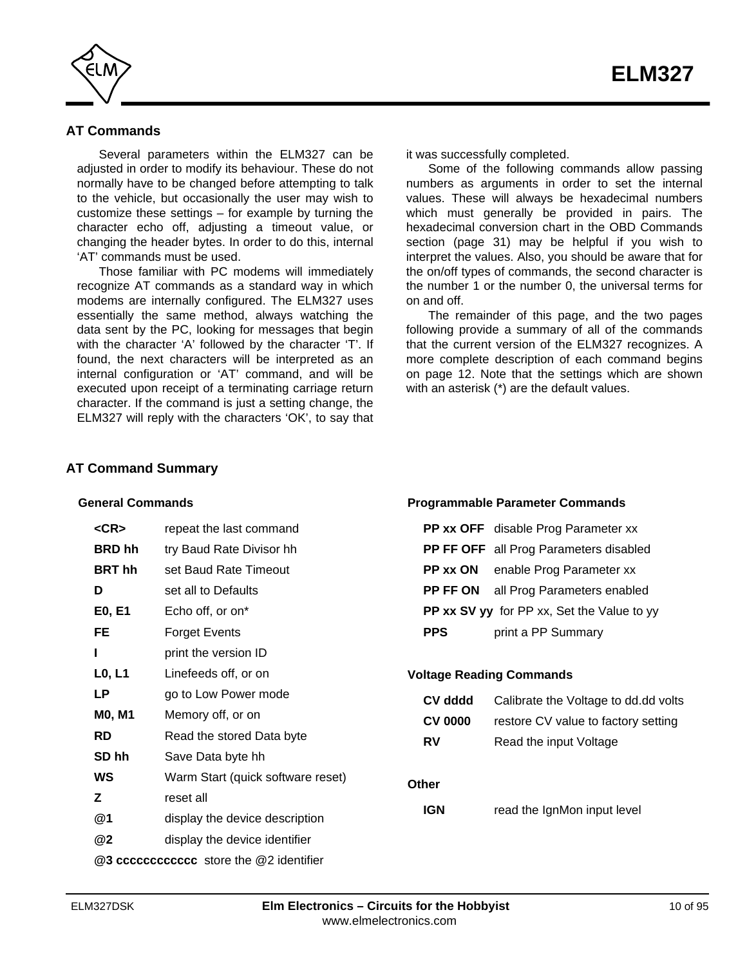<span id="page-9-0"></span>

# **AT Commands**

Several parameters within the ELM327 can be adjusted in order to modify its behaviour. These do not normally have to be changed before attempting to talk to the vehicle, but occasionally the user may wish to customize these settings – for example by turning the character echo off, adjusting a timeout value, or changing the header bytes. In order to do this, internal 'AT' commands must be used.

Those familiar with PC modems will immediately recognize AT commands as a standard way in which modems are internally configured. The ELM327 uses essentially the same method, always watching the data sent by the PC, looking for messages that begin with the character 'A' followed by the character 'T'. If found, the next characters will be interpreted as an internal configuration or 'AT' command, and will be executed upon receipt of a terminating carriage return character. If the command is just a setting change, the ELM327 will reply with the characters 'OK', to say that

it was successfully completed.

Some of the following commands allow passing numbers as arguments in order to set the internal values. These will always be hexadecimal numbers which must generally be provided in pairs. The hexadecimal conversion chart in the OBD Commands [section \(page 31\) may be helpful if you wish to](#page-30-0) interpret the values. Also, you should be aware that for the on/off types of commands, the second character is the number 1 or the number 0, the universal terms for on and off.

The remainder of this page, and the two pages following provide a summary of all of the commands that the current version of the ELM327 recognizes. A more complete description of each command begins [on page 12. Not](#page-11-0)e that the settings which are shown with an asterisk (\*) are the default values.

#### **AT Command Summary**

#### **General Commands**

| <cr></cr>                               | repeat the last command           |  |  |  |
|-----------------------------------------|-----------------------------------|--|--|--|
| <b>BRD</b> hh                           | try Baud Rate Divisor hh          |  |  |  |
| <b>BRT</b> hh                           | set Baud Rate Timeout             |  |  |  |
| D                                       | set all to Defaults               |  |  |  |
| E0, E1                                  | Echo off, or on*                  |  |  |  |
| FE                                      | <b>Forget Events</b>              |  |  |  |
| ı                                       | print the version ID              |  |  |  |
| L <sub>0</sub> , L <sub>1</sub>         | Linefeeds off, or on              |  |  |  |
| LP                                      | go to Low Power mode              |  |  |  |
| <b>MO, M1</b>                           | Memory off, or on                 |  |  |  |
| <b>RD</b>                               | Read the stored Data byte         |  |  |  |
| SD hh                                   | Save Data byte hh                 |  |  |  |
| WS                                      | Warm Start (quick software reset) |  |  |  |
| Ζ                                       | reset all                         |  |  |  |
| @1                                      | display the device description    |  |  |  |
| @2                                      | display the device identifier     |  |  |  |
| @3 cccccccccccc store the @2 identifier |                                   |  |  |  |

#### **Programmable Parameter Commands**

|            | PP xx OFF disable Prog Parameter xx         |
|------------|---------------------------------------------|
|            | PP FF OFF all Prog Parameters disabled      |
| PP xx ON   | enable Prog Parameter xx                    |
|            | <b>PP FF ON</b> all Prog Parameters enabled |
|            | PP xx SV yy for PP xx, Set the Value to yy  |
| <b>PPS</b> | print a PP Summary                          |

#### **Voltage Reading Commands**

| CV dddd        | Calibrate the Voltage to dd.dd volts |
|----------------|--------------------------------------|
| <b>CV 0000</b> | restore CV value to factory setting  |
| RV             | Read the input Voltage               |
|                |                                      |
| Other          |                                      |
| IGN            | read the IgnMon input level          |
|                |                                      |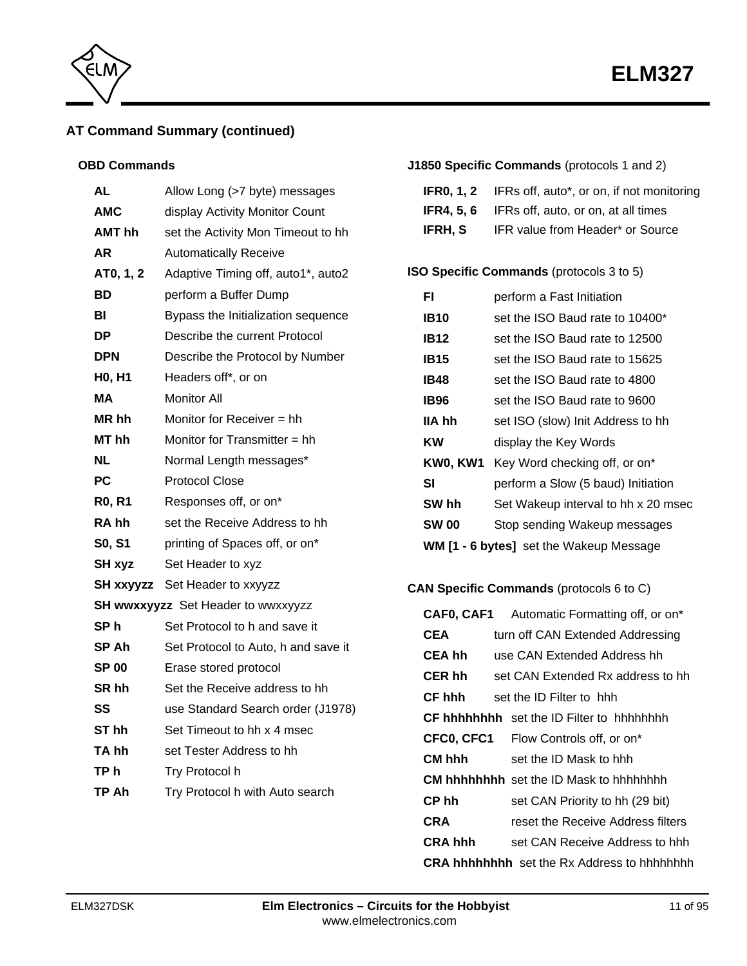

# **AT Command Summary (continued)**

### **OBD Commands**

| AL               | Allow Long (>7 byte) messages       |
|------------------|-------------------------------------|
| <b>AMC</b>       | display Activity Monitor Count      |
| AMT hh           | set the Activity Mon Timeout to hh  |
| AR               | <b>Automatically Receive</b>        |
| AT0, 1, 2        | Adaptive Timing off, auto1*, auto2  |
| BD               | perform a Buffer Dump               |
| BI               | Bypass the Initialization sequence  |
| DP               | Describe the current Protocol       |
| DPN              | Describe the Protocol by Number     |
| <b>HO, H1</b>    | Headers off*, or on                 |
| МA               | <b>Monitor All</b>                  |
| MR hh            | Monitor for Receiver = hh           |
| MT <sub>hh</sub> | Monitor for Transmitter = hh        |
| NL               | Normal Length messages*             |
| РC               | <b>Protocol Close</b>               |
| <b>R0, R1</b>    | Responses off, or on*               |
| RA hh            | set the Receive Address to hh       |
| S0, S1           | printing of Spaces off, or on*      |
| SH xyz           | Set Header to xyz                   |
| SH xxyyzz        | Set Header to xxyyzz                |
|                  | SH wwxxyyzz Set Header to wwxxyyzz  |
| SP h             | Set Protocol to h and save it       |
| SP Ah            | Set Protocol to Auto, h and save it |
| <b>SP 00</b>     | Erase stored protocol               |
| SR <sub>hh</sub> | Set the Receive address to hh       |
| SS               | use Standard Search order (J1978)   |
| ST hh            | Set Timeout to hh x 4 msec          |
| TA hh            | set Tester Address to hh            |
| TP h             | Try Protocol h                      |
| TP Ah            | Try Protocol h with Auto search     |
|                  |                                     |

# **J1850 Specific Commands** (protocols 1 and 2)

| <b>IFR0, 1, 2</b> IFRs off, auto*, or on, if not monitoring |  |  |  |
|-------------------------------------------------------------|--|--|--|

- **IFR4, 5, 6** IFRs off, auto, or on, at all times
- **IFRH, S** IFR value from Header\* or Source

# **ISO Specific Commands** (protocols 3 to 5)

| FI                                             | perform a Fast Initiation           |  |  |  |
|------------------------------------------------|-------------------------------------|--|--|--|
| IB10                                           | set the ISO Baud rate to 10400*     |  |  |  |
| <b>IB12</b>                                    | set the ISO Baud rate to 12500      |  |  |  |
| <b>IB15</b>                                    | set the ISO Baud rate to 15625      |  |  |  |
| IB48                                           | set the ISO Baud rate to 4800       |  |  |  |
| IB96                                           | set the ISO Baud rate to 9600       |  |  |  |
| IIA hh                                         | set ISO (slow) Init Address to hh   |  |  |  |
| ΚW                                             | display the Key Words               |  |  |  |
| KW0, KW1                                       | Key Word checking off, or on*       |  |  |  |
| SI                                             | perform a Slow (5 baud) Initiation  |  |  |  |
| SW hh                                          | Set Wakeup interval to hh x 20 msec |  |  |  |
| <b>SW 00</b>                                   | Stop sending Wakeup messages        |  |  |  |
| <b>WM [1 - 6 bytes]</b> set the Wakeup Message |                                     |  |  |  |

# **CAN Specific Commands** (protocols 6 to C)

|                | <b>CAF0, CAF1</b> Automatic Formatting off, or on <sup>*</sup> |
|----------------|----------------------------------------------------------------|
| CEA            | turn off CAN Extended Addressing                               |
| CEA hh         | use CAN Extended Address hh                                    |
| <b>CER hh</b>  | set CAN Extended Rx address to hh                              |
| CF hhh         | set the ID Filter to hhh                                       |
|                | <b>CF hhhhhhhh</b> set the ID Filter to hhhhhhhh               |
|                | <b>CFC0, CFC1</b> Flow Controls off, or on <sup>*</sup>        |
| CM hhh         | set the ID Mask to hhh                                         |
|                | <b>CM hhhhhhhh</b> set the ID Mask to hhhhhhhh                 |
| CP hh          | set CAN Priority to hh (29 bit)                                |
| CRA            | reset the Receive Address filters                              |
| <b>CRA hhh</b> | set CAN Receive Address to hhh                                 |
|                | <b>CRA hhhhhhhh</b> set the Rx Address to hhhhhhhh             |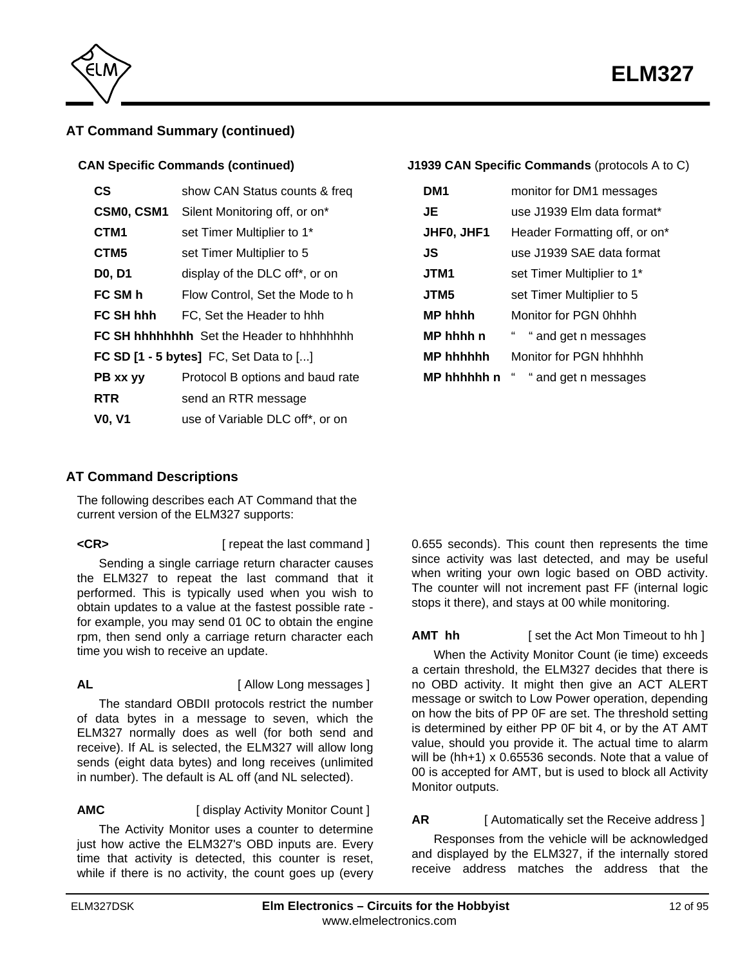

<span id="page-11-0"></span>

# **AT Command Summary (continued)**

### **CAN Specific Commands (continued)**

| СS                                         | show CAN Status counts & freq    |  |
|--------------------------------------------|----------------------------------|--|
| CSM0, CSM1                                 | Silent Monitoring off, or on*    |  |
| CTM <sub>1</sub>                           | set Timer Multiplier to 1*       |  |
| CTM <sub>5</sub>                           | set Timer Multiplier to 5        |  |
| D0, D1                                     | display of the DLC off*, or on   |  |
| FC SM h                                    | Flow Control, Set the Mode to h  |  |
| FC SH hhh                                  | FC, Set the Header to hhh        |  |
|                                            |                                  |  |
| FC SD $[1 - 5$ bytes] FC, Set Data to $[]$ |                                  |  |
| PB xx yy                                   | Protocol B options and baud rate |  |
| <b>RTR</b>                                 | send an RTR message              |  |
| <b>VO. V1</b>                              | use of Variable DLC off*, or on  |  |

## **J1939 CAN Specific Commands** (protocols A to C)

| DM1              | monitor for DM1 messages      |
|------------------|-------------------------------|
| JE               | use J1939 Elm data format*    |
| JHF0, JHF1       | Header Formatting off, or on* |
| JS               | use J1939 SAE data format     |
| JTM1             | set Timer Multiplier to 1*    |
| JTM5             | set Timer Multiplier to 5     |
| <b>MP hhhh</b>   | Monitor for PGN 0hhhh         |
| MP hhhh n        | " and get n messages          |
| <b>MP hhhhhh</b> | Monitor for PGN hhhhhh        |
| MP hhhhhh n      | "<br>" and get n messages     |

# **AT Command Descriptions**

The following describes each AT Command that the current version of the ELM327 supports:

**<CR>** [ repeat the last command ]

Sending a single carriage return character causes the ELM327 to repeat the last command that it performed. This is typically used when you wish to obtain updates to a value at the fastest possible rate for example, you may send 01 0C to obtain the engine rpm, then send only a carriage return character each time you wish to receive an update.

**AL** [ Allow Long messages ]

The standard OBDII protocols restrict the number of data bytes in a message to seven, which the ELM327 normally does as well (for both send and receive). If AL is selected, the ELM327 will allow long sends (eight data bytes) and long receives (unlimited in number). The default is AL off (and NL selected).

**AMC** [ display Activity Monitor Count ]

The Activity Monitor uses a counter to determine just how active the ELM327's OBD inputs are. Every time that activity is detected, this counter is reset, while if there is no activity, the count goes up (every 0.655 seconds). This count then represents the time since activity was last detected, and may be useful when writing your own logic based on OBD activity. The counter will not increment past FF (internal logic stops it there), and stays at 00 while monitoring.

**AMT hh** [ set the Act Mon Timeout to hh ]

When the Activity Monitor Count (ie time) exceeds a certain threshold, the ELM327 decides that there is no OBD activity. It might then give an ACT ALERT message or switch to Low Power operation, depending on how the bits of PP 0F are set. The threshold setting is determined by either PP 0F bit 4, or by the AT AMT value, should you provide it. The actual time to alarm will be (hh+1) x 0.65536 seconds. Note that a value of 00 is accepted for AMT, but is used to block all Activity Monitor outputs.

# **AR** [ Automatically set the Receive address ]

Responses from the vehicle will be acknowledged and displayed by the ELM327, if the internally stored receive address matches the address that the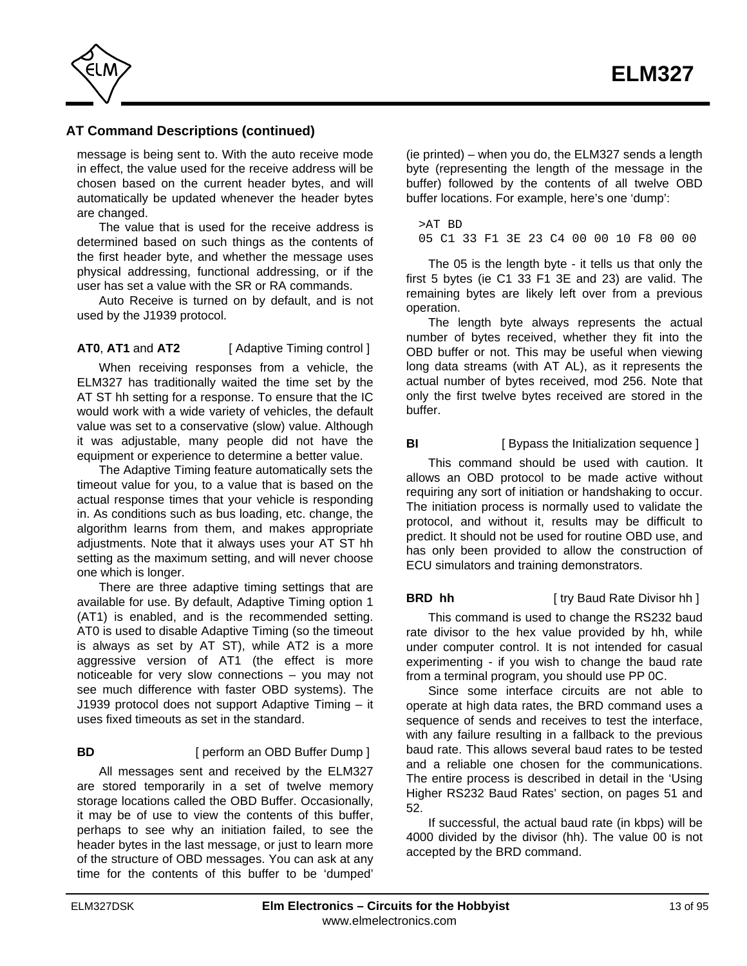

message is being sent to. With the auto receive mode in effect, the value used for the receive address will be chosen based on the current header bytes, and will automatically be updated whenever the header bytes are changed.

The value that is used for the receive address is determined based on such things as the contents of the first header byte, and whether the message uses physical addressing, functional addressing, or if the user has set a value with the SR or RA commands.

Auto Receive is turned on by default, and is not used by the J1939 protocol.

# **AT0**, **AT1** and **AT2** [ Adaptive Timing control ]

When receiving responses from a vehicle, the ELM327 has traditionally waited the time set by the AT ST hh setting for a response. To ensure that the IC would work with a wide variety of vehicles, the default value was set to a conservative (slow) value. Although it was adjustable, many people did not have the equipment or experience to determine a better value.

The Adaptive Timing feature automatically sets the timeout value for you, to a value that is based on the actual response times that your vehicle is responding in. As conditions such as bus loading, etc. change, the algorithm learns from them, and makes appropriate adjustments. Note that it always uses your AT ST hh setting as the maximum setting, and will never choose one which is longer.

There are three adaptive timing settings that are available for use. By default, Adaptive Timing option 1 (AT1) is enabled, and is the recommended setting. AT0 is used to disable Adaptive Timing (so the timeout is always as set by AT ST), while AT2 is a more aggressive version of AT1 (the effect is more noticeable for very slow connections – you may not see much difference with faster OBD systems). The J1939 protocol does not support Adaptive Timing – it uses fixed timeouts as set in the standard.

# **BD** [ perform an OBD Buffer Dump ]

All messages sent and received by the ELM327 are stored temporarily in a set of twelve memory storage locations called the OBD Buffer. Occasionally, it may be of use to view the contents of this buffer, perhaps to see why an initiation failed, to see the header bytes in the last message, or just to learn more of the structure of OBD messages. You can ask at any time for the contents of this buffer to be 'dumped'

(ie printed) – when you do, the ELM327 sends a length byte (representing the length of the message in the buffer) followed by the contents of all twelve OBD buffer locations. For example, here's one 'dump':

>AT BD 05 C1 33 F1 3E 23 C4 00 00 10 F8 00 00

The 05 is the length byte - it tells us that only the first 5 bytes (ie C1 33 F1 3E and 23) are valid. The remaining bytes are likely left over from a previous operation.

The length byte always represents the actual number of bytes received, whether they fit into the OBD buffer or not. This may be useful when viewing long data streams (with AT AL), as it represents the actual number of bytes received, mod 256. Note that only the first twelve bytes received are stored in the buffer.

# **BI** [ Bypass the Initialization sequence ]

This command should be used with caution. It allows an OBD protocol to be made active without requiring any sort of initiation or handshaking to occur. The initiation process is normally used to validate the protocol, and without it, results may be difficult to predict. It should not be used for routine OBD use, and has only been provided to allow the construction of ECU simulators and training demonstrators.

#### **BRD hh** [ try Baud Rate Divisor hh ]

This command is used to change the RS232 baud rate divisor to the hex value provided by hh, while under computer control. It is not intended for casual experimenting - if you wish to change the baud rate from a terminal program, you should use PP 0C.

Since some interface circuits are not able to operate at high data rates, the BRD command uses a sequence of sends and receives to test the interface, with any failure resulting in a fallback to the previous baud rate. This allows several baud rates to be tested and a reliable one chosen for the communications. The entire process is described in detail in the 'Using Higher RS232 Baud Rates' section[, on pages 51 and](#page-50-0) [52.](#page-51-0)

If successful, the actual baud rate (in kbps) will be 4000 divided by the divisor (hh). The value 00 is not accepted by the BRD command.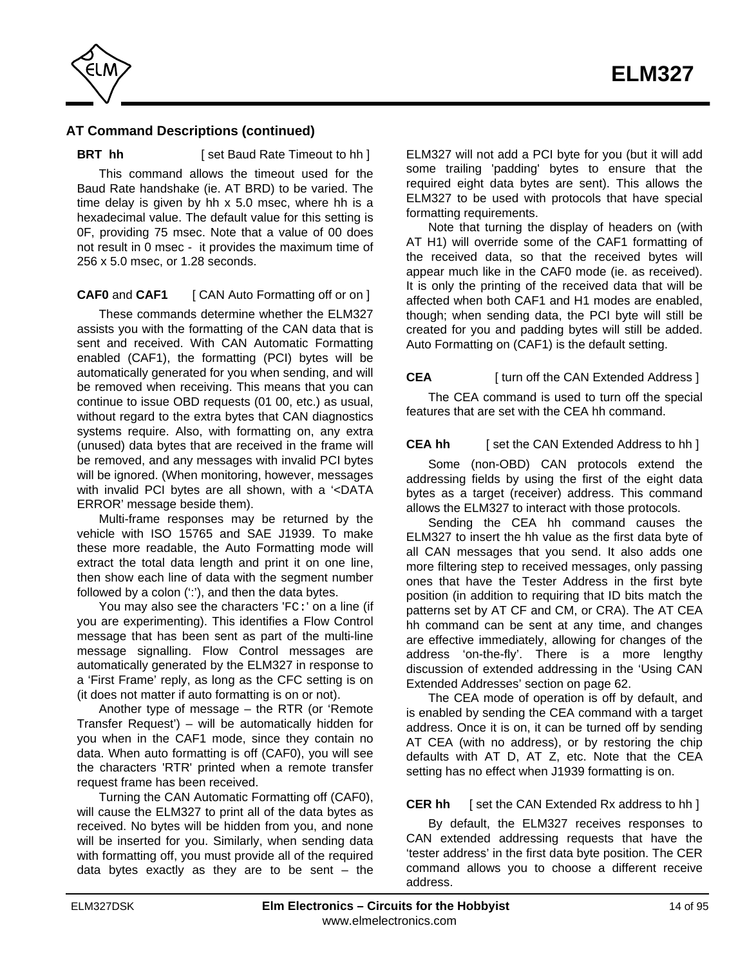

**BRT** hh **i** [ set Baud Rate Timeout to hh ]

This command allows the timeout used for the Baud Rate handshake (ie. AT BRD) to be varied. The time delay is given by hh x 5.0 msec, where hh is a hexadecimal value. The default value for this setting is 0F, providing 75 msec. Note that a value of 00 does not result in 0 msec - it provides the maximum time of 256 x 5.0 msec, or 1.28 seconds.

**CAF0** and **CAF1** [ CAN Auto Formatting off or on ]

These commands determine whether the ELM327 assists you with the formatting of the CAN data that is sent and received. With CAN Automatic Formatting enabled (CAF1), the formatting (PCI) bytes will be automatically generated for you when sending, and will be removed when receiving. This means that you can continue to issue OBD requests (01 00, etc.) as usual, without regard to the extra bytes that CAN diagnostics systems require. Also, with formatting on, any extra (unused) data bytes that are received in the frame will be removed, and any messages with invalid PCI bytes will be ignored. (When monitoring, however, messages with invalid PCI bytes are all shown, with a '<DATA ERROR' message beside them).

Multi-frame responses may be returned by the vehicle with ISO 15765 and SAE J1939. To make these more readable, the Auto Formatting mode will extract the total data length and print it on one line, then show each line of data with the segment number followed by a colon (":"), and then the data bytes.

You may also see the characters 'FC:' on a line (if you are experimenting). This identifies a Flow Control message that has been sent as part of the multi-line message signalling. Flow Control messages are automatically generated by the ELM327 in response to a 'First Frame' reply, as long as the CFC setting is on (it does not matter if auto formatting is on or not).

Another type of message – the RTR (or 'Remote Transfer Request') – will be automatically hidden for you when in the CAF1 mode, since they contain no data. When auto formatting is off (CAF0), you will see the characters 'RTR' printed when a remote transfer request frame has been received.

Turning the CAN Automatic Formatting off (CAF0), will cause the ELM327 to print all of the data bytes as received. No bytes will be hidden from you, and none will be inserted for you. Similarly, when sending data with formatting off, you must provide all of the required data bytes exactly as they are to be sent  $-$  the ELM327 will not add a PCI byte for you (but it will add some trailing 'padding' bytes to ensure that the required eight data bytes are sent). This allows the ELM327 to be used with protocols that have special formatting requirements.

Note that turning the display of headers on (with AT H1) will override some of the CAF1 formatting of the received data, so that the received bytes will appear much like in the CAF0 mode (ie. as received). It is only the printing of the received data that will be affected when both CAF1 and H1 modes are enabled, though; when sending data, the PCI byte will still be created for you and padding bytes will still be added. Auto Formatting on (CAF1) is the default setting.

# **CEA** [ turn off the CAN Extended Address ]

The CEA command is used to turn off the special features that are set with the CEA hh command.

#### **CEA hh** [ set the CAN Extended Address to hh ]

Some (non-OBD) CAN protocols extend the addressing fields by using the first of the eight data bytes as a target (receiver) address. This command allows the ELM327 to interact with those protocols.

Sending the CEA hh command causes the ELM327 to insert the hh value as the first data byte of all CAN messages that you send. It also adds one more filtering step to received messages, only passing ones that have the Tester Address in the first byte position (in addition to requiring that ID bits match the patterns set by AT CF and CM, or CRA). The AT CEA hh command can be sent at any time, and changes are effective immediately, allowing for changes of the address 'on-the-fly'. There is a more lengthy discussion of extended addressing in the 'Using CAN Extended Addresses' sect[ion on page 62.](#page-61-0)

The CEA mode of operation is off by default, and is enabled by sending the CEA command with a target address. Once it is on, it can be turned off by sending AT CEA (with no address), or by restoring the chip defaults with AT D, AT Z, etc. Note that the CEA setting has no effect when J1939 formatting is on.

### **CER hh** [ set the CAN Extended Rx address to hh ]

By default, the ELM327 receives responses to CAN extended addressing requests that have the 'tester address' in the first data byte position. The CER command allows you to choose a different receive address.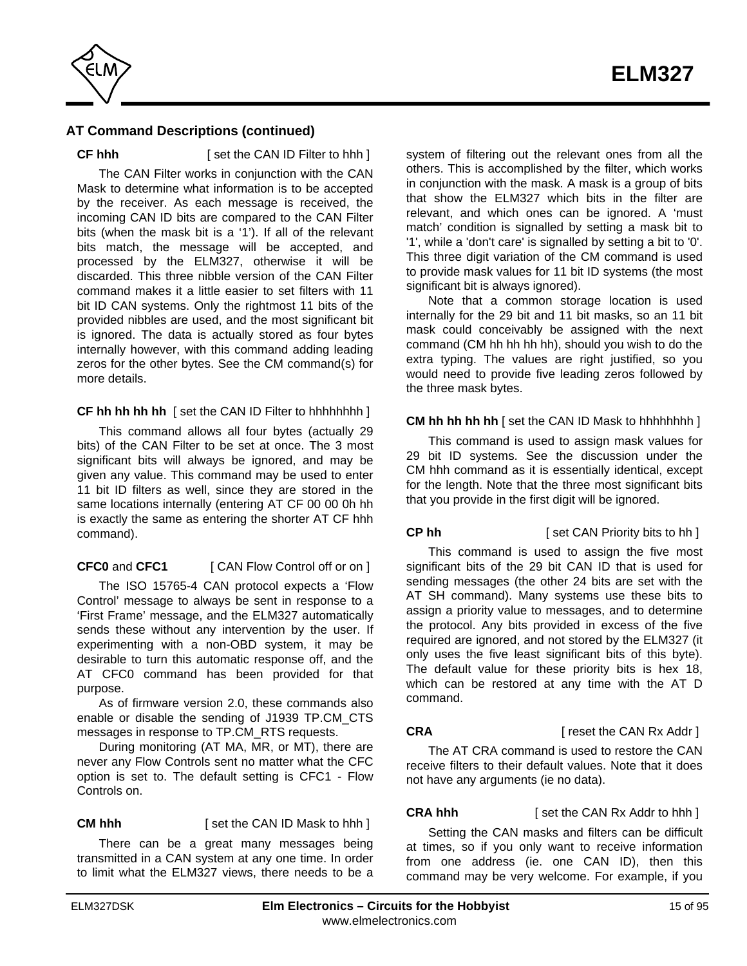

**CF hhh** [ set the CAN ID Filter to hhh ]

The CAN Filter works in conjunction with the CAN Mask to determine what information is to be accepted by the receiver. As each message is received, the incoming CAN ID bits are compared to the CAN Filter bits (when the mask bit is a '1'). If all of the relevant bits match, the message will be accepted, and processed by the ELM327, otherwise it will be discarded. This three nibble version of the CAN Filter command makes it a little easier to set filters with 11 bit ID CAN systems. Only the rightmost 11 bits of the provided nibbles are used, and the most significant bit is ignored. The data is actually stored as four bytes internally however, with this command adding leading zeros for the other bytes. See the CM command(s) for more details.

#### **CF hh hh hh hh** [ set the CAN ID Filter to hhhhhhhh ]

This command allows all four bytes (actually 29 bits) of the CAN Filter to be set at once. The 3 most significant bits will always be ignored, and may be given any value. This command may be used to enter 11 bit ID filters as well, since they are stored in the same locations internally (entering AT CF 00 00 0h hh is exactly the same as entering the shorter AT CF hhh command).

### **CFC0** and **CFC1** [ CAN Flow Control off or on ]

The ISO 15765-4 CAN protocol expects a 'Flow Control' message to always be sent in response to a 'First Frame' message, and the ELM327 automatically sends these without any intervention by the user. If experimenting with a non-OBD system, it may be desirable to turn this automatic response off, and the AT CFC0 command has been provided for that purpose.

As of firmware version 2.0, these commands also enable or disable the sending of J1939 TP.CM\_CTS messages in response to TP.CM\_RTS requests.

During monitoring (AT MA, MR, or MT), there are never any Flow Controls sent no matter what the CFC option is set to. The default setting is CFC1 - Flow Controls on.

**CM hhh** [ set the CAN ID Mask to hhh ]

There can be a great many messages being transmitted in a CAN system at any one time. In order to limit what the ELM327 views, there needs to be a

system of filtering out the relevant ones from all the others. This is accomplished by the filter, which works in conjunction with the mask. A mask is a group of bits that show the ELM327 which bits in the filter are relevant, and which ones can be ignored. A 'must match' condition is signalled by setting a mask bit to '1', while a 'don't care' is signalled by setting a bit to '0'. This three digit variation of the CM command is used to provide mask values for 11 bit ID systems (the most significant bit is always ignored).

Note that a common storage location is used internally for the 29 bit and 11 bit masks, so an 11 bit mask could conceivably be assigned with the next command (CM hh hh hh hh), should you wish to do the extra typing. The values are right justified, so you would need to provide five leading zeros followed by the three mask bytes.

#### **CM hh hh hh hh** I set the CAN ID Mask to hhhhhhhh ]

This command is used to assign mask values for 29 bit ID systems. See the discussion under the CM hhh command as it is essentially identical, except for the length. Note that the three most significant bits that you provide in the first digit will be ignored.

#### **CP hh** [ set CAN Priority bits to hh ]

This command is used to assign the five most significant bits of the 29 bit CAN ID that is used for sending messages (the other 24 bits are set with the AT SH command). Many systems use these bits to assign a priority value to messages, and to determine the protocol. Any bits provided in excess of the five required are ignored, and not stored by the ELM327 (it only uses the five least significant bits of this byte). The default value for these priority bits is hex 18, which can be restored at any time with the AT D command.

#### **CRA** [ reset the CAN Rx Addr ]

The AT CRA command is used to restore the CAN receive filters to their default values. Note that it does not have any arguments (ie no data).

**CRA hhh** [ set the CAN Rx Addr to hhh ]

Setting the CAN masks and filters can be difficult at times, so if you only want to receive information from one address (ie. one CAN ID), then this command may be very welcome. For example, if you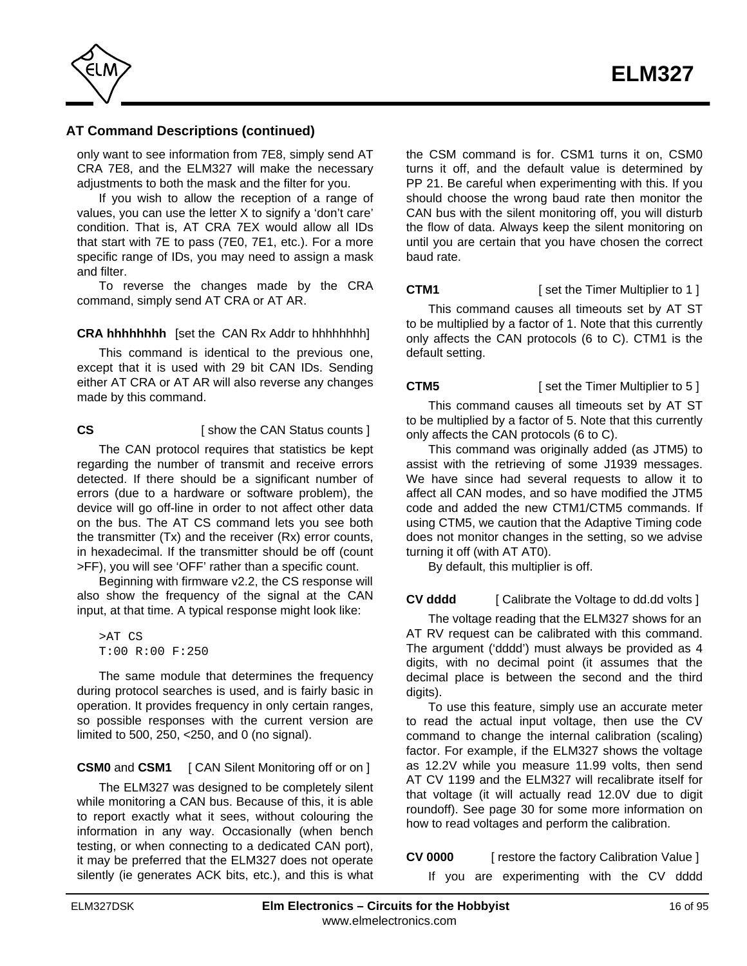

only want to see information from 7E8, simply send AT CRA 7E8, and the ELM327 will make the necessary adjustments to both the mask and the filter for you.

If you wish to allow the reception of a range of values, you can use the letter X to signify a 'don't care' condition. That is, AT CRA 7EX would allow all IDs that start with 7E to pass (7E0, 7E1, etc.). For a more specific range of IDs, you may need to assign a mask and filter.

To reverse the changes made by the CRA command, simply send AT CRA or AT AR.

**CRA hhhhhhhh** [set the CAN Rx Addr to hhhhhhhh]

This command is identical to the previous one, except that it is used with 29 bit CAN IDs. Sending either AT CRA or AT AR will also reverse any changes made by this command.

**CS** [ show the CAN Status counts ]

The CAN protocol requires that statistics be kept regarding the number of transmit and receive errors detected. If there should be a significant number of errors (due to a hardware or software problem), the device will go off-line in order to not affect other data on the bus. The AT CS command lets you see both the transmitter (Tx) and the receiver (Rx) error counts, in hexadecimal. If the transmitter should be off (count >FF), you will see 'OFF' rather than a specific count.

Beginning with firmware v2.2, the CS response will also show the frequency of the signal at the CAN input, at that time. A typical response might look like:

>AT CS T:00 R:00 F:250

The same module that determines the frequency during protocol searches is used, and is fairly basic in operation. It provides frequency in only certain ranges, so possible responses with the current version are limited to 500, 250, <250, and 0 (no signal).

**CSM0** and **CSM1** [ CAN Silent Monitoring off or on ]

The ELM327 was designed to be completely silent while monitoring a CAN bus. Because of this, it is able to report exactly what it sees, without colouring the information in any way. Occasionally (when bench testing, or when connecting to a dedicated CAN port), it may be preferred that the ELM327 does not operate silently (ie generates ACK bits, etc.), and this is what the CSM command is for. CSM1 turns it on, CSM0 turns it off, and the default value is determined by PP 21. Be careful when experimenting with this. If you should choose the wrong baud rate then monitor the CAN bus with the silent monitoring off, you will disturb the flow of data. Always keep the silent monitoring on until you are certain that you have chosen the correct baud rate.

**CTM1 EXECUTE:** [ set the Timer Multiplier to 1 ]

This command causes all timeouts set by AT ST to be multiplied by a factor of 1. Note that this currently only affects the CAN protocols (6 to C). CTM1 is the default setting.

**CTM5** [ set the Timer Multiplier to 5 ]

This command causes all timeouts set by AT ST to be multiplied by a factor of 5. Note that this currently only affects the CAN protocols (6 to C).

This command was originally added (as JTM5) to assist with the retrieving of some J1939 messages. We have since had several requests to allow it to affect all CAN modes, and so have modified the JTM5 code and added the new CTM1/CTM5 commands. If using CTM5, we caution that the Adaptive Timing code does not monitor changes in the setting, so we advise turning it off (with AT AT0).

By default, this multiplier is off.

**CV dddd** [ Calibrate the Voltage to dd.dd volts ]

The voltage reading that the ELM327 shows for an AT RV request can be calibrated with this command. The argument ('dddd') must always be provided as 4 digits, with no decimal point (it assumes that the decimal place is between the second and the third digits).

To use this feature, simply use an accurate meter to read the actual input voltage, then use the CV command to change the internal calibration (scaling) factor. For example, if the ELM327 shows the voltage as 12.2V while you measure 11.99 volts, then send AT CV 1199 and the ELM327 will recalibrate itself for that voltage (it will actually read 12.0V due to digit roundoff). [See page 30 for](#page-29-0) some more information on how to read voltages and perform the calibration.

**CV 0000** [ restore the factory Calibration Value ]

If you are experimenting with the CV dddd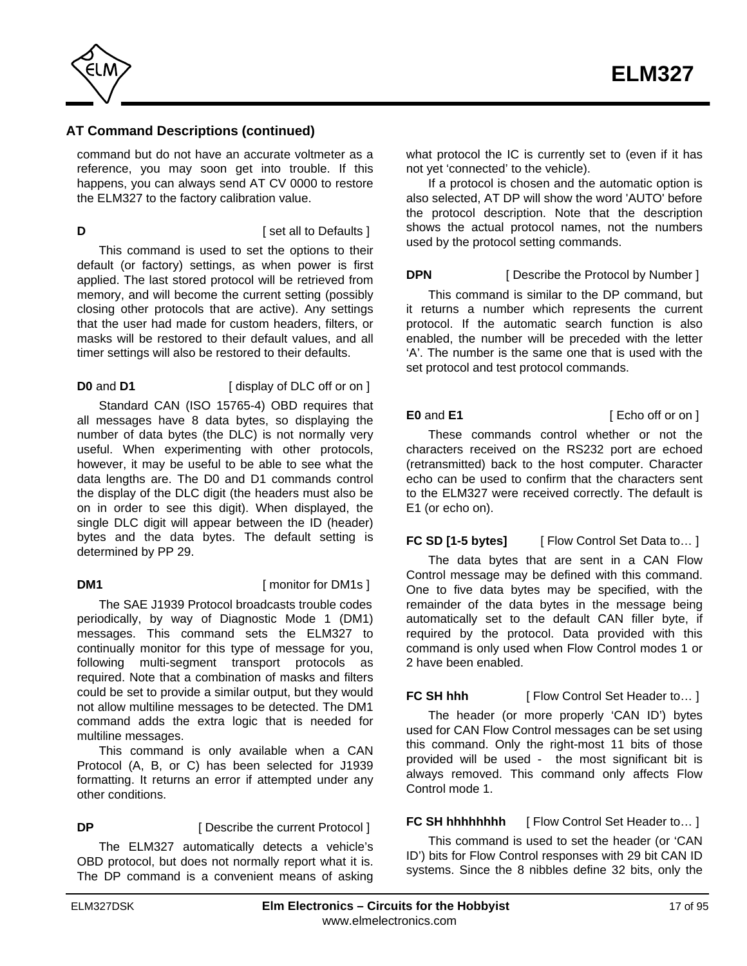

command but do not have an accurate voltmeter as a reference, you may soon get into trouble. If this happens, you can always send AT CV 0000 to restore the ELM327 to the factory calibration value.

**D D Example 1 [** set all to Defaults ]

This command is used to set the options to their default (or factory) settings, as when power is first applied. The last stored protocol will be retrieved from memory, and will become the current setting (possibly closing other protocols that are active). Any settings that the user had made for custom headers, filters, or masks will be restored to their default values, and all timer settings will also be restored to their defaults.

**D0** and **D1** [ display of DLC off or on ]

Standard CAN (ISO 15765-4) OBD requires that all messages have 8 data bytes, so displaying the number of data bytes (the DLC) is not normally very useful. When experimenting with other protocols, however, it may be useful to be able to see what the data lengths are. The D0 and D1 commands control the display of the DLC digit (the headers must also be on in order to see this digit). When displayed, the single DLC digit will appear between the ID (header) bytes and the data bytes. The default setting is determined by PP 29.

**DM1** [ monitor for DM1s ]

The SAE J1939 Protocol broadcasts trouble codes periodically, by way of Diagnostic Mode 1 (DM1) messages. This command sets the ELM327 to continually monitor for this type of message for you, following multi-segment transport protocols as required. Note that a combination of masks and filters could be set to provide a similar output, but they would not allow multiline messages to be detected. The DM1 command adds the extra logic that is needed for multiline messages.

This command is only available when a CAN Protocol (A, B, or C) has been selected for J1939 formatting. It returns an error if attempted under any other conditions.

**DP** [ Describe the current Protocol ]

The ELM327 automatically detects a vehicle's OBD protocol, but does not normally report what it is. The DP command is a convenient means of asking what protocol the IC is currently set to (even if it has not yet 'connected' to the vehicle).

If a protocol is chosen and the automatic option is also selected, AT DP will show the word 'AUTO' before the protocol description. Note that the description shows the actual protocol names, not the numbers used by the protocol setting commands.

# **DPN** [ Describe the Protocol by Number ]

This command is similar to the DP command, but it returns a number which represents the current protocol. If the automatic search function is also enabled, the number will be preceded with the letter 'A'. The number is the same one that is used with the set protocol and test protocol commands.

**E0** and **E1** [ Echo off or on ]

These commands control whether or not the characters received on the RS232 port are echoed (retransmitted) back to the host computer. Character echo can be used to confirm that the characters sent to the ELM327 were received correctly. The default is E1 (or echo on).

**FC SD [1-5 bytes]** [ Flow Control Set Data to... ]

The data bytes that are sent in a CAN Flow Control message may be defined with this command. One to five data bytes may be specified, with the remainder of the data bytes in the message being automatically set to the default CAN filler byte, if required by the protocol. Data provided with this command is only used when Flow Control modes 1 or 2 have been enabled.

**FC SH hhh [ Flow Control Set Header to... ]** 

The header (or more properly 'CAN ID') bytes used for CAN Flow Control messages can be set using this command. Only the right-most 11 bits of those provided will be used - the most significant bit is always removed. This command only affects Flow Control mode 1.

**FC SH hhhhhhhh** [ Flow Control Set Header to... ]

This command is used to set the header (or 'CAN ID') bits for Flow Control responses with 29 bit CAN ID systems. Since the 8 nibbles define 32 bits, only the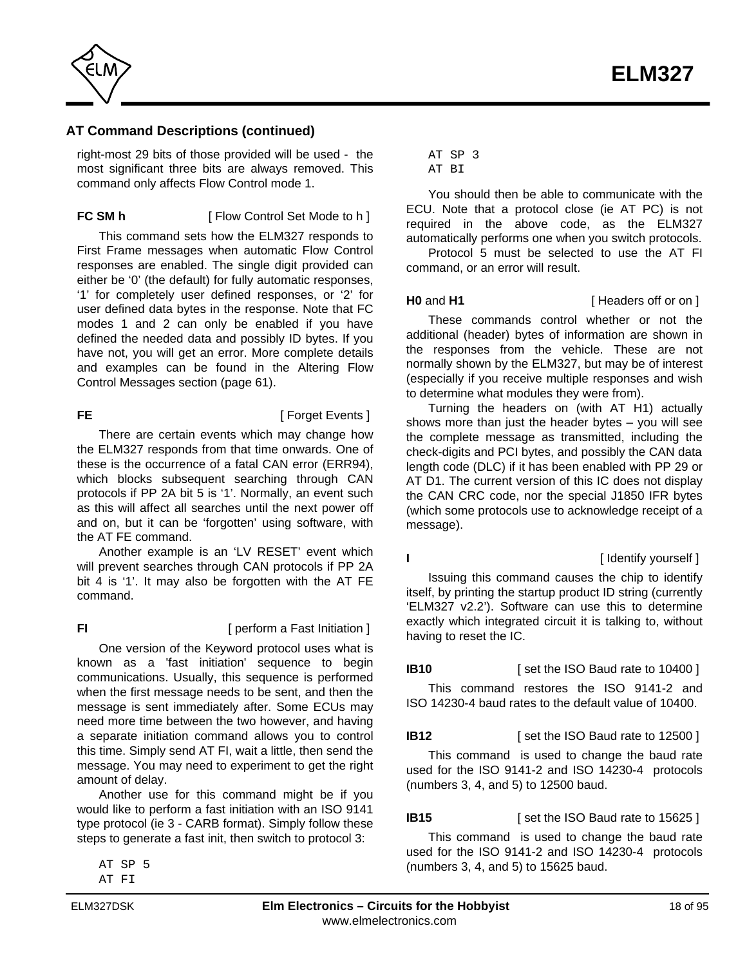

right-most 29 bits of those provided will be used - the most significant three bits are always removed. This command only affects Flow Control mode 1.

### **FC SM h** [ Flow Control Set Mode to h ]

This command sets how the ELM327 responds to First Frame messages when automatic Flow Control responses are enabled. The single digit provided can either be '0' (the default) for fully automatic responses, '1' for completely user defined responses, or '2' for user defined data bytes in the response. Note that FC modes 1 and 2 can only be enabled if you have defined the needed data and possibly ID bytes. If you have not, you will get an error. More complete details [and examples can be found in the Altering Flow](#page-60-0) Control Messages section (page 61).

# **FE** [ Forget Events ]

There are certain events which may change how the ELM327 responds from that time onwards. One of these is the occurrence of a fatal CAN error (ERR94), which blocks subsequent searching through CAN protocols if PP 2A bit 5 is '1'. Normally, an event such as this will affect all searches until the next power off and on, but it can be 'forgotten' using software, with the AT FE command.

Another example is an 'LV RESET' event which will prevent searches through CAN protocols if PP 2A bit 4 is '1'. It may also be forgotten with the AT FE command.

**FI** [ perform a Fast Initiation ]

One version of the Keyword protocol uses what is known as a 'fast initiation' sequence to begin communications. Usually, this sequence is performed when the first message needs to be sent, and then the message is sent immediately after. Some ECUs may need more time between the two however, and having a separate initiation command allows you to control this time. Simply send AT FI, wait a little, then send the message. You may need to experiment to get the right amount of delay.

Another use for this command might be if you would like to perform a fast initiation with an ISO 9141 type protocol (ie 3 - CARB format). Simply follow these steps to generate a fast init, then switch to protocol 3:

#### AT SP 3 AT BI

You should then be able to communicate with the ECU. Note that a protocol close (ie AT PC) is not required in the above code, as the ELM327 automatically performs one when you switch protocols.

Protocol 5 must be selected to use the AT FI command, or an error will result.

**H0** and **H1 i Headers** off or on 1

These commands control whether or not the additional (header) bytes of information are shown in the responses from the vehicle. These are not normally shown by the ELM327, but may be of interest (especially if you receive multiple responses and wish to determine what modules they were from).

Turning the headers on (with AT H1) actually shows more than just the header bytes – you will see the complete message as transmitted, including the check-digits and PCI bytes, and possibly the CAN data length code (DLC) if it has been enabled with PP 29 or AT D1. The current version of this IC does not display the CAN CRC code, nor the special J1850 IFR bytes (which some protocols use to acknowledge receipt of a message).

**I** [ Identify yourself ]

Issuing this command causes the chip to identify itself, by printing the startup product ID string (currently 'ELM327 v2.2'). Software can use this to determine exactly which integrated circuit it is talking to, without having to reset the IC.

### **IB10** [ set the ISO Baud rate to 10400 ]

This command restores the ISO 9141-2 and ISO 14230-4 baud rates to the default value of 10400.

### **IB12** [ set the ISO Baud rate to 12500 ]

This command is used to change the baud rate used for the ISO 9141-2 and ISO 14230-4 protocols (numbers 3, 4, and 5) to 12500 baud.

### **IB15** [ set the ISO Baud rate to 15625 ]

This command is used to change the baud rate used for the ISO 9141-2 and ISO 14230-4 protocols (numbers 3, 4, and 5) to 15625 baud.

AT SP 5 AT FI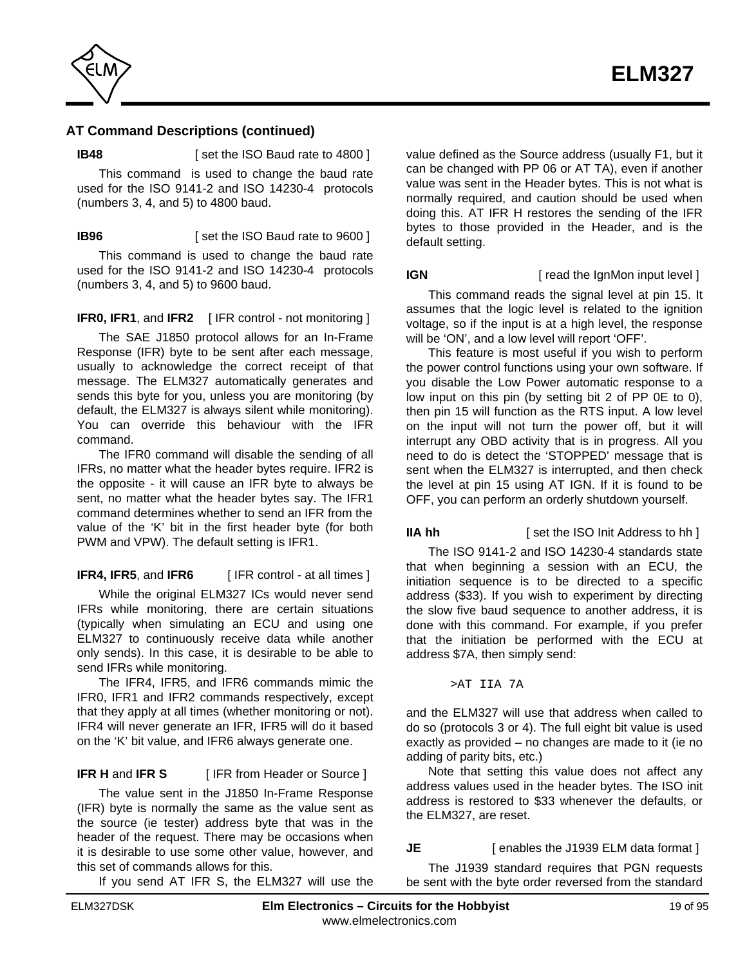

**IB48** [ set the ISO Baud rate to 4800 ]

This command is used to change the baud rate used for the ISO 9141-2 and ISO 14230-4 protocols (numbers 3, 4, and 5) to 4800 baud.

**IB96** [ set the ISO Baud rate to 9600 ]

This command is used to change the baud rate used for the ISO 9141-2 and ISO 14230-4 protocols (numbers 3, 4, and 5) to 9600 baud.

**IFR0, IFR1**, and IFR2 [IFR control - not monitoring ]

The SAE J1850 protocol allows for an In-Frame Response (IFR) byte to be sent after each message, usually to acknowledge the correct receipt of that message. The ELM327 automatically generates and sends this byte for you, unless you are monitoring (by default, the ELM327 is always silent while monitoring). You can override this behaviour with the IFR command.

The IFR0 command will disable the sending of all IFRs, no matter what the header bytes require. IFR2 is the opposite - it will cause an IFR byte to always be sent, no matter what the header bytes say. The IFR1 command determines whether to send an IFR from the value of the 'K' bit in the first header byte (for both PWM and VPW). The default setting is IFR1.

**IFR4, IFR5**, and **IFR6** [ IFR control - at all times ]

While the original ELM327 ICs would never send IFRs while monitoring, there are certain situations (typically when simulating an ECU and using one ELM327 to continuously receive data while another only sends). In this case, it is desirable to be able to send IFRs while monitoring.

The IFR4, IFR5, and IFR6 commands mimic the IFR0, IFR1 and IFR2 commands respectively, except that they apply at all times (whether monitoring or not). IFR4 will never generate an IFR, IFR5 will do it based on the 'K' bit value, and IFR6 always generate one.

# **IFR H** and **IFR S** [ IFR from Header or Source ]

The value sent in the J1850 In-Frame Response (IFR) byte is normally the same as the value sent as the source (ie tester) address byte that was in the header of the request. There may be occasions when it is desirable to use some other value, however, and this set of commands allows for this.

If you send AT IFR S, the ELM327 will use the

value defined as the Source address (usually F1, but it can be changed with PP 06 or AT TA), even if another value was sent in the Header bytes. This is not what is normally required, and caution should be used when doing this. AT IFR H restores the sending of the IFR bytes to those provided in the Header, and is the default setting.

**IGN** [ read the IgnMon input level ]

This command reads the signal level at pin 15. It assumes that the logic level is related to the ignition voltage, so if the input is at a high level, the response will be 'ON', and a low level will report 'OFF'.

This feature is most useful if you wish to perform the power control functions using your own software. If you disable the Low Power automatic response to a low input on this pin (by setting bit 2 of PP 0E to 0), then pin 15 will function as the RTS input. A low level on the input will not turn the power off, but it will interrupt any OBD activity that is in progress. All you need to do is detect the 'STOPPED' message that is sent when the ELM327 is interrupted, and then check the level at pin 15 using AT IGN. If it is found to be OFF, you can perform an orderly shutdown yourself.

**IIA hh** [ set the ISO Init Address to hh ]

The ISO 9141-2 and ISO 14230-4 standards state that when beginning a session with an ECU, the initiation sequence is to be directed to a specific address (\$33). If you wish to experiment by directing the slow five baud sequence to another address, it is done with this command. For example, if you prefer that the initiation be performed with the ECU at address \$7A, then simply send:

>AT IIA 7A

and the ELM327 will use that address when called to do so (protocols 3 or 4). The full eight bit value is used exactly as provided – no changes are made to it (ie no adding of parity bits, etc.)

Note that setting this value does not affect any address values used in the header bytes. The ISO init address is restored to \$33 whenever the defaults, or the ELM327, are reset.

# **JE** [ enables the J1939 ELM data format ]

The J1939 standard requires that PGN requests be sent with the byte order reversed from the standard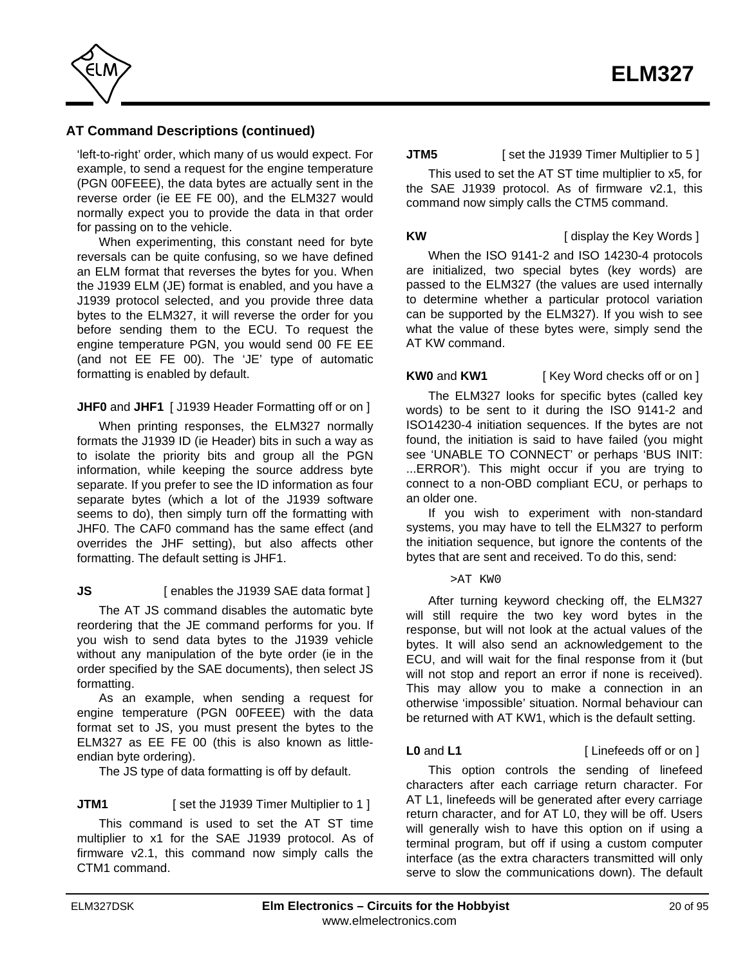

'left-to-right' order, which many of us would expect. For example, to send a request for the engine temperature (PGN 00FEEE), the data bytes are actually sent in the reverse order (ie EE FE 00), and the ELM327 would normally expect you to provide the data in that order for passing on to the vehicle.

When experimenting, this constant need for byte reversals can be quite confusing, so we have defined an ELM format that reverses the bytes for you. When the J1939 ELM (JE) format is enabled, and you have a J1939 protocol selected, and you provide three data bytes to the ELM327, it will reverse the order for you before sending them to the ECU. To request the engine temperature PGN, you would send 00 FE EE (and not EE FE 00). The 'JE' type of automatic formatting is enabled by default.

#### **JHF0** and **JHF1** [ J1939 Header Formatting off or on ]

When printing responses, the ELM327 normally formats the J1939 ID (ie Header) bits in such a way as to isolate the priority bits and group all the PGN information, while keeping the source address byte separate. If you prefer to see the ID information as four separate bytes (which a lot of the J1939 software seems to do), then simply turn off the formatting with JHF0. The CAF0 command has the same effect (and overrides the JHF setting), but also affects other formatting. The default setting is JHF1.

### **JS** [ enables the J1939 SAE data format ]

The AT JS command disables the automatic byte reordering that the JE command performs for you. If you wish to send data bytes to the J1939 vehicle without any manipulation of the byte order (ie in the order specified by the SAE documents), then select JS formatting.

As an example, when sending a request for engine temperature (PGN 00FEEE) with the data format set to JS, you must present the bytes to the ELM327 as EE FE 00 (this is also known as littleendian byte ordering).

The JS type of data formatting is off by default.

#### **JTM1** [ set the J1939 Timer Multiplier to 1 ]

This command is used to set the AT ST time multiplier to x1 for the SAE J1939 protocol. As of firmware v2.1, this command now simply calls the CTM1 command.

**JTM5** [ set the J1939 Timer Multiplier to 5 ]

This used to set the AT ST time multiplier to x5, for the SAE J1939 protocol. As of firmware v2.1, this command now simply calls the CTM5 command.

**KW** [ display the Key Words ]

When the ISO 9141-2 and ISO 14230-4 protocols are initialized, two special bytes (key words) are passed to the ELM327 (the values are used internally to determine whether a particular protocol variation can be supported by the ELM327). If you wish to see what the value of these bytes were, simply send the AT KW command.

**KW0** and **KW1** [ Key Word checks off or on ]

The ELM327 looks for specific bytes (called key words) to be sent to it during the ISO 9141-2 and ISO14230-4 initiation sequences. If the bytes are not found, the initiation is said to have failed (you might see 'UNABLE TO CONNECT' or perhaps 'BUS INIT: ...ERROR'). This might occur if you are trying to connect to a non-OBD compliant ECU, or perhaps to an older one.

If you wish to experiment with non-standard systems, you may have to tell the ELM327 to perform the initiation sequence, but ignore the contents of the bytes that are sent and received. To do this, send:

>AT KW0

After turning keyword checking off, the ELM327 will still require the two key word bytes in the response, but will not look at the actual values of the bytes. It will also send an acknowledgement to the ECU, and will wait for the final response from it (but will not stop and report an error if none is received). This may allow you to make a connection in an otherwise 'impossible' situation. Normal behaviour can be returned with AT KW1, which is the default setting.

**L0** and **L1** [ Linefeeds off or on ]

This option controls the sending of linefeed characters after each carriage return character. For AT L1, linefeeds will be generated after every carriage return character, and for AT L0, they will be off. Users will generally wish to have this option on if using a terminal program, but off if using a custom computer interface (as the extra characters transmitted will only serve to slow the communications down). The default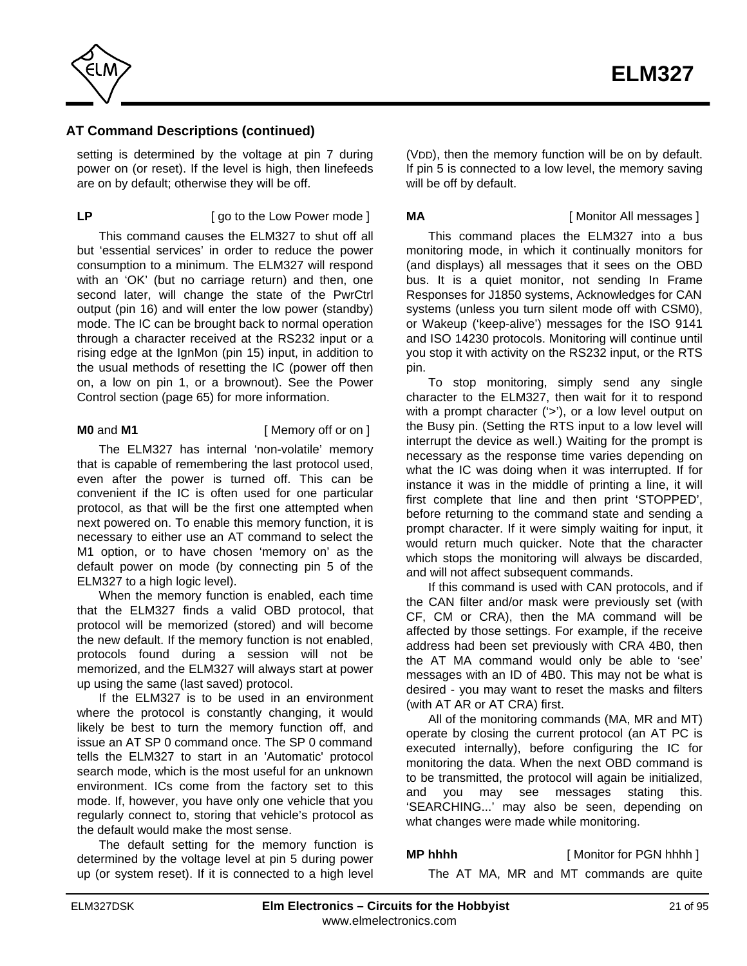

setting is determined by the voltage at pin 7 during power on (or reset). If the level is high, then linefeeds are on by default; otherwise they will be off.

## **LP** [ go to the Low Power mode ]

This command causes the ELM327 to shut off all but 'essential services' in order to reduce the power consumption to a minimum. The ELM327 will respond with an 'OK' (but no carriage return) and then, one second later, will change the state of the PwrCtrl output (pin 16) and will enter the low power (standby) mode. The IC can be brought back to normal operation through a character received at the RS232 input or a rising edge at the IgnMon (pin 15) input, in addition to the usual methods of resetting the IC (power off then [on, a low on pin 1, or a brownout\). See the Power](#page-64-0) Control section (page 65) for more information.

#### **M0** and **M1** [ Memory off or on ]

The ELM327 has internal 'non-volatile' memory that is capable of remembering the last protocol used, even after the power is turned off. This can be convenient if the IC is often used for one particular protocol, as that will be the first one attempted when next powered on. To enable this memory function, it is necessary to either use an AT command to select the M1 option, or to have chosen 'memory on' as the default power on mode (by connecting pin 5 of the ELM327 to a high logic level).

When the memory function is enabled, each time that the ELM327 finds a valid OBD protocol, that protocol will be memorized (stored) and will become the new default. If the memory function is not enabled, protocols found during a session will not be memorized, and the ELM327 will always start at power up using the same (last saved) protocol.

If the ELM327 is to be used in an environment where the protocol is constantly changing, it would likely be best to turn the memory function off, and issue an AT SP 0 command once. The SP 0 command tells the ELM327 to start in an 'Automatic' protocol search mode, which is the most useful for an unknown environment. ICs come from the factory set to this mode. If, however, you have only one vehicle that you regularly connect to, storing that vehicle's protocol as the default would make the most sense.

The default setting for the memory function is determined by the voltage level at pin 5 during power up (or system reset). If it is connected to a high level

(VDD), then the memory function will be on by default. If pin 5 is connected to a low level, the memory saving will be off by default.

**MA** [ Monitor All messages ]

This command places the ELM327 into a bus monitoring mode, in which it continually monitors for (and displays) all messages that it sees on the OBD bus. It is a quiet monitor, not sending In Frame Responses for J1850 systems, Acknowledges for CAN systems (unless you turn silent mode off with CSM0), or Wakeup ('keep-alive') messages for the ISO 9141 and ISO 14230 protocols. Monitoring will continue until you stop it with activity on the RS232 input, or the RTS pin.

To stop monitoring, simply send any single character to the ELM327, then wait for it to respond with a prompt character ('>'), or a low level output on the Busy pin. (Setting the RTS input to a low level will interrupt the device as well.) Waiting for the prompt is necessary as the response time varies depending on what the IC was doing when it was interrupted. If for instance it was in the middle of printing a line, it will first complete that line and then print 'STOPPED', before returning to the command state and sending a prompt character. If it were simply waiting for input, it would return much quicker. Note that the character which stops the monitoring will always be discarded, and will not affect subsequent commands.

If this command is used with CAN protocols, and if the CAN filter and/or mask were previously set (with CF, CM or CRA), then the MA command will be affected by those settings. For example, if the receive address had been set previously with CRA 4B0, then the AT MA command would only be able to 'see' messages with an ID of 4B0. This may not be what is desired - you may want to reset the masks and filters (with AT AR or AT CRA) first.

All of the monitoring commands (MA, MR and MT) operate by closing the current protocol (an AT PC is executed internally), before configuring the IC for monitoring the data. When the next OBD command is to be transmitted, the protocol will again be initialized, and you may see messages stating this. 'SEARCHING...' may also be seen, depending on what changes were made while monitoring.

**MP hhhh** [ Monitor for PGN hhhh ]

The AT MA, MR and MT commands are quite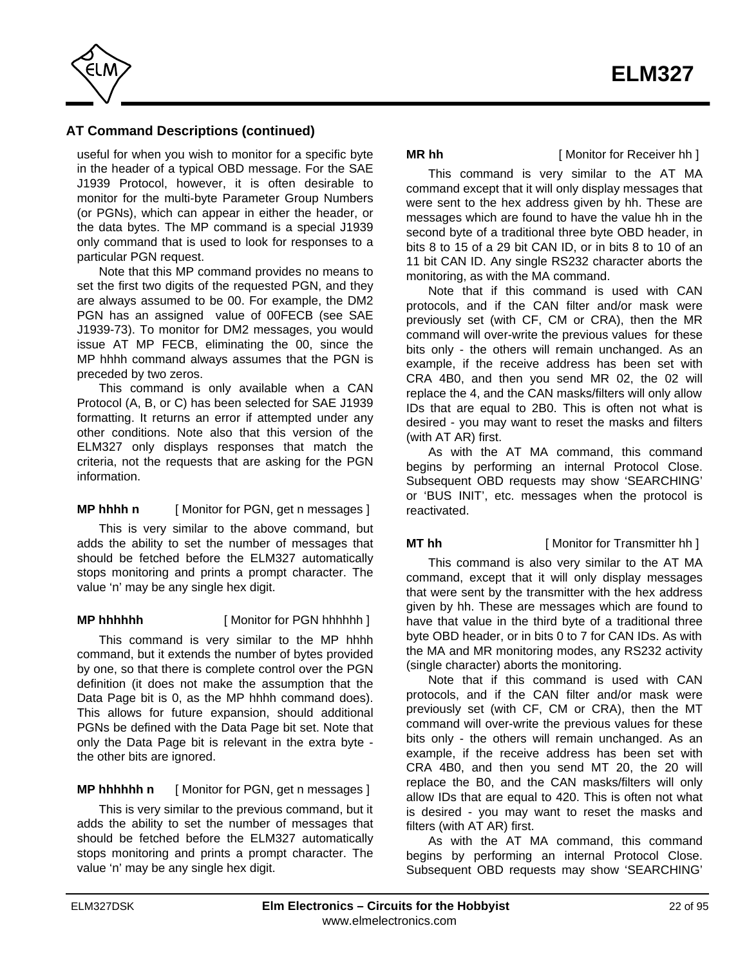

useful for when you wish to monitor for a specific byte in the header of a typical OBD message. For the SAE J1939 Protocol, however, it is often desirable to monitor for the multi-byte Parameter Group Numbers (or PGNs), which can appear in either the header, or the data bytes. The MP command is a special J1939 only command that is used to look for responses to a particular PGN request.

Note that this MP command provides no means to set the first two digits of the requested PGN, and they are always assumed to be 00. For example, the DM2 PGN has an assigned value of 00FECB (see SAE J1939-73). To monitor for DM2 messages, you would issue AT MP FECB, eliminating the 00, since the MP hhhh command always assumes that the PGN is preceded by two zeros.

This command is only available when a CAN Protocol (A, B, or C) has been selected for SAE J1939 formatting. It returns an error if attempted under any other conditions. Note also that this version of the ELM327 only displays responses that match the criteria, not the requests that are asking for the PGN information.

### **MP hhhh n** [ Monitor for PGN, get n messages ]

This is very similar to the above command, but adds the ability to set the number of messages that should be fetched before the ELM327 automatically stops monitoring and prints a prompt character. The value 'n' may be any single hex digit.

#### **MP hhhhhh** [ Monitor for PGN hhhhhh ]

This command is very similar to the MP hhhh command, but it extends the number of bytes provided by one, so that there is complete control over the PGN definition (it does not make the assumption that the Data Page bit is 0, as the MP hhhh command does). This allows for future expansion, should additional PGNs be defined with the Data Page bit set. Note that only the Data Page bit is relevant in the extra byte the other bits are ignored.

**MP hhhhhh n** [ Monitor for PGN, get n messages ]

This is very similar to the previous command, but it adds the ability to set the number of messages that should be fetched before the ELM327 automatically stops monitoring and prints a prompt character. The value 'n' may be any single hex digit.

#### **MR hh** [ Monitor for Receiver hh ]

This command is very similar to the AT MA command except that it will only display messages that were sent to the hex address given by hh. These are messages which are found to have the value hh in the second byte of a traditional three byte OBD header, in bits 8 to 15 of a 29 bit CAN ID, or in bits 8 to 10 of an 11 bit CAN ID. Any single RS232 character aborts the monitoring, as with the MA command.

Note that if this command is used with CAN protocols, and if the CAN filter and/or mask were previously set (with CF, CM or CRA), then the MR command will over-write the previous values for these bits only - the others will remain unchanged. As an example, if the receive address has been set with CRA 4B0, and then you send MR 02, the 02 will replace the 4, and the CAN masks/filters will only allow IDs that are equal to 2B0. This is often not what is desired - you may want to reset the masks and filters (with AT AR) first.

As with the AT MA command, this command begins by performing an internal Protocol Close. Subsequent OBD requests may show 'SEARCHING' or 'BUS INIT', etc. messages when the protocol is reactivated.

#### **MT hh** [ Monitor for Transmitter hh ]

This command is also very similar to the AT MA command, except that it will only display messages that were sent by the transmitter with the hex address given by hh. These are messages which are found to have that value in the third byte of a traditional three byte OBD header, or in bits 0 to 7 for CAN IDs. As with the MA and MR monitoring modes, any RS232 activity (single character) aborts the monitoring.

Note that if this command is used with CAN protocols, and if the CAN filter and/or mask were previously set (with CF, CM or CRA), then the MT command will over-write the previous values for these bits only - the others will remain unchanged. As an example, if the receive address has been set with CRA 4B0, and then you send MT 20, the 20 will replace the B0, and the CAN masks/filters will only allow IDs that are equal to 420. This is often not what is desired - you may want to reset the masks and filters (with AT AR) first.

As with the AT MA command, this command begins by performing an internal Protocol Close. Subsequent OBD requests may show 'SEARCHING'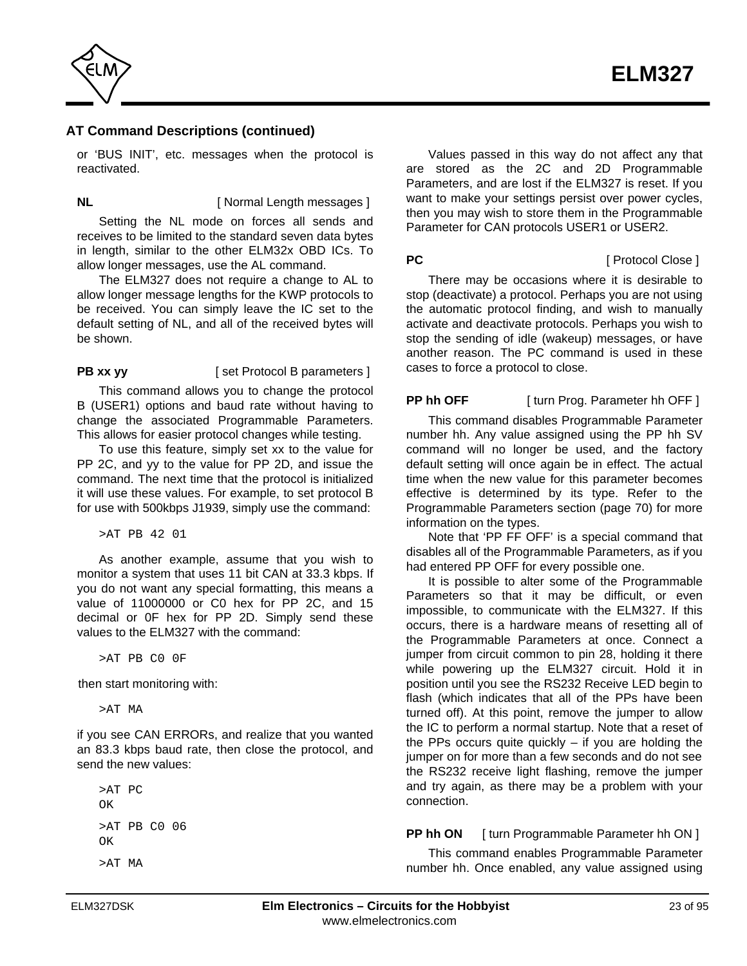

or 'BUS INIT', etc. messages when the protocol is reactivated.

**NL** [ Normal Length messages ]

Setting the NL mode on forces all sends and receives to be limited to the standard seven data bytes in length, similar to the other ELM32x OBD ICs. To allow longer messages, use the AL command.

The ELM327 does not require a change to AL to allow longer message lengths for the KWP protocols to be received. You can simply leave the IC set to the default setting of NL, and all of the received bytes will be shown.

**PB xx yy** [ set Protocol B parameters ]

This command allows you to change the protocol B (USER1) options and baud rate without having to change the associated Programmable Parameters. This allows for easier protocol changes while testing.

To use this feature, simply set xx to the value for PP 2C, and yy to the value for PP 2D, and issue the command. The next time that the protocol is initialized it will use these values. For example, to set protocol B for use with 500kbps J1939, simply use the command:

>AT PB 42 01

As another example, assume that you wish to monitor a system that uses 11 bit CAN at 33.3 kbps. If you do not want any special formatting, this means a value of 11000000 or C0 hex for PP 2C, and 15 decimal or 0F hex for PP 2D. Simply send these values to the ELM327 with the command:

>AT PB C0 0F

then start monitoring with:

>AT MA

if you see CAN ERRORs, and realize that you wanted an 83.3 kbps baud rate, then close the protocol, and send the new values:

>AT PC OK >AT PB C0 06 OK >AT MA

Values passed in this way do not affect any that are stored as the 2C and 2D Programmable Parameters, and are lost if the ELM327 is reset. If you want to make your settings persist over power cycles, then you may wish to store them in the Programmable Parameter for CAN protocols USER1 or USER2.

#### **PC** [ Protocol Close ]

There may be occasions where it is desirable to stop (deactivate) a protocol. Perhaps you are not using the automatic protocol finding, and wish to manually activate and deactivate protocols. Perhaps you wish to stop the sending of idle (wakeup) messages, or have another reason. The PC command is used in these cases to force a protocol to close.

**PP hh OFF** [ turn Prog. Parameter hh OFF ]

This command disables Programmable Parameter number hh. Any value assigned using the PP hh SV command will no longer be used, and the factory default setting will once again be in effect. The actual time when the new value for this parameter becomes effective is determined by its type. Refer to the [Programmable Parameters section \(page 70\) f](#page-69-0)or more information on the types.

Note that 'PP FF OFF' is a special command that disables all of the Programmable Parameters, as if you had entered PP OFF for every possible one.

It is possible to alter some of the Programmable Parameters so that it may be difficult, or even impossible, to communicate with the ELM327. If this occurs, there is a hardware means of resetting all of the Programmable Parameters at once. Connect a jumper from circuit common to pin 28, holding it there while powering up the ELM327 circuit. Hold it in position until you see the RS232 Receive LED begin to flash (which indicates that all of the PPs have been turned off). At this point, remove the jumper to allow the IC to perform a normal startup. Note that a reset of the PPs occurs quite quickly  $-$  if you are holding the jumper on for more than a few seconds and do not see the RS232 receive light flashing, remove the jumper and try again, as there may be a problem with your connection.

### **PP hh ON** [ turn Programmable Parameter hh ON ]

This command enables Programmable Parameter number hh. Once enabled, any value assigned using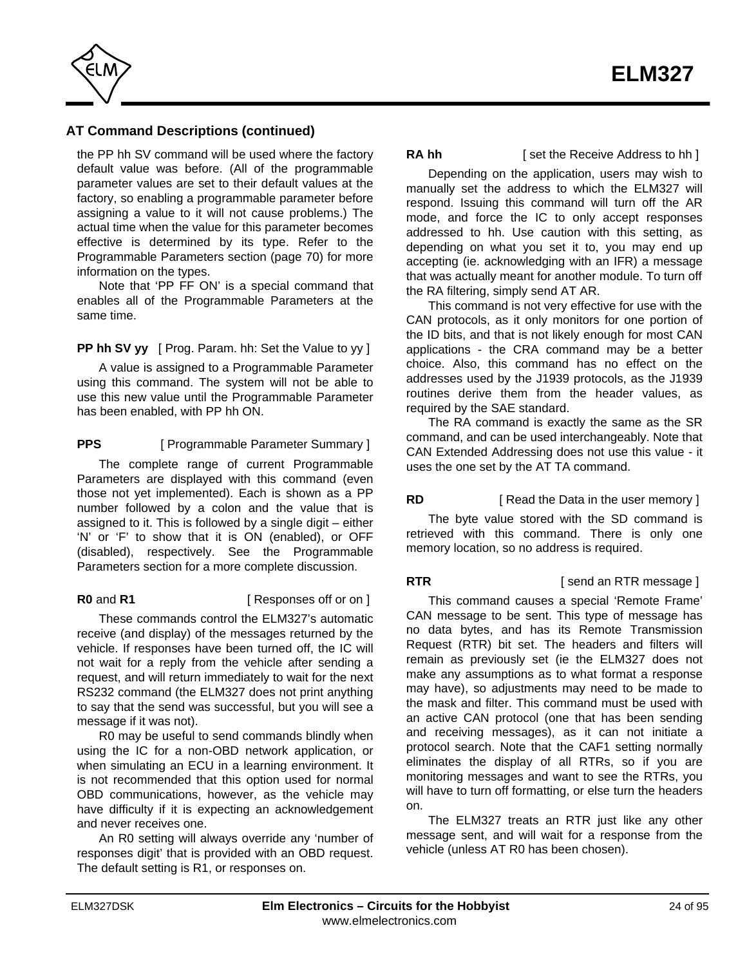

the PP hh SV command will be used where the factory default value was before. (All of the programmable parameter values are set to their default values at the factory, so enabling a programmable parameter before assigning a value to it will not cause problems.) The actual time when the value for this parameter becomes effective is determined by its type. Refer to the [Programmable Parameters section \(page 70\) f](#page-69-0)or more information on the types.

Note that 'PP FF ON' is a special command that enables all of the Programmable Parameters at the same time.

**PP hh SV yy** [ Prog. Param. hh: Set the Value to yy ]

A value is assigned to a Programmable Parameter using this command. The system will not be able to use this new value until the Programmable Parameter has been enabled, with PP hh ON.

**PPS** [ Programmable Parameter Summary ] The complete range of current Programmable Parameters are displayed with this command (even those not yet implemented). Each is shown as a PP number followed by a colon and the value that is assigned to it. This is followed by a single digit – either 'N' or 'F' to show that it is ON (enabled), or OFF [\(disabled\), respectively. See the Programmable](#page-69-0) Parameters section for a more complete discussion.

**R0** and **R1** [ Responses off or on ]

These commands control the ELM327's automatic receive (and display) of the messages returned by the vehicle. If responses have been turned off, the IC will not wait for a reply from the vehicle after sending a request, and will return immediately to wait for the next RS232 command (the ELM327 does not print anything to say that the send was successful, but you will see a message if it was not).

R0 may be useful to send commands blindly when using the IC for a non-OBD network application, or when simulating an ECU in a learning environment. It is not recommended that this option used for normal OBD communications, however, as the vehicle may have difficulty if it is expecting an acknowledgement and never receives one.

An R0 setting will always override any 'number of responses digit' that is provided with an OBD request. The default setting is R1, or responses on.

**RA hh** [ set the Receive Address to hh ]

Depending on the application, users may wish to manually set the address to which the ELM327 will respond. Issuing this command will turn off the AR mode, and force the IC to only accept responses addressed to hh. Use caution with this setting, as depending on what you set it to, you may end up accepting (ie. acknowledging with an IFR) a message that was actually meant for another module. To turn off the RA filtering, simply send AT AR.

This command is not very effective for use with the CAN protocols, as it only monitors for one portion of the ID bits, and that is not likely enough for most CAN applications - the CRA command may be a better choice. Also, this command has no effect on the addresses used by the J1939 protocols, as the J1939 routines derive them from the header values, as required by the SAE standard.

The RA command is exactly the same as the SR command, and can be used interchangeably. Note that CAN Extended Addressing does not use this value - it uses the one set by the AT TA command.

### **RD** [ Read the Data in the user memory ]

The byte value stored with the SD command is retrieved with this command. There is only one memory location, so no address is required.

**RTR EXECUTE:** [ send an RTR message ]

This command causes a special 'Remote Frame' CAN message to be sent. This type of message has no data bytes, and has its Remote Transmission Request (RTR) bit set. The headers and filters will remain as previously set (ie the ELM327 does not make any assumptions as to what format a response may have), so adjustments may need to be made to the mask and filter. This command must be used with an active CAN protocol (one that has been sending and receiving messages), as it can not initiate a protocol search. Note that the CAF1 setting normally eliminates the display of all RTRs, so if you are monitoring messages and want to see the RTRs, you will have to turn off formatting, or else turn the headers on.

The ELM327 treats an RTR just like any other message sent, and will wait for a response from the vehicle (unless AT R0 has been chosen).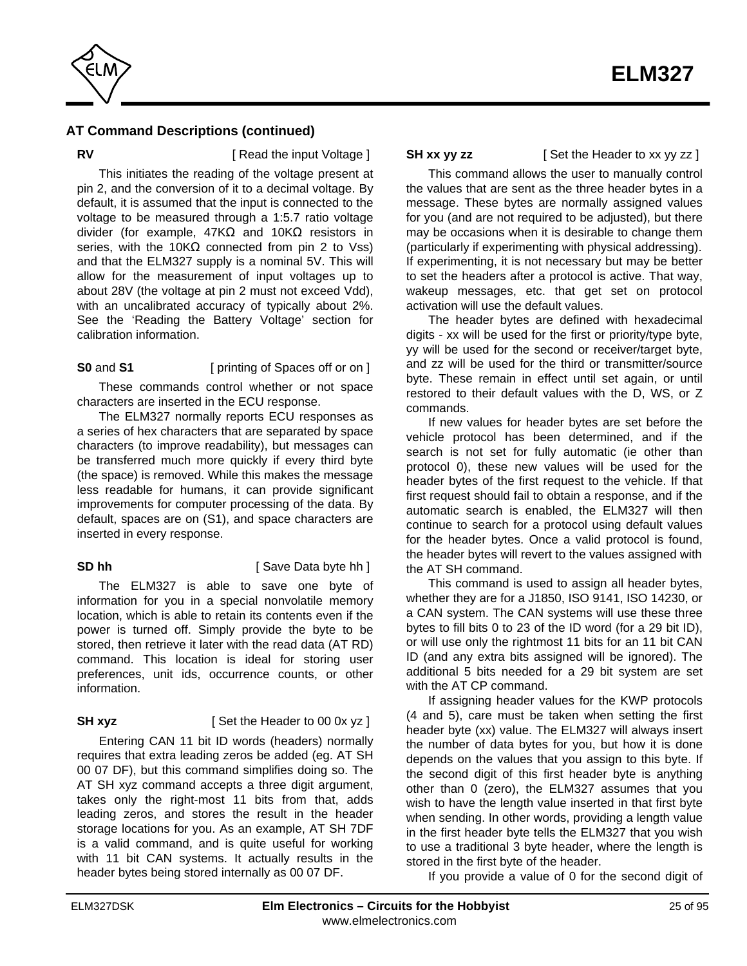

**RV EXECUTE:** [ Read the input Voltage ]

This initiates the reading of the voltage present at pin 2, and the conversion of it to a decimal voltage. By default, it is assumed that the input is connected to the voltage to be measured through a 1:5.7 ratio voltage divider (for example, 47K and 10K resistors in series, with the 10K connected from pin 2 to Vss) and that the ELM327 supply is a nominal 5V. This will allow for the measurement of input voltages up to about 28V (the voltage at pin 2 must not exceed Vdd), with an uncalibrated accuracy of typically about 2%. [See the 'Reading the Battery Voltage' section for](#page-29-0) calibration information.

#### **S0** and **S1** [ printing of Spaces off or on ]

These commands control whether or not space characters are inserted in the ECU response.

The ELM327 normally reports ECU responses as a series of hex characters that are separated by space characters (to improve readability), but messages can be transferred much more quickly if every third byte (the space) is removed. While this makes the message less readable for humans, it can provide significant improvements for computer processing of the data. By default, spaces are on (S1), and space characters are inserted in every response.

#### **SD hh** [ Save Data byte hh ]

The ELM327 is able to save one byte of information for you in a special nonvolatile memory location, which is able to retain its contents even if the power is turned off. Simply provide the byte to be stored, then retrieve it later with the read data (AT RD) command. This location is ideal for storing user preferences, unit ids, occurrence counts, or other information.

### **SH xyz** [ Set the Header to 00 0x yz ]

Entering CAN 11 bit ID words (headers) normally requires that extra leading zeros be added (eg. AT SH 00 07 DF), but this command simplifies doing so. The AT SH xyz command accepts a three digit argument, takes only the right-most 11 bits from that, adds leading zeros, and stores the result in the header storage locations for you. As an example, AT SH 7DF is a valid command, and is quite useful for working with 11 bit CAN systems. It actually results in the header bytes being stored internally as 00 07 DF.

**SH xx yy zz** [ Set the Header to xx yy zz ]

This command allows the user to manually control the values that are sent as the three header bytes in a message. These bytes are normally assigned values for you (and are not required to be adjusted), but there may be occasions when it is desirable to change them (particularly if experimenting with physical addressing). If experimenting, it is not necessary but may be better to set the headers after a protocol is active. That way, wakeup messages, etc. that get set on protocol activation will use the default values.

The header bytes are defined with hexadecimal digits - xx will be used for the first or priority/type byte, yy will be used for the second or receiver/target byte, and zz will be used for the third or transmitter/source byte. These remain in effect until set again, or until restored to their default values with the D, WS, or Z commands.

If new values for header bytes are set before the vehicle protocol has been determined, and if the search is not set for fully automatic (ie other than protocol 0), these new values will be used for the header bytes of the first request to the vehicle. If that first request should fail to obtain a response, and if the automatic search is enabled, the ELM327 will then continue to search for a protocol using default values for the header bytes. Once a valid protocol is found, the header bytes will revert to the values assigned with the AT SH command.

This command is used to assign all header bytes, whether they are for a J1850, ISO 9141, ISO 14230, or a CAN system. The CAN systems will use these three bytes to fill bits 0 to 23 of the ID word (for a 29 bit ID), or will use only the rightmost 11 bits for an 11 bit CAN ID (and any extra bits assigned will be ignored). The additional 5 bits needed for a 29 bit system are set with the AT CP command.

If assigning header values for the KWP protocols (4 and 5), care must be taken when setting the first header byte (xx) value. The ELM327 will always insert the number of data bytes for you, but how it is done depends on the values that you assign to this byte. If the second digit of this first header byte is anything other than 0 (zero), the ELM327 assumes that you wish to have the length value inserted in that first byte when sending. In other words, providing a length value in the first header byte tells the ELM327 that you wish to use a traditional 3 byte header, where the length is stored in the first byte of the header.

If you provide a value of 0 for the second digit of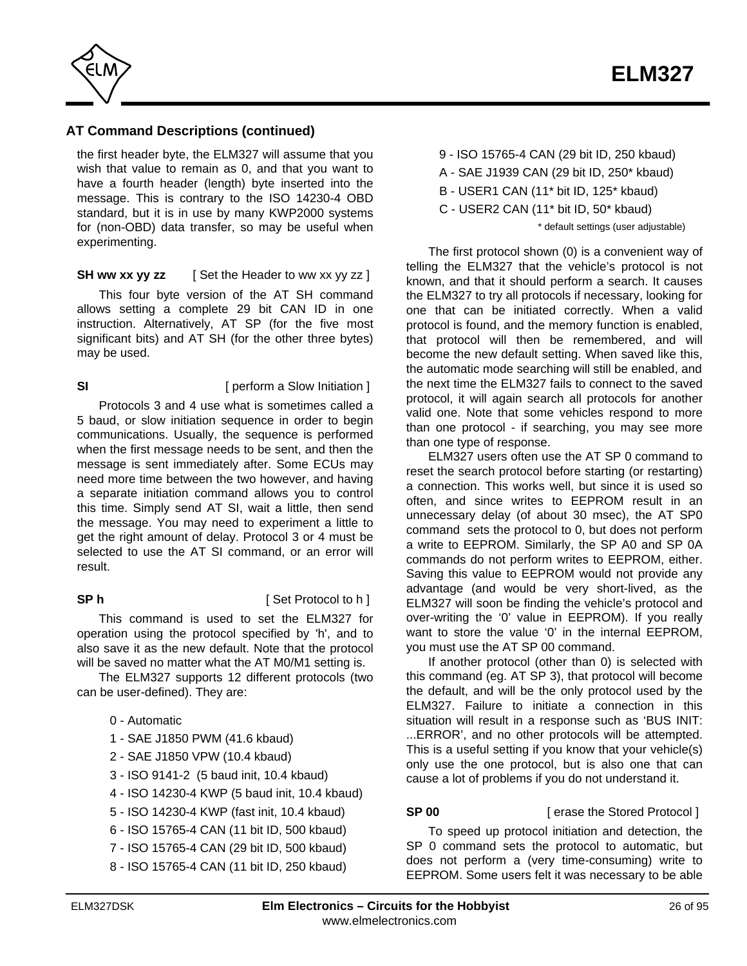

the first header byte, the ELM327 will assume that you wish that value to remain as 0, and that you want to have a fourth header (length) byte inserted into the message. This is contrary to the ISO 14230-4 OBD standard, but it is in use by many KWP2000 systems for (non-OBD) data transfer, so may be useful when experimenting.

### **SH ww xx yy zz** [ Set the Header to ww xx yy zz ]

This four byte version of the AT SH command allows setting a complete 29 bit CAN ID in one instruction. Alternatively, AT SP (for the five most significant bits) and AT SH (for the other three bytes) may be used.

# **SI SI** [ perform a Slow Initiation ]

Protocols 3 and 4 use what is sometimes called a 5 baud, or slow initiation sequence in order to begin communications. Usually, the sequence is performed when the first message needs to be sent, and then the message is sent immediately after. Some ECUs may need more time between the two however, and having a separate initiation command allows you to control this time. Simply send AT SI, wait a little, then send the message. You may need to experiment a little to get the right amount of delay. Protocol 3 or 4 must be selected to use the AT SI command, or an error will result.

### **SP h** [ Set Protocol to h ]

This command is used to set the ELM327 for operation using the protocol specified by 'h', and to also save it as the new default. Note that the protocol will be saved no matter what the AT M0/M1 setting is.

The ELM327 supports 12 different protocols (two can be user-defined). They are:

# 0 - Automatic

- 1 SAE J1850 PWM (41.6 kbaud)
- 2 SAE J1850 VPW (10.4 kbaud)
- 3 ISO 9141-2 (5 baud init, 10.4 kbaud)
- 4 ISO 14230-4 KWP (5 baud init, 10.4 kbaud)
- 5 ISO 14230-4 KWP (fast init, 10.4 kbaud)
- 6 ISO 15765-4 CAN (11 bit ID, 500 kbaud)
- 7 ISO 15765-4 CAN (29 bit ID, 500 kbaud)
- 8 ISO 15765-4 CAN (11 bit ID, 250 kbaud)
- 9 ISO 15765-4 CAN (29 bit ID, 250 kbaud)
- A SAE J1939 CAN (29 bit ID, 250\* kbaud)
- B USER1 CAN (11\* bit ID, 125\* kbaud)
- C USER2 CAN (11\* bit ID, 50\* kbaud)

\* default settings (user adjustable)

The first protocol shown (0) is a convenient way of telling the ELM327 that the vehicle's protocol is not known, and that it should perform a search. It causes the ELM327 to try all protocols if necessary, looking for one that can be initiated correctly. When a valid protocol is found, and the memory function is enabled, that protocol will then be remembered, and will become the new default setting. When saved like this, the automatic mode searching will still be enabled, and the next time the ELM327 fails to connect to the saved protocol, it will again search all protocols for another valid one. Note that some vehicles respond to more than one protocol - if searching, you may see more than one type of response.

ELM327 users often use the AT SP 0 command to reset the search protocol before starting (or restarting) a connection. This works well, but since it is used so often, and since writes to EEPROM result in an unnecessary delay (of about 30 msec), the AT SP0 command sets the protocol to 0, but does not perform a write to EEPROM. Similarly, the SP A0 and SP 0A commands do not perform writes to EEPROM, either. Saving this value to EEPROM would not provide any advantage (and would be very short-lived, as the ELM327 will soon be finding the vehicle's protocol and over-writing the '0' value in EEPROM). If you really want to store the value '0' in the internal EEPROM, you must use the AT SP 00 command.

If another protocol (other than 0) is selected with this command (eg. AT SP 3), that protocol will become the default, and will be the only protocol used by the ELM327. Failure to initiate a connection in this situation will result in a response such as 'BUS INIT: ...ERROR', and no other protocols will be attempted. This is a useful setting if you know that your vehicle(s) only use the one protocol, but is also one that can cause a lot of problems if you do not understand it.

### **SP 00** [ erase the Stored Protocol ]

To speed up protocol initiation and detection, the SP 0 command sets the protocol to automatic, but does not perform a (very time-consuming) write to EEPROM. Some users felt it was necessary to be able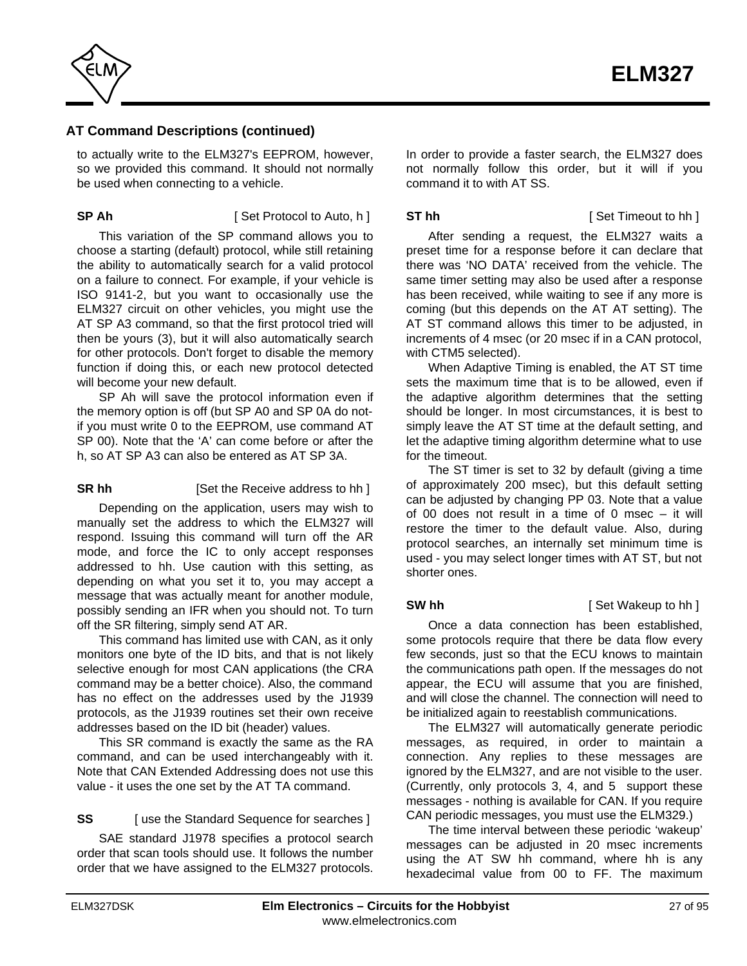

to actually write to the ELM327's EEPROM, however, so we provided this command. It should not normally be used when connecting to a vehicle.

**SP Ah** [ Set Protocol to Auto, h ]

This variation of the SP command allows you to choose a starting (default) protocol, while still retaining the ability to automatically search for a valid protocol on a failure to connect. For example, if your vehicle is ISO 9141-2, but you want to occasionally use the ELM327 circuit on other vehicles, you might use the AT SP A3 command, so that the first protocol tried will then be yours (3), but it will also automatically search for other protocols. Don't forget to disable the memory function if doing this, or each new protocol detected will become your new default.

SP Ah will save the protocol information even if the memory option is off (but SP A0 and SP 0A do notif you must write 0 to the EEPROM, use command AT SP 00). Note that the 'A' can come before or after the h, so AT SP A3 can also be entered as AT SP 3A.

# **SR hh** [Set the Receive address to hh ]

Depending on the application, users may wish to manually set the address to which the ELM327 will respond. Issuing this command will turn off the AR mode, and force the IC to only accept responses addressed to hh. Use caution with this setting, as depending on what you set it to, you may accept a message that was actually meant for another module, possibly sending an IFR when you should not. To turn off the SR filtering, simply send AT AR.

This command has limited use with CAN, as it only monitors one byte of the ID bits, and that is not likely selective enough for most CAN applications (the CRA command may be a better choice). Also, the command has no effect on the addresses used by the J1939 protocols, as the J1939 routines set their own receive addresses based on the ID bit (header) values.

This SR command is exactly the same as the RA command, and can be used interchangeably with it. Note that CAN Extended Addressing does not use this value - it uses the one set by the AT TA command.

### **SS** [ use the Standard Sequence for searches ]

SAE standard J1978 specifies a protocol search order that scan tools should use. It follows the number order that we have assigned to the ELM327 protocols. In order to provide a faster search, the ELM327 does not normally follow this order, but it will if you command it to with AT SS.

**ST hh** [ Set Timeout to hh ]

After sending a request, the ELM327 waits a preset time for a response before it can declare that there was 'NO DATA' received from the vehicle. The same timer setting may also be used after a response has been received, while waiting to see if any more is coming (but this depends on the AT AT setting). The AT ST command allows this timer to be adjusted, in increments of 4 msec (or 20 msec if in a CAN protocol, with CTM5 selected).

When Adaptive Timing is enabled, the AT ST time sets the maximum time that is to be allowed, even if the adaptive algorithm determines that the setting should be longer. In most circumstances, it is best to simply leave the AT ST time at the default setting, and let the adaptive timing algorithm determine what to use for the timeout.

The ST timer is set to 32 by default (giving a time of approximately 200 msec), but this default setting can be adjusted by changing PP 03. Note that a value of 00 does not result in a time of 0 msec – it will restore the timer to the default value. Also, during protocol searches, an internally set minimum time is used - you may select longer times with AT ST, but not shorter ones.

### **SW hh** [ Set Wakeup to hh ]

Once a data connection has been established, some protocols require that there be data flow every few seconds, just so that the ECU knows to maintain the communications path open. If the messages do not appear, the ECU will assume that you are finished, and will close the channel. The connection will need to be initialized again to reestablish communications.

The ELM327 will automatically generate periodic messages, as required, in order to maintain a connection. Any replies to these messages are ignored by the ELM327, and are not visible to the user. (Currently, only protocols 3, 4, and 5 support these messages - nothing is available for CAN. If you require CAN periodic messages, you must use the ELM329.)

The time interval between these periodic 'wakeup' messages can be adjusted in 20 msec increments using the AT SW hh command, where hh is any hexadecimal value from 00 to FF. The maximum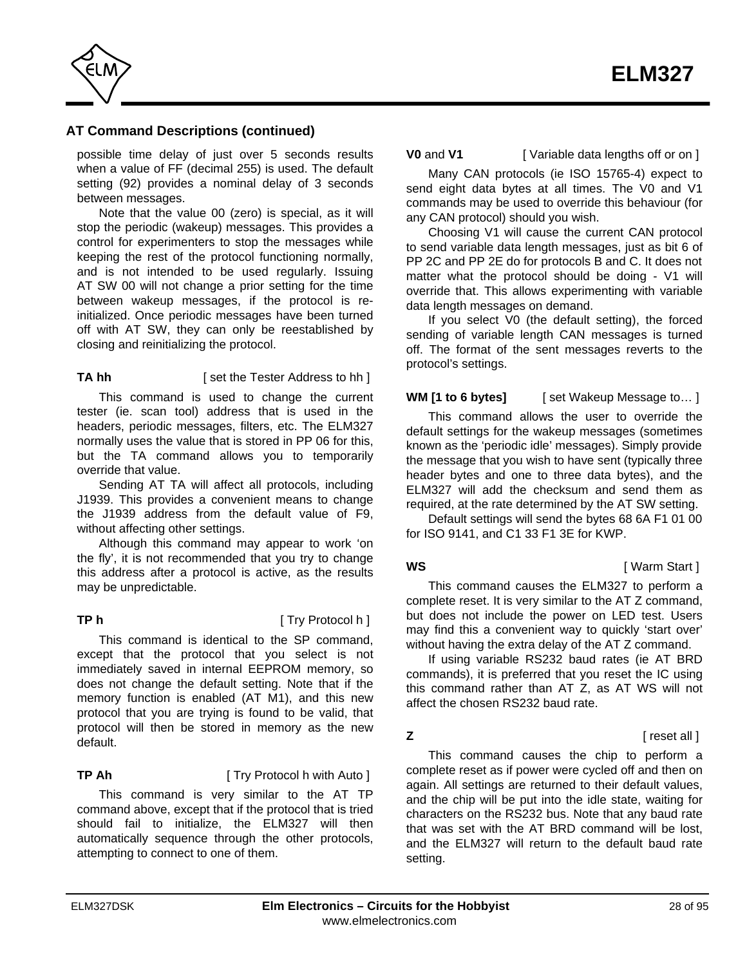

possible time delay of just over 5 seconds results when a value of FF (decimal 255) is used. The default setting (92) provides a nominal delay of 3 seconds between messages.

Note that the value 00 (zero) is special, as it will stop the periodic (wakeup) messages. This provides a control for experimenters to stop the messages while keeping the rest of the protocol functioning normally, and is not intended to be used regularly. Issuing AT SW 00 will not change a prior setting for the time between wakeup messages, if the protocol is reinitialized. Once periodic messages have been turned off with AT SW, they can only be reestablished by closing and reinitializing the protocol.

### **TA hh** [ set the Tester Address to hh ]

This command is used to change the current tester (ie. scan tool) address that is used in the headers, periodic messages, filters, etc. The ELM327 normally uses the value that is stored in PP 06 for this, but the TA command allows you to temporarily override that value.

Sending AT TA will affect all protocols, including J1939. This provides a convenient means to change the J1939 address from the default value of F9, without affecting other settings.

Although this command may appear to work 'on the fly', it is not recommended that you try to change this address after a protocol is active, as the results may be unpredictable.

### **TP h** [ Try Protocol h ]

This command is identical to the SP command, except that the protocol that you select is not immediately saved in internal EEPROM memory, so does not change the default setting. Note that if the memory function is enabled (AT M1), and this new protocol that you are trying is found to be valid, that protocol will then be stored in memory as the new default.

**TP Ah** [ Try Protocol h with Auto ] This command is very similar to the AT TP command above, except that if the protocol that is tried should fail to initialize, the ELM327 will then automatically sequence through the other protocols, attempting to connect to one of them.

**V0** and **V1** [ Variable data lengths off or on ]

Many CAN protocols (ie ISO 15765-4) expect to send eight data bytes at all times. The V0 and V1 commands may be used to override this behaviour (for any CAN protocol) should you wish.

Choosing V1 will cause the current CAN protocol to send variable data length messages, just as bit 6 of PP 2C and PP 2E do for protocols B and C. It does not matter what the protocol should be doing - V1 will override that. This allows experimenting with variable data length messages on demand.

If you select V0 (the default setting), the forced sending of variable length CAN messages is turned off. The format of the sent messages reverts to the protocol's settings.

**WM [1 to 6 bytes]** [ set Wakeup Message to... ]

This command allows the user to override the default settings for the wakeup messages (sometimes known as the 'periodic idle' messages). Simply provide the message that you wish to have sent (typically three header bytes and one to three data bytes), and the ELM327 will add the checksum and send them as required, at the rate determined by the AT SW setting.

Default settings will send the bytes 68 6A F1 01 00 for ISO 9141, and C1 33 F1 3E for KWP.

#### **WS** [ Warm Start ]

This command causes the ELM327 to perform a complete reset. It is very similar to the AT Z command, but does not include the power on LED test. Users may find this a convenient way to quickly 'start over' without having the extra delay of the AT Z command.

If using variable RS232 baud rates (ie AT BRD commands), it is preferred that you reset the IC using this command rather than AT Z, as AT WS will not affect the chosen RS232 baud rate.

**Z** *Z C C C C C C C C C C C C C C C C C C C* 

This command causes the chip to perform a complete reset as if power were cycled off and then on again. All settings are returned to their default values, and the chip will be put into the idle state, waiting for characters on the RS232 bus. Note that any baud rate that was set with the AT BRD command will be lost, and the ELM327 will return to the default baud rate setting.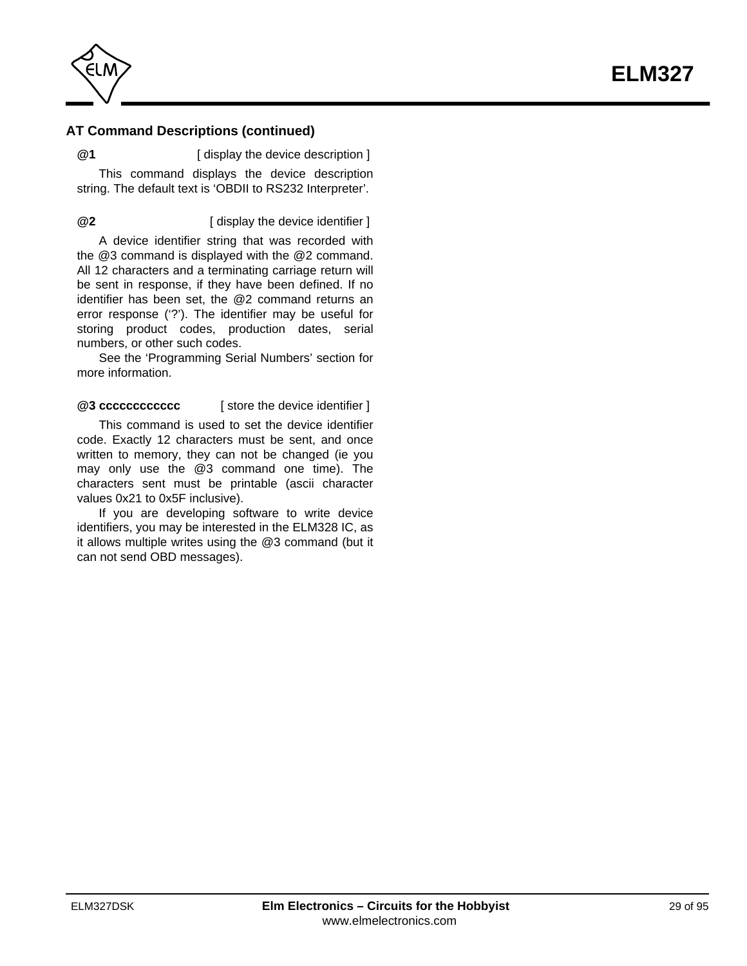

**@1** [ display the device description ]

This command displays the device description string. The default text is 'OBDII to RS232 Interpreter'.

**@2** [ display the device identifier ]

A device identifier string that was recorded with the @3 command is displayed with the @2 command. All 12 characters and a terminating carriage return will be sent in response, if they have been defined. If no identifier has been set, the @2 command returns an error response ('?'). The identifier may be useful for storing product codes, production dates, serial numbers, or other such codes.

[See the 'Programming Serial Numbers' section](#page-63-0) for more information.

**@3 cccccccccccc** [ store the device identifier ]

This command is used to set the device identifier code. Exactly 12 characters must be sent, and once written to memory, they can not be changed (ie you may only use the @3 command one time). The characters sent must be printable (ascii character values 0x21 to 0x5F inclusive).

If you are developing software to write device identifiers, you may be interested in the ELM328 IC, as it allows multiple writes using the @3 command (but it can not send OBD messages).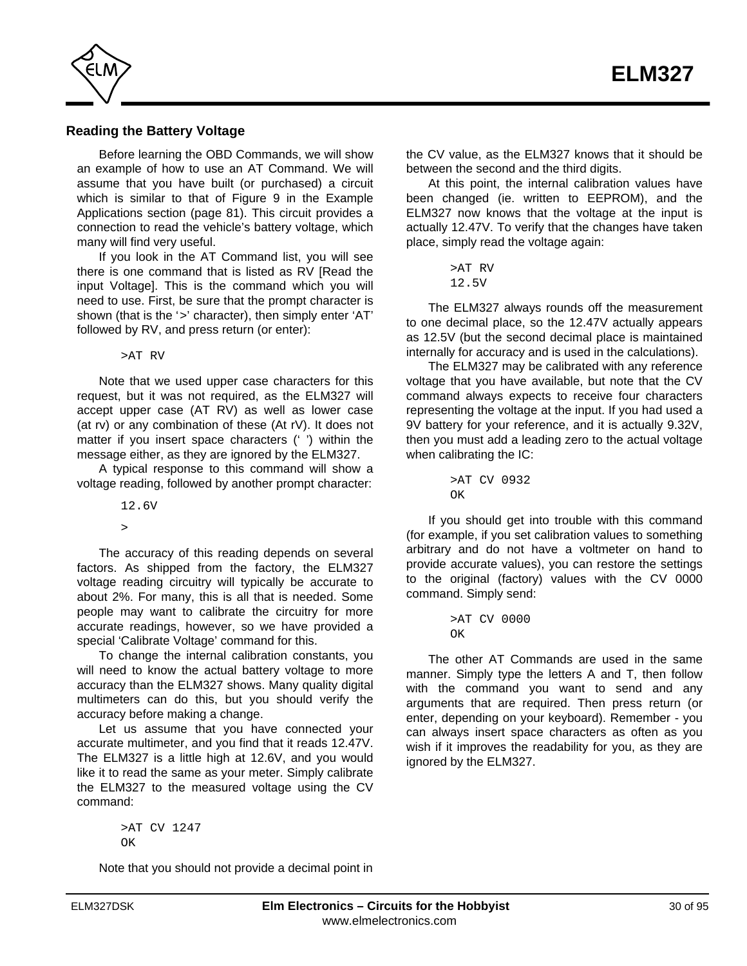<span id="page-29-0"></span>

### **Reading the Battery Voltage**

Before learning the OBD Commands, we will show an example of how to use an AT Command. We will assume that you have built (or purchased) a circuit [which is similar to that of Figure 9 in the Example](#page-80-0) Applications section (page 81). This circuit provides a connection to read the vehicle's battery voltage, which many will find very useful.

If you look in the AT Command list, you will see there is one command that is listed as RV [Read the input Voltage]. This is the command which you will need to use. First, be sure that the prompt character is shown (that is the '>' character), then simply enter 'AT' followed by RV, and press return (or enter):

>AT RV

Note that we used upper case characters for this request, but it was not required, as the ELM327 will accept upper case (AT RV) as well as lower case (at rv) or any combination of these (At rV). It does not matter if you insert space characters (' ') within the message either, as they are ignored by the ELM327.

A typical response to this command will show a voltage reading, followed by another prompt character:

12.6V

 $\overline{\phantom{a}}$ 

The accuracy of this reading depends on several factors. As shipped from the factory, the ELM327 voltage reading circuitry will typically be accurate to about 2%. For many, this is all that is needed. Some people may want to calibrate the circuitry for more accurate readings, however, so we have provided a special 'Calibrate Voltage' command for this.

To change the internal calibration constants, you will need to know the actual battery voltage to more accuracy than the ELM327 shows. Many quality digital multimeters can do this, but you should verify the accuracy before making a change.

Let us assume that you have connected your accurate multimeter, and you find that it reads 12.47V. The ELM327 is a little high at 12.6V, and you would like it to read the same as your meter. Simply calibrate the ELM327 to the measured voltage using the CV command:

> >AT CV 1247  $\cap$ K

Note that you should not provide a decimal point in

the CV value, as the ELM327 knows that it should be between the second and the third digits.

At this point, the internal calibration values have been changed (ie. written to EEPROM), and the ELM327 now knows that the voltage at the input is actually 12.47V. To verify that the changes have taken place, simply read the voltage again:

```
>AT RV
12.5V
```
The ELM327 always rounds off the measurement to one decimal place, so the 12.47V actually appears as 12.5V (but the second decimal place is maintained internally for accuracy and is used in the calculations).

The ELM327 may be calibrated with any reference voltage that you have available, but note that the CV command always expects to receive four characters representing the voltage at the input. If you had used a 9V battery for your reference, and it is actually 9.32V, then you must add a leading zero to the actual voltage when calibrating the IC:

> >AT CV 0932  $\cap$ K

If you should get into trouble with this command (for example, if you set calibration values to something arbitrary and do not have a voltmeter on hand to provide accurate values), you can restore the settings to the original (factory) values with the CV 0000 command. Simply send:

```
>AT CV 0000
OK
```
The other AT Commands are used in the same manner. Simply type the letters A and T, then follow with the command you want to send and any arguments that are required. Then press return (or enter, depending on your keyboard). Remember - you can always insert space characters as often as you wish if it improves the readability for you, as they are ignored by the ELM327.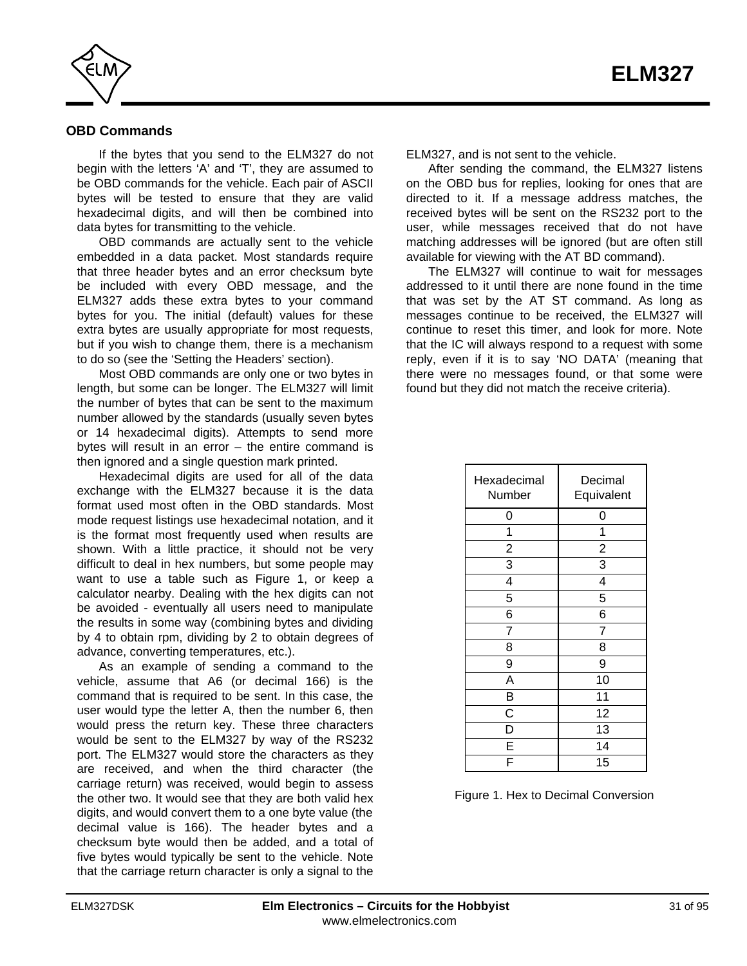<span id="page-30-0"></span>

### **OBD Commands**

If the bytes that you send to the ELM327 do not begin with the letters 'A' and 'T', they are assumed to be OBD commands for the vehicle. Each pair of ASCII bytes will be tested to ensure that they are valid hexadecimal digits, and will then be combined into data bytes for transmitting to the vehicle.

OBD commands are actually sent to the vehicle embedded in a data packet. Most standards require that three header bytes and an error checksum byte be included with every OBD message, and the ELM327 adds these extra bytes to your command bytes for you. The initial (default) values for these extra bytes are usually appropriate for most requests, but if you wish to change them, there is a mechanism to do s[o \(see the 'Setting the Headers' section\).](#page-39-0)

Most OBD commands are only one or two bytes in length, but some can be longer. The ELM327 will limit the number of bytes that can be sent to the maximum number allowed by the standards (usually seven bytes or 14 hexadecimal digits). Attempts to send more bytes will result in an error – the entire command is then ignored and a single question mark printed.

Hexadecimal digits are used for all of the data exchange with the ELM327 because it is the data format used most often in the OBD standards. Most mode request listings use hexadecimal notation, and it is the format most frequently used when results are shown. With a little practice, it should not be very difficult to deal in hex numbers, but some people may want to use a table such as Figure 1, or keep a calculator nearby. Dealing with the hex digits can not be avoided - eventually all users need to manipulate the results in some way (combining bytes and dividing by 4 to obtain rpm, dividing by 2 to obtain degrees of advance, converting temperatures, etc.).

As an example of sending a command to the vehicle, assume that A6 (or decimal 166) is the command that is required to be sent. In this case, the user would type the letter A, then the number 6, then would press the return key. These three characters would be sent to the ELM327 by way of the RS232 port. The ELM327 would store the characters as they are received, and when the third character (the carriage return) was received, would begin to assess the other two. It would see that they are both valid hex digits, and would convert them to a one byte value (the decimal value is 166). The header bytes and a checksum byte would then be added, and a total of five bytes would typically be sent to the vehicle. Note that the carriage return character is only a signal to the

ELM327, and is not sent to the vehicle.

After sending the command, the ELM327 listens on the OBD bus for replies, looking for ones that are directed to it. If a message address matches, the received bytes will be sent on the RS232 port to the user, while messages received that do not have matching addresses will be ignored (but are often still available for viewing with the AT BD command).

The ELM327 will continue to wait for messages addressed to it until there are none found in the time that was set by the AT ST command. As long as messages continue to be received, the ELM327 will continue to reset this timer, and look for more. Note that the IC will always respond to a request with some reply, even if it is to say 'NO DATA' (meaning that there were no messages found, or that some were found but they did not match the receive criteria).

| Hexadecimal<br>Number   | Decimal<br>Equivalent |
|-------------------------|-----------------------|
| 0                       | 0                     |
| 1                       | 1                     |
| $\overline{c}$          | $\overline{c}$        |
| 3                       | 3                     |
| $\overline{\mathbf{4}}$ | 4                     |
| 5                       | 5                     |
| 6                       | 6                     |
| 7                       | 7                     |
| 8                       | 8                     |
| 9                       | 9                     |
| A                       | 10                    |
| B                       | 11                    |
| C                       | 12                    |
| D                       | 13                    |
| E                       | 14                    |
|                         | 15                    |

Figure 1. Hex to Decimal Conversion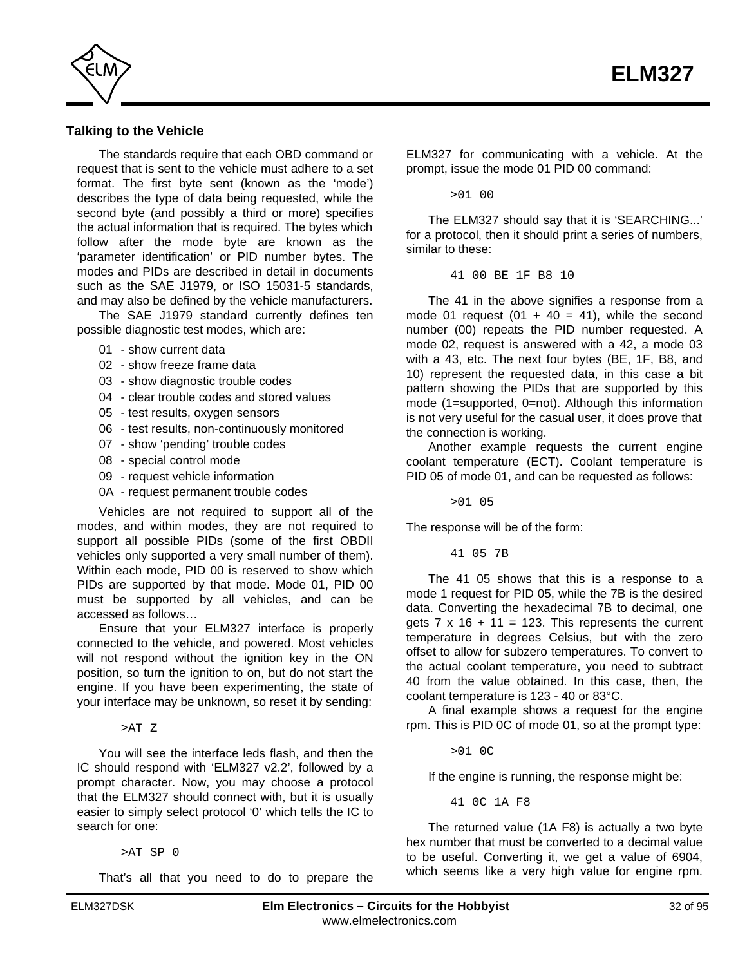<span id="page-31-0"></span>

### **Talking to the Vehicle**

The standards require that each OBD command or request that is sent to the vehicle must adhere to a set format. The first byte sent (known as the 'mode') describes the type of data being requested, while the second byte (and possibly a third or more) specifies the actual information that is required. The bytes which follow after the mode byte are known as the 'parameter identification' or PID number bytes. The modes and PIDs are described in detail in documents such as the SAE J1979, or ISO 15031-5 standards, and may also be defined by the vehicle manufacturers.

The SAE J1979 standard currently defines ten possible diagnostic test modes, which are:

- 01 show current data
- 02 show freeze frame data
- 03 show diagnostic trouble codes
- 04 clear trouble codes and stored values
- 05 test results, oxygen sensors
- 06 test results, non-continuously monitored
- 07 show 'pending' trouble codes
- 08 special control mode
- 09 request vehicle information
- 0A request permanent trouble codes

Vehicles are not required to support all of the modes, and within modes, they are not required to support all possible PIDs (some of the first OBDII vehicles only supported a very small number of them). Within each mode, PID 00 is reserved to show which PIDs are supported by that mode. Mode 01, PID 00 must be supported by all vehicles, and can be accessed as follows…

Ensure that your ELM327 interface is properly connected to the vehicle, and powered. Most vehicles will not respond without the ignition key in the ON position, so turn the ignition to on, but do not start the engine. If you have been experimenting, the state of your interface may be unknown, so reset it by sending:

>AT Z

You will see the interface leds flash, and then the IC should respond with 'ELM327 v2.2', followed by a prompt character. Now, you may choose a protocol that the ELM327 should connect with, but it is usually easier to simply select protocol '0' which tells the IC to search for one:

>AT SP 0

That's all that you need to do to prepare the

ELM327 for communicating with a vehicle. At the prompt, issue the mode 01 PID 00 command:

>01 00

The ELM327 should say that it is 'SEARCHING...' for a protocol, then it should print a series of numbers, similar to these:

41 00 BE 1F B8 10

The 41 in the above signifies a response from a mode 01 request (01 + 40 = 41), while the second number (00) repeats the PID number requested. A mode 02, request is answered with a 42, a mode 03 with a 43, etc. The next four bytes (BE, 1F, B8, and 10) represent the requested data, in this case a bit pattern showing the PIDs that are supported by this mode (1=supported, 0=not). Although this information is not very useful for the casual user, it does prove that the connection is working.

Another example requests the current engine coolant temperature (ECT). Coolant temperature is PID 05 of mode 01, and can be requested as follows:

>01 05

The response will be of the form:

41 05 7B

The 41 05 shows that this is a response to a mode 1 request for PID 05, while the 7B is the desired data. Converting the hexadecimal 7B to decimal, one gets  $7 \times 16 + 11 = 123$ . This represents the current temperature in degrees Celsius, but with the zero offset to allow for subzero temperatures. To convert to the actual coolant temperature, you need to subtract 40 from the value obtained. In this case, then, the coolant temperature is 123 - 40 or 83°C.

A final example shows a request for the engine rpm. This is PID 0C of mode 01, so at the prompt type:

>01 0C

If the engine is running, the response might be:

41 0C 1A F8

The returned value (1A F8) is actually a two byte hex number that must be converted to a decimal value to be useful. Converting it, we get a value of 6904, which seems like a very high value for engine rpm.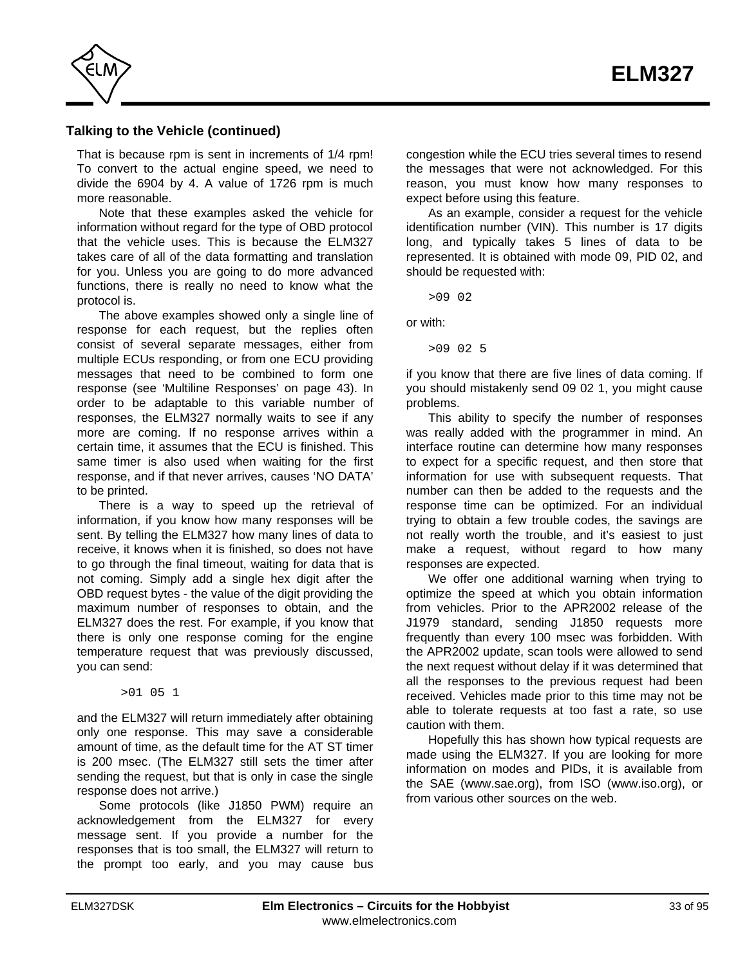

### **Talking to the Vehicle (continued)**

That is because rpm is sent in increments of 1/4 rpm! To convert to the actual engine speed, we need to divide the 6904 by 4. A value of 1726 rpm is much more reasonable.

Note that these examples asked the vehicle for information without regard for the type of OBD protocol that the vehicle uses. This is because the ELM327 takes care of all of the data formatting and translation for you. Unless you are going to do more advanced functions, there is really no need to know what the protocol is.

The above examples showed only a single line of response for each request, but the replies often consist of several separate messages, either from multiple ECUs responding, or from one ECU providing messages that need to be combined to form one respons[e \(see 'Multiline Responses' on page 43\). I](#page-42-0)n order to be adaptable to this variable number of responses, the ELM327 normally waits to see if any more are coming. If no response arrives within a certain time, it assumes that the ECU is finished. This same timer is also used when waiting for the first response, and if that never arrives, causes 'NO DATA' to be printed.

There is a way to speed up the retrieval of information, if you know how many responses will be sent. By telling the ELM327 how many lines of data to receive, it knows when it is finished, so does not have to go through the final timeout, waiting for data that is not coming. Simply add a single hex digit after the OBD request bytes - the value of the digit providing the maximum number of responses to obtain, and the ELM327 does the rest. For example, if you know that there is only one response coming for the engine temperature request that was previously discussed, you can send:

>01 05 1

and the ELM327 will return immediately after obtaining only one response. This may save a considerable amount of time, as the default time for the AT ST timer is 200 msec. (The ELM327 still sets the timer after sending the request, but that is only in case the single response does not arrive.)

Some protocols (like J1850 PWM) require an acknowledgement from the ELM327 for every message sent. If you provide a number for the responses that is too small, the ELM327 will return to the prompt too early, and you may cause bus congestion while the ECU tries several times to resend the messages that were not acknowledged. For this reason, you must know how many responses to expect before using this feature.

As an example, consider a request for the vehicle identification number (VIN). This number is 17 digits long, and typically takes 5 lines of data to be represented. It is obtained with mode 09, PID 02, and should be requested with:

>09 02

or with:

>09 02 5

if you know that there are five lines of data coming. If you should mistakenly send 09 02 1, you might cause problems.

This ability to specify the number of responses was really added with the programmer in mind. An interface routine can determine how many responses to expect for a specific request, and then store that information for use with subsequent requests. That number can then be added to the requests and the response time can be optimized. For an individual trying to obtain a few trouble codes, the savings are not really worth the trouble, and it's easiest to just make a request, without regard to how many responses are expected.

We offer one additional warning when trying to optimize the speed at which you obtain information from vehicles. Prior to the APR2002 release of the J1979 standard, sending J1850 requests more frequently than every 100 msec was forbidden. With the APR2002 update, scan tools were allowed to send the next request without delay if it was determined that all the responses to the previous request had been received. Vehicles made prior to this time may not be able to tolerate requests at too fast a rate, so use caution with them.

Hopefully this has shown how typical requests are made using the ELM327. If you are looking for more information on modes and PIDs, it is available from the [SAE \(www.sae.org\),](http://www.sae.org/) fro[m ISO \(www.iso.org\),](http://www.iso.org/) or from various other sources on the web.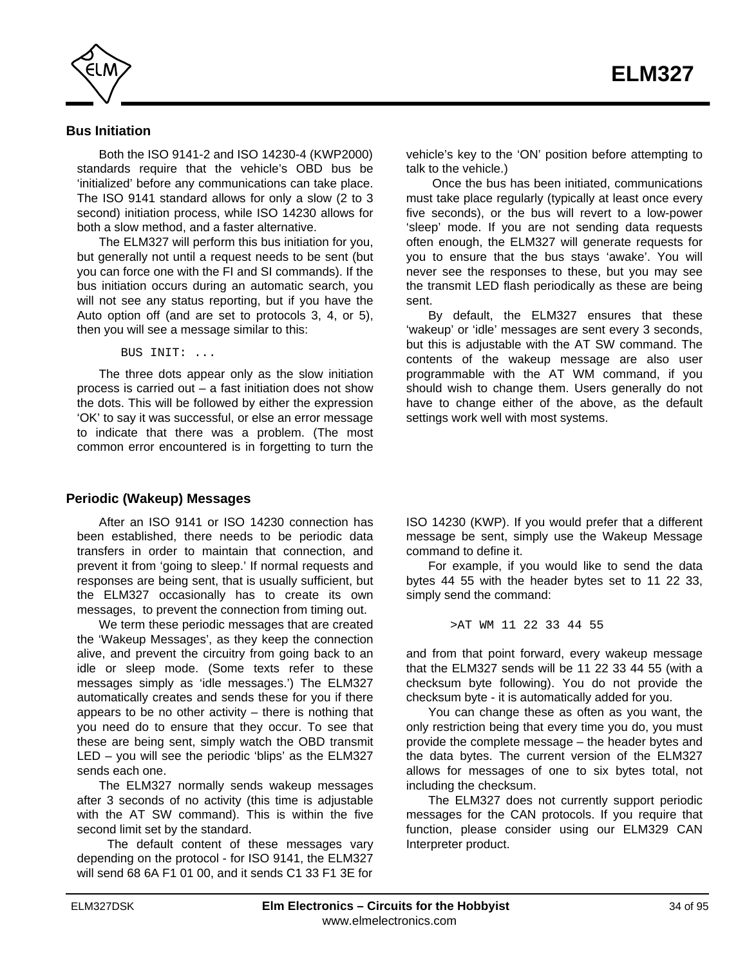<span id="page-33-0"></span>

### **Bus Initiation**

Both the ISO 9141-2 and ISO 14230-4 (KWP2000) standards require that the vehicle's OBD bus be 'initialized' before any communications can take place. The ISO 9141 standard allows for only a slow (2 to 3 second) initiation process, while ISO 14230 allows for both a slow method, and a faster alternative.

The ELM327 will perform this bus initiation for you, but generally not until a request needs to be sent (but you can force one with the FI and SI commands). If the bus initiation occurs during an automatic search, you will not see any status reporting, but if you have the Auto option off (and are set to protocols 3, 4, or 5), then you will see a message similar to this:

BUS INIT: ...

The three dots appear only as the slow initiation process is carried out – a fast initiation does not show the dots. This will be followed by either the expression 'OK' to say it was successful, or else an error message to indicate that there was a problem. (The most common error encountered is in forgetting to turn the

### **Periodic (Wakeup) Messages**

After an ISO 9141 or ISO 14230 connection has been established, there needs to be periodic data transfers in order to maintain that connection, and prevent it from 'going to sleep.' If normal requests and responses are being sent, that is usually sufficient, but the ELM327 occasionally has to create its own messages, to prevent the connection from timing out.

We term these periodic messages that are created the 'Wakeup Messages', as they keep the connection alive, and prevent the circuitry from going back to an idle or sleep mode. (Some texts refer to these messages simply as 'idle messages.') The ELM327 automatically creates and sends these for you if there appears to be no other activity  $-$  there is nothing that you need do to ensure that they occur. To see that these are being sent, simply watch the OBD transmit LED – you will see the periodic 'blips' as the ELM327 sends each one.

The ELM327 normally sends wakeup messages after 3 seconds of no activity (this time is adjustable with the AT SW command). This is within the five second limit set by the standard.

 The default content of these messages vary depending on the protocol - for ISO 9141, the ELM327 will send 68 6A F1 01 00, and it sends C1 33 F1 3E for

vehicle's key to the 'ON' position before attempting to talk to the vehicle.)

 Once the bus has been initiated, communications must take place regularly (typically at least once every five seconds), or the bus will revert to a low-power 'sleep' mode. If you are not sending data requests often enough, the ELM327 will generate requests for you to ensure that the bus stays 'awake'. You will never see the responses to these, but you may see the transmit LED flash periodically as these are being sent.

By default, the ELM327 ensures that these 'wakeup' or 'idle' messages are sent every 3 seconds, but this is adjustable with the AT SW command. The contents of the wakeup message are also user programmable with the AT WM command, if you should wish to change them. Users generally do not have to change either of the above, as the default settings work well with most systems.

ISO 14230 (KWP). If you would prefer that a different message be sent, simply use the Wakeup Message command to define it.

For example, if you would like to send the data bytes 44 55 with the header bytes set to 11 22 33, simply send the command:

>AT WM 11 22 33 44 55

and from that point forward, every wakeup message that the ELM327 sends will be 11 22 33 44 55 (with a checksum byte following). You do not provide the checksum byte - it is automatically added for you.

You can change these as often as you want, the only restriction being that every time you do, you must provide the complete message – the header bytes and the data bytes. The current version of the ELM327 allows for messages of one to six bytes total, not including the checksum.

The ELM327 does not currently support periodic messages for the CAN protocols. If you require that function, please consider using our ELM329 CAN Interpreter product.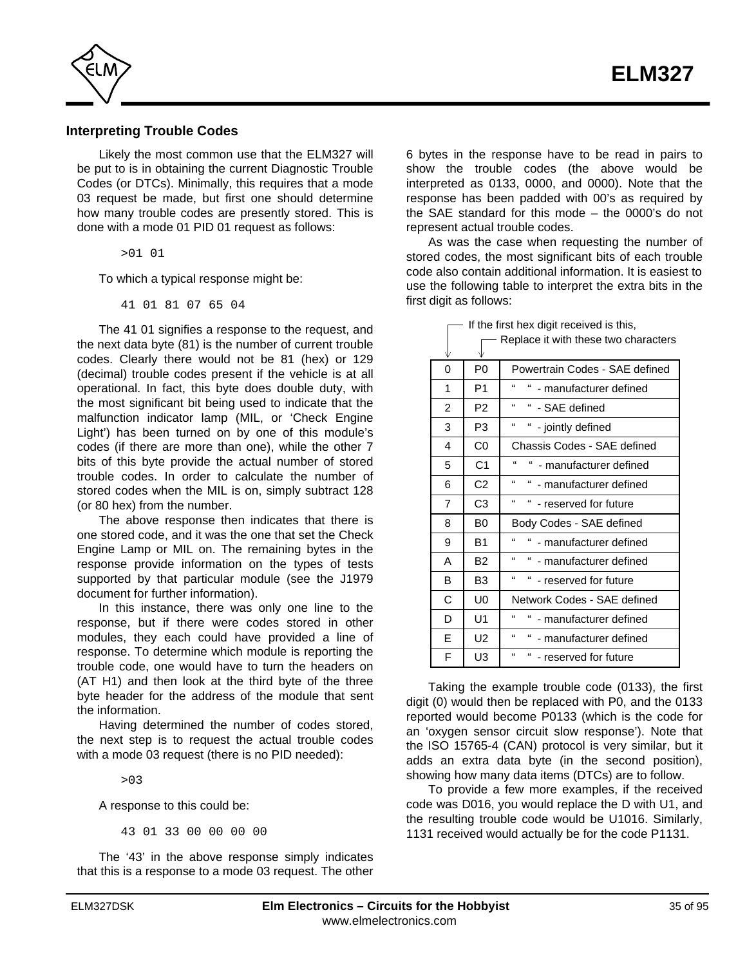<span id="page-34-0"></span>

#### **Interpreting Trouble Codes**

Likely the most common use that the ELM327 will be put to is in obtaining the current Diagnostic Trouble Codes (or DTCs). Minimally, this requires that a mode 03 request be made, but first one should determine how many trouble codes are presently stored. This is done with a mode 01 PID 01 request as follows:

>01 01

To which a typical response might be:

41 01 81 07 65 04

The 41 01 signifies a response to the request, and the next data byte (81) is the number of current trouble codes. Clearly there would not be 81 (hex) or 129 (decimal) trouble codes present if the vehicle is at all operational. In fact, this byte does double duty, with the most significant bit being used to indicate that the malfunction indicator lamp (MIL, or 'Check Engine Light') has been turned on by one of this module's codes (if there are more than one), while the other 7 bits of this byte provide the actual number of stored trouble codes. In order to calculate the number of stored codes when the MIL is on, simply subtract 128 (or 80 hex) from the number.

The above response then indicates that there is one stored code, and it was the one that set the Check Engine Lamp or MIL on. The remaining bytes in the response provide information on the types of tests supported by that particular module (see the J1979 document for further information).

In this instance, there was only one line to the response, but if there were codes stored in other modules, they each could have provided a line of response. To determine which module is reporting the trouble code, one would have to turn the headers on (AT H1) and then look at the third byte of the three byte header for the address of the module that sent the information.

Having determined the number of codes stored, the next step is to request the actual trouble codes with a mode 03 request (there is no PID needed):

>03

A response to this could be:

43 01 33 00 00 00 00

The '43' in the above response simply indicates that this is a response to a mode 03 request. The other 6 bytes in the response have to be read in pairs to show the trouble codes (the above would be interpreted as 0133, 0000, and 0000). Note that the response has been padded with 00's as required by the SAE standard for this mode – the 0000's do not represent actual trouble codes.

As was the case when requesting the number of stored codes, the most significant bits of each trouble code also contain additional information. It is easiest to use the following table to interpret the extra bits in the first digit as follows:

| V |                | Replace it with these two characters                |
|---|----------------|-----------------------------------------------------|
| 0 | P0             | Powertrain Codes - SAE defined                      |
| 1 | P <sub>1</sub> | $\epsilon$<br>"<br>- manufacturer defined           |
| 2 | P <sub>2</sub> | $\mathbf{G}$<br>" - SAE defined                     |
| 3 | P <sub>3</sub> | $\epsilon$<br>"<br>- jointly defined                |
| 4 | C <sub>0</sub> | Chassis Codes - SAE defined                         |
| 5 | C1             | $\epsilon$<br>" - manufacturer defined              |
| 6 | C <sub>2</sub> | $\epsilon$<br>" - manufacturer defined              |
| 7 | C3             | $\mathbf{g}$<br>"<br>- reserved for future          |
| 8 | B <sub>0</sub> | Body Codes - SAE defined                            |
| 9 | B <sub>1</sub> | $\epsilon$<br>" - manufacturer defined              |
| А | <b>B2</b>      | $\mathbf{f}$<br>" - manufacturer defined            |
| В | B <sub>3</sub> | $\epsilon$<br>$\mathbf{f}$<br>- reserved for future |
| C | U <sub>0</sub> | Network Codes - SAE defined                         |
| D | U1             | $\mathbf{G}$<br>"<br>- manufacturer defined         |
| E | U <sub>2</sub> | $\mathbf{f}$<br>"<br>- manufacturer defined         |
| F | U3             | "<br>" - reserved for future                        |

 $\Box$  If the first hex digit received is this,

Taking the example trouble code (0133), the first digit (0) would then be replaced with P0, and the 0133 reported would become P0133 (which is the code for an 'oxygen sensor circuit slow response'). Note that the ISO 15765-4 (CAN) protocol is very similar, but it adds an extra data byte (in the second position), showing how many data items (DTCs) are to follow.

To provide a few more examples, if the received code was D016, you would replace the D with U1, and the resulting trouble code would be U1016. Similarly, 1131 received would actually be for the code P1131.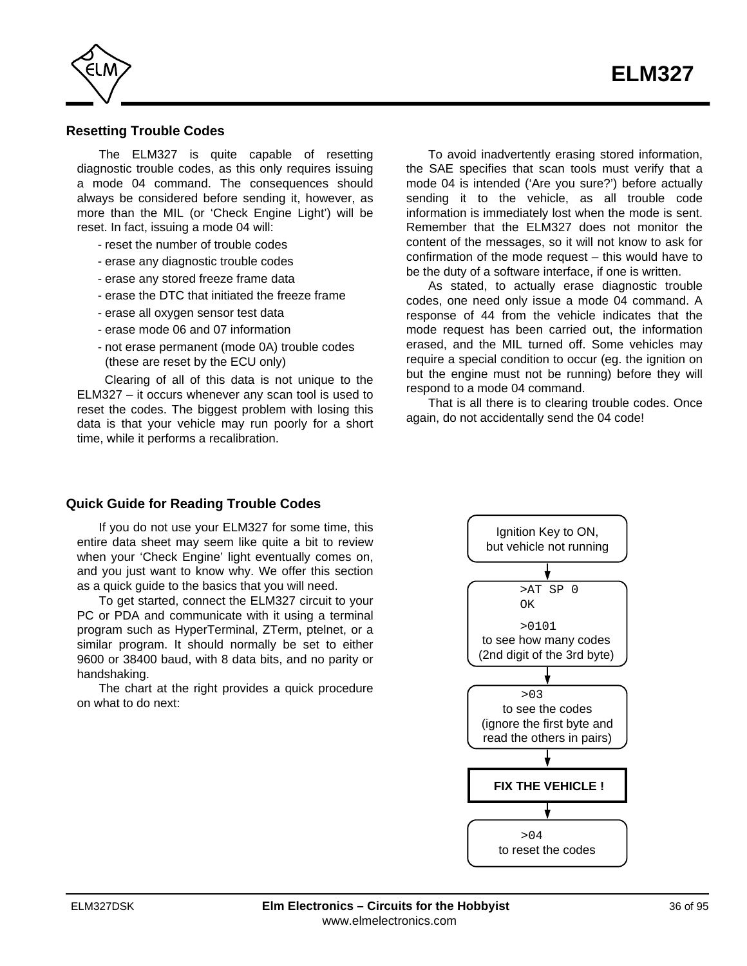<span id="page-35-0"></span>

### **Resetting Trouble Codes**

The ELM327 is quite capable of resetting diagnostic trouble codes, as this only requires issuing a mode 04 command. The consequences should always be considered before sending it, however, as more than the MIL (or 'Check Engine Light') will be reset. In fact, issuing a mode 04 will:

- reset the number of trouble codes
- erase any diagnostic trouble codes
- erase any stored freeze frame data
- erase the DTC that initiated the freeze frame
- erase all oxygen sensor test data
- erase mode 06 and 07 information
- not erase permanent (mode 0A) trouble codes (these are reset by the ECU only)

 Clearing of all of this data is not unique to the ELM327 – it occurs whenever any scan tool is used to reset the codes. The biggest problem with losing this data is that your vehicle may run poorly for a short time, while it performs a recalibration.

To avoid inadvertently erasing stored information, the SAE specifies that scan tools must verify that a mode 04 is intended ('Are you sure?') before actually sending it to the vehicle, as all trouble code information is immediately lost when the mode is sent. Remember that the ELM327 does not monitor the content of the messages, so it will not know to ask for confirmation of the mode request – this would have to be the duty of a software interface, if one is written.

As stated, to actually erase diagnostic trouble codes, one need only issue a mode 04 command. A response of 44 from the vehicle indicates that the mode request has been carried out, the information erased, and the MIL turned off. Some vehicles may require a special condition to occur (eg. the ignition on but the engine must not be running) before they will respond to a mode 04 command.

That is all there is to clearing trouble codes. Once again, do not accidentally send the 04 code!

#### **Quick Guide for Reading Trouble Codes**

If you do not use your ELM327 for some time, this entire data sheet may seem like quite a bit to review when your 'Check Engine' light eventually comes on, and you just want to know why. We offer this section as a quick guide to the basics that you will need.

To get started, connect the ELM327 circuit to your PC or PDA and communicate with it using a terminal program such as HyperTerminal, ZTerm, ptelnet, or a similar program. It should normally be set to either 9600 or 38400 baud, with 8 data bits, and no parity or handshaking.

The chart at the right provides a quick procedure on what to do next:

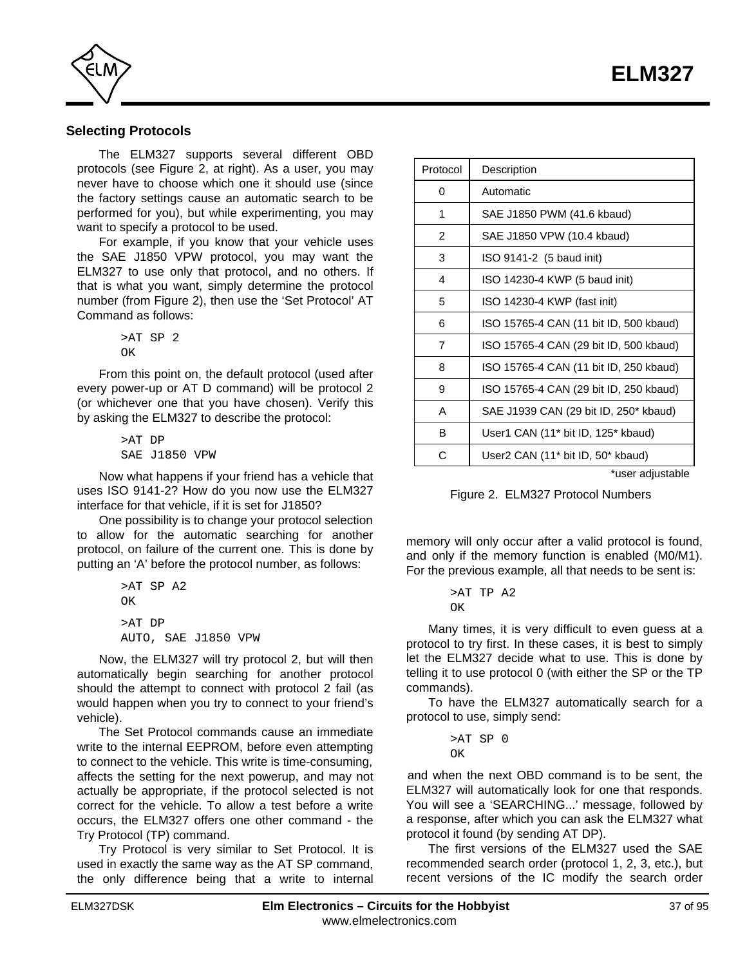

# **Selecting Protocols**

The ELM327 supports several different OBD protocols (see Figure 2, at right). As a user, you may never have to choose which one it should use (since the factory settings cause an automatic search to be performed for you), but while experimenting, you may want to specify a protocol to be used.

For example, if you know that your vehicle uses the SAE J1850 VPW protocol, you may want the ELM327 to use only that protocol, and no others. If that is what you want, simply determine the protocol number (from Figure 2), then use the 'Set Protocol' AT Command as follows:

> >AT SP 2 OK

From this point on, the default protocol (used after every power-up or AT D command) will be protocol 2 (or whichever one that you have chosen). Verify this by asking the ELM327 to describe the protocol:

> >AT DP SAE J1850 VPW

Now what happens if your friend has a vehicle that uses ISO 9141-2? How do you now use the ELM327 interface for that vehicle, if it is set for J1850?

One possibility is to change your protocol selection to allow for the automatic searching for another protocol, on failure of the current one. This is done by putting an 'A' before the protocol number, as follows:

```
>AT SP A2
OK
>AT DP
AUTO, SAE J1850 VPW
```
Now, the ELM327 will try protocol 2, but will then automatically begin searching for another protocol should the attempt to connect with protocol 2 fail (as would happen when you try to connect to your friend's vehicle).

The Set Protocol commands cause an immediate write to the internal EEPROM, before even attempting to connect to the vehicle. This write is time-consuming, affects the setting for the next powerup, and may not actually be appropriate, if the protocol selected is not correct for the vehicle. To allow a test before a write occurs, the ELM327 offers one other command - the Try Protocol (TP) command.

Try Protocol is very similar to Set Protocol. It is used in exactly the same way as the AT SP command, the only difference being that a write to internal

| Protocol       | Description                                                |
|----------------|------------------------------------------------------------|
| 0              | Automatic                                                  |
| 1              | SAE J1850 PWM (41.6 kbaud)                                 |
| $\overline{2}$ | SAE J1850 VPW (10.4 kbaud)                                 |
| 3              | ISO 9141-2 (5 baud init)                                   |
| 4              | ISO 14230-4 KWP (5 baud init)                              |
| 5              | ISO 14230-4 KWP (fast init)                                |
| 6              | ISO 15765-4 CAN (11 bit ID, 500 kbaud)                     |
| $\overline{7}$ | ISO 15765-4 CAN (29 bit ID, 500 kbaud)                     |
| 8              | ISO 15765-4 CAN (11 bit ID, 250 kbaud)                     |
| 9              | ISO 15765-4 CAN (29 bit ID, 250 kbaud)                     |
| A              | SAE J1939 CAN (29 bit ID, 250* kbaud)                      |
| B              | User1 CAN (11 <sup>*</sup> bit ID, 125 <sup>*</sup> kbaud) |
| С              | User2 CAN (11 <sup>*</sup> bit ID, 50 <sup>*</sup> kbaud)  |
|                | *user adjustable                                           |

Figure 2. ELM327 Protocol Numbers

memory will only occur after a valid protocol is found, and only if the memory function is enabled (M0/M1). For the previous example, all that needs to be sent is:

> >AT TP A2 OK

Many times, it is very difficult to even guess at a protocol to try first. In these cases, it is best to simply let the ELM327 decide what to use. This is done by telling it to use protocol 0 (with either the SP or the TP commands).

To have the ELM327 automatically search for a protocol to use, simply send:

> >AT SP 0 OK

and when the next OBD command is to be sent, the ELM327 will automatically look for one that responds. You will see a 'SEARCHING...' message, followed by a response, after which you can ask the ELM327 what protocol it found (by sending AT DP).

The first versions of the ELM327 used the SAE recommended search order (protocol 1, 2, 3, etc.), but recent versions of the IC modify the search order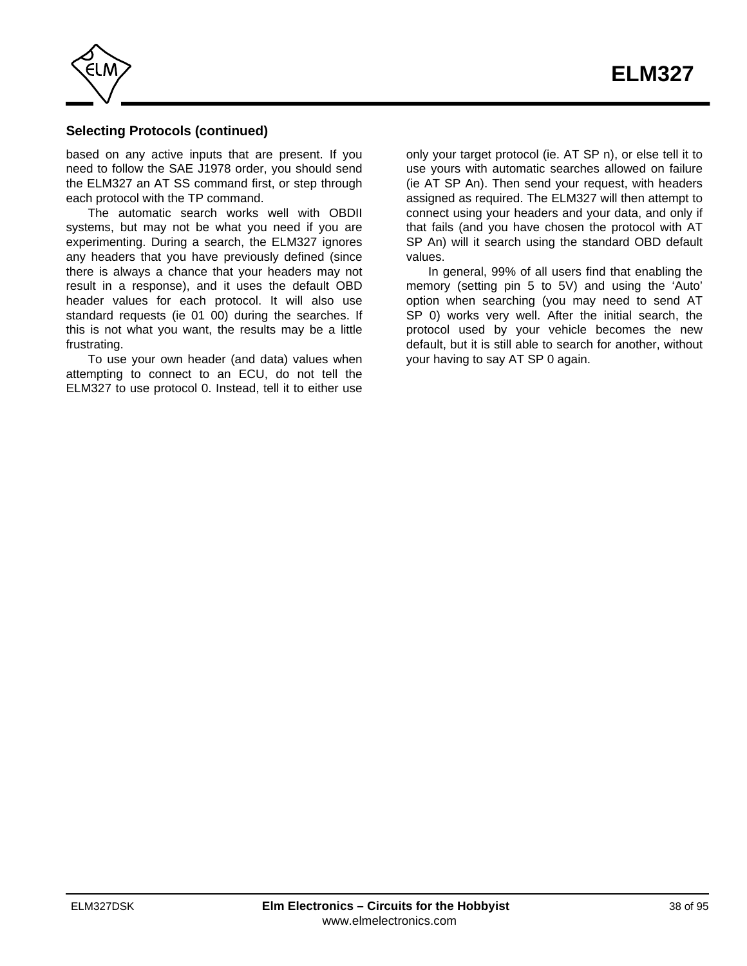

# **Selecting Protocols (continued)**

based on any active inputs that are present. If you need to follow the SAE J1978 order, you should send the ELM327 an AT SS command first, or step through each protocol with the TP command.

The automatic search works well with OBDII systems, but may not be what you need if you are experimenting. During a search, the ELM327 ignores any headers that you have previously defined (since there is always a chance that your headers may not result in a response), and it uses the default OBD header values for each protocol. It will also use standard requests (ie 01 00) during the searches. If this is not what you want, the results may be a little frustrating.

To use your own header (and data) values when attempting to connect to an ECU, do not tell the ELM327 to use protocol 0. Instead, tell it to either use

only your target protocol (ie. AT SP n), or else tell it to use yours with automatic searches allowed on failure (ie AT SP An). Then send your request, with headers assigned as required. The ELM327 will then attempt to connect using your headers and your data, and only if that fails (and you have chosen the protocol with AT SP An) will it search using the standard OBD default values.

In general, 99% of all users find that enabling the memory (setting pin 5 to 5V) and using the 'Auto' option when searching (you may need to send AT SP 0) works very well. After the initial search, the protocol used by your vehicle becomes the new default, but it is still able to search for another, without your having to say AT SP 0 again.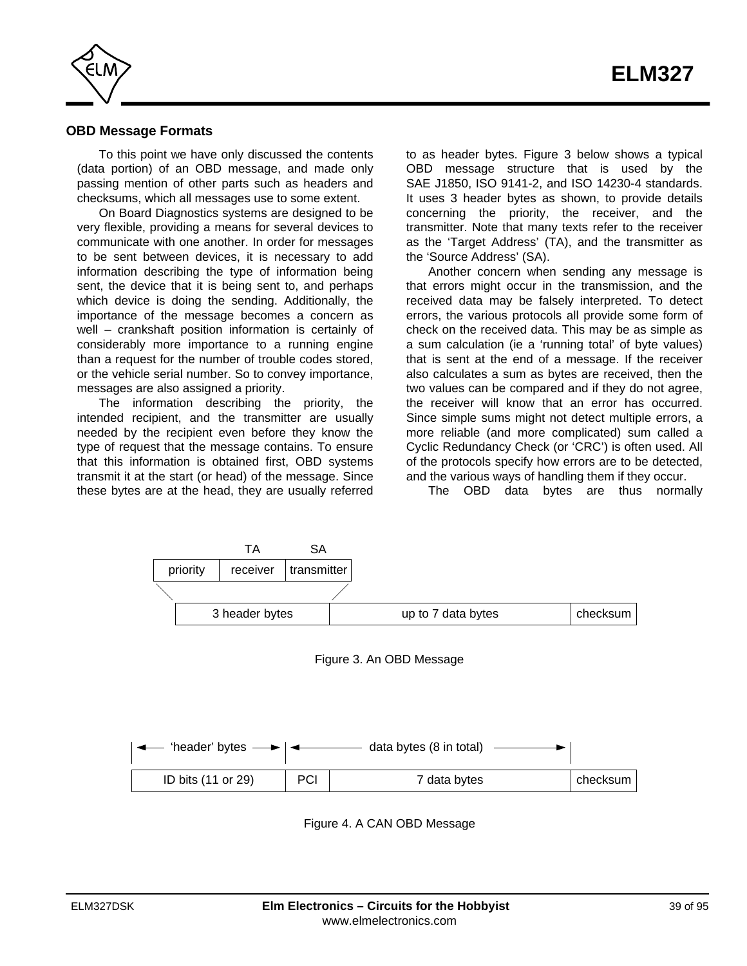

#### **OBD Message Formats**

To this point we have only discussed the contents (data portion) of an OBD message, and made only passing mention of other parts such as headers and checksums, which all messages use to some extent.

On Board Diagnostics systems are designed to be very flexible, providing a means for several devices to communicate with one another. In order for messages to be sent between devices, it is necessary to add information describing the type of information being sent, the device that it is being sent to, and perhaps which device is doing the sending. Additionally, the importance of the message becomes a concern as well – crankshaft position information is certainly of considerably more importance to a running engine than a request for the number of trouble codes stored, or the vehicle serial number. So to convey importance, messages are also assigned a priority.

The information describing the priority, the intended recipient, and the transmitter are usually needed by the recipient even before they know the type of request that the message contains. To ensure that this information is obtained first, OBD systems transmit it at the start (or head) of the message. Since these bytes are at the head, they are usually referred to as header bytes. Figure 3 below shows a typical OBD message structure that is used by the SAE J1850, ISO 9141-2, and ISO 14230-4 standards. It uses 3 header bytes as shown, to provide details concerning the priority, the receiver, and the transmitter. Note that many texts refer to the receiver as the 'Target Address' (TA), and the transmitter as the 'Source Address' (SA).

Another concern when sending any message is that errors might occur in the transmission, and the received data may be falsely interpreted. To detect errors, the various protocols all provide some form of check on the received data. This may be as simple as a sum calculation (ie a 'running total' of byte values) that is sent at the end of a message. If the receiver also calculates a sum as bytes are received, then the two values can be compared and if they do not agree, the receiver will know that an error has occurred. Since simple sums might not detect multiple errors, a more reliable (and more complicated) sum called a Cyclic Redundancy Check (or 'CRC') is often used. All of the protocols specify how errors are to be detected, and the various ways of handling them if they occur.

The OBD data bytes are thus normally



Figure 4. A CAN OBD Message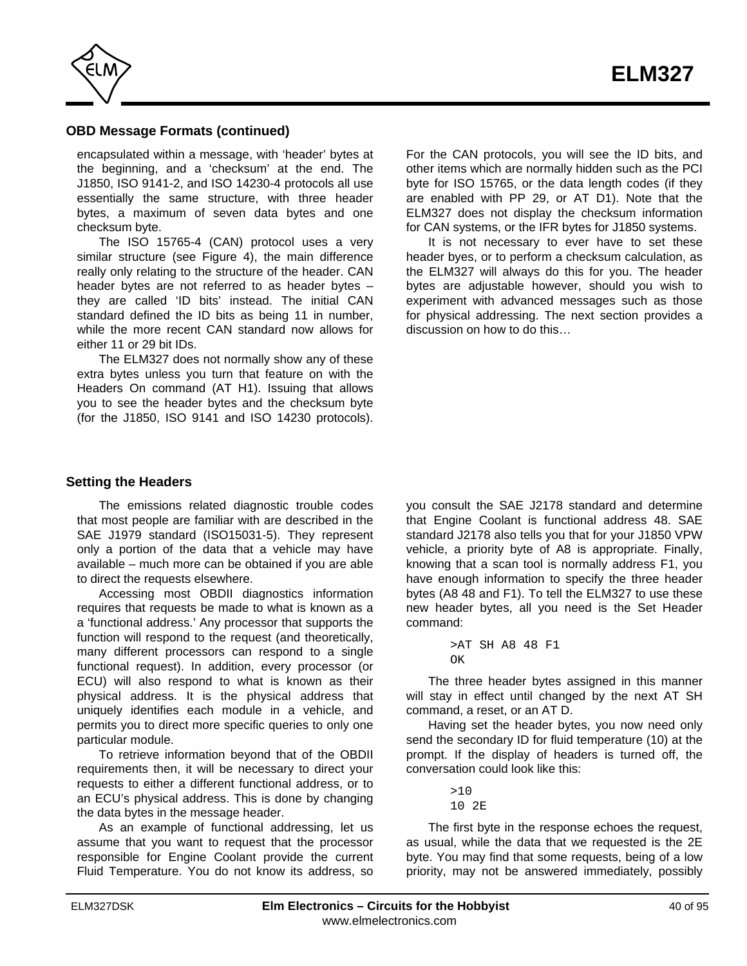

# **OBD Message Formats (continued)**

encapsulated within a message, with 'header' bytes at the beginning, and a 'checksum' at the end. The J1850, ISO 9141-2, and ISO 14230-4 protocols all use essentially the same structure, with three header bytes, a maximum of seven data bytes and one checksum byte.

The ISO 15765-4 (CAN) protocol uses a very similar structure (see Figure 4), the main difference really only relating to the structure of the header. CAN header bytes are not referred to as header bytes – they are called 'ID bits' instead. The initial CAN standard defined the ID bits as being 11 in number, while the more recent CAN standard now allows for either 11 or 29 bit IDs.

The ELM327 does not normally show any of these extra bytes unless you turn that feature on with the Headers On command (AT H1). Issuing that allows you to see the header bytes and the checksum byte (for the J1850, ISO 9141 and ISO 14230 protocols).

**Setting the Headers** 

The emissions related diagnostic trouble codes that most people are familiar with are described in the SAE J1979 standard (ISO15031-5). They represent only a portion of the data that a vehicle may have available – much more can be obtained if you are able to direct the requests elsewhere.

Accessing most OBDII diagnostics information requires that requests be made to what is known as a a 'functional address.' Any processor that supports the function will respond to the request (and theoretically, many different processors can respond to a single functional request). In addition, every processor (or ECU) will also respond to what is known as their physical address. It is the physical address that uniquely identifies each module in a vehicle, and permits you to direct more specific queries to only one particular module.

To retrieve information beyond that of the OBDII requirements then, it will be necessary to direct your requests to either a different functional address, or to an ECU's physical address. This is done by changing the data bytes in the message header.

As an example of functional addressing, let us assume that you want to request that the processor responsible for Engine Coolant provide the current Fluid Temperature. You do not know its address, so

For the CAN protocols, you will see the ID bits, and other items which are normally hidden such as the PCI byte for ISO 15765, or the data length codes (if they are enabled with PP 29, or AT D1). Note that the ELM327 does not display the checksum information for CAN systems, or the IFR bytes for J1850 systems.

It is not necessary to ever have to set these header byes, or to perform a checksum calculation, as the ELM327 will always do this for you. The header bytes are adjustable however, should you wish to experiment with advanced messages such as those for physical addressing. The next section provides a discussion on how to do this…

you consult the SAE J2178 standard and determine that Engine Coolant is functional address 48. SAE standard J2178 also tells you that for your J1850 VPW vehicle, a priority byte of A8 is appropriate. Finally, knowing that a scan tool is normally address F1, you have enough information to specify the three header bytes (A8 48 and F1). To tell the ELM327 to use these new header bytes, all you need is the Set Header command:

The three header bytes assigned in this manner will stay in effect until changed by the next AT SH command, a reset, or an AT D.

Having set the header bytes, you now need only send the secondary ID for fluid temperature (10) at the prompt. If the display of headers is turned off, the conversation could look like this:

> $510$ 10 2E

The first byte in the response echoes the request, as usual, while the data that we requested is the 2E byte. You may find that some requests, being of a low priority, may not be answered immediately, possibly

<sup>&</sup>gt;AT SH A8 48 F1  $\cap$ K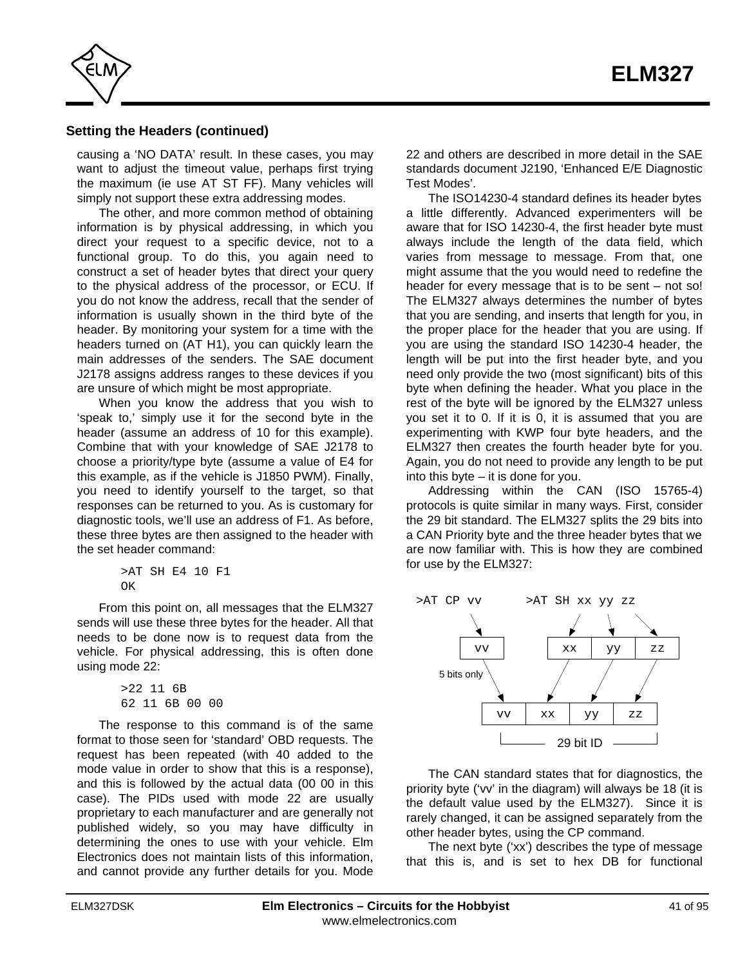

# **Setting the Headers (continued)**

causing a 'NO DATA' result. In these cases, you may want to adjust the timeout value, perhaps first trying the maximum (ie use AT ST FF). Many vehicles will simply not support these extra addressing modes.

The other, and more common method of obtaining information is by physical addressing, in which you direct your request to a specific device, not to a functional group. To do this, you again need to construct a set of header bytes that direct your query to the physical address of the processor, or ECU. If you do not know the address, recall that the sender of information is usually shown in the third byte of the header. By monitoring your system for a time with the headers turned on (AT H1), you can quickly learn the main addresses of the senders. The SAE document J2178 assigns address ranges to these devices if you are unsure of which might be most appropriate.

When you know the address that you wish to 'speak to,' simply use it for the second byte in the header (assume an address of 10 for this example). Combine that with your knowledge of SAE J2178 to choose a priority/type byte (assume a value of E4 for this example, as if the vehicle is J1850 PWM). Finally, you need to identify yourself to the target, so that responses can be returned to you. As is customary for diagnostic tools, we'll use an address of F1. As before, these three bytes are then assigned to the header with the set header command:

```
>AT SH E4 10 F1
OK
```
From this point on, all messages that the ELM327 sends will use these three bytes for the header. All that needs to be done now is to request data from the vehicle. For physical addressing, this is often done using mode 22:

> >22 11 6B 62 11 6B 00 00

The response to this command is of the same format to those seen for 'standard' OBD requests. The request has been repeated (with 40 added to the mode value in order to show that this is a response), and this is followed by the actual data (00 00 in this case). The PIDs used with mode 22 are usually proprietary to each manufacturer and are generally not published widely, so you may have difficulty in determining the ones to use with your vehicle. Elm Electronics does not maintain lists of this information, and cannot provide any further details for you. Mode

22 and others are described in more detail in the SAE standards document J2190, 'Enhanced E/E Diagnostic Test Modes'.

The ISO14230-4 standard defines its header bytes a little differently. Advanced experimenters will be aware that for ISO 14230-4, the first header byte must always include the length of the data field, which varies from message to message. From that, one might assume that the you would need to redefine the header for every message that is to be sent – not so! The ELM327 always determines the number of bytes that you are sending, and inserts that length for you, in the proper place for the header that you are using. If you are using the standard ISO 14230-4 header, the length will be put into the first header byte, and you need only provide the two (most significant) bits of this byte when defining the header. What you place in the rest of the byte will be ignored by the ELM327 unless you set it to 0. If it is 0, it is assumed that you are experimenting with KWP four byte headers, and the ELM327 then creates the fourth header byte for you. Again, you do not need to provide any length to be put into this byte – it is done for you.

Addressing within the CAN (ISO 15765-4) protocols is quite similar in many ways. First, consider the 29 bit standard. The ELM327 splits the 29 bits into a CAN Priority byte and the three header bytes that we are now familiar with. This is how they are combined for use by the ELM327:



The CAN standard states that for diagnostics, the priority byte ('vv' in the diagram) will always be 18 (it is the default value used by the ELM327). Since it is rarely changed, it can be assigned separately from the other header bytes, using the CP command.

The next byte ('xx') describes the type of message that this is, and is set to hex DB for functional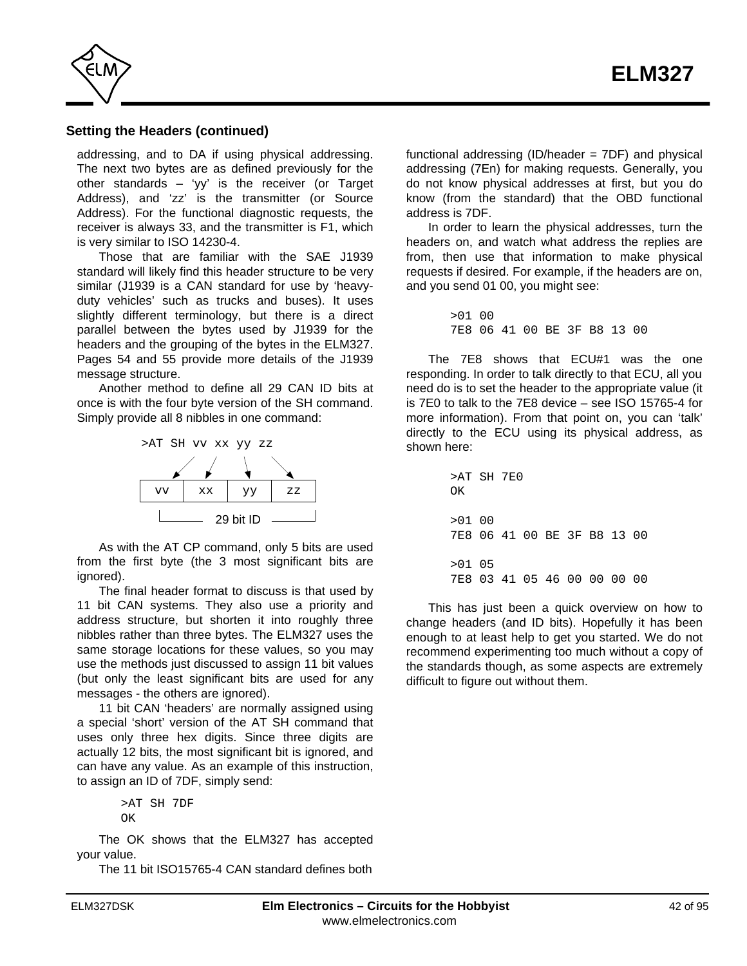

## **Setting the Headers (continued)**

addressing, and to DA if using physical addressing. The next two bytes are as defined previously for the other standards – 'yy' is the receiver (or Target Address), and 'zz' is the transmitter (or Source Address). For the functional diagnostic requests, the receiver is always 33, and the transmitter is F1, which is very similar to ISO 14230-4.

Those that are familiar with the SAE J1939 standard will likely find this header structure to be very similar (J1939 is a CAN standard for use by 'heavyduty vehicles' such as trucks and buses). It uses slightly different terminology, but there is a direct parallel between the bytes used by J1939 for the headers and the grouping of the bytes in the ELM327. [Pages 54 a](#page-53-0)[nd 55 prov](#page-54-0)ide more details of the J1939 message structure.

Another method to define all 29 CAN ID bits at once is with the four byte version of the SH command. Simply provide all 8 nibbles in one command:



As with the AT CP command, only 5 bits are used from the first byte (the 3 most significant bits are ignored).

The final header format to discuss is that used by 11 bit CAN systems. They also use a priority and address structure, but shorten it into roughly three nibbles rather than three bytes. The ELM327 uses the same storage locations for these values, so you may use the methods just discussed to assign 11 bit values (but only the least significant bits are used for any messages - the others are ignored).

11 bit CAN 'headers' are normally assigned using a special 'short' version of the AT SH command that uses only three hex digits. Since three digits are actually 12 bits, the most significant bit is ignored, and can have any value. As an example of this instruction, to assign an ID of 7DF, simply send:

> >AT SH 7DF OK

The OK shows that the ELM327 has accepted your value.

The 11 bit ISO15765-4 CAN standard defines both

functional addressing (ID/header = 7DF) and physical addressing (7En) for making requests. Generally, you do not know physical addresses at first, but you do know (from the standard) that the OBD functional address is 7DF.

In order to learn the physical addresses, turn the headers on, and watch what address the replies are from, then use that information to make physical requests if desired. For example, if the headers are on, and you send 01 00, you might see:

> >01 00 7E8 06 41 00 BE 3F B8 13 00

The 7E8 shows that ECU#1 was the one responding. In order to talk directly to that ECU, all you need do is to set the header to the appropriate value (it is 7E0 to talk to the 7E8 device – see ISO 15765-4 for more information). From that point on, you can 'talk' directly to the ECU using its physical address, as shown here:

> >AT SH 7E0 OK  $>01$  00 7E8 06 41 00 BE 3F B8 13 00 >01 05 7E8 03 41 05 46 00 00 00 00

This has just been a quick overview on how to change headers (and ID bits). Hopefully it has been enough to at least help to get you started. We do not recommend experimenting too much without a copy of the standards though, as some aspects are extremely difficult to figure out without them.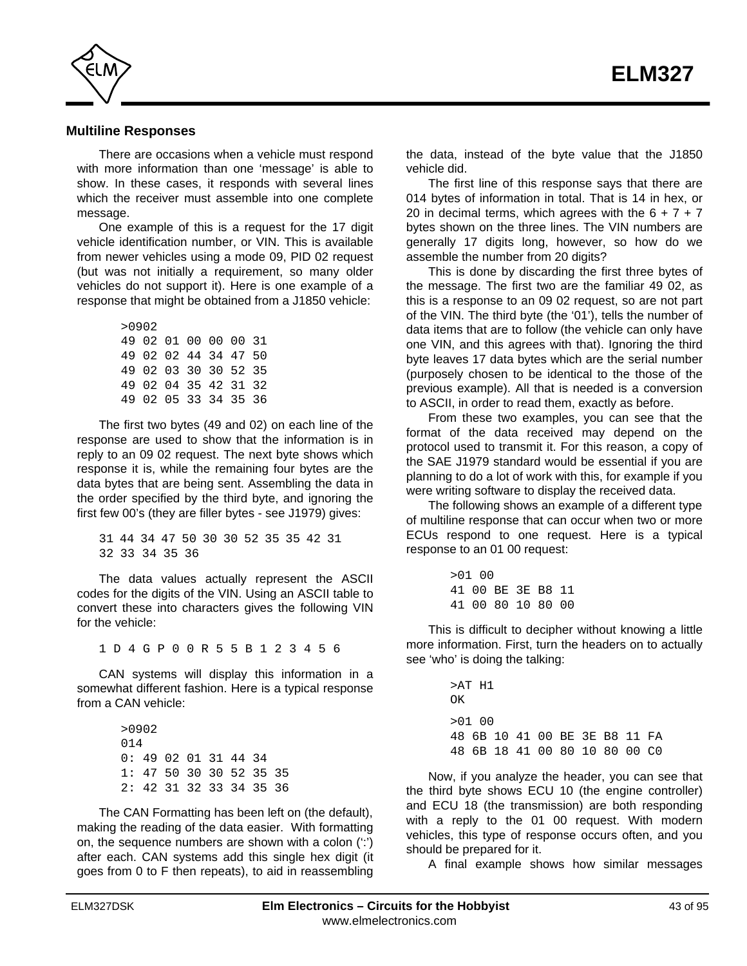

### **Multiline Responses**

There are occasions when a vehicle must respond with more information than one 'message' is able to show. In these cases, it responds with several lines which the receiver must assemble into one complete message.

One example of this is a request for the 17 digit vehicle identification number, or VIN. This is available from newer vehicles using a mode 09, PID 02 request (but was not initially a requirement, so many older vehicles do not support it). Here is one example of a response that might be obtained from a J1850 vehicle:

| >0902                |  |  |  |
|----------------------|--|--|--|
| 49 02 01 00 00 00 31 |  |  |  |
| 49 02 02 44 34 47 50 |  |  |  |
| 49 02 03 30 30 52 35 |  |  |  |
| 49 02 04 35 42 31 32 |  |  |  |
| 49 02 05 33 34 35 36 |  |  |  |

The first two bytes (49 and 02) on each line of the response are used to show that the information is in reply to an 09 02 request. The next byte shows which response it is, while the remaining four bytes are the data bytes that are being sent. Assembling the data in the order specified by the third byte, and ignoring the first few 00's (they are filler bytes - see J1979) gives:

31 44 34 47 50 30 30 52 35 35 42 31 32 33 34 35 36

The data values actually represent the ASCII codes for the digits of the VIN. Using an ASCII table to convert these into characters gives the following VIN for the vehicle:

1 D 4 G P 0 0 R 5 5 B 1 2 3 4 5 6

CAN systems will display this information in a somewhat different fashion. Here is a typical response from a CAN vehicle:

> >0902 014 0: 49 02 01 31 44 34 1: 47 50 30 30 52 35 35 2: 42 31 32 33 34 35 36

The CAN Formatting has been left on (the default), making the reading of the data easier. With formatting on, the sequence numbers are shown with a colon (':') after each. CAN systems add this single hex digit (it goes from 0 to F then repeats), to aid in reassembling the data, instead of the byte value that the J1850 vehicle did.

The first line of this response says that there are 014 bytes of information in total. That is 14 in hex, or 20 in decimal terms, which agrees with the  $6 + 7 + 7$ bytes shown on the three lines. The VIN numbers are generally 17 digits long, however, so how do we assemble the number from 20 digits?

This is done by discarding the first three bytes of the message. The first two are the familiar 49 02, as this is a response to an 09 02 request, so are not part of the VIN. The third byte (the '01'), tells the number of data items that are to follow (the vehicle can only have one VIN, and this agrees with that). Ignoring the third byte leaves 17 data bytes which are the serial number (purposely chosen to be identical to the those of the previous example). All that is needed is a conversion to ASCII, in order to read them, exactly as before.

From these two examples, you can see that the format of the data received may depend on the protocol used to transmit it. For this reason, a copy of the SAE J1979 standard would be essential if you are planning to do a lot of work with this, for example if you were writing software to display the received data.

The following shows an example of a different type of multiline response that can occur when two or more ECUs respond to one request. Here is a typical response to an 01 00 request:

| $>01$ 00 |                   |  |  |
|----------|-------------------|--|--|
|          | 41 00 BE 3E B8 11 |  |  |
|          | 41 00 80 10 80 00 |  |  |

This is difficult to decipher without knowing a little more information. First, turn the headers on to actually see 'who' is doing the talking:

> >AT H1 OK  $>01$  00 48 6B 10 41 00 BE 3E B8 11 FA 48 6B 18 41 00 80 10 80 00 C0

Now, if you analyze the header, you can see that the third byte shows ECU 10 (the engine controller) and ECU 18 (the transmission) are both responding with a reply to the 01 00 request. With modern vehicles, this type of response occurs often, and you should be prepared for it.

A final example shows how similar messages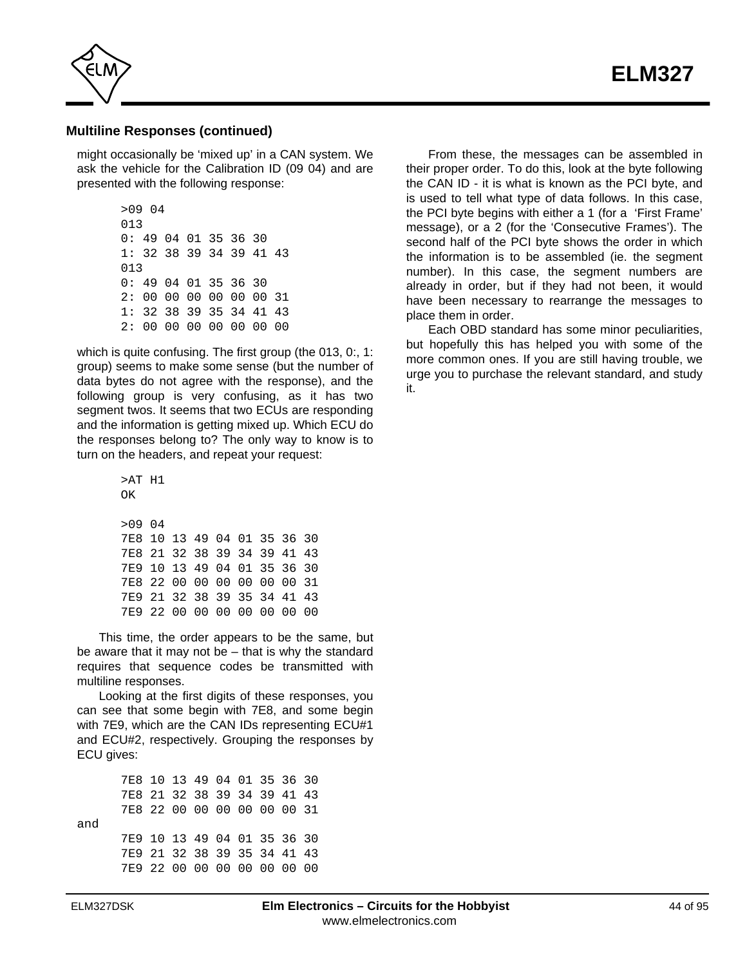

## **Multiline Responses (continued)**

might occasionally be 'mixed up' in a CAN system. We ask the vehicle for the Calibration ID (09 04) and are presented with the following response:

> >09 04 013 0: 49 04 01 35 36 30 1: 32 38 39 34 39 41 43 013 0: 49 04 01 35 36 30 2: 00 00 00 00 00 00 31 1: 32 38 39 35 34 41 43 2: 00 00 00 00 00 00 00

which is quite confusing. The first group (the 013, 0:, 1: group) seems to make some sense (but the number of data bytes do not agree with the response), and the following group is very confusing, as it has two segment twos. It seems that two ECUs are responding and the information is getting mixed up. Which ECU do the responses belong to? The only way to know is to turn on the headers, and repeat your request:

> >AT H1  $\cap$ K >09 04 7E8 10 13 49 04 01 35 36 30 7E8 21 32 38 39 34 39 41 43 7E9 10 13 49 04 01 35 36 30 7E8 22 00 00 00 00 00 00 31 7E9 21 32 38 39 35 34 41 43 7E9 22 00 00 00 00 00 00 00

This time, the order appears to be the same, but be aware that it may not be – that is why the standard requires that sequence codes be transmitted with multiline responses.

Looking at the first digits of these responses, you can see that some begin with 7E8, and some begin with 7E9, which are the CAN IDs representing ECU#1 and ECU#2, respectively. Grouping the responses by ECU gives:

7E8 10 13 49 04 01 35 36 30 7E8 21 32 38 39 34 39 41 43 7E8 22 00 00 00 00 00 00 31 and 7E9 10 13 49 04 01 35 36 30 7E9 21 32 38 39 35 34 41 43 7E9 22 00 00 00 00 00 00 00

From these, the messages can be assembled in their proper order. To do this, look at the byte following the CAN ID - it is what is known as the PCI byte, and is used to tell what type of data follows. In this case, the PCI byte begins with either a 1 (for a 'First Frame' message), or a 2 (for the 'Consecutive Frames'). The second half of the PCI byte shows the order in which the information is to be assembled (ie. the segment number). In this case, the segment numbers are already in order, but if they had not been, it would have been necessary to rearrange the messages to place them in order.

Each OBD standard has some minor peculiarities, but hopefully this has helped you with some of the more common ones. If you are still having trouble, we urge you to purchase the relevant standard, and study it.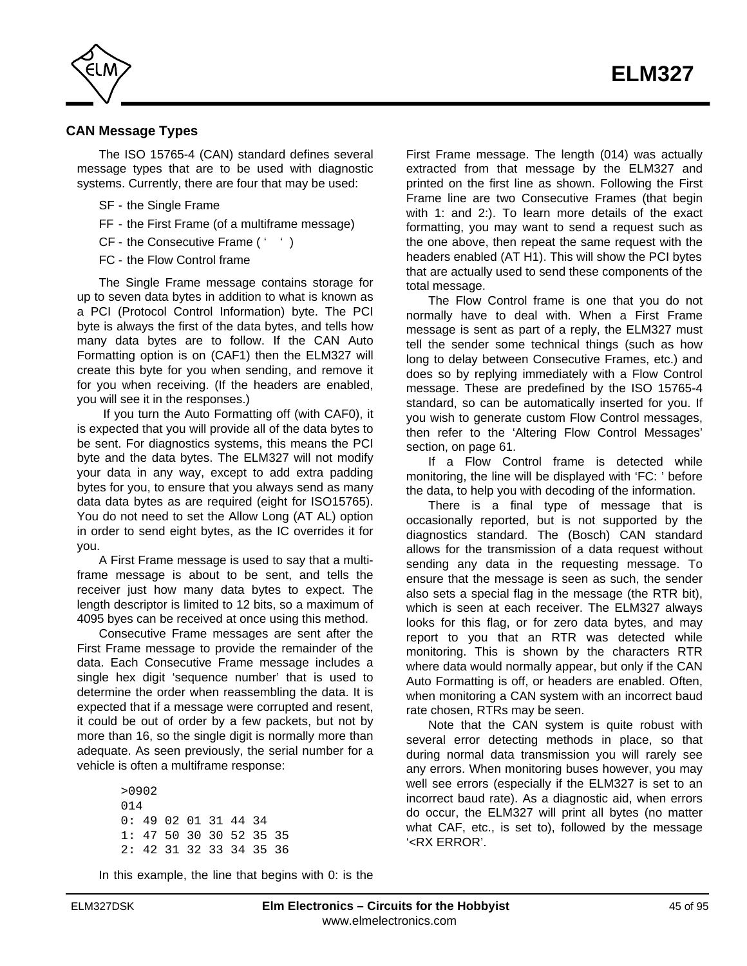

# **CAN Message Types**

The ISO 15765-4 (CAN) standard defines several message types that are to be used with diagnostic systems. Currently, there are four that may be used:

- SF the Single Frame
- FF the First Frame (of a multiframe message)
- CF the Consecutive Frame (' ')
- FC the Flow Control frame

The Single Frame message contains storage for up to seven data bytes in addition to what is known as a PCI (Protocol Control Information) byte. The PCI byte is always the first of the data bytes, and tells how many data bytes are to follow. If the CAN Auto Formatting option is on (CAF1) then the ELM327 will create this byte for you when sending, and remove it for you when receiving. (If the headers are enabled, you will see it in the responses.)

 If you turn the Auto Formatting off (with CAF0), it is expected that you will provide all of the data bytes to be sent. For diagnostics systems, this means the PCI byte and the data bytes. The ELM327 will not modify your data in any way, except to add extra padding bytes for you, to ensure that you always send as many data data bytes as are required (eight for ISO15765). You do not need to set the Allow Long (AT AL) option in order to send eight bytes, as the IC overrides it for you.

A First Frame message is used to say that a multiframe message is about to be sent, and tells the receiver just how many data bytes to expect. The length descriptor is limited to 12 bits, so a maximum of 4095 byes can be received at once using this method.

Consecutive Frame messages are sent after the First Frame message to provide the remainder of the data. Each Consecutive Frame message includes a single hex digit 'sequence number' that is used to determine the order when reassembling the data. It is expected that if a message were corrupted and resent, it could be out of order by a few packets, but not by more than 16, so the single digit is normally more than adequate. As seen previously, the serial number for a vehicle is often a multiframe response:

> >0902  $014$ 0: 49 02 01 31 44 34 1: 47 50 30 30 52 35 35 2: 42 31 32 33 34 35 36

In this example, the line that begins with 0: is the

First Frame message. The length (014) was actually extracted from that message by the ELM327 and printed on the first line as shown. Following the First Frame line are two Consecutive Frames (that begin with 1: and 2:). To learn more details of the exact formatting, you may want to send a request such as the one above, then repeat the same request with the headers enabled (AT H1). This will show the PCI bytes that are actually used to send these components of the total message.

The Flow Control frame is one that you do not normally have to deal with. When a First Frame message is sent as part of a reply, the ELM327 must tell the sender some technical things (such as how long to delay between Consecutive Frames, etc.) and does so by replying immediately with a Flow Control message. These are predefined by the ISO 15765-4 standard, so can be automatically inserted for you. If you wish to generate custom Flow Control messages, [then refer to the 'Altering Flow Control Messages'](#page-60-0) section, on page 61.

If a Flow Control frame is detected while monitoring, the line will be displayed with 'FC: ' before the data, to help you with decoding of the information.

There is a final type of message that is occasionally reported, but is not supported by the diagnostics standard. The (Bosch) CAN standard allows for the transmission of a data request without sending any data in the requesting message. To ensure that the message is seen as such, the sender also sets a special flag in the message (the RTR bit), which is seen at each receiver. The ELM327 always looks for this flag, or for zero data bytes, and may report to you that an RTR was detected while monitoring. This is shown by the characters RTR where data would normally appear, but only if the CAN Auto Formatting is off, or headers are enabled. Often, when monitoring a CAN system with an incorrect baud rate chosen, RTRs may be seen.

Note that the CAN system is quite robust with several error detecting methods in place, so that during normal data transmission you will rarely see any errors. When monitoring buses however, you may well see errors (especially if the ELM327 is set to an incorrect baud rate). As a diagnostic aid, when errors do occur, the ELM327 will print all bytes (no matter what CAF, etc., is set to), followed by the message '<RX ERROR'.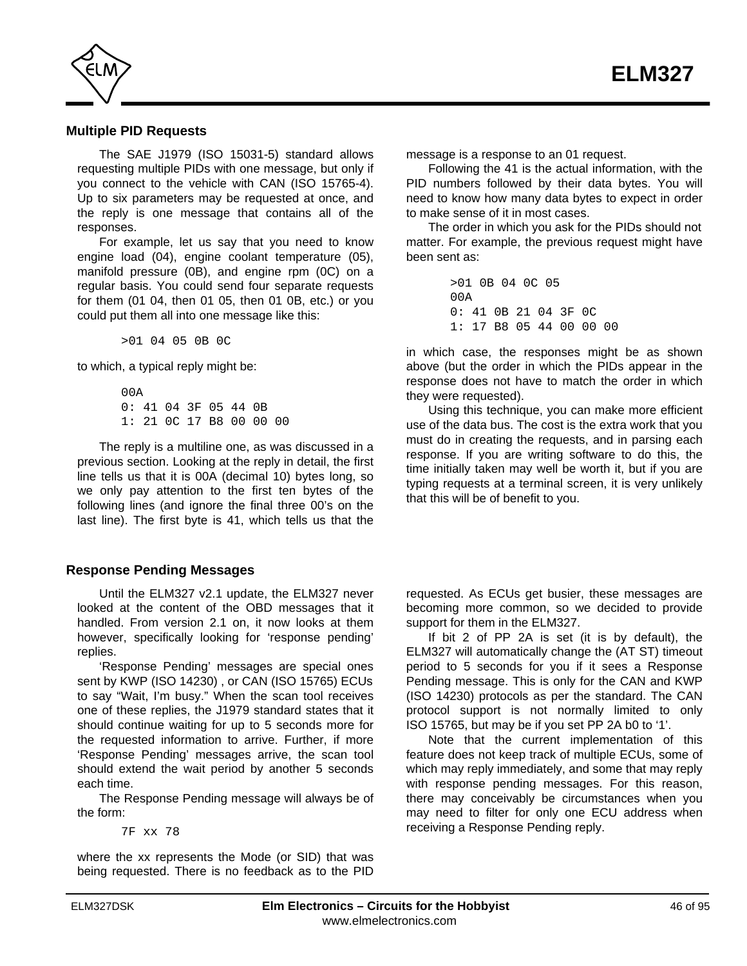

# **Multiple PID Requests**

The SAE J1979 (ISO 15031-5) standard allows requesting multiple PIDs with one message, but only if you connect to the vehicle with CAN (ISO 15765-4). Up to six parameters may be requested at once, and the reply is one message that contains all of the responses.

For example, let us say that you need to know engine load (04), engine coolant temperature (05), manifold pressure (0B), and engine rpm (0C) on a regular basis. You could send four separate requests for them (01 04, then 01 05, then 01 0B, etc.) or you could put them all into one message like this:

>01 04 05 0B 0C

to which, a typical reply might be:

 $00A$ 0: 41 04 3F 05 44 0B 1: 21 0C 17 B8 00 00 00

The reply is a multiline one, as was discussed in a previous section. Looking at the reply in detail, the first line tells us that it is 00A (decimal 10) bytes long, so we only pay attention to the first ten bytes of the following lines (and ignore the final three 00's on the last line). The first byte is 41, which tells us that the

# **Response Pending Messages**

Until the ELM327 v2.1 update, the ELM327 never looked at the content of the OBD messages that it handled. From version 2.1 on, it now looks at them however, specifically looking for 'response pending' replies.

'Response Pending' messages are special ones sent by KWP (ISO 14230) , or CAN (ISO 15765) ECUs to say "Wait, I'm busy." When the scan tool receives one of these replies, the J1979 standard states that it should continue waiting for up to 5 seconds more for the requested information to arrive. Further, if more 'Response Pending' messages arrive, the scan tool should extend the wait period by another 5 seconds each time.

The Response Pending message will always be of the form:

7F xx 78

where the xx represents the Mode (or SID) that was being requested. There is no feedback as to the PID message is a response to an 01 request.

Following the 41 is the actual information, with the PID numbers followed by their data bytes. You will need to know how many data bytes to expect in order to make sense of it in most cases.

The order in which you ask for the PIDs should not matter. For example, the previous request might have been sent as:

> >01 0B 04 0C 05  $0<sub>0</sub>$ 0: 41 0B 21 04 3F 0C 1: 17 B8 05 44 00 00 00

in which case, the responses might be as shown above (but the order in which the PIDs appear in the response does not have to match the order in which they were requested).

Using this technique, you can make more efficient use of the data bus. The cost is the extra work that you must do in creating the requests, and in parsing each response. If you are writing software to do this, the time initially taken may well be worth it, but if you are typing requests at a terminal screen, it is very unlikely that this will be of benefit to you.

requested. As ECUs get busier, these messages are becoming more common, so we decided to provide support for them in the ELM327.

If bit 2 of PP 2A is set (it is by default), the ELM327 will automatically change the (AT ST) timeout period to 5 seconds for you if it sees a Response Pending message. This is only for the CAN and KWP (ISO 14230) protocols as per the standard. The CAN protocol support is not normally limited to only ISO 15765, but may be if you set PP 2A b0 to '1'.

Note that the current implementation of this feature does not keep track of multiple ECUs, some of which may reply immediately, and some that may reply with response pending messages. For this reason, there may conceivably be circumstances when you may need to filter for only one ECU address when receiving a Response Pending reply.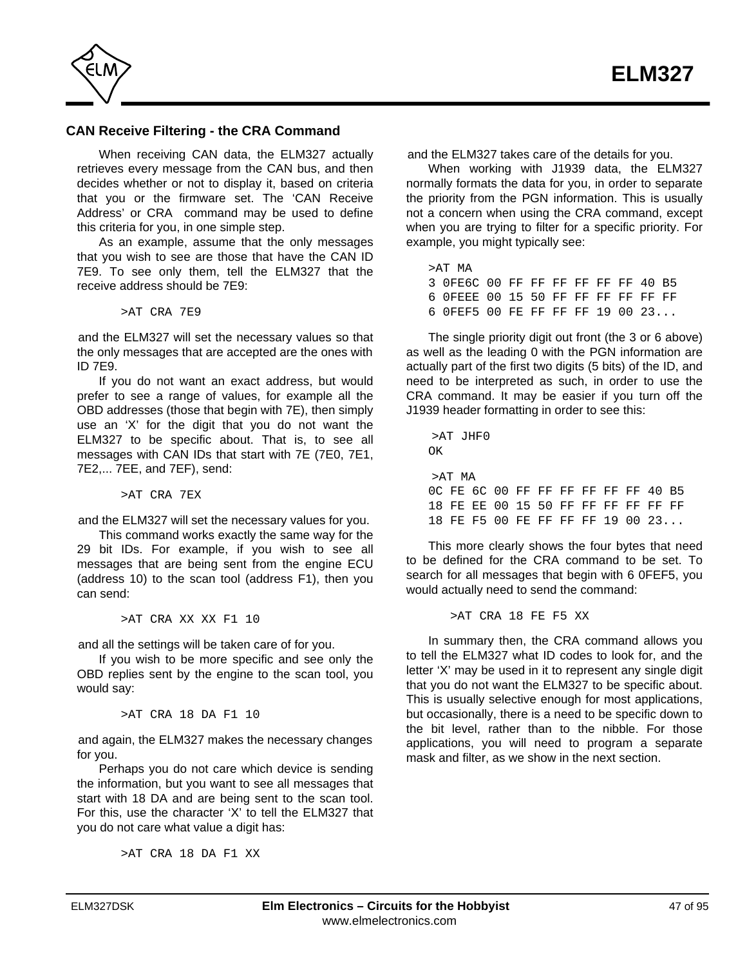

# **CAN Receive Filtering - the CRA Command**

When receiving CAN data, the ELM327 actually retrieves every message from the CAN bus, and then decides whether or not to display it, based on criteria that you or the firmware set. The 'CAN Receive Address' or CRA command may be used to define this criteria for you, in one simple step.

As an example, assume that the only messages that you wish to see are those that have the CAN ID 7E9. To see only them, tell the ELM327 that the receive address should be 7E9:

>AT CRA 7E9

and the ELM327 will set the necessary values so that the only messages that are accepted are the ones with ID 7E9.

If you do not want an exact address, but would prefer to see a range of values, for example all the OBD addresses (those that begin with 7E), then simply use an 'X' for the digit that you do not want the ELM327 to be specific about. That is, to see all messages with CAN IDs that start with 7E (7E0, 7E1, 7E2,... 7EE, and 7EF), send:

>AT CRA 7EX

and the ELM327 will set the necessary values for you.

This command works exactly the same way for the 29 bit IDs. For example, if you wish to see all messages that are being sent from the engine ECU (address 10) to the scan tool (address F1), then you can send:

>AT CRA XX XX F1 10

and all the settings will be taken care of for you.

If you wish to be more specific and see only the OBD replies sent by the engine to the scan tool, you would say:

>AT CRA 18 DA F1 10

and again, the ELM327 makes the necessary changes for you.

Perhaps you do not care which device is sending the information, but you want to see all messages that start with 18 DA and are being sent to the scan tool. For this, use the character 'X' to tell the ELM327 that you do not care what value a digit has:

>AT CRA 18 DA F1 XX

and the ELM327 takes care of the details for you.

When working with J1939 data, the ELM327 normally formats the data for you, in order to separate the priority from the PGN information. This is usually not a concern when using the CRA command, except when you are trying to filter for a specific priority. For example, you might typically see:

>AT MA 3 0FE6C 00 FF FF FF FF FF FF 40 B5 6 0FEEE 00 15 50 FF FF FF FF FF FF 6 0FEF5 00 FE FF FF FF 19 00 23...

The single priority digit out front (the 3 or 6 above) as well as the leading 0 with the PGN information are actually part of the first two digits (5 bits) of the ID, and need to be interpreted as such, in order to use the CRA command. It may be easier if you turn off the J1939 header formatting in order to see this:

>AT JHF0 OK >AT MA 0C FE 6C 00 FF FF FF FF FF FF 40 B5 18 FE EE 00 15 50 FF FF FF FF FF FF 18 FE F5 00 FE FF FF FF 19 00 23...

This more clearly shows the four bytes that need to be defined for the CRA command to be set. To search for all messages that begin with 6 0FEF5, you would actually need to send the command:

>AT CRA 18 FE F5 XX

In summary then, the CRA command allows you to tell the ELM327 what ID codes to look for, and the letter 'X' may be used in it to represent any single digit that you do not want the ELM327 to be specific about. This is usually selective enough for most applications, but occasionally, there is a need to be specific down to the bit level, rather than to the nibble. For those applications, you will need to program a separate mask and filter, as we show in the next section.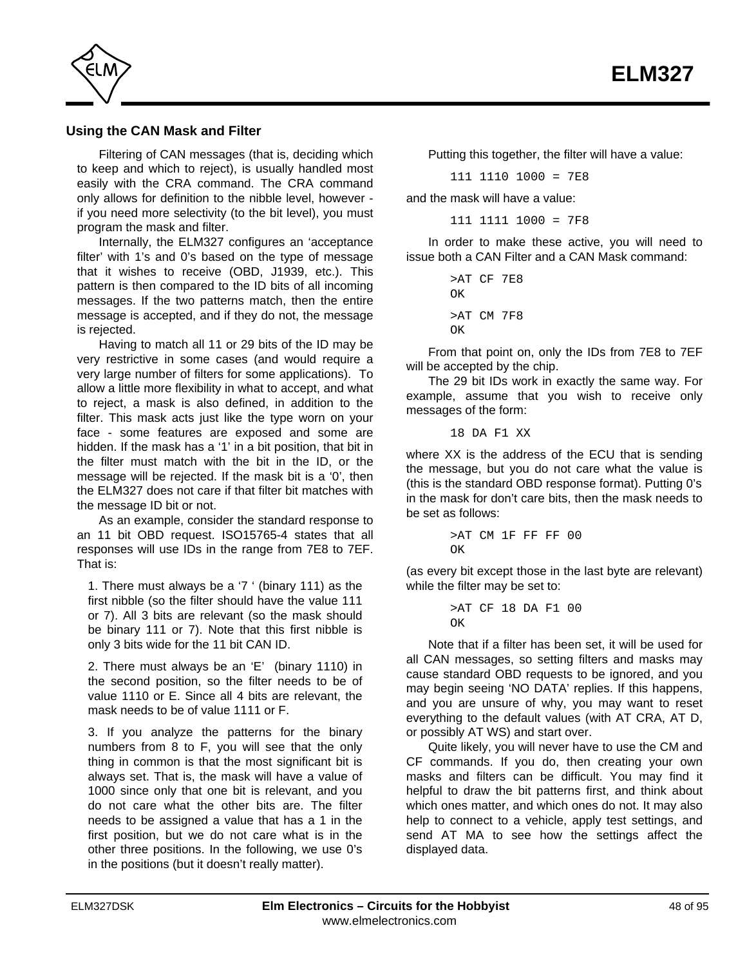

# **Using the CAN Mask and Filter**

Filtering of CAN messages (that is, deciding which to keep and which to reject), is usually handled most easily with the CRA command. The CRA command only allows for definition to the nibble level, however if you need more selectivity (to the bit level), you must program the mask and filter.

Internally, the ELM327 configures an 'acceptance filter' with 1's and 0's based on the type of message that it wishes to receive (OBD, J1939, etc.). This pattern is then compared to the ID bits of all incoming messages. If the two patterns match, then the entire message is accepted, and if they do not, the message is rejected.

Having to match all 11 or 29 bits of the ID may be very restrictive in some cases (and would require a very large number of filters for some applications). To allow a little more flexibility in what to accept, and what to reject, a mask is also defined, in addition to the filter. This mask acts just like the type worn on your face - some features are exposed and some are hidden. If the mask has a '1' in a bit position, that bit in the filter must match with the bit in the ID, or the message will be rejected. If the mask bit is a '0', then the ELM327 does not care if that filter bit matches with the message ID bit or not.

As an example, consider the standard response to an 11 bit OBD request. ISO15765-4 states that all responses will use IDs in the range from 7E8 to 7EF. That is:

1. There must always be a '7 ' (binary 111) as the first nibble (so the filter should have the value 111 or 7). All 3 bits are relevant (so the mask should be binary 111 or 7). Note that this first nibble is only 3 bits wide for the 11 bit CAN ID.

2. There must always be an 'E' (binary 1110) in the second position, so the filter needs to be of value 1110 or E. Since all 4 bits are relevant, the mask needs to be of value 1111 or F.

3. If you analyze the patterns for the binary numbers from 8 to F, you will see that the only thing in common is that the most significant bit is always set. That is, the mask will have a value of 1000 since only that one bit is relevant, and you do not care what the other bits are. The filter needs to be assigned a value that has a 1 in the first position, but we do not care what is in the other three positions. In the following, we use 0's in the positions (but it doesn't really matter).

Putting this together, the filter will have a value:

111 1110 1000 = 7E8

and the mask will have a value:

111 1111 1000 = 7F8

In order to make these active, you will need to issue both a CAN Filter and a CAN Mask command:

> >AT CF 7E8 OK >AT CM 7F8  $\cap$ K

From that point on, only the IDs from 7E8 to 7EF will be accepted by the chip.

The 29 bit IDs work in exactly the same way. For example, assume that you wish to receive only messages of the form:

18 DA F1 XX

where XX is the address of the ECU that is sending the message, but you do not care what the value is (this is the standard OBD response format). Putting 0's in the mask for don't care bits, then the mask needs to be set as follows:

```
>AT CM 1F FF FF 00
\capK
```
(as every bit except those in the last byte are relevant) while the filter may be set to:

> >AT CF 18 DA F1 00 OK

Note that if a filter has been set, it will be used for all CAN messages, so setting filters and masks may cause standard OBD requests to be ignored, and you may begin seeing 'NO DATA' replies. If this happens, and you are unsure of why, you may want to reset everything to the default values (with AT CRA, AT D, or possibly AT WS) and start over.

Quite likely, you will never have to use the CM and CF commands. If you do, then creating your own masks and filters can be difficult. You may find it helpful to draw the bit patterns first, and think about which ones matter, and which ones do not. It may also help to connect to a vehicle, apply test settings, and send AT MA to see how the settings affect the displayed data.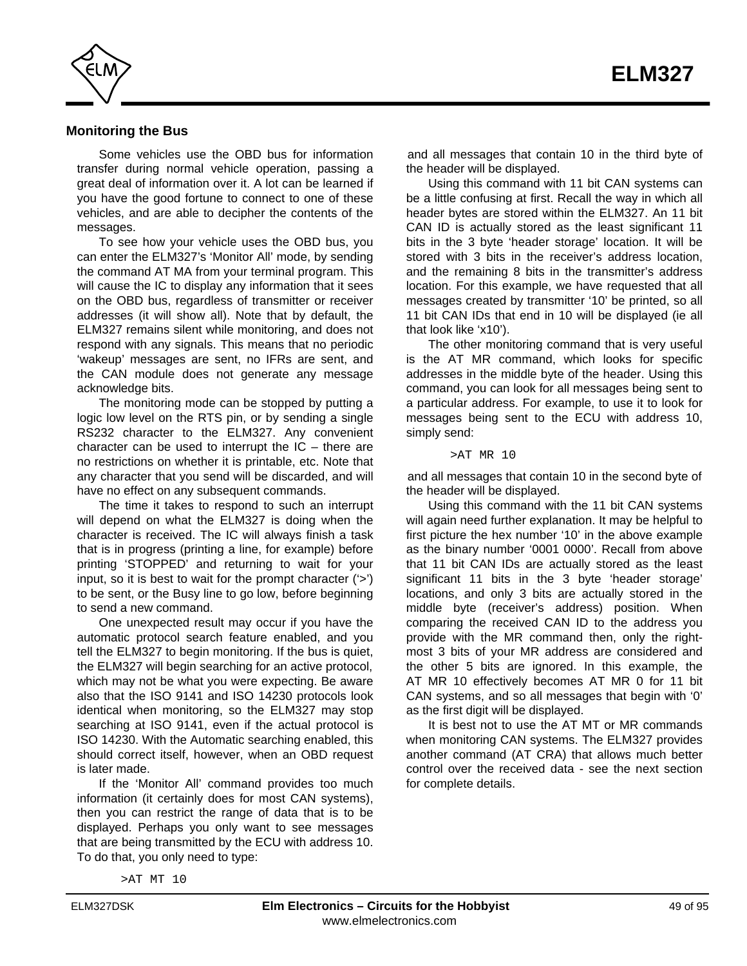

#### **Monitoring the Bus**

Some vehicles use the OBD bus for information transfer during normal vehicle operation, passing a great deal of information over it. A lot can be learned if you have the good fortune to connect to one of these vehicles, and are able to decipher the contents of the messages.

To see how your vehicle uses the OBD bus, you can enter the ELM327's 'Monitor All' mode, by sending the command AT MA from your terminal program. This will cause the IC to display any information that it sees on the OBD bus, regardless of transmitter or receiver addresses (it will show all). Note that by default, the ELM327 remains silent while monitoring, and does not respond with any signals. This means that no periodic 'wakeup' messages are sent, no IFRs are sent, and the CAN module does not generate any message acknowledge bits.

The monitoring mode can be stopped by putting a logic low level on the RTS pin, or by sending a single RS232 character to the ELM327. Any convenient character can be used to interrupt the  $IC$  – there are no restrictions on whether it is printable, etc. Note that any character that you send will be discarded, and will have no effect on any subsequent commands.

The time it takes to respond to such an interrupt will depend on what the ELM327 is doing when the character is received. The IC will always finish a task that is in progress (printing a line, for example) before printing 'STOPPED' and returning to wait for your input, so it is best to wait for the prompt character ('>') to be sent, or the Busy line to go low, before beginning to send a new command.

One unexpected result may occur if you have the automatic protocol search feature enabled, and you tell the ELM327 to begin monitoring. If the bus is quiet, the ELM327 will begin searching for an active protocol, which may not be what you were expecting. Be aware also that the ISO 9141 and ISO 14230 protocols look identical when monitoring, so the ELM327 may stop searching at ISO 9141, even if the actual protocol is ISO 14230. With the Automatic searching enabled, this should correct itself, however, when an OBD request is later made.

If the 'Monitor All' command provides too much information (it certainly does for most CAN systems), then you can restrict the range of data that is to be displayed. Perhaps you only want to see messages that are being transmitted by the ECU with address 10. To do that, you only need to type:

and all messages that contain 10 in the third byte of the header will be displayed.

Using this command with 11 bit CAN systems can be a little confusing at first. Recall the way in which all header bytes are stored within the ELM327. An 11 bit CAN ID is actually stored as the least significant 11 bits in the 3 byte 'header storage' location. It will be stored with 3 bits in the receiver's address location, and the remaining 8 bits in the transmitter's address location. For this example, we have requested that all messages created by transmitter '10' be printed, so all 11 bit CAN IDs that end in 10 will be displayed (ie all that look like 'x10').

The other monitoring command that is very useful is the AT MR command, which looks for specific addresses in the middle byte of the header. Using this command, you can look for all messages being sent to a particular address. For example, to use it to look for messages being sent to the ECU with address 10, simply send:

>AT MR 10

and all messages that contain 10 in the second byte of the header will be displayed.

Using this command with the 11 bit CAN systems will again need further explanation. It may be helpful to first picture the hex number '10' in the above example as the binary number '0001 0000'. Recall from above that 11 bit CAN IDs are actually stored as the least significant 11 bits in the 3 byte 'header storage' locations, and only 3 bits are actually stored in the middle byte (receiver's address) position. When comparing the received CAN ID to the address you provide with the MR command then, only the rightmost 3 bits of your MR address are considered and the other 5 bits are ignored. In this example, the AT MR 10 effectively becomes AT MR 0 for 11 bit CAN systems, and so all messages that begin with '0' as the first digit will be displayed.

It is best not to use the AT MT or MR commands when monitoring CAN systems. The ELM327 provides another command (AT CRA) that allows much better control over the received data - see the next section for complete details.

>AT MT 10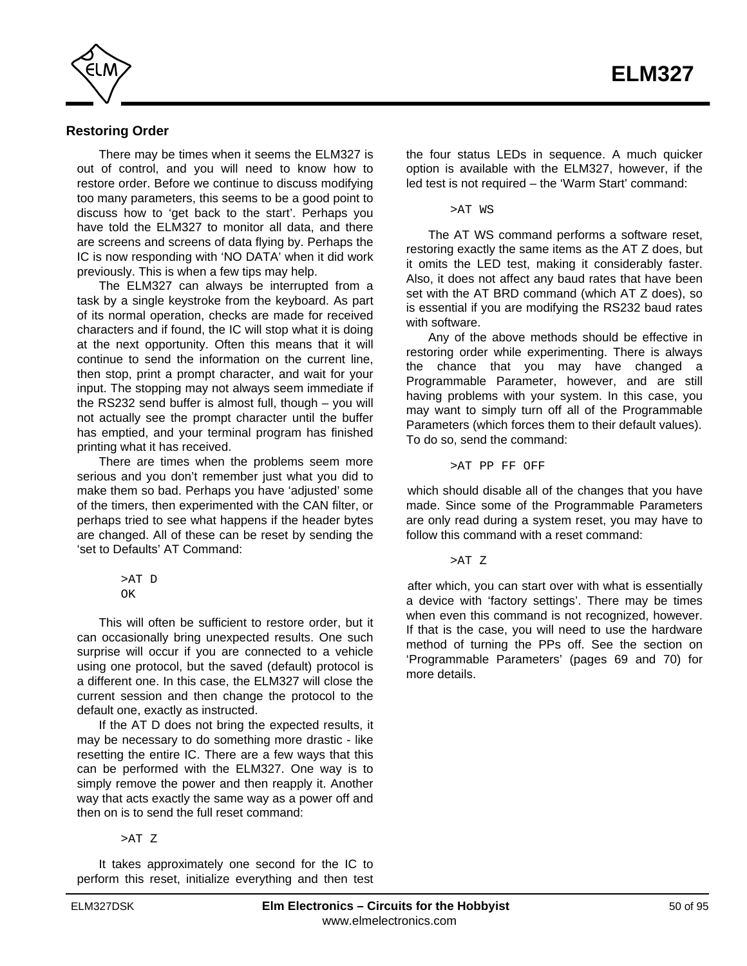

# **Restoring Order**

There may be times when it seems the ELM327 is out of control, and you will need to know how to restore order. Before we continue to discuss modifying too many parameters, this seems to be a good point to discuss how to 'get back to the start'. Perhaps you have told the ELM327 to monitor all data, and there are screens and screens of data flying by. Perhaps the IC is now responding with 'NO DATA' when it did work previously. This is when a few tips may help.

The ELM327 can always be interrupted from a task by a single keystroke from the keyboard. As part of its normal operation, checks are made for received characters and if found, the IC will stop what it is doing at the next opportunity. Often this means that it will continue to send the information on the current line, then stop, print a prompt character, and wait for your input. The stopping may not always seem immediate if the RS232 send buffer is almost full, though – you will not actually see the prompt character until the buffer has emptied, and your terminal program has finished printing what it has received.

There are times when the problems seem more serious and you don't remember just what you did to make them so bad. Perhaps you have 'adjusted' some of the timers, then experimented with the CAN filter, or perhaps tried to see what happens if the header bytes are changed. All of these can be reset by sending the 'set to Defaults' AT Command:

> >AT D OK

This will often be sufficient to restore order, but it can occasionally bring unexpected results. One such surprise will occur if you are connected to a vehicle using one protocol, but the saved (default) protocol is a different one. In this case, the ELM327 will close the current session and then change the protocol to the default one, exactly as instructed.

If the AT D does not bring the expected results, it may be necessary to do something more drastic - like resetting the entire IC. There are a few ways that this can be performed with the ELM327. One way is to simply remove the power and then reapply it. Another way that acts exactly the same way as a power off and then on is to send the full reset command:

>AT Z

It takes approximately one second for the IC to perform this reset, initialize everything and then test the four status LEDs in sequence. A much quicker option is available with the ELM327, however, if the led test is not required – the 'Warm Start' command:

>AT WS

The AT WS command performs a software reset, restoring exactly the same items as the AT Z does, but it omits the LED test, making it considerably faster. Also, it does not affect any baud rates that have been set with the AT BRD command (which AT Z does), so is essential if you are modifying the RS232 baud rates with software.

Any of the above methods should be effective in restoring order while experimenting. There is always the chance that you may have changed a Programmable Parameter, however, and are still having problems with your system. In this case, you may want to simply turn off all of the Programmable Parameters (which forces them to their default values). To do so, send the command:

>AT PP FF OFF

which should disable all of the changes that you have made. Since some of the Programmable Parameters are only read during a system reset, you may have to follow this command with a reset command:

>AT Z

after which, you can start over with what is essentially a device with 'factory settings'. There may be times when even this command is not recognized, however. If that is the case, you will need to use the hardware method of turning the PPs off. See the section on ['Programmable Parameters' \(pages 69](#page-68-0) [and 70\)](#page-69-0) for more details.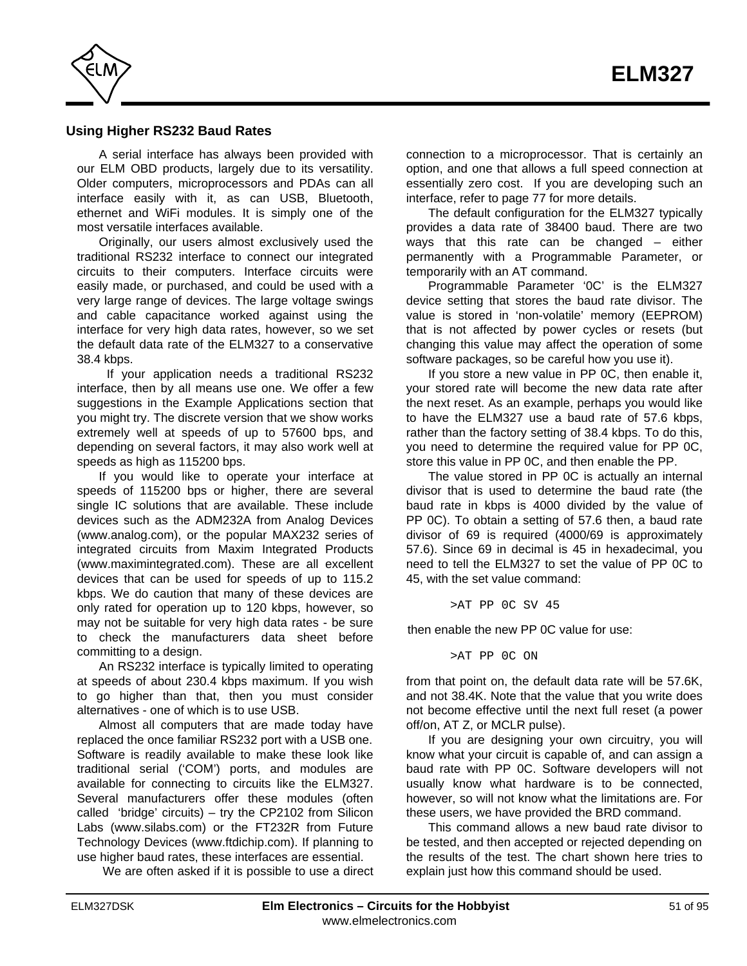

#### **Using Higher RS232 Baud Rates**

A serial interface has always been provided with our ELM OBD products, largely due to its versatility. Older computers, microprocessors and PDAs can all interface easily with it, as can USB, Bluetooth, ethernet and WiFi modules. It is simply one of the most versatile interfaces available.

Originally, our users almost exclusively used the traditional RS232 interface to connect our integrated circuits to their computers. Interface circuits were easily made, or purchased, and could be used with a very large range of devices. The large voltage swings and cable capacitance worked against using the interface for very high data rates, however, so we set the default data rate of the ELM327 to a conservative 38.4 kbps.

 If your application needs a traditional RS232 interface, then by all means use one. We offer a few suggestions in [the Example Applications section](#page-78-0) that you might try. The discrete version that we show works extremely well at speeds of up to 57600 bps, and depending on several factors, it may also work well at speeds as high as 115200 bps.

If you would like to operate your interface at speeds of 115200 bps or higher, there are several single IC solutions that are available. These include devices such as the ADM232A from Analog Devices (www.analog.com), or the popular MAX232 series of integrated circuits from Maxim Integrated Products (www.maximintegrated.com). These are all excellent devices that can be used for speeds of up to 115.2 kbps. We do caution that many of these devices are only rated for operation up to 120 kbps, however, so may not be suitable for very high data rates - be sure to check the manufacturers data sheet before committing to a design.

An RS232 interface is typically limited to operating at speeds of about 230.4 kbps maximum. If you wish to go higher than that, then you must consider alternatives - one of which is to use USB.

Almost all computers that are made today have replaced the once familiar RS232 port with a USB one. Software is readily available to make these look like traditional serial ('COM') ports, and modules are available for connecting to circuits like the ELM327. Several manufacturers offer these modules (often called 'bridge' circuits) – try [the CP2102 from Silicon](http://www.silabs.com/) [Labs \(www.silabs.com\) or](http://www.silabs.com/) [the FT232R from Future](http://www.ftdichip.com/) [Technology Devices \(www.ftdichip.com\).](http://www.ftdichip.com/) If planning to use higher baud rates, these interfaces are essential.

We are often asked if it is possible to use a direct

connection to a microprocessor. That is certainly an option, and one that allows a full speed connection at essentially zero cost. If you are developing such an interfac[e, refer to page 77 for](#page-76-0) more details.

The default configuration for the ELM327 typically provides a data rate of 38400 baud. There are two ways that this rate can be changed – either permanently with a Programmable Parameter, or temporarily with an AT command.

Programmable Parameter '0C' is the ELM327 device setting that stores the baud rate divisor. The value is stored in 'non-volatile' memory (EEPROM) that is not affected by power cycles or resets (but changing this value may affect the operation of some software packages, so be careful how you use it).

If you store a new value in PP 0C, then enable it, your stored rate will become the new data rate after the next reset. As an example, perhaps you would like to have the ELM327 use a baud rate of 57.6 kbps, rather than the factory setting of 38.4 kbps. To do this, you need to determine the required value for PP 0C, store this value in PP 0C, and then enable the PP.

The value stored in PP 0C is actually an internal divisor that is used to determine the baud rate (the baud rate in kbps is 4000 divided by the value of PP 0C). To obtain a setting of 57.6 then, a baud rate divisor of 69 is required (4000/69 is approximately 57.6). Since 69 in decimal is 45 in hexadecimal, you need to tell the ELM327 to set the value of PP 0C to 45, with the set value command:

>AT PP 0C SV 45

then enable the new PP 0C value for use:

>AT PP 0C ON

from that point on, the default data rate will be 57.6K, and not 38.4K. Note that the value that you write does not become effective until the next full reset (a power off/on, AT Z, or MCLR pulse).

If you are designing your own circuitry, you will know what your circuit is capable of, and can assign a baud rate with PP 0C. Software developers will not usually know what hardware is to be connected, however, so will not know what the limitations are. For these users, we have provided the BRD command.

This command allows a new baud rate divisor to be tested, and then accepted or rejected depending on the results of the test. The chart shown here tries to explain just how this command should be used.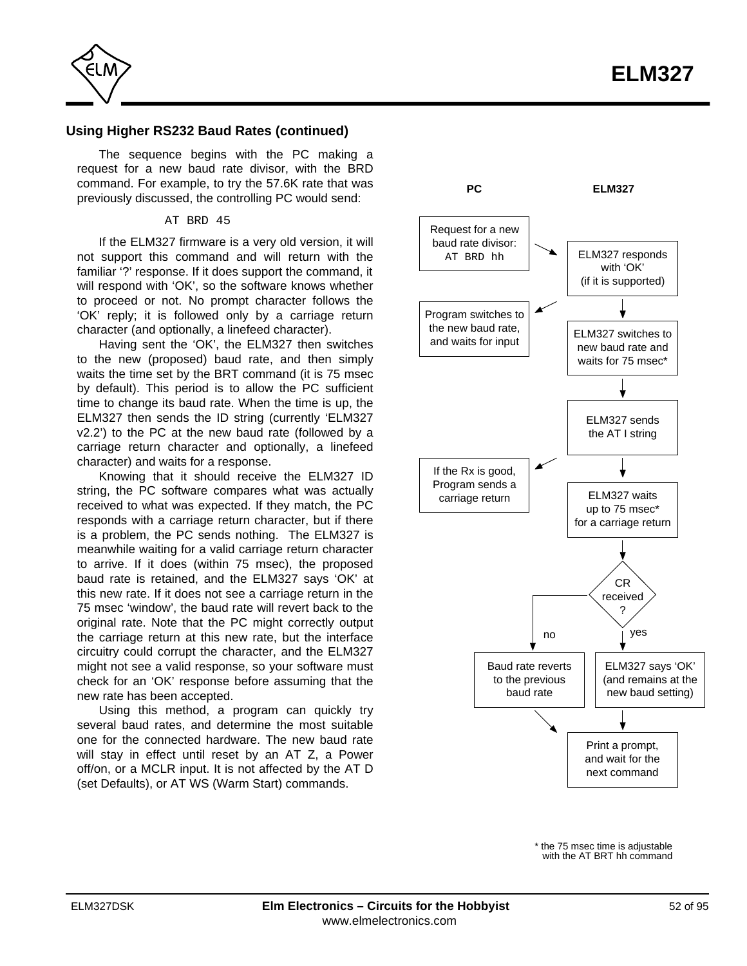

## **Using Higher RS232 Baud Rates (continued)**

The sequence begins with the PC making a request for a new baud rate divisor, with the BRD command. For example, to try the 57.6K rate that was previously discussed, the controlling PC would send:

#### AT BRD 45

If the ELM327 firmware is a very old version, it will not support this command and will return with the familiar '?' response. If it does support the command, it will respond with 'OK', so the software knows whether to proceed or not. No prompt character follows the 'OK' reply; it is followed only by a carriage return character (and optionally, a linefeed character).

Having sent the 'OK', the ELM327 then switches to the new (proposed) baud rate, and then simply waits the time set by the BRT command (it is 75 msec by default). This period is to allow the PC sufficient time to change its baud rate. When the time is up, the ELM327 then sends the ID string (currently 'ELM327 v2.2') to the PC at the new baud rate (followed by a carriage return character and optionally, a linefeed character) and waits for a response.

Knowing that it should receive the ELM327 ID string, the PC software compares what was actually received to what was expected. If they match, the PC responds with a carriage return character, but if there is a problem, the PC sends nothing. The ELM327 is meanwhile waiting for a valid carriage return character to arrive. If it does (within 75 msec), the proposed baud rate is retained, and the ELM327 says 'OK' at this new rate. If it does not see a carriage return in the 75 msec 'window', the baud rate will revert back to the original rate. Note that the PC might correctly output the carriage return at this new rate, but the interface circuitry could corrupt the character, and the ELM327 might not see a valid response, so your software must check for an 'OK' response before assuming that the new rate has been accepted.

Using this method, a program can quickly try several baud rates, and determine the most suitable one for the connected hardware. The new baud rate will stay in effect until reset by an AT Z, a Power off/on, or a MCLR input. It is not affected by the AT D (set Defaults), or AT WS (Warm Start) commands.



\* the 75 msec time is adjustable with the AT BRT hh command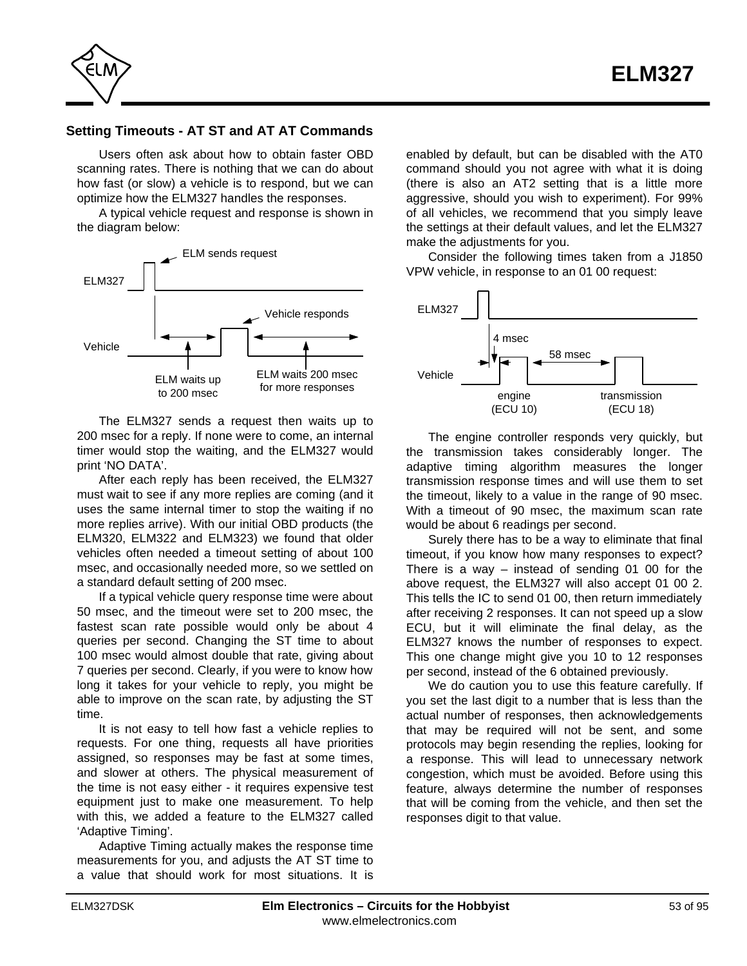

# **Setting Timeouts - AT ST and AT AT Commands**

Users often ask about how to obtain faster OBD scanning rates. There is nothing that we can do about how fast (or slow) a vehicle is to respond, but we can optimize how the ELM327 handles the responses.

A typical vehicle request and response is shown in the diagram below:



The ELM327 sends a request then waits up to 200 msec for a reply. If none were to come, an internal timer would stop the waiting, and the ELM327 would print 'NO DATA'.

After each reply has been received, the ELM327 must wait to see if any more replies are coming (and it uses the same internal timer to stop the waiting if no more replies arrive). With our initial OBD products (the ELM320, ELM322 and ELM323) we found that older vehicles often needed a timeout setting of about 100 msec, and occasionally needed more, so we settled on a standard default setting of 200 msec.

If a typical vehicle query response time were about 50 msec, and the timeout were set to 200 msec, the fastest scan rate possible would only be about 4 queries per second. Changing the ST time to about 100 msec would almost double that rate, giving about 7 queries per second. Clearly, if you were to know how long it takes for your vehicle to reply, you might be able to improve on the scan rate, by adjusting the ST time.

It is not easy to tell how fast a vehicle replies to requests. For one thing, requests all have priorities assigned, so responses may be fast at some times, and slower at others. The physical measurement of the time is not easy either - it requires expensive test equipment just to make one measurement. To help with this, we added a feature to the ELM327 called 'Adaptive Timing'.

Adaptive Timing actually makes the response time measurements for you, and adjusts the AT ST time to a value that should work for most situations. It is

enabled by default, but can be disabled with the AT0 command should you not agree with what it is doing (there is also an AT2 setting that is a little more aggressive, should you wish to experiment). For 99% of all vehicles, we recommend that you simply leave the settings at their default values, and let the ELM327 make the adjustments for you.

Consider the following times taken from a J1850 VPW vehicle, in response to an 01 00 request:



The engine controller responds very quickly, but the transmission takes considerably longer. The adaptive timing algorithm measures the longer transmission response times and will use them to set the timeout, likely to a value in the range of 90 msec. With a timeout of 90 msec, the maximum scan rate would be about 6 readings per second.

Surely there has to be a way to eliminate that final timeout, if you know how many responses to expect? There is a way  $-$  instead of sending 01 00 for the above request, the ELM327 will also accept 01 00 2. This tells the IC to send 01 00, then return immediately after receiving 2 responses. It can not speed up a slow ECU, but it will eliminate the final delay, as the ELM327 knows the number of responses to expect. This one change might give you 10 to 12 responses per second, instead of the 6 obtained previously.

We do caution you to use this feature carefully. If you set the last digit to a number that is less than the actual number of responses, then acknowledgements that may be required will not be sent, and some protocols may begin resending the replies, looking for a response. This will lead to unnecessary network congestion, which must be avoided. Before using this feature, always determine the number of responses that will be coming from the vehicle, and then set the responses digit to that value.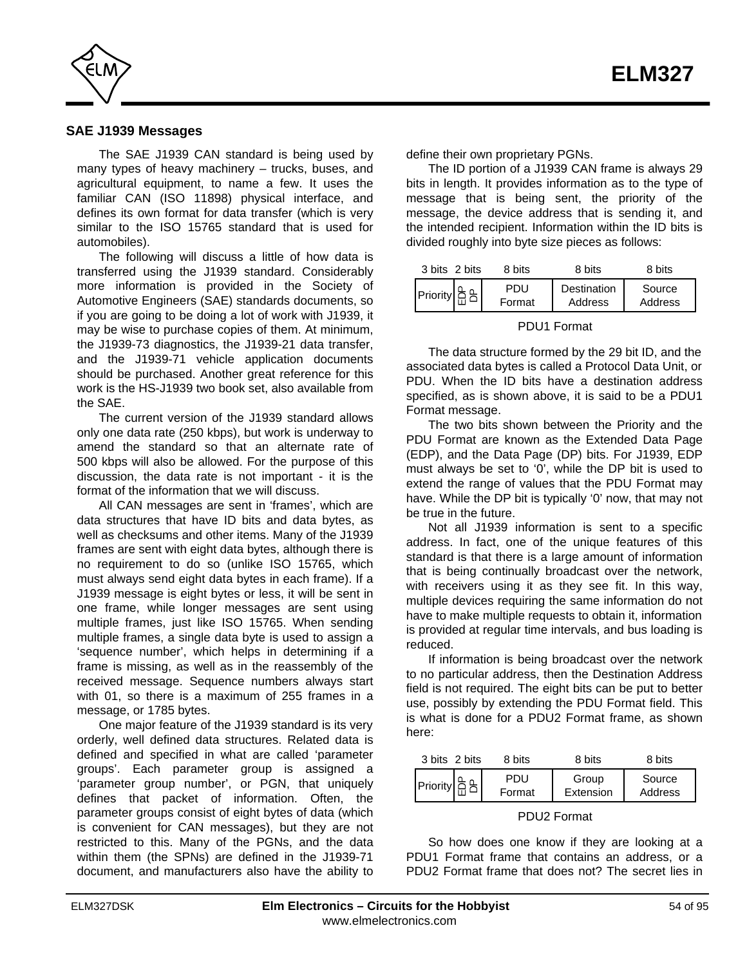<span id="page-53-0"></span>

#### **SAE J1939 Messages**

The SAE J1939 CAN standard is being used by many types of heavy machinery – trucks, buses, and agricultural equipment, to name a few. It uses the familiar CAN (ISO 11898) physical interface, and defines its own format for data transfer (which is very similar to the ISO 15765 standard that is used for automobiles).

The following will discuss a little of how data is transferred using the J1939 standard. Considerably more information is provided in the Society of Automotive Engineers (SAE) standards documents, so if you are going to be doing a lot of work with J1939, it may be wise to purchase copies of them. At minimum, the J1939-73 diagnostics, the J1939-21 data transfer, and the J1939-71 vehicle application documents should be purchased. Another great reference for this work is the HS-J1939 two book set, also available from the SAE.

The current version of the J1939 standard allows only one data rate (250 kbps), but work is underway to amend the standard so that an alternate rate of 500 kbps will also be allowed. For the purpose of this discussion, the data rate is not important - it is the format of the information that we will discuss.

All CAN messages are sent in 'frames', which are data structures that have ID bits and data bytes, as well as checksums and other items. Many of the J1939 frames are sent with eight data bytes, although there is no requirement to do so (unlike ISO 15765, which must always send eight data bytes in each frame). If a J1939 message is eight bytes or less, it will be sent in one frame, while longer messages are sent using multiple frames, just like ISO 15765. When sending multiple frames, a single data byte is used to assign a 'sequence number', which helps in determining if a frame is missing, as well as in the reassembly of the received message. Sequence numbers always start with 01, so there is a maximum of 255 frames in a message, or 1785 bytes.

One major feature of the J1939 standard is its very orderly, well defined data structures. Related data is defined and specified in what are called 'parameter groups'. Each parameter group is assigned a 'parameter group number', or PGN, that uniquely defines that packet of information. Often, the parameter groups consist of eight bytes of data (which is convenient for CAN messages), but they are not restricted to this. Many of the PGNs, and the data within them (the SPNs) are defined in the J1939-71 document, and manufacturers also have the ability to define their own proprietary PGNs.

The ID portion of a J1939 CAN frame is always 29 bits in length. It provides information as to the type of message that is being sent, the priority of the message, the device address that is sending it, and the intended recipient. Information within the ID bits is divided roughly into byte size pieces as follows:

| 3 bits 2 bits | 8 bits        | 8 bits                 | 8 bits            |
|---------------|---------------|------------------------|-------------------|
|               | PDU<br>Format | Destination<br>Address | Source<br>Address |

#### PDU1 Format

The data structure formed by the 29 bit ID, and the associated data bytes is called a Protocol Data Unit, or PDU. When the ID bits have a destination address specified, as is shown above, it is said to be a PDU1 Format message.

The two bits shown between the Priority and the PDU Format are known as the Extended Data Page (EDP), and the Data Page (DP) bits. For J1939, EDP must always be set to '0', while the DP bit is used to extend the range of values that the PDU Format may have. While the DP bit is typically '0' now, that may not be true in the future.

Not all J1939 information is sent to a specific address. In fact, one of the unique features of this standard is that there is a large amount of information that is being continually broadcast over the network, with receivers using it as they see fit. In this way, multiple devices requiring the same information do not have to make multiple requests to obtain it, information is provided at regular time intervals, and bus loading is reduced.

If information is being broadcast over the network to no particular address, then the Destination Address field is not required. The eight bits can be put to better use, possibly by extending the PDU Format field. This is what is done for a PDU2 Format frame, as shown here:

| 3 bits 2 bits   | 8 bits        | 8 bits             | 8 bits            |
|-----------------|---------------|--------------------|-------------------|
| <b>Priority</b> | PDU<br>Format | Group<br>Extension | Source<br>Address |

#### PDU2 Format

So how does one know if they are looking at a PDU1 Format frame that contains an address, or a PDU2 Format frame that does not? The secret lies in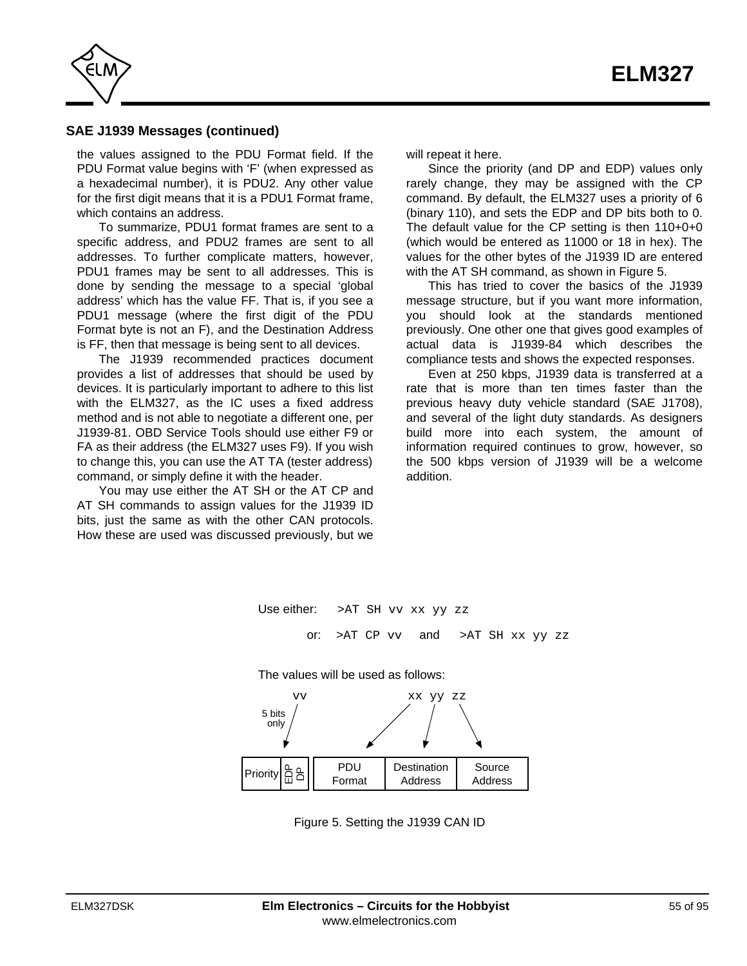<span id="page-54-0"></span>

# **SAE J1939 Messages (continued)**

the values assigned to the PDU Format field. If the PDU Format value begins with 'F' (when expressed as a hexadecimal number), it is PDU2. Any other value for the first digit means that it is a PDU1 Format frame, which contains an address.

To summarize, PDU1 format frames are sent to a specific address, and PDU2 frames are sent to all addresses. To further complicate matters, however, PDU1 frames may be sent to all addresses. This is done by sending the message to a special 'global address' which has the value FF. That is, if you see a PDU1 message (where the first digit of the PDU Format byte is not an F), and the Destination Address is FF, then that message is being sent to all devices.

The J1939 recommended practices document provides a list of addresses that should be used by devices. It is particularly important to adhere to this list with the ELM327, as the IC uses a fixed address method and is not able to negotiate a different one, per J1939-81. OBD Service Tools should use either F9 or FA as their address (the ELM327 uses F9). If you wish to change this, you can use the AT TA (tester address) command, or simply define it with the header.

You may use either the AT SH or the AT CP and AT SH commands to assign values for the J1939 ID bits, just the same as with the other CAN protocols. How these are used was discussed previously, but we will repeat it here.

Since the priority (and DP and EDP) values only rarely change, they may be assigned with the CP command. By default, the ELM327 uses a priority of 6 (binary 110), and sets the EDP and DP bits both to 0. The default value for the CP setting is then 110+0+0 (which would be entered as 11000 or 18 in hex). The values for the other bytes of the J1939 ID are entered with the AT SH command, as shown in Figure 5.

This has tried to cover the basics of the J1939 message structure, but if you want more information, you should look at the standards mentioned previously. One other one that gives good examples of actual data is J1939-84 which describes the compliance tests and shows the expected responses.

Even at 250 kbps, J1939 data is transferred at a rate that is more than ten times faster than the previous heavy duty vehicle standard (SAE J1708), and several of the light duty standards. As designers build more into each system, the amount of information required continues to grow, however, so the 500 kbps version of J1939 will be a welcome addition.



Figure 5. Setting the J1939 CAN ID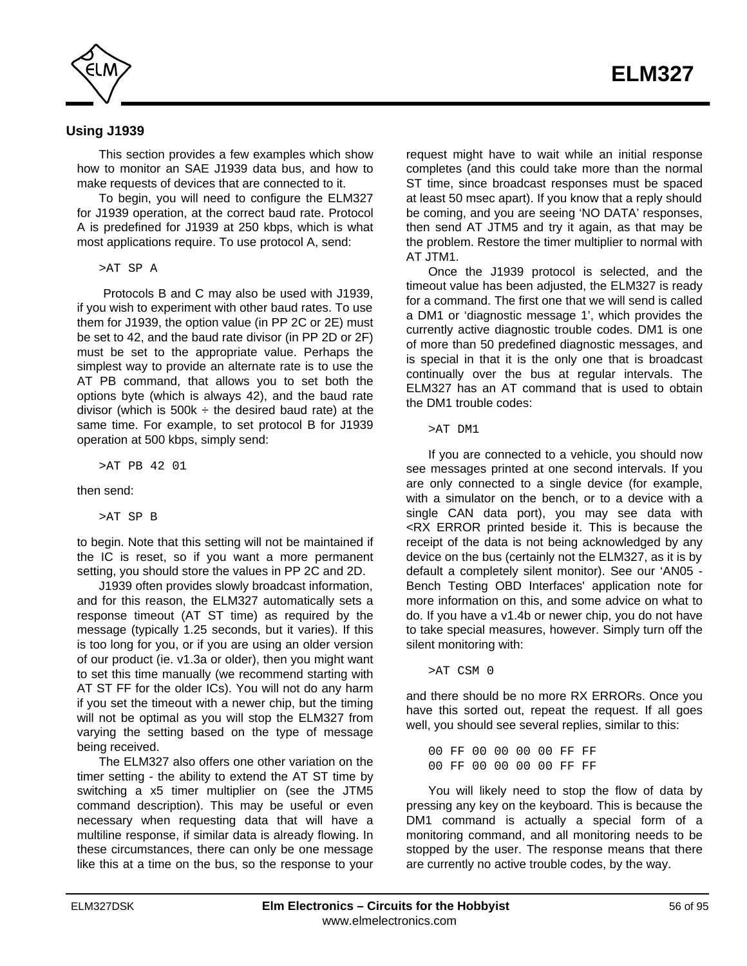

# **Using J1939**

This section provides a few examples which show how to monitor an SAE J1939 data bus, and how to make requests of devices that are connected to it.

To begin, you will need to configure the ELM327 for J1939 operation, at the correct baud rate. Protocol A is predefined for J1939 at 250 kbps, which is what most applications require. To use protocol A, send:

>AT SP A

 Protocols B and C may also be used with J1939, if you wish to experiment with other baud rates. To use them for J1939, the option value (in PP 2C or 2E) must be set to 42, and the baud rate divisor (in PP 2D or 2F) must be set to the appropriate value. Perhaps the simplest way to provide an alternate rate is to use the AT PB command, that allows you to set both the options byte (which is always 42), and the baud rate divisor (which is  $500k \div$  the desired baud rate) at the same time. For example, to set protocol B for J1939 operation at 500 kbps, simply send:

>AT PB 42 01

then send:

>AT SP B

to begin. Note that this setting will not be maintained if the IC is reset, so if you want a more permanent setting, you should store the values in PP 2C and 2D.

J1939 often provides slowly broadcast information, and for this reason, the ELM327 automatically sets a response timeout (AT ST time) as required by the message (typically 1.25 seconds, but it varies). If this is too long for you, or if you are using an older version of our product (ie. v1.3a or older), then you might want to set this time manually (we recommend starting with AT ST FF for the older ICs). You will not do any harm if you set the timeout with a newer chip, but the timing will not be optimal as you will stop the ELM327 from varying the setting based on the type of message being received.

The ELM327 also offers one other variation on the timer setting - the ability to extend the AT ST time by switching a x5 timer multiplier on (see the JTM5 command description). This may be useful or even necessary when requesting data that will have a multiline response, if similar data is already flowing. In these circumstances, there can only be one message like this at a time on the bus, so the response to your

request might have to wait while an initial response completes (and this could take more than the normal ST time, since broadcast responses must be spaced at least 50 msec apart). If you know that a reply should be coming, and you are seeing 'NO DATA' responses, then send AT JTM5 and try it again, as that may be the problem. Restore the timer multiplier to normal with AT JTM1.

Once the J1939 protocol is selected, and the timeout value has been adjusted, the ELM327 is ready for a command. The first one that we will send is called a DM1 or 'diagnostic message 1', which provides the currently active diagnostic trouble codes. DM1 is one of more than 50 predefined diagnostic messages, and is special in that it is the only one that is broadcast continually over the bus at regular intervals. The ELM327 has an AT command that is used to obtain the DM1 trouble codes:

>AT DM1

If you are connected to a vehicle, you should now see messages printed at one second intervals. If you are only connected to a single device (for example, with a simulator on the bench, or to a device with a single CAN data port), you may see data with <RX ERROR printed beside it. This is because the receipt of the data is not being acknowledged by any device on the bus (certainly not the ELM327, as it is by default a completely silent monitor). See our 'AN05 - Bench Testing OBD Interfaces' application note for more information on this, and some advice on what to do. If you have a v1.4b or newer chip, you do not have to take special measures, however. Simply turn off the silent monitoring with:

>AT CSM 0

and there should be no more RX ERRORs. Once you have this sorted out, repeat the request. If all goes well, you should see several replies, similar to this:

00 FF 00 00 00 00 FF FF 00 FF 00 00 00 00 FF FF

You will likely need to stop the flow of data by pressing any key on the keyboard. This is because the DM1 command is actually a special form of a monitoring command, and all monitoring needs to be stopped by the user. The response means that there are currently no active trouble codes, by the way.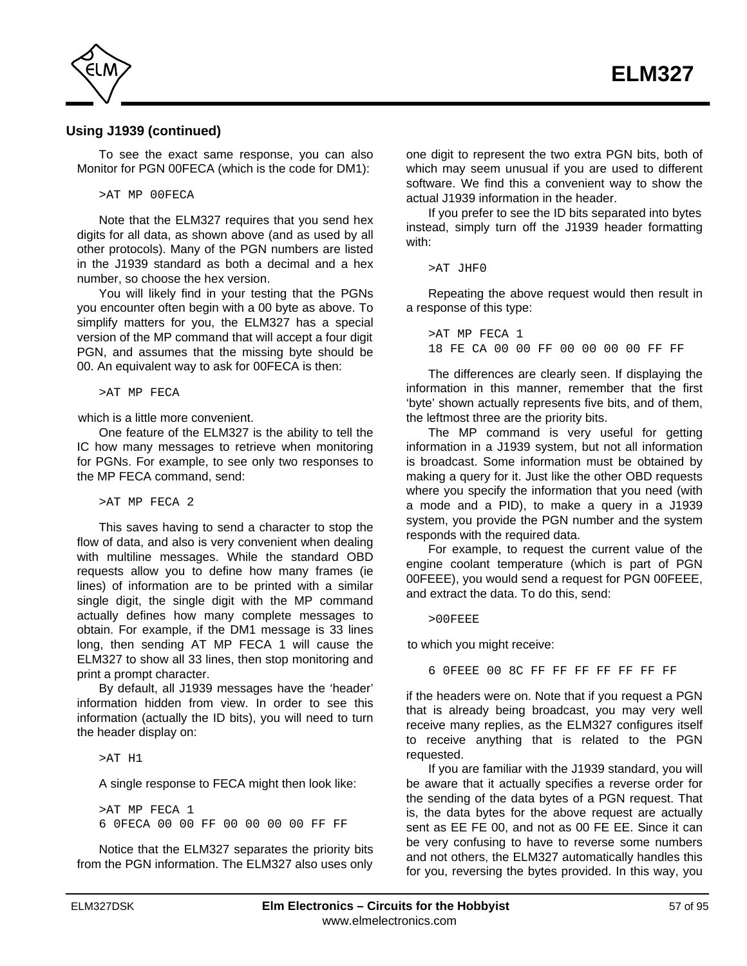

# **Using J1939 (continued)**

To see the exact same response, you can also Monitor for PGN 00FECA (which is the code for DM1):

>AT MP 00FECA

Note that the ELM327 requires that you send hex digits for all data, as shown above (and as used by all other protocols). Many of the PGN numbers are listed in the J1939 standard as both a decimal and a hex number, so choose the hex version.

You will likely find in your testing that the PGNs you encounter often begin with a 00 byte as above. To simplify matters for you, the ELM327 has a special version of the MP command that will accept a four digit PGN, and assumes that the missing byte should be 00. An equivalent way to ask for 00FECA is then:

>AT MP FECA

which is a little more convenient.

One feature of the ELM327 is the ability to tell the IC how many messages to retrieve when monitoring for PGNs. For example, to see only two responses to the MP FECA command, send:

>AT MP FECA 2

This saves having to send a character to stop the flow of data, and also is very convenient when dealing with multiline messages. While the standard OBD requests allow you to define how many frames (ie lines) of information are to be printed with a similar single digit, the single digit with the MP command actually defines how many complete messages to obtain. For example, if the DM1 message is 33 lines long, then sending AT MP FECA 1 will cause the ELM327 to show all 33 lines, then stop monitoring and print a prompt character.

By default, all J1939 messages have the 'header' information hidden from view. In order to see this information (actually the ID bits), you will need to turn the header display on:

>AT H1

A single response to FECA might then look like:

>AT MP FECA 1 6 0FECA 00 00 FF 00 00 00 00 FF FF

Notice that the ELM327 separates the priority bits from the PGN information. The ELM327 also uses only one digit to represent the two extra PGN bits, both of which may seem unusual if you are used to different software. We find this a convenient way to show the actual J1939 information in the header.

If you prefer to see the ID bits separated into bytes instead, simply turn off the J1939 header formatting with:

```
>AT JHF0
```
Repeating the above request would then result in a response of this type:

>AT MP FECA 1 18 FE CA 00 00 FF 00 00 00 00 FF FF

The differences are clearly seen. If displaying the information in this manner, remember that the first 'byte' shown actually represents five bits, and of them, the leftmost three are the priority bits.

The MP command is very useful for getting information in a J1939 system, but not all information is broadcast. Some information must be obtained by making a query for it. Just like the other OBD requests where you specify the information that you need (with a mode and a PID), to make a query in a J1939 system, you provide the PGN number and the system responds with the required data.

For example, to request the current value of the engine coolant temperature (which is part of PGN 00FEEE), you would send a request for PGN 00FEEE, and extract the data. To do this, send:

>00FEEE

to which you might receive:

6 0FEEE 00 8C FF FF FF FF FF FF FF

if the headers were on. Note that if you request a PGN that is already being broadcast, you may very well receive many replies, as the ELM327 configures itself to receive anything that is related to the PGN requested.

If you are familiar with the J1939 standard, you will be aware that it actually specifies a reverse order for the sending of the data bytes of a PGN request. That is, the data bytes for the above request are actually sent as EE FE 00, and not as 00 FE EE. Since it can be very confusing to have to reverse some numbers and not others, the ELM327 automatically handles this for you, reversing the bytes provided. In this way, you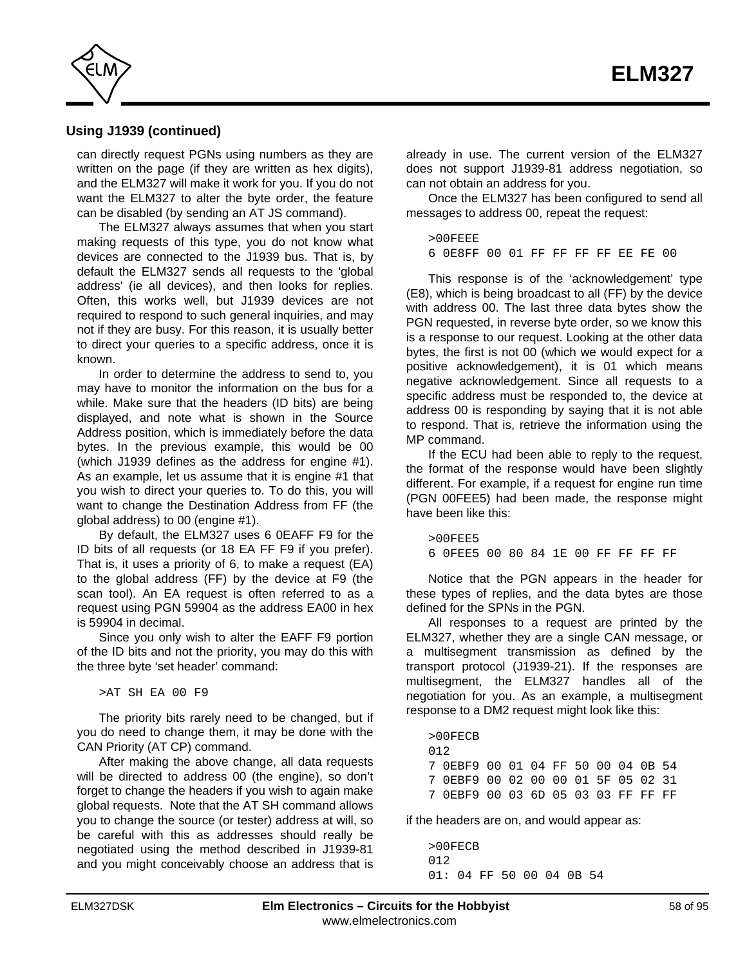

# **Using J1939 (continued)**

can directly request PGNs using numbers as they are written on the page (if they are written as hex digits), and the ELM327 will make it work for you. If you do not want the ELM327 to alter the byte order, the feature can be disabled (by sending an AT JS command).

The ELM327 always assumes that when you start making requests of this type, you do not know what devices are connected to the J1939 bus. That is, by default the ELM327 sends all requests to the 'global address' (ie all devices), and then looks for replies. Often, this works well, but J1939 devices are not required to respond to such general inquiries, and may not if they are busy. For this reason, it is usually better to direct your queries to a specific address, once it is known.

In order to determine the address to send to, you may have to monitor the information on the bus for a while. Make sure that the headers (ID bits) are being displayed, and note what is shown in the Source Address position, which is immediately before the data bytes. In the previous example, this would be 00 (which J1939 defines as the address for engine #1). As an example, let us assume that it is engine #1 that you wish to direct your queries to. To do this, you will want to change the Destination Address from FF (the global address) to 00 (engine #1).

By default, the ELM327 uses 6 0EAFF F9 for the ID bits of all requests (or 18 EA FF F9 if you prefer). That is, it uses a priority of 6, to make a request (EA) to the global address (FF) by the device at F9 (the scan tool). An EA request is often referred to as a request using PGN 59904 as the address EA00 in hex is 59904 in decimal.

Since you only wish to alter the EAFF F9 portion of the ID bits and not the priority, you may do this with the three byte 'set header' command:

>AT SH EA 00 F9

The priority bits rarely need to be changed, but if you do need to change them, it may be done with the CAN Priority (AT CP) command.

After making the above change, all data requests will be directed to address 00 (the engine), so don't forget to change the headers if you wish to again make global requests. Note that the AT SH command allows you to change the source (or tester) address at will, so be careful with this as addresses should really be negotiated using the method described in J1939-81 and you might conceivably choose an address that is already in use. The current version of the ELM327 does not support J1939-81 address negotiation, so can not obtain an address for you.

Once the ELM327 has been configured to send all messages to address 00, repeat the request:

>00FEEE 6 0E8FF 00 01 FF FF FF FF EE FE 00

This response is of the 'acknowledgement' type (E8), which is being broadcast to all (FF) by the device with address 00. The last three data bytes show the PGN requested, in reverse byte order, so we know this is a response to our request. Looking at the other data bytes, the first is not 00 (which we would expect for a positive acknowledgement), it is 01 which means negative acknowledgement. Since all requests to a specific address must be responded to, the device at address 00 is responding by saying that it is not able to respond. That is, retrieve the information using the MP command.

If the ECU had been able to reply to the request, the format of the response would have been slightly different. For example, if a request for engine run time (PGN 00FEE5) had been made, the response might have been like this:

>00FEE5 6 0FEE5 00 80 84 1E 00 FF FF FF FF

Notice that the PGN appears in the header for these types of replies, and the data bytes are those defined for the SPNs in the PGN.

All responses to a request are printed by the ELM327, whether they are a single CAN message, or a multisegment transmission as defined by the transport protocol (J1939-21). If the responses are multisegment, the ELM327 handles all of the negotiation for you. As an example, a multisegment response to a DM2 request might look like this:

>00FECB 012 7 0EBF9 00 01 04 FF 50 00 04 0B 54 7 0EBF9 00 02 00 00 01 5F 05 02 31 7 0EBF9 00 03 6D 05 03 03 FF FF FF

if the headers are on, and would appear as:

>00FECB 012 01: 04 FF 50 00 04 0B 54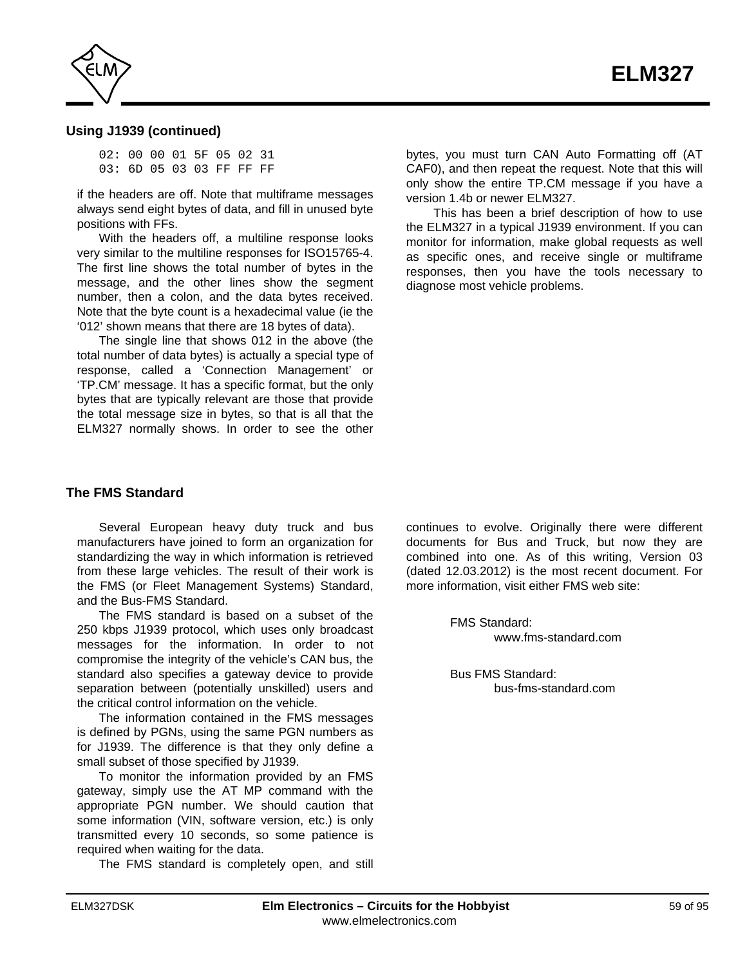

# **Using J1939 (continued)**

02: 00 00 01 5F 05 02 31 03: 6D 05 03 03 FF FF FF

if the headers are off. Note that multiframe messages always send eight bytes of data, and fill in unused byte positions with FFs.

With the headers off, a multiline response looks very similar to the multiline responses for ISO15765-4. The first line shows the total number of bytes in the message, and the other lines show the segment number, then a colon, and the data bytes received. Note that the byte count is a hexadecimal value (ie the '012' shown means that there are 18 bytes of data).

The single line that shows 012 in the above (the total number of data bytes) is actually a special type of response, called a 'Connection Management' or 'TP.CM' message. It has a specific format, but the only bytes that are typically relevant are those that provide the total message size in bytes, so that is all that the ELM327 normally shows. In order to see the other bytes, you must turn CAN Auto Formatting off (AT CAF0), and then repeat the request. Note that this will only show the entire TP.CM message if you have a version 1.4b or newer ELM327.

 This has been a brief description of how to use the ELM327 in a typical J1939 environment. If you can monitor for information, make global requests as well as specific ones, and receive single or multiframe responses, then you have the tools necessary to diagnose most vehicle problems.

## **The FMS Standard**

Several European heavy duty truck and bus manufacturers have joined to form an organization for standardizing the way in which information is retrieved from these large vehicles. The result of their work is the FMS (or Fleet Management Systems) Standard, and the Bus-FMS Standard.

The FMS standard is based on a subset of the 250 kbps J1939 protocol, which uses only broadcast messages for the information. In order to not compromise the integrity of the vehicle's CAN bus, the standard also specifies a gateway device to provide separation between (potentially unskilled) users and the critical control information on the vehicle.

The information contained in the FMS messages is defined by PGNs, using the same PGN numbers as for J1939. The difference is that they only define a small subset of those specified by J1939.

To monitor the information provided by an FMS gateway, simply use the AT MP command with the appropriate PGN number. We should caution that some information (VIN, software version, etc.) is only transmitted every 10 seconds, so some patience is required when waiting for the data.

The FMS standard is completely open, and still

continues to evolve. Originally there were different documents for Bus and Truck, but now they are combined into one. As of this writing, Version 03 (dated 12.03.2012) is the most recent document. For more information, visit either FMS web site:

> FMS Standard: [www.fms-standard.com](http://www.fms-standard.com/)

Bus FMS Standard: [bus-fms-standard.com](http://www.bus-fms-standard.com/)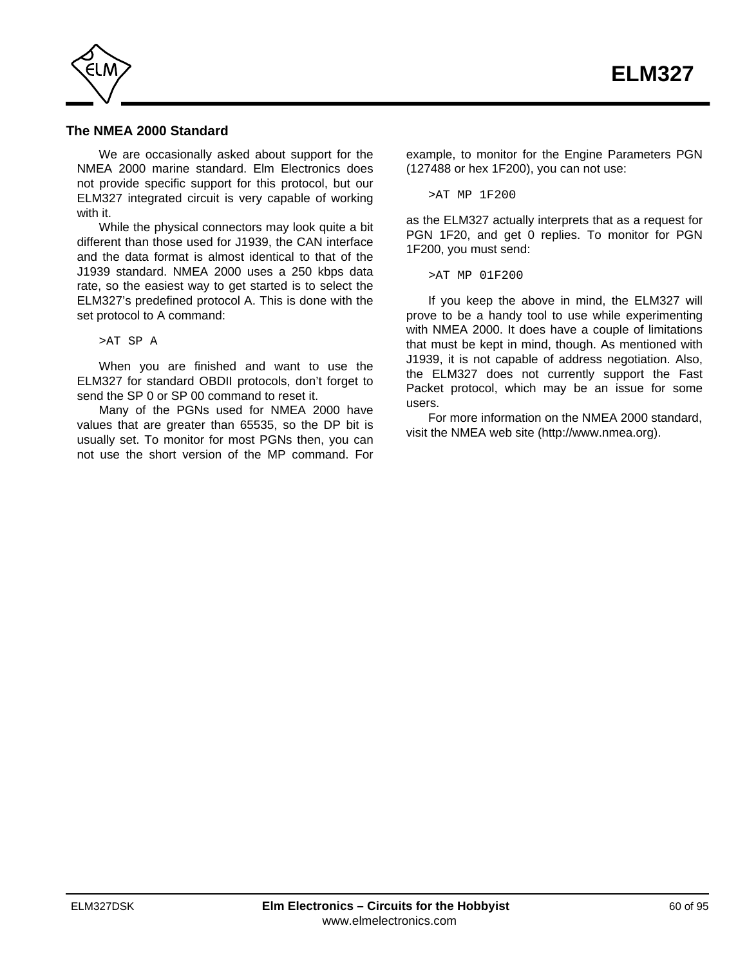

# **The NMEA 2000 Standard**

We are occasionally asked about support for the NMEA 2000 marine standard. Elm Electronics does not provide specific support for this protocol, but our ELM327 integrated circuit is very capable of working with it.

While the physical connectors may look quite a bit different than those used for J1939, the CAN interface and the data format is almost identical to that of the J1939 standard. NMEA 2000 uses a 250 kbps data rate, so the easiest way to get started is to select the ELM327's predefined protocol A. This is done with the set protocol to A command:

#### >AT SP A

When you are finished and want to use the ELM327 for standard OBDII protocols, don't forget to send the SP 0 or SP 00 command to reset it.

Many of the PGNs used for NMEA 2000 have values that are greater than 65535, so the DP bit is usually set. To monitor for most PGNs then, you can not use the short version of the MP command. For

example, to monitor for the Engine Parameters PGN (127488 or hex 1F200), you can not use:

>AT MP 1F200

as the ELM327 actually interprets that as a request for PGN 1F20, and get 0 replies. To monitor for PGN 1F200, you must send:

>AT MP 01F200

If you keep the above in mind, the ELM327 will prove to be a handy tool to use while experimenting with NMEA 2000. It does have a couple of limitations that must be kept in mind, though. As mentioned with J1939, it is not capable of address negotiation. Also, the ELM327 does not currently support the Fast Packet protocol, which may be an issue for some users.

For more information on the NMEA 2000 standard, visit th[e NMEA web site \(http://www.nmea.org\).](http://www.nmea.org/)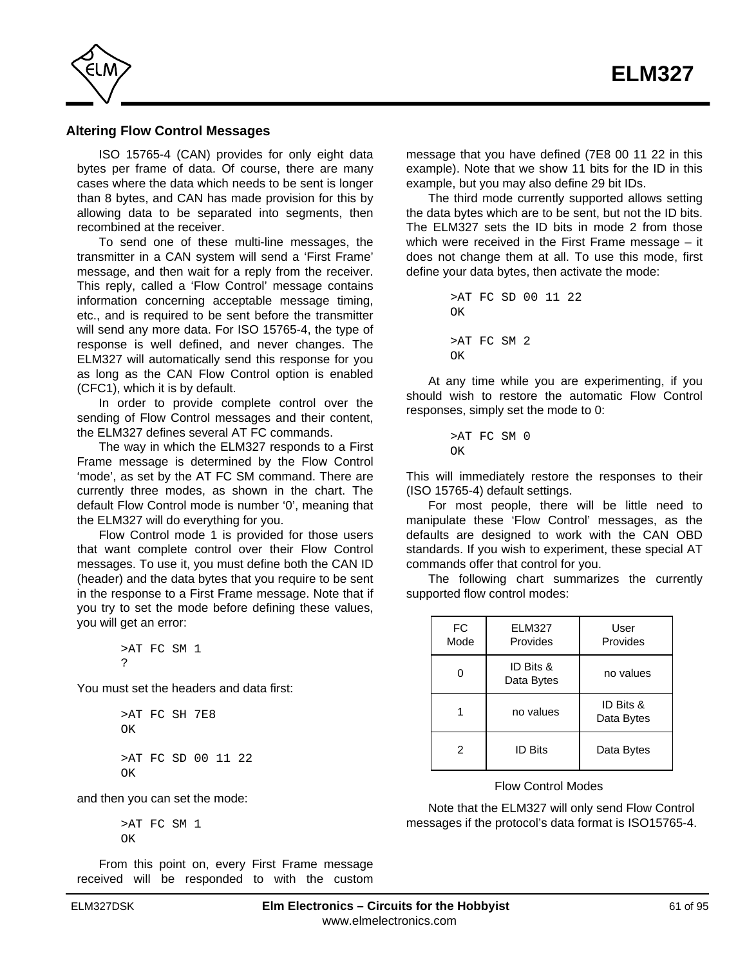<span id="page-60-0"></span>

#### **Altering Flow Control Messages**

ISO 15765-4 (CAN) provides for only eight data bytes per frame of data. Of course, there are many cases where the data which needs to be sent is longer than 8 bytes, and CAN has made provision for this by allowing data to be separated into segments, then recombined at the receiver.

To send one of these multi-line messages, the transmitter in a CAN system will send a 'First Frame' message, and then wait for a reply from the receiver. This reply, called a 'Flow Control' message contains information concerning acceptable message timing, etc., and is required to be sent before the transmitter will send any more data. For ISO 15765-4, the type of response is well defined, and never changes. The ELM327 will automatically send this response for you as long as the CAN Flow Control option is enabled (CFC1), which it is by default.

In order to provide complete control over the sending of Flow Control messages and their content, the ELM327 defines several AT FC commands.

The way in which the ELM327 responds to a First Frame message is determined by the Flow Control 'mode', as set by the AT FC SM command. There are currently three modes, as shown in the chart. The default Flow Control mode is number '0', meaning that the ELM327 will do everything for you.

Flow Control mode 1 is provided for those users that want complete control over their Flow Control messages. To use it, you must define both the CAN ID (header) and the data bytes that you require to be sent in the response to a First Frame message. Note that if you try to set the mode before defining these values, you will get an error:

> >AT FC SM 1 ?

You must set the headers and data first:

```
>AT FC SH 7E8
OK
>AT FC SD 00 11 22
OK
```
and then you can set the mode:

>AT FC SM 1 OK

From this point on, every First Frame message received will be responded to with the custom message that you have defined (7E8 00 11 22 in this example). Note that we show 11 bits for the ID in this example, but you may also define 29 bit IDs.

The third mode currently supported allows setting the data bytes which are to be sent, but not the ID bits. The ELM327 sets the ID bits in mode 2 from those which were received in the First Frame message – it does not change them at all. To use this mode, first define your data bytes, then activate the mode:

```
>AT FC SD 00 11 22
OK
>AT FC SM 2
\capK
```
At any time while you are experimenting, if you should wish to restore the automatic Flow Control responses, simply set the mode to 0:

> >AT FC SM 0 OK

This will immediately restore the responses to their (ISO 15765-4) default settings.

For most people, there will be little need to manipulate these 'Flow Control' messages, as the defaults are designed to work with the CAN OBD standards. If you wish to experiment, these special AT commands offer that control for you.

The following chart summarizes the currently supported flow control modes:

| <b>FC</b><br>Mode | FLM327<br>Provides      | User<br>Provides        |
|-------------------|-------------------------|-------------------------|
| በ                 | ID Bits &<br>Data Bytes | no values               |
|                   | no values               | ID Bits &<br>Data Bytes |
| 2                 | <b>ID Bits</b>          | Data Bytes              |

#### Flow Control Modes

Note that the ELM327 will only send Flow Control messages if the protocol's data format is ISO15765-4.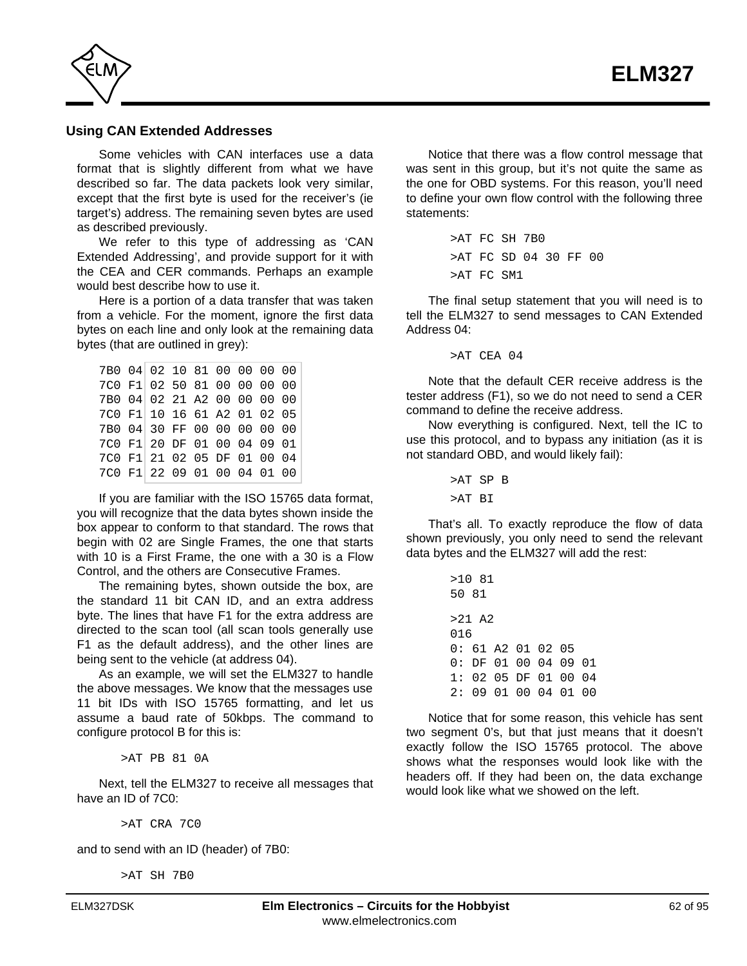

# **Using CAN Extended Addresses**

Some vehicles with CAN interfaces use a data format that is slightly different from what we have described so far. The data packets look very similar, except that the first byte is used for the receiver's (ie target's) address. The remaining seven bytes are used as described previously.

We refer to this type of addressing as 'CAN Extended Addressing', and provide support for it with the CEA and CER commands. Perhaps an example would best describe how to use it.

Here is a portion of a data transfer that was taken from a vehicle. For the moment, ignore the first data bytes on each line and only look at the remaining data bytes (that are outlined in grey):

| 7B0 04 02 10 81 00 00 00 00 |  |  |  |  |
|-----------------------------|--|--|--|--|
| 7C0 F1 02 50 81 00 00 00 00 |  |  |  |  |
| 7B0 04 02 21 A2 00 00 00 00 |  |  |  |  |
| 7C0 F1 10 16 61 A2 01 02 05 |  |  |  |  |
| 7B0 04 30 FF 00 00 00 00 00 |  |  |  |  |
| 7C0 F1 20 DF 01 00 04 09 01 |  |  |  |  |
| 7C0 F1 21 02 05 DF 01 00 04 |  |  |  |  |
| 7C0 F1 22 09 01 00 04 01 00 |  |  |  |  |

If you are familiar with the ISO 15765 data format, you will recognize that the data bytes shown inside the box appear to conform to that standard. The rows that begin with 02 are Single Frames, the one that starts with 10 is a First Frame, the one with a 30 is a Flow Control, and the others are Consecutive Frames.

The remaining bytes, shown outside the box, are the standard 11 bit CAN ID, and an extra address byte. The lines that have F1 for the extra address are directed to the scan tool (all scan tools generally use F1 as the default address), and the other lines are being sent to the vehicle (at address 04).

As an example, we will set the ELM327 to handle the above messages. We know that the messages use 11 bit IDs with ISO 15765 formatting, and let us assume a baud rate of 50kbps. The command to configure protocol B for this is:

>AT PB 81 0A

Next, tell the ELM327 to receive all messages that have an ID of 7C0:

>AT CRA 7C0

and to send with an ID (header) of 7B0:

>AT SH 7B0

Notice that there was a flow control message that was sent in this group, but it's not quite the same as the one for OBD systems. For this reason, you'll need to define your own flow control with the following three statements:

> >AT FC SH 7B0 >AT FC SD 04 30 FF 00 >AT FC SM1

The final setup statement that you will need is to tell the ELM327 to send messages to CAN Extended Address 04:

 $>AT$  CEA 04

Note that the default CER receive address is the tester address (F1), so we do not need to send a CER command to define the receive address.

Now everything is configured. Next, tell the IC to use this protocol, and to bypass any initiation (as it is not standard OBD, and would likely fail):

> >AT SP B >AT BI

That's all. To exactly reproduce the flow of data shown previously, you only need to send the relevant data bytes and the ELM327 will add the rest:

|       | >10.81 |                   |  |    |
|-------|--------|-------------------|--|----|
|       | 50 81  |                   |  |    |
|       |        |                   |  |    |
|       | >21 A2 |                   |  |    |
| 016   |        |                   |  |    |
| n : - |        | 61 A2 01 02 05    |  |    |
| ი : - |        | DF 01 00 04 09 01 |  |    |
| 1 :   |        | 02 05 DF 01 00 04 |  |    |
| 2:    |        | 09 01 00 04 01    |  | nn |

Notice that for some reason, this vehicle has sent two segment 0's, but that just means that it doesn't exactly follow the ISO 15765 protocol. The above shows what the responses would look like with the headers off. If they had been on, the data exchange would look like what we showed on the left.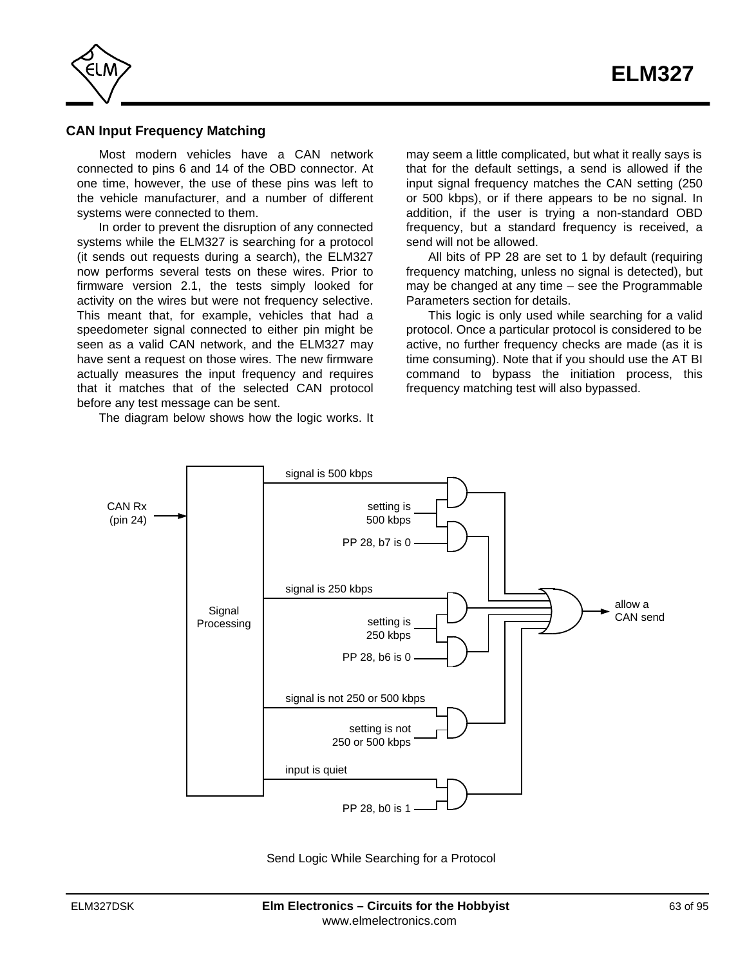

# **CAN Input Frequency Matching**

Most modern vehicles have a CAN network connected to pins 6 and 14 of the OBD connector. At one time, however, the use of these pins was left to the vehicle manufacturer, and a number of different systems were connected to them.

In order to prevent the disruption of any connected systems while the ELM327 is searching for a protocol (it sends out requests during a search), the ELM327 now performs several tests on these wires. Prior to firmware version 2.1, the tests simply looked for activity on the wires but were not frequency selective. This meant that, for example, vehicles that had a speedometer signal connected to either pin might be seen as a valid CAN network, and the ELM327 may have sent a request on those wires. The new firmware actually measures the input frequency and requires that it matches that of the selected CAN protocol before any test message can be sent.

The diagram below shows how the logic works. It

may seem a little complicated, but what it really says is that for the default settings, a send is allowed if the input signal frequency matches the CAN setting (250 or 500 kbps), or if there appears to be no signal. In addition, if the user is trying a non-standard OBD frequency, but a standard frequency is received, a send will not be allowed.

All bits of PP 28 are set to 1 by default (requiring frequency matching, unless no signal is detected), but [may be changed at any time – see the Programmable](#page-72-0) Parameters section for details.

This logic is only used while searching for a valid protocol. Once a particular protocol is considered to be active, no further frequency checks are made (as it is time consuming). Note that if you should use the AT BI command to bypass the initiation process, this frequency matching test will also bypassed.



Send Logic While Searching for a Protocol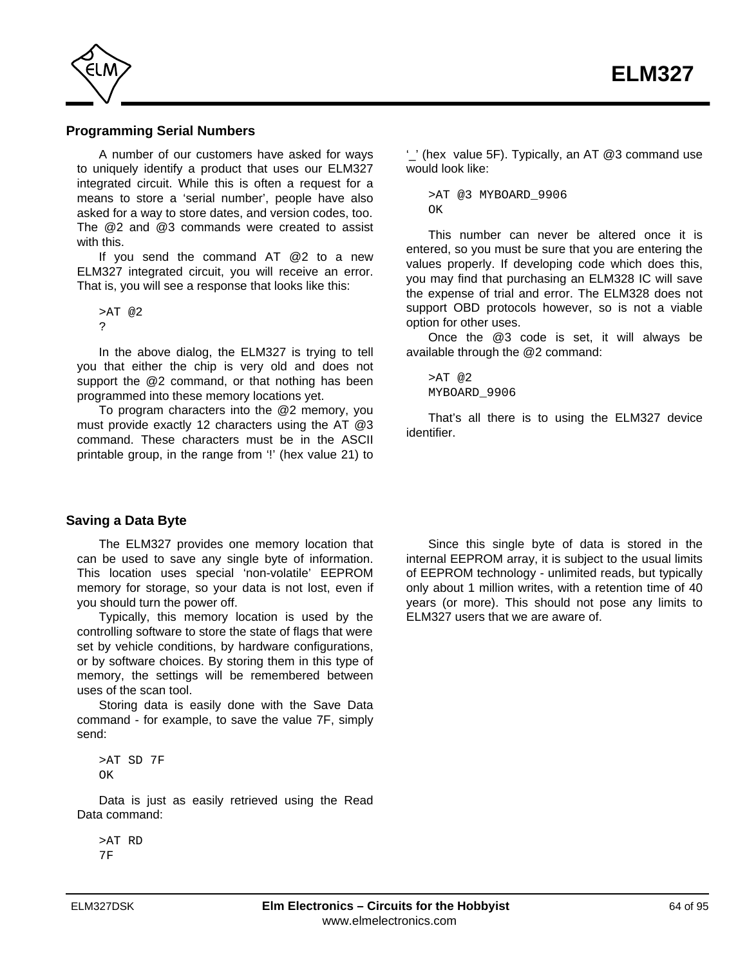

#### **Programming Serial Numbers**

A number of our customers have asked for ways to uniquely identify a product that uses our ELM327 integrated circuit. While this is often a request for a means to store a 'serial number', people have also asked for a way to store dates, and version codes, too. The @2 and @3 commands were created to assist with this.

If you send the command AT @2 to a new ELM327 integrated circuit, you will receive an error. That is, you will see a response that looks like this:

>AT @2 ?

In the above dialog, the ELM327 is trying to tell you that either the chip is very old and does not support the @2 command, or that nothing has been programmed into these memory locations yet.

To program characters into the @2 memory, you must provide exactly 12 characters using the AT @3 command. These characters must be in the ASCII printable group, in the range from '!' (hex value 21) to

**Saving a Data Byte**

The ELM327 provides one memory location that can be used to save any single byte of information. This location uses special 'non-volatile' EEPROM memory for storage, so your data is not lost, even if you should turn the power off.

Typically, this memory location is used by the controlling software to store the state of flags that were set by vehicle conditions, by hardware configurations, or by software choices. By storing them in this type of memory, the settings will be remembered between uses of the scan tool.

Storing data is easily done with the Save Data command - for example, to save the value 7F, simply send:

>AT SD 7F OK

Data is just as easily retrieved using the Read Data command:

>AT RD 7F

'\_' (hex value 5F). Typically, an AT @3 command use would look like:

>AT @3 MYBOARD\_9906 OK

This number can never be altered once it is entered, so you must be sure that you are entering the values properly. If developing code which does this, you may find that purchasing an ELM328 IC will save the expense of trial and error. The ELM328 does not support OBD protocols however, so is not a viable option for other uses.

Once the @3 code is set, it will always be available through the @2 command:

>AT @2 MYBOARD\_9906

That's all there is to using the ELM327 device identifier.

Since this single byte of data is stored in the internal EEPROM array, it is subject to the usual limits of EEPROM technology - unlimited reads, but typically only about 1 million writes, with a retention time of 40 years (or more). This should not pose any limits to ELM327 users that we are aware of.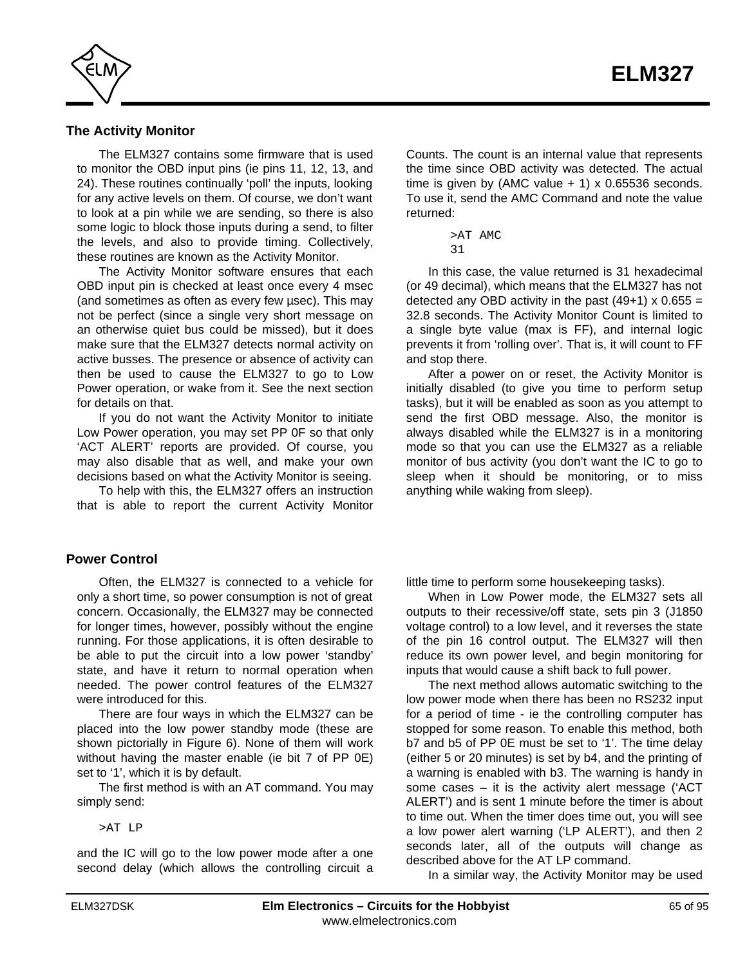

# **The Activity Monitor**

The ELM327 contains some firmware that is used to monitor the OBD input pins (ie pins 11, 12, 13, and 24). These routines continually 'poll' the inputs, looking for any active levels on them. Of course, we don't want to look at a pin while we are sending, so there is also some logic to block those inputs during a send, to filter the levels, and also to provide timing. Collectively, these routines are known as the Activity Monitor.

The Activity Monitor software ensures that each OBD input pin is checked at least once every 4 msec (and sometimes as often as every few µsec). This may not be perfect (since a single very short message on an otherwise quiet bus could be missed), but it does make sure that the ELM327 detects normal activity on active busses. The presence or absence of activity can then be used to cause the ELM327 to go to Low Power operation, or wake from it. See the next section for details on that.

If you do not want the Activity Monitor to initiate Low Power operation, you may set PP 0F so that only 'ACT ALERT' reports are provided. Of course, you may also disable that as well, and make your own decisions based on what the Activity Monitor is seeing.

To help with this, the ELM327 offers an instruction that is able to report the current Activity Monitor

#### **Power Control**

Often, the ELM327 is connected to a vehicle for only a short time, so power consumption is not of great concern. Occasionally, the ELM327 may be connected for longer times, however, possibly without the engine running. For those applications, it is often desirable to be able to put the circuit into a low power 'standby' state, and have it return to normal operation when needed. The power control features of the ELM327 were introduced for this.

There are four ways in which the ELM327 can be placed into the low power standby mode (these are shown pictorially in Figure 6). None of them will work without having the master enable (ie bit 7 of PP 0E) set to '1', which it is by default.

The first method is with an AT command. You may simply send:

>AT LP

and the IC will go to the low power mode after a one second delay (which allows the controlling circuit a Counts. The count is an internal value that represents the time since OBD activity was detected. The actual time is given by (AMC value  $+$  1) x 0.65536 seconds. To use it, send the AMC Command and note the value returned:

> >AT AMC 31

In this case, the value returned is 31 hexadecimal (or 49 decimal), which means that the ELM327 has not detected any OBD activity in the past  $(49+1) \times 0.655 =$ 32.8 seconds. The Activity Monitor Count is limited to a single byte value (max is FF), and internal logic prevents it from 'rolling over'. That is, it will count to FF and stop there.

After a power on or reset, the Activity Monitor is initially disabled (to give you time to perform setup tasks), but it will be enabled as soon as you attempt to send the first OBD message. Also, the monitor is always disabled while the ELM327 is in a monitoring mode so that you can use the ELM327 as a reliable monitor of bus activity (you don't want the IC to go to sleep when it should be monitoring, or to miss anything while waking from sleep).

little time to perform some housekeeping tasks).

When in Low Power mode, the ELM327 sets all outputs to their recessive/off state, sets pin 3 (J1850 voltage control) to a low level, and it reverses the state of the pin 16 control output. The ELM327 will then reduce its own power level, and begin monitoring for inputs that would cause a shift back to full power.

The next method allows automatic switching to the low power mode when there has been no RS232 input for a period of time - ie the controlling computer has stopped for some reason. To enable this method, both b7 and b5 of PP 0E must be set to '1'. The time delay (either 5 or 20 minutes) is set by b4, and the printing of a warning is enabled with b3. The warning is handy in some cases – it is the activity alert message ('ACT ALERT') and is sent 1 minute before the timer is about to time out. When the timer does time out, you will see a low power alert warning ('LP ALERT'), and then 2 seconds later, all of the outputs will change as described above for the AT LP command.

In a similar way, the Activity Monitor may be used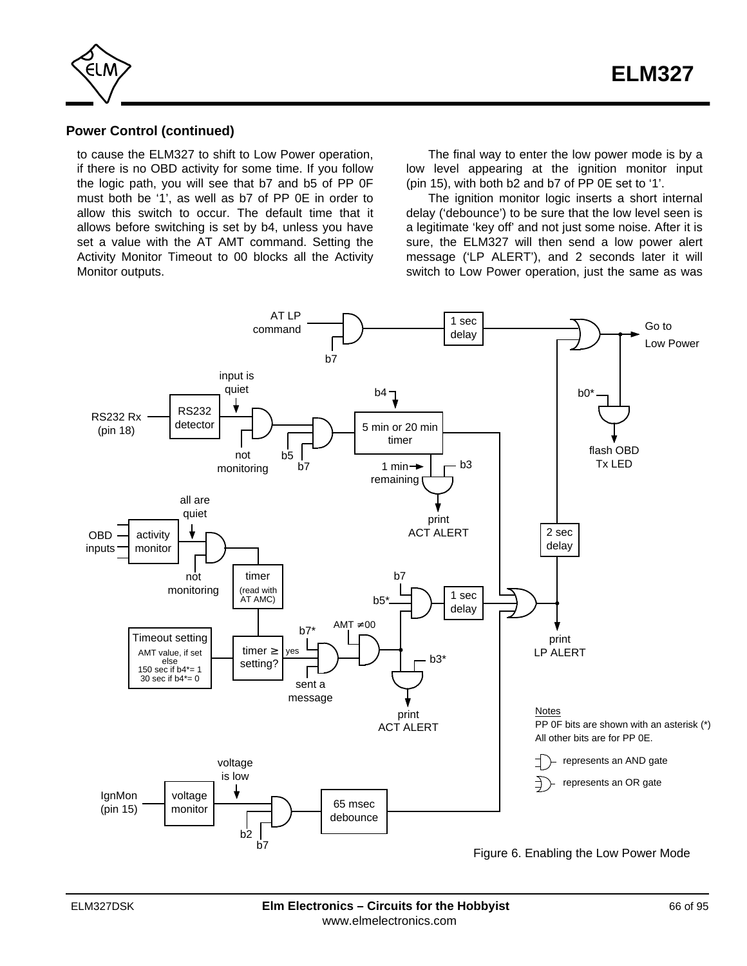

# **Power Control (continued)**

to cause the ELM327 to shift to Low Power operation, if there is no OBD activity for some time. If you follow the logic path, you will see that b7 and b5 of PP 0F must both be '1', as well as b7 of PP 0E in order to allow this switch to occur. The default time that it allows before switching is set by b4, unless you have set a value with the AT AMT command. Setting the Activity Monitor Timeout to 00 blocks all the Activity Monitor outputs.

The final way to enter the low power mode is by a low level appearing at the ignition monitor input (pin 15), with both b2 and b7 of PP 0E set to '1'.

The ignition monitor logic inserts a short internal delay ('debounce') to be sure that the low level seen is a legitimate 'key off' and not just some noise. After it is sure, the ELM327 will then send a low power alert message ('LP ALERT'), and 2 seconds later it will switch to Low Power operation, just the same as was

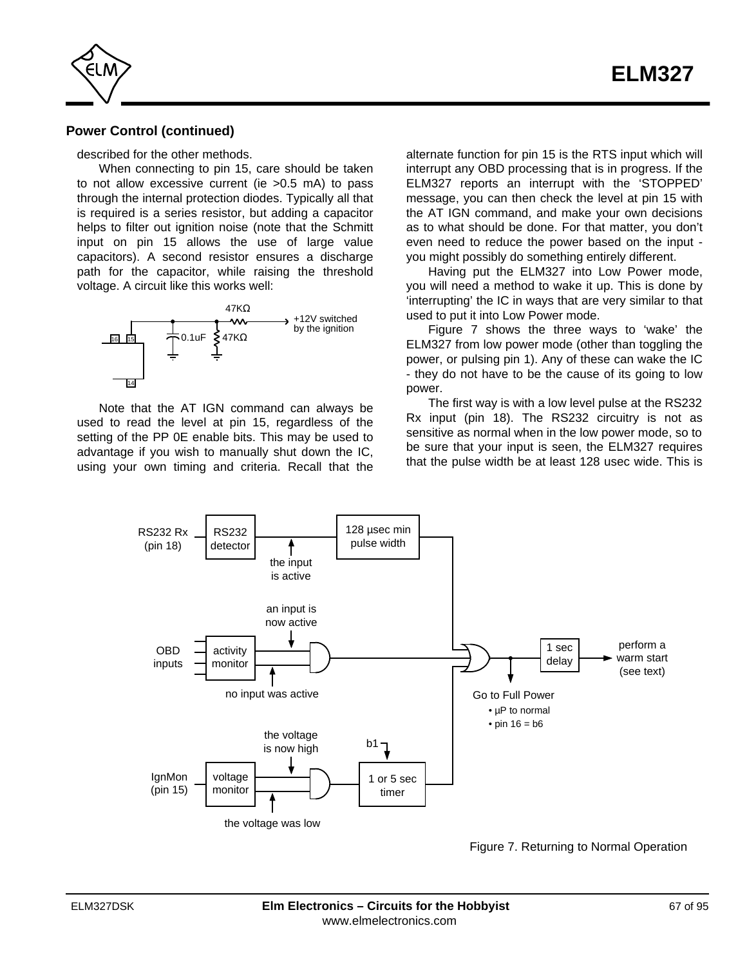

## **Power Control (continued)**

described for the other methods.

When connecting to pin 15, care should be taken to not allow excessive current (ie >0.5 mA) to pass through the internal protection diodes. Typically all that is required is a series resistor, but adding a capacitor helps to filter out ignition noise (note that the Schmitt input on pin 15 allows the use of large value capacitors). A second resistor ensures a discharge path for the capacitor, while raising the threshold voltage. A circuit like this works well:



Note that the AT IGN command can always be used to read the level at pin 15, regardless of the setting of the PP 0E enable bits. This may be used to advantage if you wish to manually shut down the IC, using your own timing and criteria. Recall that the alternate function for pin 15 is the RTS input which will interrupt any OBD processing that is in progress. If the ELM327 reports an interrupt with the 'STOPPED' message, you can then check the level at pin 15 with the AT IGN command, and make your own decisions as to what should be done. For that matter, you don't even need to reduce the power based on the input you might possibly do something entirely different.

Having put the ELM327 into Low Power mode, you will need a method to wake it up. This is done by 'interrupting' the IC in ways that are very similar to that used to put it into Low Power mode.

Figure 7 shows the three ways to 'wake' the ELM327 from low power mode (other than toggling the power, or pulsing pin 1). Any of these can wake the IC - they do not have to be the cause of its going to low power.

The first way is with a low level pulse at the RS232 Rx input (pin 18). The RS232 circuitry is not as sensitive as normal when in the low power mode, so to be sure that your input is seen, the ELM327 requires that the pulse width be at least 128 usec wide. This is



Figure 7. Returning to Normal Operation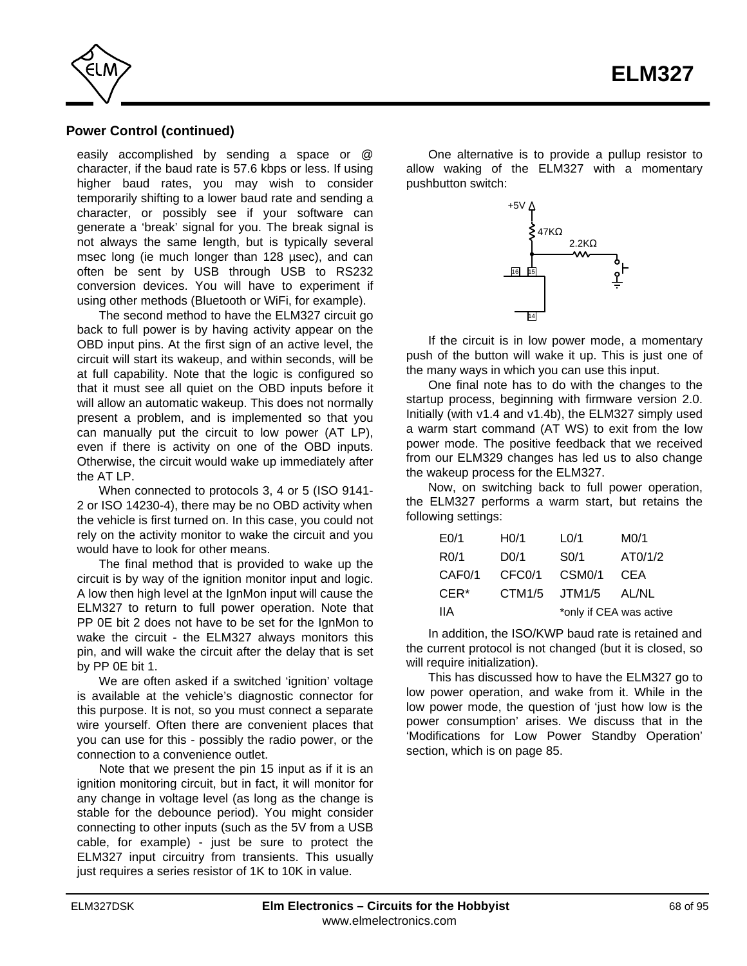

# **Power Control (continued)**

easily accomplished by sending a space or @ character, if the baud rate is 57.6 kbps or less. If using higher baud rates, you may wish to consider temporarily shifting to a lower baud rate and sending a character, or possibly see if your software can generate a 'break' signal for you. The break signal is not always the same length, but is typically several msec long (ie much longer than 128 µsec), and can often be sent by USB through USB to RS232 conversion devices. You will have to experiment if using other methods (Bluetooth or WiFi, for example).

The second method to have the ELM327 circuit go back to full power is by having activity appear on the OBD input pins. At the first sign of an active level, the circuit will start its wakeup, and within seconds, will be at full capability. Note that the logic is configured so that it must see all quiet on the OBD inputs before it will allow an automatic wakeup. This does not normally present a problem, and is implemented so that you can manually put the circuit to low power (AT LP), even if there is activity on one of the OBD inputs. Otherwise, the circuit would wake up immediately after the AT LP.

When connected to protocols 3, 4 or 5 (ISO 9141- 2 or ISO 14230-4), there may be no OBD activity when the vehicle is first turned on. In this case, you could not rely on the activity monitor to wake the circuit and you would have to look for other means.

The final method that is provided to wake up the circuit is by way of the ignition monitor input and logic. A low then high level at the IgnMon input will cause the ELM327 to return to full power operation. Note that PP 0E bit 2 does not have to be set for the IgnMon to wake the circuit - the ELM327 always monitors this pin, and will wake the circuit after the delay that is set by PP 0E bit 1.

We are often asked if a switched 'ignition' voltage is available at the vehicle's diagnostic connector for this purpose. It is not, so you must connect a separate wire yourself. Often there are convenient places that you can use for this - possibly the radio power, or the connection to a convenience outlet.

Note that we present the pin 15 input as if it is an ignition monitoring circuit, but in fact, it will monitor for any change in voltage level (as long as the change is stable for the debounce period). You might consider connecting to other inputs (such as the 5V from a USB cable, for example) - just be sure to protect the ELM327 input circuitry from transients. This usually just requires a series resistor of 1K to 10K in value.

One alternative is to provide a pullup resistor to allow waking of the ELM327 with a momentary pushbutton switch:



If the circuit is in low power mode, a momentary push of the button will wake it up. This is just one of the many ways in which you can use this input.

One final note has to do with the changes to the startup process, beginning with firmware version 2.0. Initially (with v1.4 and v1.4b), the ELM327 simply used a warm start command (AT WS) to exit from the low power mode. The positive feedback that we received from our ELM329 changes has led us to also change the wakeup process for the ELM327.

Now, on switching back to full power operation, the ELM327 performs a warm start, but retains the following settings:

| E <sub>0/1</sub>    | H <sub>0/1</sub>    | L <sub>0/1</sub>    | M <sub>0/1</sub>        |
|---------------------|---------------------|---------------------|-------------------------|
| R <sub>0</sub> /1   | D <sub>0/1</sub>    | SO/1                | AT0/1/2                 |
| CAF <sub>0</sub> /1 | CFC <sub>0</sub> /1 | CSM <sub>0</sub> /1 | CEA                     |
| CER <sup>*</sup>    | CTM1/5              | JTM1/5              | AL/NL                   |
| 11A                 |                     |                     | *only if CEA was active |

In addition, the ISO/KWP baud rate is retained and the current protocol is not changed (but it is closed, so will require initialization).

This has discussed how to have the ELM327 go to low power operation, and wake from it. While in the low power mode, the question of 'just how low is the power consumption' arises. We discuss that in the ['Modifications for Low Power Standby Operation'](#page-84-0) section, which is on page 85.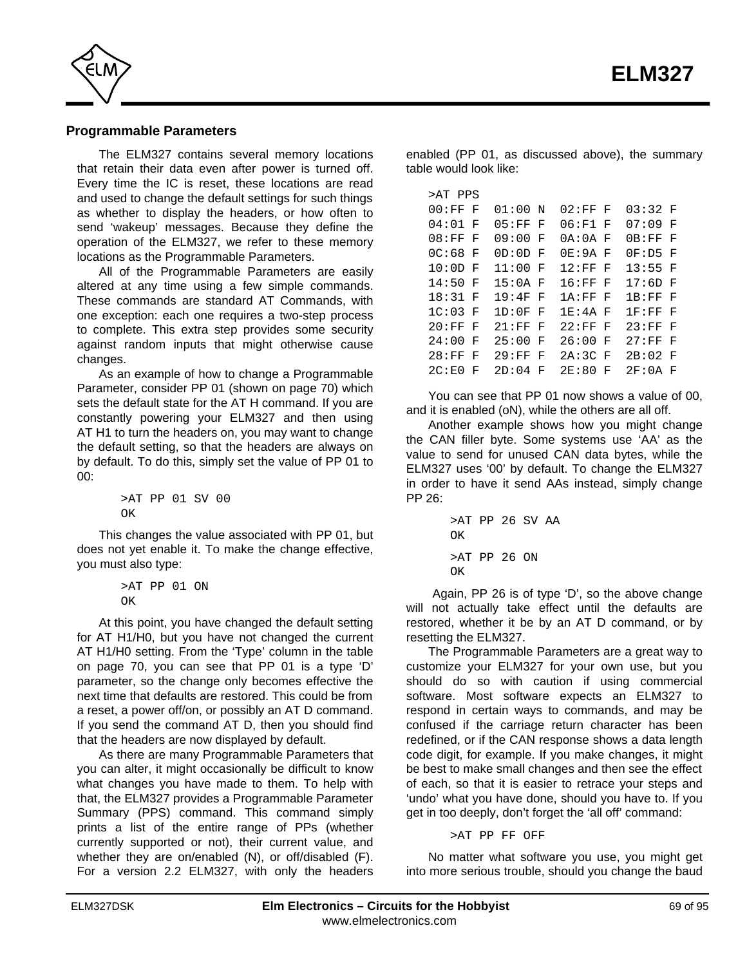<span id="page-68-0"></span>

#### **Programmable Parameters**

The ELM327 contains several memory locations that retain their data even after power is turned off. Every time the IC is reset, these locations are read and used to change the default settings for such things as whether to display the headers, or how often to send 'wakeup' messages. Because they define the operation of the ELM327, we refer to these memory locations as the Programmable Parameters.

All of the Programmable Parameters are easily altered at any time using a few simple commands. These commands are standard AT Commands, with one exception: each one requires a two-step process to complete. This extra step provides some security against random inputs that might otherwise cause changes.

As an example of how to change a Programmable Parameter, consid[er PP 01 \(shown on page 70\) w](#page-69-0)hich sets the default state for the AT H command. If you are constantly powering your ELM327 and then using AT H1 to turn the headers on, you may want to change the default setting, so that the headers are always on by default. To do this, simply set the value of PP 01 to 00:

```
>AT PP 01 SV 00
OK
```
This changes the value associated with PP 01, but does not yet enable it. To make the change effective, you must also type:

```
>AT PP 01 ON
\capK
```
At this point, you have changed the default setting for AT H1/H0, but you have not changed the current AT H1/H0 setting. From the 'Type' column in the table [on page 70,](#page-69-0) you can see that PP 01 is a type 'D' parameter, so the change only becomes effective the next time that defaults are restored. This could be from a reset, a power off/on, or possibly an AT D command. If you send the command AT D, then you should find that the headers are now displayed by default.

As there are many Programmable Parameters that you can alter, it might occasionally be difficult to know what changes you have made to them. To help with that, the ELM327 provides a Programmable Parameter Summary (PPS) command. This command simply prints a list of the entire range of PPs (whether currently supported or not), their current value, and whether they are on/enabled (N), or off/disabled (F). For a version 2.2 ELM327, with only the headers enabled (PP 01, as discussed above), the summary table would look like:

| >AT PPS            |    |           |   |           |   |           |   |
|--------------------|----|-----------|---|-----------|---|-----------|---|
| 00:FF              | ਾ  | $01:00$ N |   | $02:FF$ F |   | $03:32$ F |   |
| 04:01              | F  | $05:FF$ F |   | 06:F1 F   |   | 07:09     | F |
| 08:FF              | F  | $09:00$ F |   | $0A:0A$ F |   | 0B:FF     | F |
| $0C:68$ F          |    | $0D:0D$ F |   | $0E:9A$ F |   | 0F:D5F    |   |
| $10:0D$ F          |    | $11:00$ F |   | $12:FF$ F |   | 13:55 F   |   |
| 14:50 F            |    | 15:0A F   |   | $16:FF$ F |   | 17:6D F   |   |
| 18:31              | F  | 19:4F     | F | 1A:FF     | F | 1B:FF     | F |
| 1C:03              | ਾਜ | 1D:0F     | F | 1E:4A     | F | 1F : FF   | F |
| 20:FF              | F  | 21:FF     | F | 22:FF     | F | 23:FF     | F |
| 24:00              | F  | 25:00     | F | 26:00     | F | 27:FF     | F |
| 28:FF              | F  | 29:FF     | F | 2A: 3C    | F | $2B:02$ F |   |
| 2C: E <sub>0</sub> | F  | 2D:04     | F | 2E:80     | F | $2F:0A$ F |   |

You can see that PP 01 now shows a value of 00, and it is enabled (oN), while the others are all off.

Another example shows how you might change the CAN filler byte. Some systems use 'AA' as the value to send for unused CAN data bytes, while the ELM327 uses '00' by default. To change the ELM327 in order to have it send AAs instead, simply change PP 26:

```
>AT PP 26 SV AA
\capK
>AT PP 26 ON
\capK
```
 Again, PP 26 is of type 'D', so the above change will not actually take effect until the defaults are restored, whether it be by an AT D command, or by resetting the ELM327.

The Programmable Parameters are a great way to customize your ELM327 for your own use, but you should do so with caution if using commercial software. Most software expects an ELM327 to respond in certain ways to commands, and may be confused if the carriage return character has been redefined, or if the CAN response shows a data length code digit, for example. If you make changes, it might be best to make small changes and then see the effect of each, so that it is easier to retrace your steps and 'undo' what you have done, should you have to. If you get in too deeply, don't forget the 'all off' command:

>AT PP FF OFF

No matter what software you use, you might get into more serious trouble, should you change the baud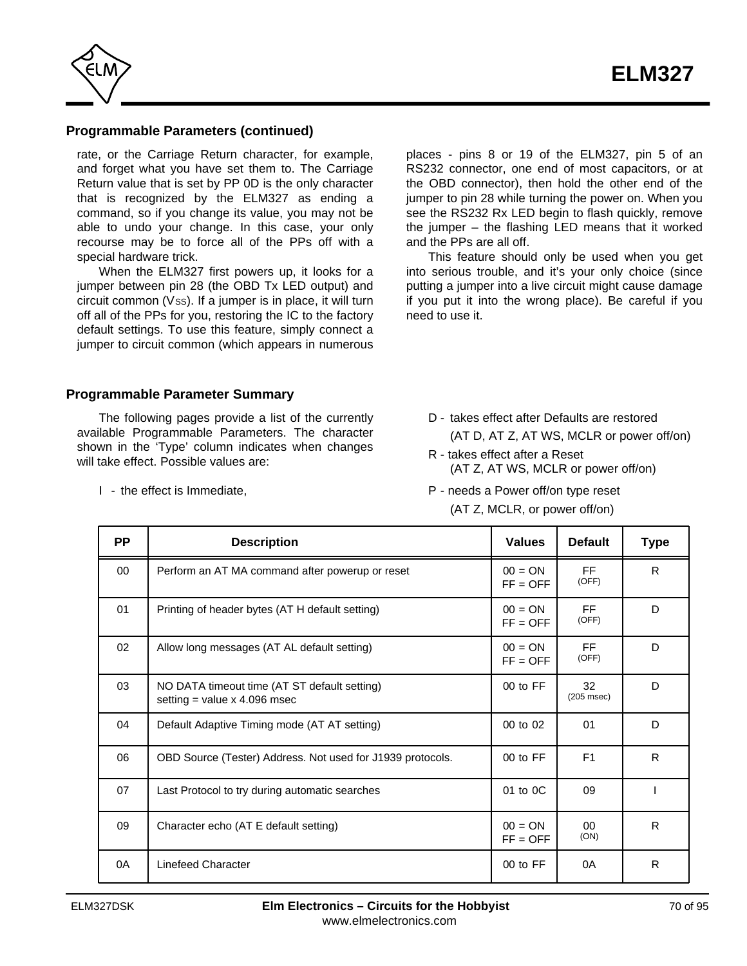<span id="page-69-0"></span>

# **Programmable Parameters (continued)**

rate, or the Carriage Return character, for example, and forget what you have set them to. The Carriage Return value that is set by PP 0D is the only character that is recognized by the ELM327 as ending a command, so if you change its value, you may not be able to undo your change. In this case, your only recourse may be to force all of the PPs off with a special hardware trick.

When the ELM327 first powers up, it looks for a jumper between pin 28 (the OBD Tx LED output) and circuit common (Vss). If a jumper is in place, it will turn off all of the PPs for you, restoring the IC to the factory default settings. To use this feature, simply connect a jumper to circuit common (which appears in numerous

places - pins 8 or 19 of the ELM327, pin 5 of an RS232 connector, one end of most capacitors, or at the OBD connector), then hold the other end of the jumper to pin 28 while turning the power on. When you see the RS232 Rx LED begin to flash quickly, remove the jumper – the flashing LED means that it worked and the PPs are all off.

This feature should only be used when you get into serious trouble, and it's your only choice (since putting a jumper into a live circuit might cause damage if you put it into the wrong place). Be careful if you need to use it.

#### **Programmable Parameter Summary**

The following pages provide a list of the currently available Programmable Parameters. The character shown in the 'Type' column indicates when changes will take effect. Possible values are:

I - the effect is Immediate,

- D takes effect after Defaults are restored (AT D, AT Z, AT WS, MCLR or power off/on)
- R takes effect after a Reset (AT Z, AT WS, MCLR or power off/on)
- P needs a Power off/on type reset (AT Z, MCLR, or power off/on)

| <b>PP</b> | <b>Description</b>                                                             | <b>Values</b>           | <b>Default</b>        | <b>Type</b>  |
|-----------|--------------------------------------------------------------------------------|-------------------------|-----------------------|--------------|
| 00        | Perform an AT MA command after powerup or reset                                | $00 = ON$<br>$FF = OFF$ | FF<br>(OFF)           | R            |
| 01        | Printing of header bytes (AT H default setting)                                | $00 = ON$<br>$FF = OFF$ | FF.<br>(OFF)          | D            |
| 02        | Allow long messages (AT AL default setting)                                    | $00 = ON$<br>$FF = OFF$ | <b>FF</b><br>(OFF)    | D            |
| 03        | NO DATA timeout time (AT ST default setting)<br>setting = value $x$ 4.096 msec | 00 to FF                | 32<br>$(205$ msec $)$ | D            |
| 04        | Default Adaptive Timing mode (AT AT setting)                                   | 00 to 02                | 01                    | D            |
| 06        | OBD Source (Tester) Address. Not used for J1939 protocols.                     | 00 to FF                | F1                    | R            |
| 07        | Last Protocol to try during automatic searches                                 | 01 to 0C                | 09                    |              |
| 09        | Character echo (AT E default setting)                                          | $00 = ON$<br>$FF = OFF$ | 00<br>(ON)            | R            |
| 0A        | <b>Linefeed Character</b>                                                      | 00 to FF                | 0A                    | $\mathsf{R}$ |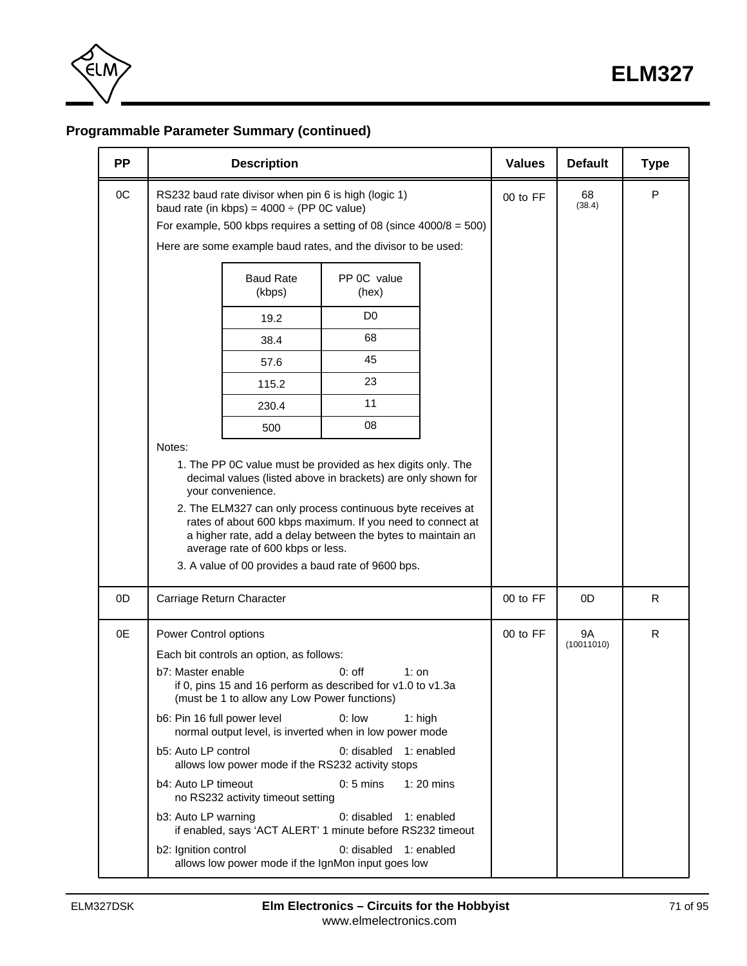

# **Programmable Parameter Summary (continued)**

| <b>Description</b>                                                                                                                                                                                                                                                                                                                                             | <b>Values</b> | <b>Default</b>                                                                                                                                                                                                                                                                                                                                                                                                                                                                                                                                                                                                                                                                                                                                                                                                                                                                                                                      | <b>Type</b>             |   |
|----------------------------------------------------------------------------------------------------------------------------------------------------------------------------------------------------------------------------------------------------------------------------------------------------------------------------------------------------------------|---------------|-------------------------------------------------------------------------------------------------------------------------------------------------------------------------------------------------------------------------------------------------------------------------------------------------------------------------------------------------------------------------------------------------------------------------------------------------------------------------------------------------------------------------------------------------------------------------------------------------------------------------------------------------------------------------------------------------------------------------------------------------------------------------------------------------------------------------------------------------------------------------------------------------------------------------------------|-------------------------|---|
| RS232 baud rate divisor when pin 6 is high (logic 1)<br>baud rate (in kbps) = $4000 \div (PP \ 0C \ value)$                                                                                                                                                                                                                                                    | 00 to FF      | 68<br>(38.4)                                                                                                                                                                                                                                                                                                                                                                                                                                                                                                                                                                                                                                                                                                                                                                                                                                                                                                                        | P                       |   |
| <b>Baud Rate</b><br>PP 0C value<br>(kbps)<br>(hex)                                                                                                                                                                                                                                                                                                             |               |                                                                                                                                                                                                                                                                                                                                                                                                                                                                                                                                                                                                                                                                                                                                                                                                                                                                                                                                     |                         |   |
| D <sub>0</sub><br>19.2                                                                                                                                                                                                                                                                                                                                         |               |                                                                                                                                                                                                                                                                                                                                                                                                                                                                                                                                                                                                                                                                                                                                                                                                                                                                                                                                     |                         |   |
| 68<br>38.4                                                                                                                                                                                                                                                                                                                                                     |               |                                                                                                                                                                                                                                                                                                                                                                                                                                                                                                                                                                                                                                                                                                                                                                                                                                                                                                                                     |                         |   |
| 45<br>57.6                                                                                                                                                                                                                                                                                                                                                     |               |                                                                                                                                                                                                                                                                                                                                                                                                                                                                                                                                                                                                                                                                                                                                                                                                                                                                                                                                     |                         |   |
| 23<br>115.2                                                                                                                                                                                                                                                                                                                                                    |               |                                                                                                                                                                                                                                                                                                                                                                                                                                                                                                                                                                                                                                                                                                                                                                                                                                                                                                                                     |                         |   |
| 11<br>230.4                                                                                                                                                                                                                                                                                                                                                    |               |                                                                                                                                                                                                                                                                                                                                                                                                                                                                                                                                                                                                                                                                                                                                                                                                                                                                                                                                     |                         |   |
| 08<br>500                                                                                                                                                                                                                                                                                                                                                      |               |                                                                                                                                                                                                                                                                                                                                                                                                                                                                                                                                                                                                                                                                                                                                                                                                                                                                                                                                     |                         |   |
| your convenience.<br>average rate of 600 kbps or less.                                                                                                                                                                                                                                                                                                         |               |                                                                                                                                                                                                                                                                                                                                                                                                                                                                                                                                                                                                                                                                                                                                                                                                                                                                                                                                     |                         |   |
| Carriage Return Character                                                                                                                                                                                                                                                                                                                                      |               | 00 to FF                                                                                                                                                                                                                                                                                                                                                                                                                                                                                                                                                                                                                                                                                                                                                                                                                                                                                                                            | 0 <sub>D</sub>          | R |
| Power Control options<br>Each bit controls an option, as follows:<br>b7: Master enable<br>$0:$ off<br>(must be 1 to allow any Low Power functions)<br>$0:$ low<br>b6: Pin 16 full power level<br>b5: Auto LP control<br>b4: Auto LP timeout<br>$0:5$ mins<br>no RS232 activity timeout setting<br>b3: Auto LP warning<br>$0:$ disabled<br>b2: Ignition control |               | 00 to FF                                                                                                                                                                                                                                                                                                                                                                                                                                                                                                                                                                                                                                                                                                                                                                                                                                                                                                                            | <b>9A</b><br>(10011010) | R |
|                                                                                                                                                                                                                                                                                                                                                                | Notes:        | For example, 500 kbps requires a setting of 08 (since $4000/8 = 500$ )<br>Here are some example baud rates, and the divisor to be used:<br>1. The PP 0C value must be provided as hex digits only. The<br>decimal values (listed above in brackets) are only shown for<br>2. The ELM327 can only process continuous byte receives at<br>rates of about 600 kbps maximum. If you need to connect at<br>a higher rate, add a delay between the bytes to maintain an<br>3. A value of 00 provides a baud rate of 9600 bps.<br>$1:$ on<br>if 0, pins 15 and 16 perform as described for v1.0 to v1.3a<br>$1:$ high<br>normal output level, is inverted when in low power mode<br>0: disabled 1: enabled<br>allows low power mode if the RS232 activity stops<br>$1:20$ mins<br>1: enabled<br>if enabled, says 'ACT ALERT' 1 minute before RS232 timeout<br>0: disabled 1: enabled<br>allows low power mode if the IgnMon input goes low |                         |   |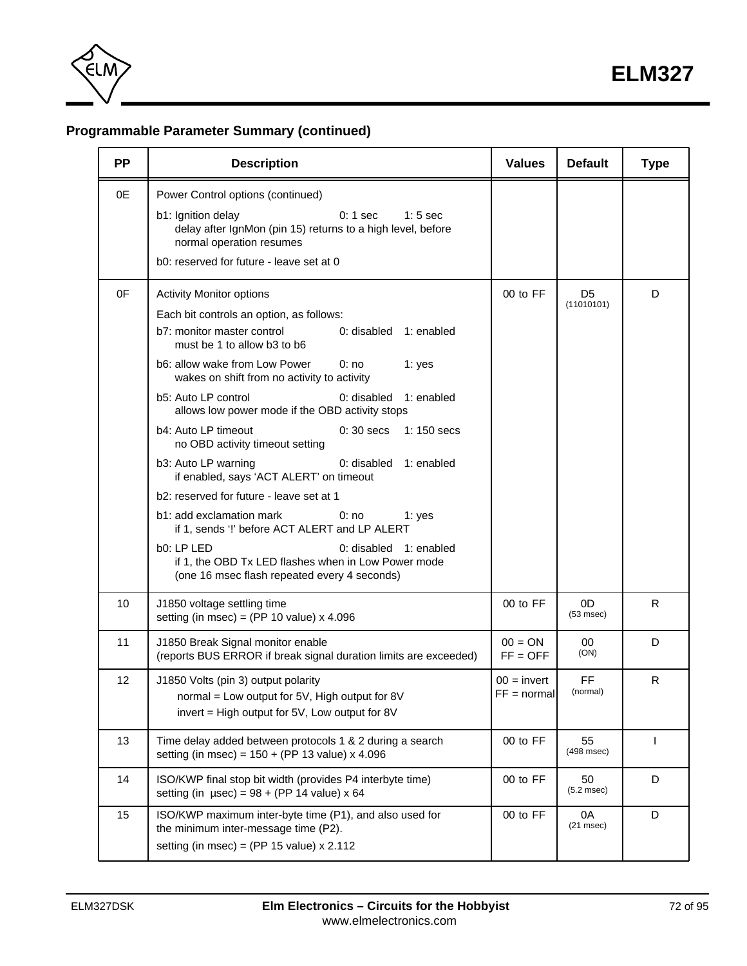

# **Programmable Parameter Summary (continued)**

| <b>PP</b> | <b>Description</b>                                                                                                                                                                                                                                                                                                                                                                                                                                                                                                                                                                                                                                                                                                                                                                                                                                                 | <b>Values</b>                  | <b>Default</b>               | <b>Type</b>              |
|-----------|--------------------------------------------------------------------------------------------------------------------------------------------------------------------------------------------------------------------------------------------------------------------------------------------------------------------------------------------------------------------------------------------------------------------------------------------------------------------------------------------------------------------------------------------------------------------------------------------------------------------------------------------------------------------------------------------------------------------------------------------------------------------------------------------------------------------------------------------------------------------|--------------------------------|------------------------------|--------------------------|
| 0E        | Power Control options (continued)<br>b1: Ignition delay<br>$0:1$ sec<br>$1:5$ sec<br>delay after IgnMon (pin 15) returns to a high level, before<br>normal operation resumes<br>b0: reserved for future - leave set at 0                                                                                                                                                                                                                                                                                                                                                                                                                                                                                                                                                                                                                                           |                                |                              |                          |
| 0F        | <b>Activity Monitor options</b><br>Each bit controls an option, as follows:<br>b7: monitor master control<br>0: disabled<br>1: enabled<br>must be 1 to allow b3 to b6<br>b6: allow wake from Low Power<br>0: no<br>1: yes<br>wakes on shift from no activity to activity<br>b5: Auto LP control<br>0: disabled<br>1: enabled<br>allows low power mode if the OBD activity stops<br>b4: Auto LP timeout<br>$0:30$ secs<br>$1:150$ secs<br>no OBD activity timeout setting<br>b3: Auto LP warning<br>0: disabled<br>1: enabled<br>if enabled, says 'ACT ALERT' on timeout<br>b2: reserved for future - leave set at 1<br>b1: add exclamation mark<br>0: no<br>1: yes<br>if 1, sends '!' before ACT ALERT and LP ALERT<br>b0: LP LED<br>0: disabled 1: enabled<br>if 1, the OBD Tx LED flashes when in Low Power mode<br>(one 16 msec flash repeated every 4 seconds) | 00 to FF                       | D <sub>5</sub><br>(11010101) | D                        |
| 10        | J1850 voltage settling time<br>setting (in msec) = (PP 10 value) $x$ 4.096                                                                                                                                                                                                                                                                                                                                                                                                                                                                                                                                                                                                                                                                                                                                                                                         | 00 to FF                       | 0D<br>$(53$ msec $)$         | R                        |
| 11        | J1850 Break Signal monitor enable<br>(reports BUS ERROR if break signal duration limits are exceeded)                                                                                                                                                                                                                                                                                                                                                                                                                                                                                                                                                                                                                                                                                                                                                              | $00 = ON$<br>$FF = OFF$        | 00<br>(ON)                   | D                        |
| 12        | J1850 Volts (pin 3) output polarity<br>normal = Low output for 5V, High output for 8V<br>invert = High output for 5V, Low output for 8V                                                                                                                                                                                                                                                                                                                                                                                                                                                                                                                                                                                                                                                                                                                            | $00 =$ invert<br>$FF = normal$ | <b>FF</b><br>(normal)        | R                        |
| 13        | Time delay added between protocols 1 & 2 during a search<br>setting (in msec) = $150 + (PP 13 value) \times 4.096$                                                                                                                                                                                                                                                                                                                                                                                                                                                                                                                                                                                                                                                                                                                                                 | 00 to FF                       | 55<br>$(498$ msec)           | $\overline{\phantom{a}}$ |
| 14        | ISO/KWP final stop bit width (provides P4 interbyte time)<br>setting (in $\mu$ sec) = 98 + (PP 14 value) x 64                                                                                                                                                                                                                                                                                                                                                                                                                                                                                                                                                                                                                                                                                                                                                      | 00 to FF                       | 50<br>$(5.2$ msec $)$        | D                        |
| 15        | ISO/KWP maximum inter-byte time (P1), and also used for<br>the minimum inter-message time (P2).<br>setting (in msec) = (PP 15 value) $x$ 2.112                                                                                                                                                                                                                                                                                                                                                                                                                                                                                                                                                                                                                                                                                                                     | 00 to FF                       | 0A<br>$(21$ msec $)$         | D                        |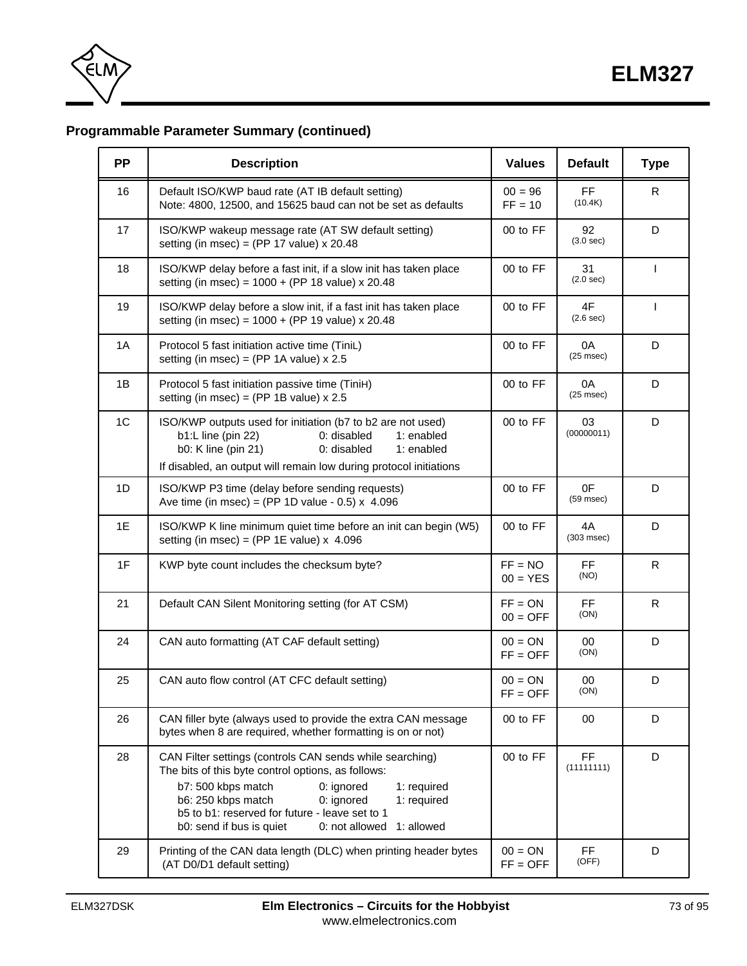<span id="page-72-0"></span>

## **Programmable Parameter Summary (continued)**

| <b>PP</b>      | <b>Description</b>                                                                                                                                                                                                                                                                                                                 | <b>Values</b>           | <b>Default</b>          | <b>Type</b>  |
|----------------|------------------------------------------------------------------------------------------------------------------------------------------------------------------------------------------------------------------------------------------------------------------------------------------------------------------------------------|-------------------------|-------------------------|--------------|
| 16             | Default ISO/KWP baud rate (AT IB default setting)<br>Note: 4800, 12500, and 15625 baud can not be set as defaults                                                                                                                                                                                                                  | $00 = 96$<br>$FF = 10$  | FF.<br>(10.4K)          | R            |
| 17             | ISO/KWP wakeup message rate (AT SW default setting)<br>setting (in msec) = (PP 17 value) $x$ 20.48                                                                                                                                                                                                                                 | 00 to FF                | 92<br>(3.0 sec)         | D            |
| 18             | ISO/KWP delay before a fast init, if a slow init has taken place<br>setting (in msec) = $1000 + (PP 18$ value) x 20.48                                                                                                                                                                                                             | 00 to FF                | 31<br>(2.0 sec)         | $\mathsf{I}$ |
| 19             | ISO/KWP delay before a slow init, if a fast init has taken place<br>setting (in msec) = $1000 + (PP 19$ value) x 20.48                                                                                                                                                                                                             | 00 to FF                | 4F<br>(2.6 sec)         | $\mathbf{I}$ |
| 1A             | Protocol 5 fast initiation active time (TiniL)<br>setting (in msec) = (PP 1A value) $x 2.5$                                                                                                                                                                                                                                        | 00 to FF                | 0A<br>$(25$ msec $)$    | D            |
| 1B             | Protocol 5 fast initiation passive time (TiniH)<br>setting (in msec) = (PP 1B value) $x 2.5$                                                                                                                                                                                                                                       | 00 to FF                | 0A<br>$(25$ msec $)$    | D            |
| 1 <sup>C</sup> | ISO/KWP outputs used for initiation (b7 to b2 are not used)<br>b1:L line (pin 22)<br>0: disabled<br>1: enabled<br>b0: K line (pin 21)<br>0: disabled<br>1: enabled<br>If disabled, an output will remain low during protocol initiations                                                                                           | 00 to FF                | 03<br>(00000011)        | D            |
| 1D             | ISO/KWP P3 time (delay before sending requests)<br>Ave time (in msec) = (PP 1D value - 0.5) $\times$ 4.096                                                                                                                                                                                                                         | 00 to FF                | 0F<br>$(59$ msec $)$    | D            |
| 1E             | ISO/KWP K line minimum quiet time before an init can begin (W5)<br>setting (in msec) = (PP 1E value) $x$ 4.096                                                                                                                                                                                                                     | 00 to FF                | 4A<br>$(303$ msec $)$   | D            |
| 1F             | KWP byte count includes the checksum byte?                                                                                                                                                                                                                                                                                         | $FF = NO$<br>$00 = YES$ | <b>FF</b><br>(NO)       | R            |
| 21             | Default CAN Silent Monitoring setting (for AT CSM)                                                                                                                                                                                                                                                                                 | $FF = ON$<br>$00 = OFF$ | <b>FF</b><br>(ON)       | R            |
| 24             | CAN auto formatting (AT CAF default setting)                                                                                                                                                                                                                                                                                       | $00 = ON$<br>$FF = OFF$ | 00<br>(ON)              | D            |
| 25             | CAN auto flow control (AT CFC default setting)                                                                                                                                                                                                                                                                                     | $00 = ON$<br>$FF = OFF$ | 00<br>(ON)              | D            |
| 26             | CAN filler byte (always used to provide the extra CAN message<br>bytes when 8 are required, whether formatting is on or not)                                                                                                                                                                                                       | 00 to FF                | 00                      | D            |
| 28             | CAN Filter settings (controls CAN sends while searching)<br>The bits of this byte control options, as follows:<br>b7: 500 kbps match<br>0: ignored<br>1: required<br>b6: 250 kbps match<br>0: ignored<br>1: required<br>b5 to b1: reserved for future - leave set to 1<br>b0: send if bus is quiet<br>1: allowed<br>0: not allowed | 00 to FF                | <b>FF</b><br>(11111111) | D            |
| 29             | Printing of the CAN data length (DLC) when printing header bytes<br>(AT D0/D1 default setting)                                                                                                                                                                                                                                     | $00 = ON$<br>$FF = OFF$ | FF<br>(OFF)             | D            |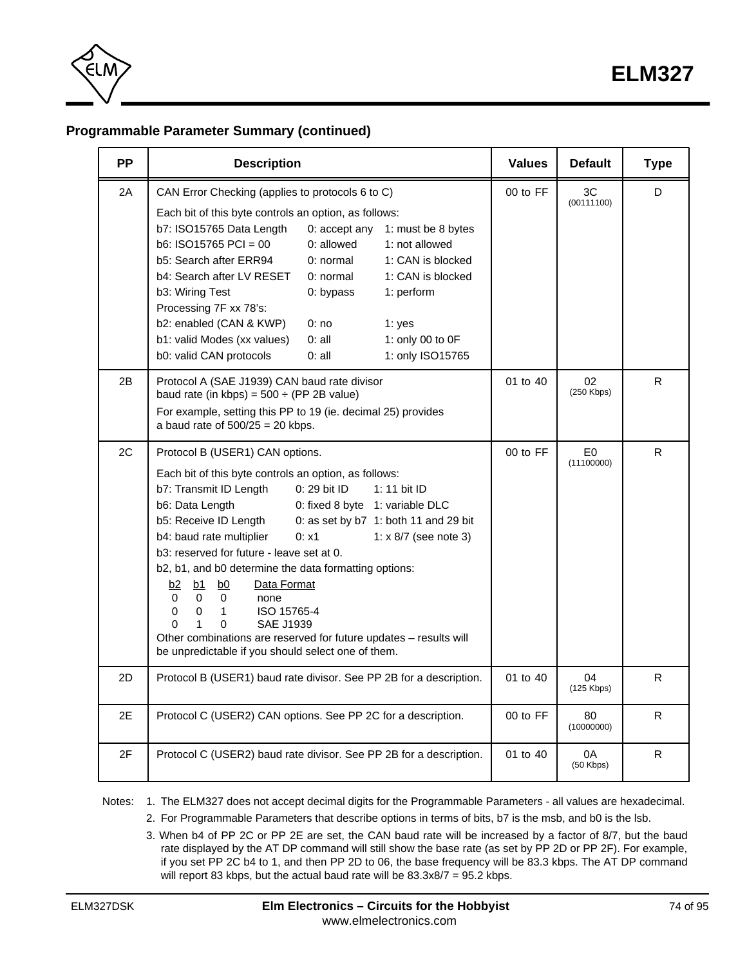<span id="page-73-0"></span>

## **Programmable Parameter Summary (continued)**

| <b>PP</b> | <b>Description</b>                                                                                                                                                                                                                                                                                                                                                                                                                                                                                                                                                                                                                                                                                                                                                           | <b>Values</b> | <b>Default</b>               | <b>Type</b> |
|-----------|------------------------------------------------------------------------------------------------------------------------------------------------------------------------------------------------------------------------------------------------------------------------------------------------------------------------------------------------------------------------------------------------------------------------------------------------------------------------------------------------------------------------------------------------------------------------------------------------------------------------------------------------------------------------------------------------------------------------------------------------------------------------------|---------------|------------------------------|-------------|
| 2A        | CAN Error Checking (applies to protocols 6 to C)                                                                                                                                                                                                                                                                                                                                                                                                                                                                                                                                                                                                                                                                                                                             | 00 to FF      | 3C<br>(00111100)             | D           |
|           | Each bit of this byte controls an option, as follows:<br>b7: ISO15765 Data Length<br>0: accept any<br>1: must be 8 bytes<br>$b6: ISO15765 PCI = 00$<br>$0:$ allowed<br>1: not allowed<br>b5: Search after ERR94<br>0: normal<br>1: CAN is blocked<br>b4: Search after LV RESET<br>0: normal<br>1: CAN is blocked<br>b3: Wiring Test<br>0: bypass<br>1: perform<br>Processing 7F xx 78's:<br>b2: enabled (CAN & KWP)<br>0:no<br>1: $yes$<br>b1: valid Modes (xx values)<br>0:all<br>1: only 00 to 0F<br>b0: valid CAN protocols<br>1: only ISO15765<br>0:all                                                                                                                                                                                                                  |               |                              |             |
| 2B        | Protocol A (SAE J1939) CAN baud rate divisor<br>baud rate (in kbps) = $500 \div (PP 2B value)$<br>For example, setting this PP to 19 (ie. decimal 25) provides<br>a baud rate of $500/25 = 20$ kbps.                                                                                                                                                                                                                                                                                                                                                                                                                                                                                                                                                                         | 01 to 40      | 02<br>$(250$ Kbps)           | R           |
| 2C        | Protocol B (USER1) CAN options.<br>Each bit of this byte controls an option, as follows:<br>b7: Transmit ID Length<br>0: 29 bit ID<br>1: 11 bit ID<br>b6: Data Length<br>0: fixed 8 byte 1: variable DLC<br>b5: Receive ID Length<br>0: as set by b7 1: both 11 and 29 bit<br>b4: baud rate multiplier<br>0: x1<br>1: $\times$ 8/7 (see note 3)<br>b3: reserved for future - leave set at 0.<br>b2, b1, and b0 determine the data formatting options:<br>Data Format<br>b2<br>b1<br>b0<br>$\Omega$<br>$\Omega$<br>$\Omega$<br>none<br>$\mathbf 0$<br>ISO 15765-4<br>0<br>$\mathbf{1}$<br>$\Omega$<br>$\mathbf{1}$<br>$\Omega$<br><b>SAE J1939</b><br>Other combinations are reserved for future updates - results will<br>be unpredictable if you should select one of them. | 00 to FF      | E <sub>0</sub><br>(11100000) | R.          |
| 2D        | Protocol B (USER1) baud rate divisor. See PP 2B for a description.                                                                                                                                                                                                                                                                                                                                                                                                                                                                                                                                                                                                                                                                                                           | 01 to 40      | 04<br>$(125$ Kbps)           | R.          |
| 2E        | Protocol C (USER2) CAN options. See PP 2C for a description.                                                                                                                                                                                                                                                                                                                                                                                                                                                                                                                                                                                                                                                                                                                 | 00 to FF      | 80<br>(10000000)             | R.          |
| 2F        | Protocol C (USER2) baud rate divisor. See PP 2B for a description.                                                                                                                                                                                                                                                                                                                                                                                                                                                                                                                                                                                                                                                                                                           | 01 to 40      | 0A<br>$(50$ Kbps)            | R.          |

Notes: 1. The ELM327 does not accept decimal digits for the Programmable Parameters - all values are hexadecimal.

- 2. For Programmable Parameters that describe options in terms of bits, b7 is the msb, and b0 is the lsb.
	- 3. When b4 of PP 2C or PP 2E are set, the CAN baud rate will be increased by a factor of 8/7, but the baud rate displayed by the AT DP command will still show the base rate (as set by PP 2D or PP 2F). For example, if you set PP 2C b4 to 1, and then PP 2D to 06, the base frequency will be 83.3 kbps. The AT DP command will report 83 kbps, but the actual baud rate will be 83.3x8/7 = 95.2 kbps.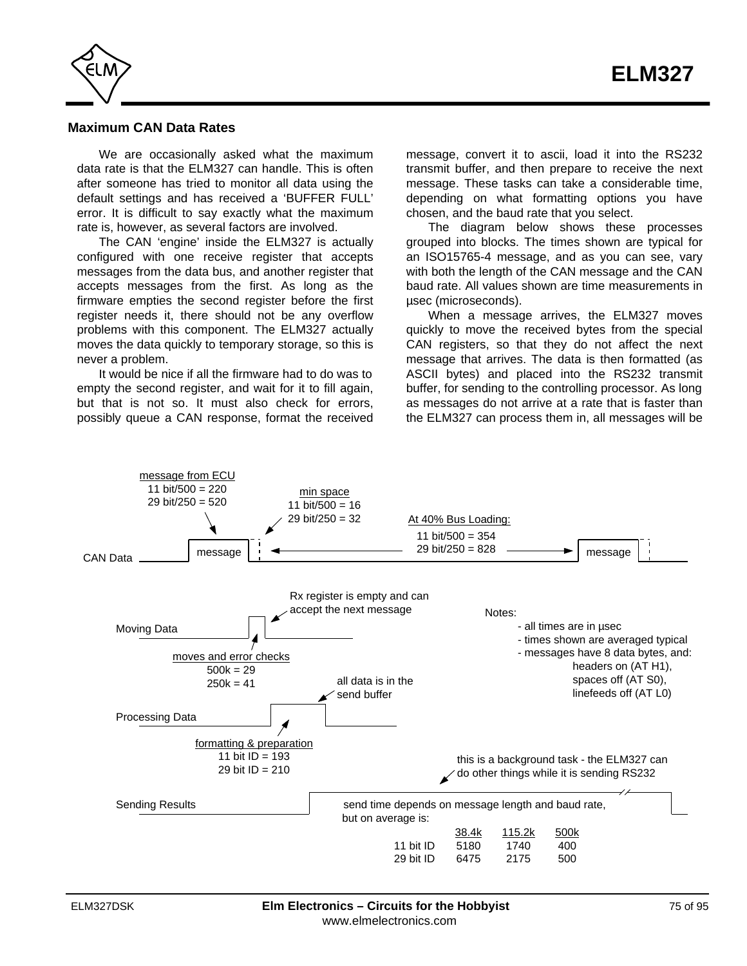<span id="page-74-0"></span>

### **Maximum CAN Data Rates**

We are occasionally asked what the maximum data rate is that the ELM327 can handle. This is often after someone has tried to monitor all data using the default settings and has received a 'BUFFER FULL' error. It is difficult to say exactly what the maximum rate is, however, as several factors are involved.

The CAN 'engine' inside the ELM327 is actually configured with one receive register that accepts messages from the data bus, and another register that accepts messages from the first. As long as the firmware empties the second register before the first register needs it, there should not be any overflow problems with this component. The ELM327 actually moves the data quickly to temporary storage, so this is never a problem.

It would be nice if all the firmware had to do was to empty the second register, and wait for it to fill again, but that is not so. It must also check for errors, possibly queue a CAN response, format the received message, convert it to ascii, load it into the RS232 transmit buffer, and then prepare to receive the next message. These tasks can take a considerable time, depending on what formatting options you have chosen, and the baud rate that you select.

The diagram below shows these processes grouped into blocks. The times shown are typical for an ISO15765-4 message, and as you can see, vary with both the length of the CAN message and the CAN baud rate. All values shown are time measurements in µsec (microseconds).

When a message arrives, the ELM327 moves quickly to move the received bytes from the special CAN registers, so that they do not affect the next message that arrives. The data is then formatted (as ASCII bytes) and placed into the RS232 transmit buffer, for sending to the controlling processor. As long as messages do not arrive at a rate that is faster than the ELM327 can process them in, all messages will be

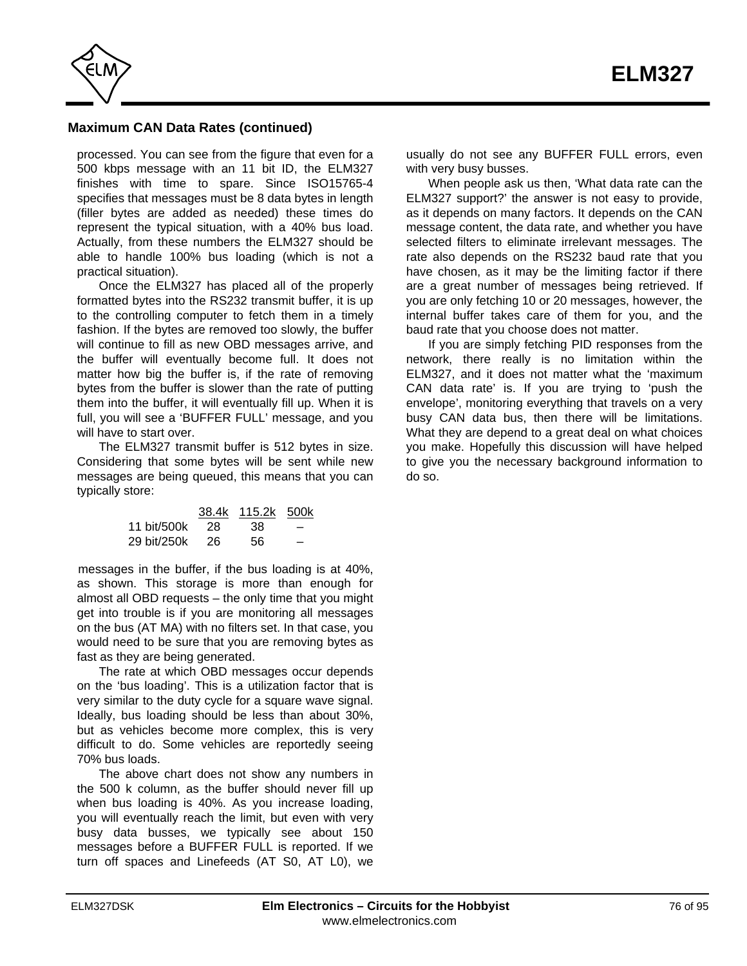

## **Maximum CAN Data Rates (continued)**

processed. You can see from the figure that even for a 500 kbps message with an 11 bit ID, the ELM327 finishes with time to spare. Since ISO15765-4 specifies that messages must be 8 data bytes in length (filler bytes are added as needed) these times do represent the typical situation, with a 40% bus load. Actually, from these numbers the ELM327 should be able to handle 100% bus loading (which is not a practical situation).

Once the ELM327 has placed all of the properly formatted bytes into the RS232 transmit buffer, it is up to the controlling computer to fetch them in a timely fashion. If the bytes are removed too slowly, the buffer will continue to fill as new OBD messages arrive, and the buffer will eventually become full. It does not matter how big the buffer is, if the rate of removing bytes from the buffer is slower than the rate of putting them into the buffer, it will eventually fill up. When it is full, you will see a 'BUFFER FULL' message, and you will have to start over

The ELM327 transmit buffer is 512 bytes in size. Considering that some bytes will be sent while new messages are being queued, this means that you can typically store:

|             |      | 38.4k 115.2k 500k |   |
|-------------|------|-------------------|---|
| 11 bit/500k | - 28 | 38.               | - |
| 29 bit/250k | -26  | 56                | - |

messages in the buffer, if the bus loading is at 40%, as shown. This storage is more than enough for almost all OBD requests – the only time that you might get into trouble is if you are monitoring all messages on the bus (AT MA) with no filters set. In that case, you would need to be sure that you are removing bytes as fast as they are being generated.

The rate at which OBD messages occur depends on the 'bus loading'. This is a utilization factor that is very similar to the duty cycle for a square wave signal. Ideally, bus loading should be less than about 30%, but as vehicles become more complex, this is very difficult to do. Some vehicles are reportedly seeing 70% bus loads.

The above chart does not show any numbers in the 500 k column, as the buffer should never fill up when bus loading is 40%. As you increase loading, you will eventually reach the limit, but even with very busy data busses, we typically see about 150 messages before a BUFFER FULL is reported. If we turn off spaces and Linefeeds (AT S0, AT L0), we

usually do not see any BUFFER FULL errors, even with very busy busses.

When people ask us then, 'What data rate can the ELM327 support?' the answer is not easy to provide, as it depends on many factors. It depends on the CAN message content, the data rate, and whether you have selected filters to eliminate irrelevant messages. The rate also depends on the RS232 baud rate that you have chosen, as it may be the limiting factor if there are a great number of messages being retrieved. If you are only fetching 10 or 20 messages, however, the internal buffer takes care of them for you, and the baud rate that you choose does not matter.

If you are simply fetching PID responses from the network, there really is no limitation within the ELM327, and it does not matter what the 'maximum CAN data rate' is. If you are trying to 'push the envelope', monitoring everything that travels on a very busy CAN data bus, then there will be limitations. What they are depend to a great deal on what choices you make. Hopefully this discussion will have helped to give you the necessary background information to do so.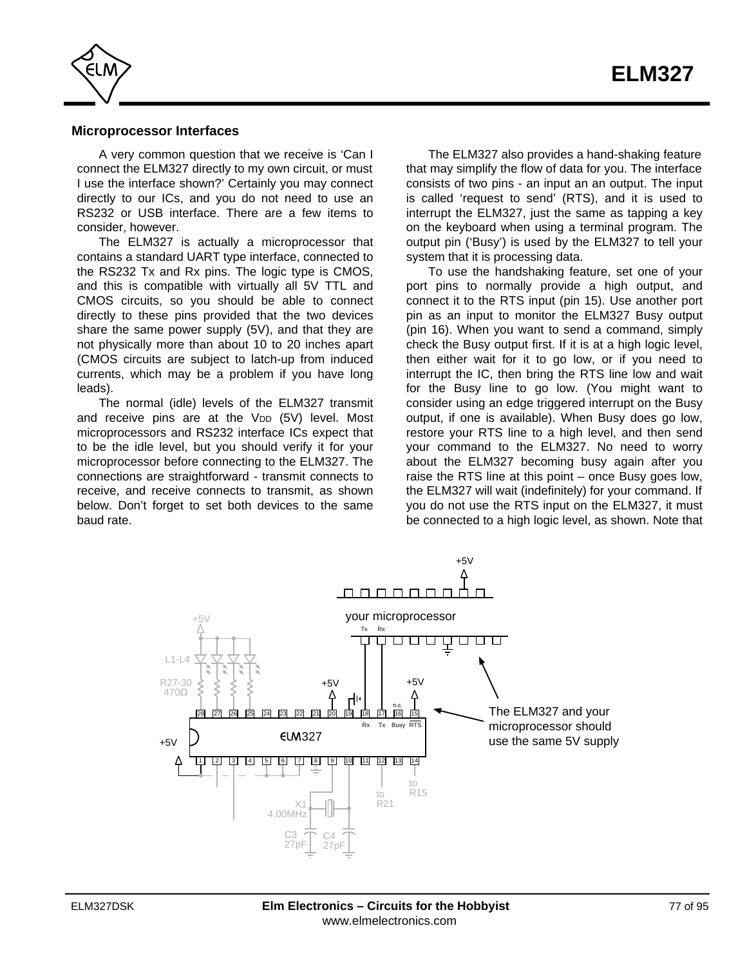<span id="page-76-0"></span>

#### **Microprocessor Interfaces**

A very common question that we receive is 'Can I connect the ELM327 directly to my own circuit, or must I use the interface shown?' Certainly you may connect directly to our ICs, and you do not need to use an RS232 or USB interface. There are a few items to consider, however.

The ELM327 is actually a microprocessor that contains a standard UART type interface, connected to the RS232 Tx and Rx pins. The logic type is CMOS, and this is compatible with virtually all 5V TTL and CMOS circuits, so you should be able to connect directly to these pins provided that the two devices share the same power supply (5V), and that they are not physically more than about 10 to 20 inches apart (CMOS circuits are subject to latch-up from induced currents, which may be a problem if you have long leads).

The normal (idle) levels of the ELM327 transmit and receive pins are at the V<sub>DD</sub> (5V) level. Most microprocessors and RS232 interface ICs expect that to be the idle level, but you should verify it for your microprocessor before connecting to the ELM327. The connections are straightforward - transmit connects to receive, and receive connects to transmit, as shown below. Don't forget to set both devices to the same baud rate.

The ELM327 also provides a hand-shaking feature that may simplify the flow of data for you. The interface consists of two pins - an input an an output. The input is called 'request to send' (RTS), and it is used to interrupt the ELM327, just the same as tapping a key on the keyboard when using a terminal program. The output pin ('Busy') is used by the ELM327 to tell your system that it is processing data.

To use the handshaking feature, set one of your port pins to normally provide a high output, and connect it to the RTS input (pin 15). Use another port pin as an input to monitor the ELM327 Busy output (pin 16). When you want to send a command, simply check the Busy output first. If it is at a high logic level, then either wait for it to go low, or if you need to interrupt the IC, then bring the RTS line low and wait for the Busy line to go low. (You might want to consider using an edge triggered interrupt on the Busy output, if one is available). When Busy does go low, restore your RTS line to a high level, and then send your command to the ELM327. No need to worry about the ELM327 becoming busy again after you raise the RTS line at this point – once Busy goes low, the ELM327 will wait (indefinitely) for your command. If you do not use the RTS input on the ELM327, it must be connected to a high logic level, as shown. Note that

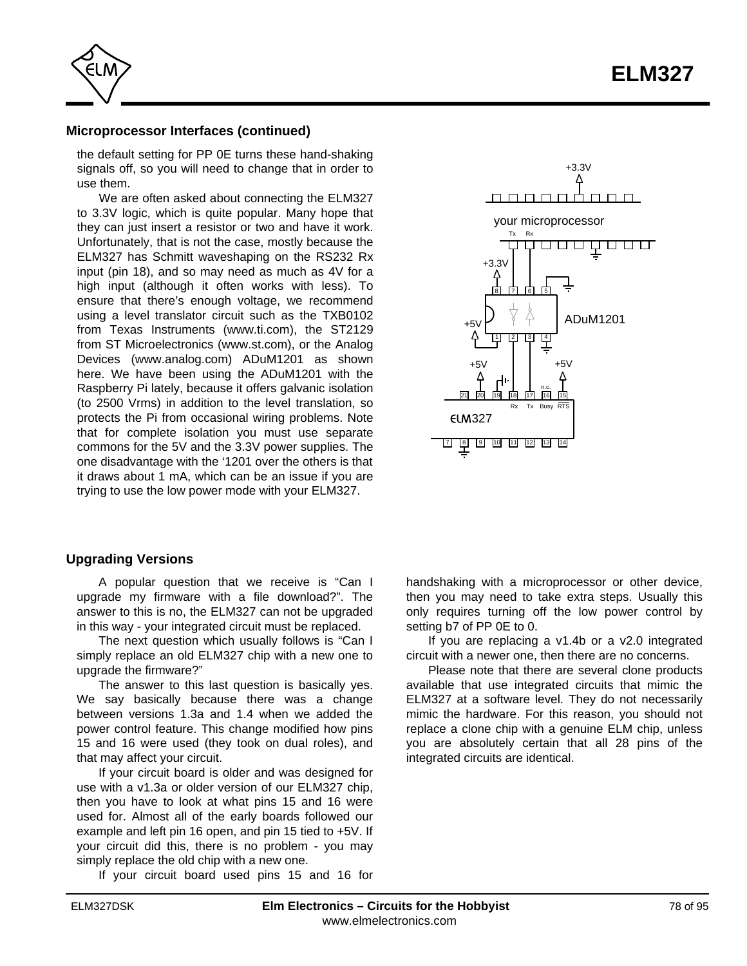<span id="page-77-0"></span>

#### **Microprocessor Interfaces (continued)**

the default setting for PP 0E turns these hand-shaking signals off, so you will need to change that in order to use them.

We are often asked about connecting the ELM327 to 3.3V logic, which is quite popular. Many hope that they can just insert a resistor or two and have it work. Unfortunately, that is not the case, mostly because the ELM327 has Schmitt waveshaping on the RS232 Rx input (pin 18), and so may need as much as 4V for a high input (although it often works with less). To ensure that there's enough voltage, we recommend using a level translator circuit such as the TXB0102 from [Texas Instruments \(www.ti.com\),](http://www.ti.com/) the ST2129 from [ST Microelectronics \(www.st.com\), o](http://www.st.com/)r the Analog [Devices \(www.analog.com\) ADuM1201](http://www.analog.com/) as shown here. We have been using the ADuM1201 with the Raspberry Pi lately, because it offers galvanic isolation (to 2500 Vrms) in addition to the level translation, so protects the Pi from occasional wiring problems. Note that for complete isolation you must use separate commons for the 5V and the 3.3V power supplies. The one disadvantage with the '1201 over the others is that it draws about 1 mA, which can be an issue if you are trying to use the low power mode with your ELM327.



#### **Upgrading Versions**

A popular question that we receive is "Can I upgrade my firmware with a file download?". The answer to this is no, the ELM327 can not be upgraded in this way - your integrated circuit must be replaced.

The next question which usually follows is "Can I simply replace an old ELM327 chip with a new one to upgrade the firmware?"

The answer to this last question is basically yes. We say basically because there was a change between versions 1.3a and 1.4 when we added the power control feature. This change modified how pins 15 and 16 were used (they took on dual roles), and that may affect your circuit.

If your circuit board is older and was designed for use with a v1.3a or older version of our ELM327 chip, then you have to look at what pins 15 and 16 were used for. Almost all of the early boards followed our example and left pin 16 open, and pin 15 tied to +5V. If your circuit did this, there is no problem - you may simply replace the old chip with a new one.

If your circuit board used pins 15 and 16 for

handshaking with a microprocessor or other device, then you may need to take extra steps. Usually this only requires turning off the low power control by setting b7 of PP 0E to 0.

If you are replacing a v1.4b or a v2.0 integrated circuit with a newer one, then there are no concerns.

Please note that there are several clone products available that use integrated circuits that mimic the ELM327 at a software level. They do not necessarily mimic the hardware. For this reason, you should not replace a clone chip with a genuine ELM chip, unless you are absolutely certain that all 28 pins of the integrated circuits are identical.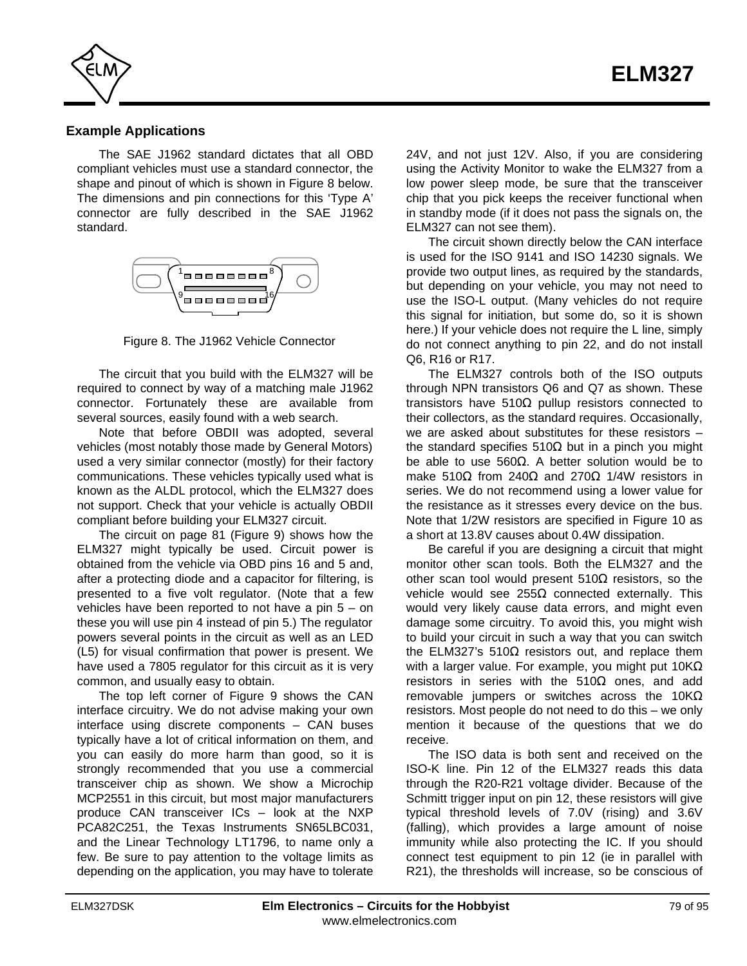<span id="page-78-0"></span>

## **Example Applications**

The SAE J1962 standard dictates that all OBD compliant vehicles must use a standard connector, the shape and pinout of which is shown in Figure 8 below. The dimensions and pin connections for this 'Type A' connector are fully described in the SAE J1962 standard.



Figure 8. The J1962 Vehicle Connector

The circuit that you build with the ELM327 will be required to connect by way of a matching male J1962 connector. Fortunately these are available from several sources, easily found with a web search.

Note that before OBDII was adopted, several vehicles (most notably those made by General Motors) used a very similar connector (mostly) for their factory communications. These vehicles typically used what is known as the ALDL protocol, which the ELM327 does not support. Check that your vehicle is actually OBDII compliant before building your ELM327 circuit.

[The circuit on page 81 \(Figure 9\) sh](#page-80-0)ows how the ELM327 might typically be used. Circuit power is obtained from the vehicle via OBD pins 16 and 5 and, after a protecting diode and a capacitor for filtering, is presented to a five volt regulator. (Note that a few vehicles have been reported to not have a pin 5 – on these you will use pin 4 instead of pin 5.) The regulator powers several points in the circuit as well as an LED (L5) for visual confirmation that power is present. We have used a 7805 regulator for this circuit as it is very common, and usually easy to obtain.

The top left corner of Figure 9 shows the CAN interface circuitry. We do not advise making your own interface using discrete components – CAN buses typically have a lot of critical information on them, and you can easily do more harm than good, so it is strongly recommended that you use a commercial transceiver chip as shown. We show a Microchip MCP2551 in this circuit, but most major manufacturers produce CAN transceiver ICs – look at the NXP PCA82C251, the Texas Instruments SN65LBC031, and the Linear Technology LT1796, to name only a few. Be sure to pay attention to the voltage limits as depending on the application, you may have to tolerate

24V, and not just 12V. Also, if you are considering using the Activity Monitor to wake the ELM327 from a low power sleep mode, be sure that the transceiver chip that you pick keeps the receiver functional when in standby mode (if it does not pass the signals on, the ELM327 can not see them).

The circuit shown directly below the CAN interface is used for the ISO 9141 and ISO 14230 signals. We provide two output lines, as required by the standards, but depending on your vehicle, you may not need to use the ISO-L output. (Many vehicles do not require this signal for initiation, but some do, so it is shown here.) If your vehicle does not require the L line, simply do not connect anything to pin 22, and do not install Q6, R16 or R17.

The ELM327 controls both of the ISO outputs through NPN transistors Q6 and Q7 as shown. These transistors have 510 pullup resistors connected to their collectors, as the standard requires. Occasionally, we are asked about substitutes for these resistors – the standard specifies 510 but in a pinch you might be able to use 560 . A better solution would be to make 510 from 240 and 270 1/4W resistors in series. We do not recommend using a lower value for the resistance as it stresses every device on the bus. Note that 1/2W resistors are specified in Figure 10 as a short at 13.8V causes about 0.4W dissipation.

Be careful if you are designing a circuit that might monitor other scan tools. Both the ELM327 and the other scan tool would present 510 resistors, so the vehicle would see 255 connected externally. This would very likely cause data errors, and might even damage some circuitry. To avoid this, you might wish to build your circuit in such a way that you can switch the ELM327's 510 resistors out, and replace them with a larger value. For example, you might put 10K resistors in series with the 510 ones, and add removable jumpers or switches across the 10K resistors. Most people do not need to do this – we only mention it because of the questions that we do receive.

The ISO data is both sent and received on the ISO-K line. Pin 12 of the ELM327 reads this data through the R20-R21 voltage divider. Because of the Schmitt trigger input on pin 12, these resistors will give typical threshold levels of 7.0V (rising) and 3.6V (falling), which provides a large amount of noise immunity while also protecting the IC. If you should connect test equipment to pin 12 (ie in parallel with R21), the thresholds will increase, so be conscious of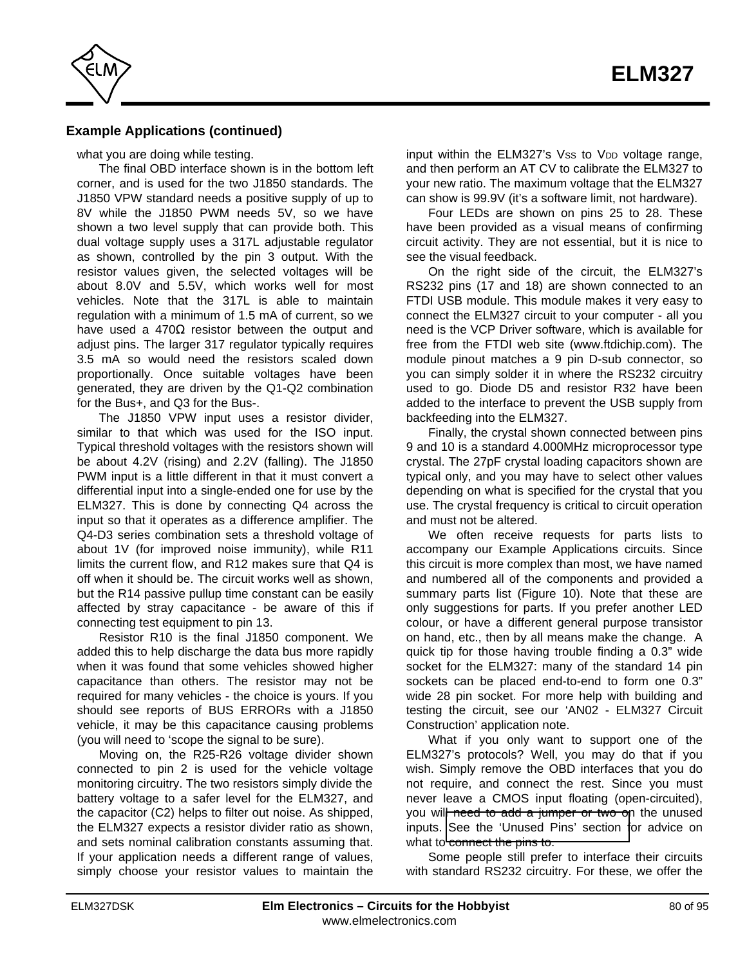

## **Example Applications (continued)**

what you are doing while testing.

The final OBD interface shown is in the bottom left corner, and is used for the two J1850 standards. The J1850 VPW standard needs a positive supply of up to 8V while the J1850 PWM needs 5V, so we have shown a two level supply that can provide both. This dual voltage supply uses a 317L adjustable regulator as shown, controlled by the pin 3 output. With the resistor values given, the selected voltages will be about 8.0V and 5.5V, which works well for most vehicles. Note that the 317L is able to maintain regulation with a minimum of 1.5 mA of current, so we have used a 470 resistor between the output and adjust pins. The larger 317 regulator typically requires 3.5 mA so would need the resistors scaled down proportionally. Once suitable voltages have been generated, they are driven by the Q1-Q2 combination for the Bus+, and Q3 for the Bus-.

The J1850 VPW input uses a resistor divider, similar to that which was used for the ISO input. Typical threshold voltages with the resistors shown will be about 4.2V (rising) and 2.2V (falling). The J1850 PWM input is a little different in that it must convert a differential input into a single-ended one for use by the ELM327. This is done by connecting Q4 across the input so that it operates as a difference amplifier. The Q4-D3 series combination sets a threshold voltage of about 1V (for improved noise immunity), while R11 limits the current flow, and R12 makes sure that Q4 is off when it should be. The circuit works well as shown, but the R14 passive pullup time constant can be easily affected by stray capacitance - be aware of this if connecting test equipment to pin 13.

Resistor R10 is the final J1850 component. We added this to help discharge the data bus more rapidly when it was found that some vehicles showed higher capacitance than others. The resistor may not be required for many vehicles - the choice is yours. If you should see reports of BUS ERRORs with a J1850 vehicle, it may be this capacitance causing problems (you will need to 'scope the signal to be sure).

Moving on, the R25-R26 voltage divider shown connected to pin 2 is used for the vehicle voltage monitoring circuitry. The two resistors simply divide the battery voltage to a safer level for the ELM327, and the capacitor (C2) helps to filter out noise. As shipped, the ELM327 expects a resistor divider ratio as shown, and sets nominal calibration constants assuming that. If your application needs a different range of values, simply choose your resistor values to maintain the input within the ELM327's Vss to VDD voltage range, and then perform an AT CV to calibrate the ELM327 to your new ratio. The maximum voltage that the ELM327 can show is 99.9V (it's a software limit, not hardware).

Four LEDs are shown on pins 25 to 28. These have been provided as a visual means of confirming circuit activity. They are not essential, but it is nice to see the visual feedback.

On the right side of the circuit, the ELM327's RS232 pins (17 and 18) are shown connected to an FTDI USB module. This module makes it very easy to connect the ELM327 circuit to your computer - all you need is the VCP Driver software, which is available for free fro[m the FTDI web site \(www.ftdichip.com\).](http://www.ftdichip.com/) The module pinout matches a 9 pin D-sub connector, so you can simply solder it in where the RS232 circuitry used to go. Diode D5 and resistor R32 have been added to the interface to prevent the USB supply from backfeeding into the ELM327.

Finally, the crystal shown connected between pins 9 and 10 is a standard 4.000MHz microprocessor type crystal. The 27pF crystal loading capacitors shown are typical only, and you may have to select other values depending on what is specified for the crystal that you use. The crystal frequency is critical to circuit operation and must not be altered.

We often receive requests for parts lists to accompany our Example Applications circuits. Since this circuit is more complex than most, we have named and numbered all of the components and provided a summary parts list (Figure 10). Note that these are only suggestions for parts. If you prefer another LED colour, or have a different general purpose transistor on hand, etc., then by all means make the change. A quick tip for those having trouble finding a 0.3" wide socket for the ELM327: many of the standard 14 pin sockets can be placed end-to-end to form one 0.3" wide 28 pin socket. For more help with building and testing the circuit, see our 'AN02 - ELM327 Circuit Construction' application note.

What if you only want to support one of the ELM327's protocols? Well, you may do that if you wish. Simply remove the OBD interfaces that you do not require, and connect the rest. Since you must never leave a CMOS input floating (open-circuited), you will need to add a jumper or two on the unused inputs. [See the 'Unused Pins' section f](#page-5-0)or advice on what to connect the pins to.

Some people still prefer to interface their circuits with standard RS232 circuitry. For these, we offer the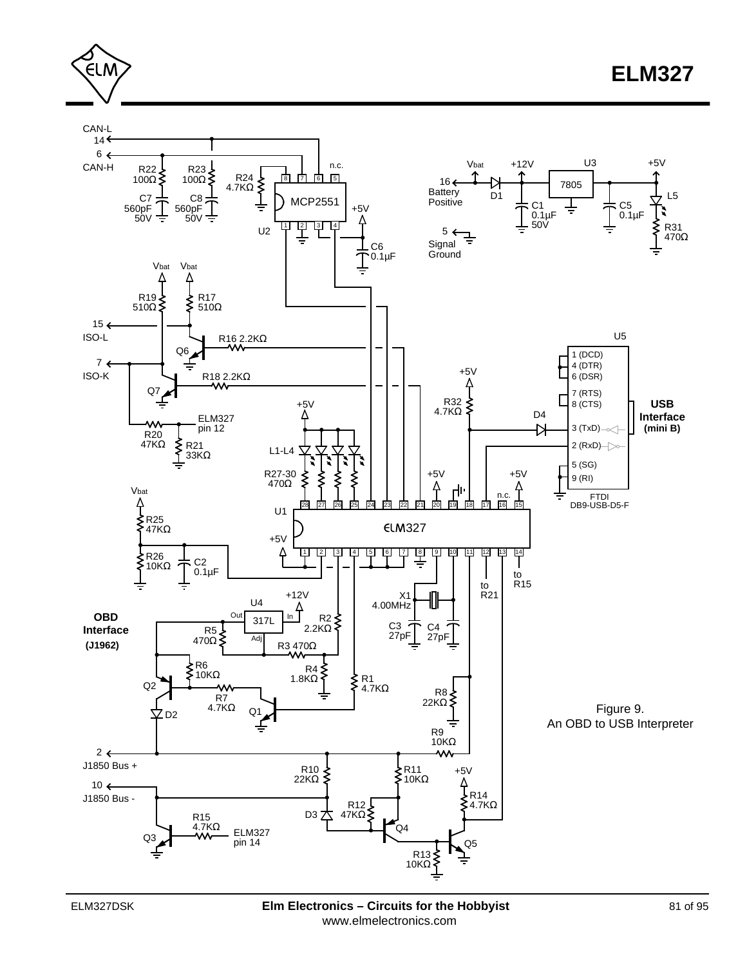<span id="page-80-0"></span>

**ELM327**

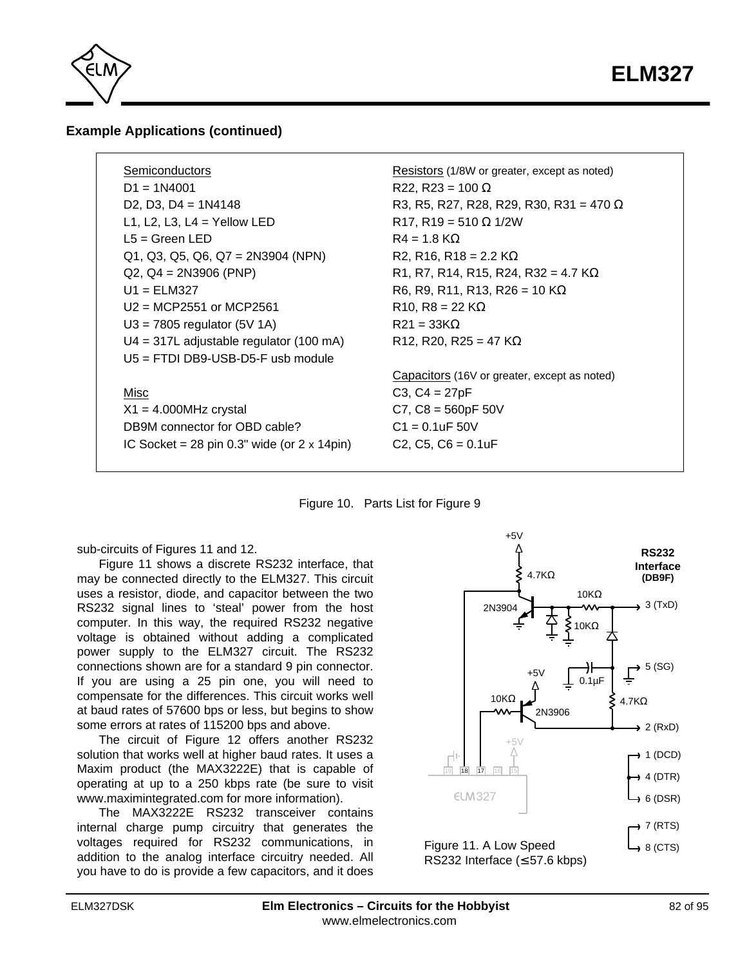

## **Example Applications (continued)**

| Semiconductors                                              | Resistors (1/8W or greater, except as noted)               |
|-------------------------------------------------------------|------------------------------------------------------------|
| $D1 = 1N4001$                                               | $R22, R23 = 100$                                           |
| D <sub>2</sub> , D <sub>3</sub> , D <sub>4</sub> = $1N4148$ | R3, R5, R27, R28, R29, R30, R31 = 470                      |
| L1, L2, L3, L4 = Yellow LED                                 | $R17, R19 = 510$ 1/2W                                      |
| $L5 = Green LED$                                            | $R4 = 1.8 K$                                               |
| $Q1, Q3, Q5, Q6, Q7 = 2N3904 (NPN)$                         | R2, R16, R18 = 2.2 K                                       |
| $Q2, Q4 = 2N3906 (PNP)$                                     | R1, R7, R14, R15, R24, R32 = 4.7 K                         |
| $U1 = ELM327$                                               | R6, R9, R11, R13, R26 = 10 K                               |
| $U2 = MCP2551$ or MCP2561                                   | $R10, R8 = 22 K$                                           |
| $U3 = 7805$ regulator (5V 1A)                               | $R21 = 33K$                                                |
| $U4 = 317L$ adjustable regulator (100 mA)                   | R <sub>12</sub> , R <sub>20</sub> , R <sub>25</sub> = 47 K |
| $U5 = FTDI DB9-USB-D5-F$ usb module                         |                                                            |
|                                                             | Capacitors (16V or greater, except as noted)               |
| Misc                                                        | $C3, C4 = 27pF$                                            |
| $X1 = 4.000 MHz$ crystal                                    | $C7, C8 = 560pF 50V$                                       |
| DB9M connector for OBD cable?                               | $C1 = 0.1$ uF 50V                                          |
| IC Socket = 28 pin $0.3$ " wide (or $2 \times 14$ pin)      | $C2, C5, C6 = 0.1uF$                                       |
|                                                             |                                                            |

#### Figure 10. Parts List for Figure 9

sub-circuits of Figures 11 and 12.

Figure 11 shows a discrete RS232 interface, that may be connected directly to the ELM327. This circuit uses a resistor, diode, and capacitor between the two RS232 signal lines to 'steal' power from the host computer. In this way, the required RS232 negative voltage is obtained without adding a complicated power supply to the ELM327 circuit. The RS232 connections shown are for a standard 9 pin connector. If you are using a 25 pin one, you will need to compensate for the differences. This circuit works well at baud rates of 57600 bps or less, but begins to show some errors at rates of 115200 bps and above.

The circuit of Figure 12 offers another RS232 solution that works well at higher baud rates. It uses a Maxim product (the MAX3222E) that is capable of operating at up to a 250 kbps rate (be sure to visit www.maximintegrated.com for more information).

The MAX3222E RS232 transceiver contains internal charge pump circuitry that generates the voltages required for RS232 communications, in addition to the analog interface circuitry needed. All you have to do is provide a few capacitors, and it does

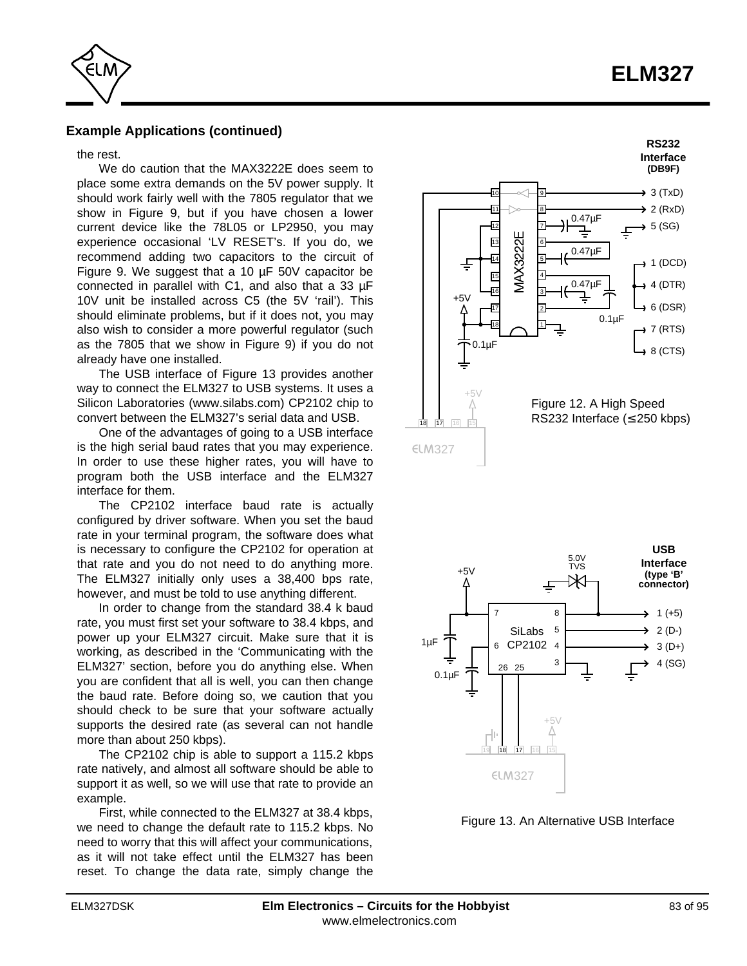# **ELM327**

<span id="page-82-0"></span>

## **Example Applications (continued)**

the rest.

We do caution that the MAX3222E does seem to place some extra demands on the 5V power supply. It should work fairly well with the 7805 regulator that we show in Figure 9, but if you have chosen a lower current device like the 78L05 or LP2950, you may experience occasional 'LV RESET's. If you do, we recommend adding two capacitors to the circuit of Figure 9. We suggest that a 10 µF 50V capacitor be connected in parallel with C1, and also that a 33 µF 10V unit be installed across C5 (the 5V 'rail'). This should eliminate problems, but if it does not, you may also wish to consider a more powerful regulator (such as the 7805 that we show in Figure 9) if you do not already have one installed.

The USB interface of Figure 13 provides another way to connect the ELM327 to USB systems. It uses a [Silicon Laboratories \(www.silabs.com\) CP2102 chip t](http://www.silabs.com/)o convert between the ELM327's serial data and USB.

One of the advantages of going to a USB interface is the high serial baud rates that you may experience. In order to use these higher rates, you will have to program both the USB interface and the ELM327 interface for them.

The CP2102 interface baud rate is actually configured by driver software. When you set the baud rate in your terminal program, the software does what is necessary to configure the CP2102 for operation at that rate and you do not need to do anything more. The ELM327 initially only uses a 38,400 bps rate, however, and must be told to use anything different.

In order to change from the standard 38.4 k baud rate, you must first set your software to 38.4 kbps, and power up your ELM327 circuit. Make sure that it is [working, as described in the 'Communicating with the](#page-7-0) ELM327' section, before you do anything else. When you are confident that all is well, you can then change the baud rate. Before doing so, we caution that you should check to be sure that your software actually supports the desired rate (as several can not handle more than about 250 kbps).

The CP2102 chip is able to support a 115.2 kbps rate natively, and almost all software should be able to support it as well, so we will use that rate to provide an example.

First, while connected to the ELM327 at 38.4 kbps, we need to change the default rate to 115.2 kbps. No need to worry that this will affect your communications, as it will not take effect until the ELM327 has been reset. To change the data rate, simply change the





Figure 13. An Alternative USB Interface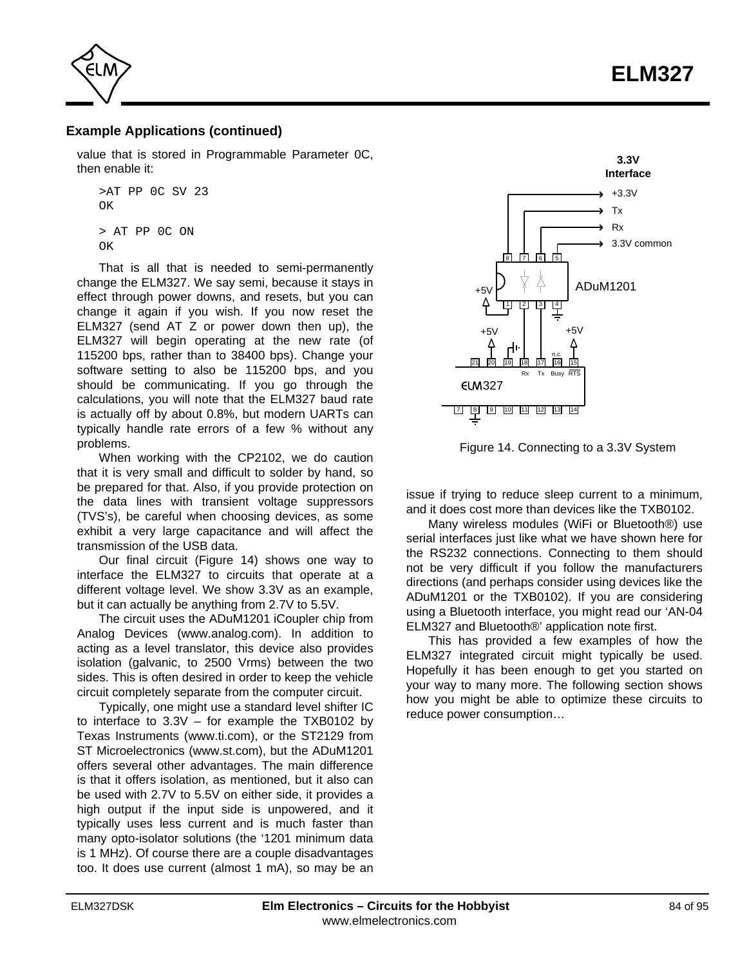

<span id="page-83-0"></span>

## **Example Applications (continued)**

value that is stored in Programmable Parameter 0C, then enable it:

```
>AT PP 0C SV 23
\capK
> AT PP 0C ON
\capK
```
That is all that is needed to semi-permanently change the ELM327. We say semi, because it stays in effect through power downs, and resets, but you can change it again if you wish. If you now reset the ELM327 (send AT Z or power down then up), the ELM327 will begin operating at the new rate (of 115200 bps, rather than to 38400 bps). Change your software setting to also be 115200 bps, and you should be communicating. If you go through the calculations, you will note that the ELM327 baud rate is actually off by about 0.8%, but modern UARTs can typically handle rate errors of a few % without any problems.

When working with the CP2102, we do caution that it is very small and difficult to solder by hand, so be prepared for that. Also, if you provide protection on the data lines with transient voltage suppressors (TVS's), be careful when choosing devices, as some exhibit a very large capacitance and will affect the transmission of the USB data.

Our final circuit (Figure 14) shows one way to interface the ELM327 to circuits that operate at a different voltage level. We show 3.3V as an example, but it can actually be anything from 2.7V to 5.5V.

The circuit uses the ADuM1201 iCoupler chip from [Analog Devices \(www.analog.com\).](http://www.analog.com/) In addition to acting as a level translator, this device also provides isolation (galvanic, to 2500 Vrms) between the two sides. This is often desired in order to keep the vehicle circuit completely separate from the computer circuit.

Typically, one might use a standard level shifter IC to interface to 3.3V – for example the TXB0102 by [Texas Instruments \(www.ti.com\),](http://www.ti.com/) or the ST2129 from [ST Microelectronics \(www.st.com\), b](http://www.st.com/)ut the ADuM1201 offers several other advantages. The main difference is that it offers isolation, as mentioned, but it also can be used with 2.7V to 5.5V on either side, it provides a high output if the input side is unpowered, and it typically uses less current and is much faster than many opto-isolator solutions (the '1201 minimum data is 1 MHz). Of course there are a couple disadvantages too. It does use current (almost 1 mA), so may be an



Figure 14. Connecting to a 3.3V System

issue if trying to reduce sleep current to a minimum, and it does cost more than devices like the TXB0102.

Many wireless modules (WiFi or Bluetooth®) use serial interfaces just like what we have shown here for the RS232 connections. Connecting to them should not be very difficult if you follow the manufacturers directions (and perhaps consider using devices like the ADuM1201 or the TXB0102). If you are considering using a Bluetooth interface, you might read our 'AN-04 ELM327 and Bluetooth®' application note first.

This has provided a few examples of how the ELM327 integrated circuit might typically be used. Hopefully it has been enough to get you started on your way to many more. The following section shows how you might be able to optimize these circuits to reduce power consumption…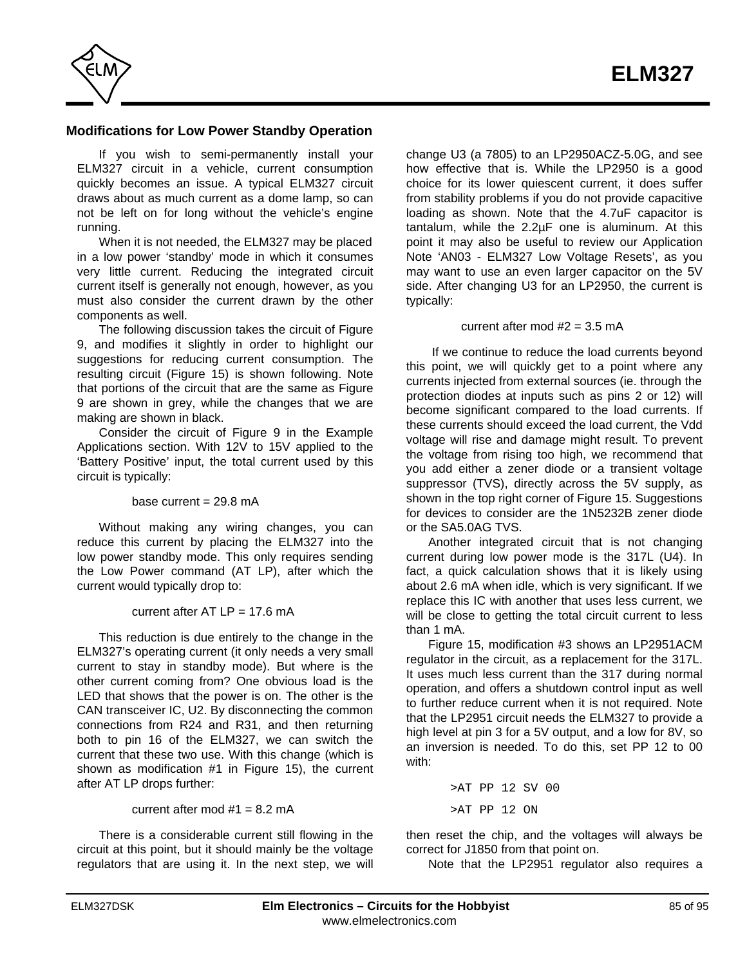<span id="page-84-0"></span>

## **Modifications for Low Power Standby Operation**

If you wish to semi-permanently install your ELM327 circuit in a vehicle, current consumption quickly becomes an issue. A typical ELM327 circuit draws about as much current as a dome lamp, so can not be left on for long without the vehicle's engine running.

When it is not needed, the ELM327 may be placed in a low power 'standby' mode in which it consumes very little current. Reducing the integrated circuit current itself is generally not enough, however, as you must also consider the current drawn by the other components as well.

The following discussion takes the circuit of Figure 9, and modifies it slightly in order to highlight our suggestions for reducing current consumption. The resulting circuit (Figure 15) is shown following. Note that portions of the circuit that are the same as Figure 9 are shown in grey, while the changes that we are making are shown in black.

Consider the circuit of Figure 9 in the Example [Applications section. With 12V to 15V applied to the](#page-80-0) 'Battery Positive' input, the total current used by this circuit is typically:

#### base current  $= 29.8$  mA

Without making any wiring changes, you can reduce this current by placing the ELM327 into the low power standby mode. This only requires sending the Low Power command (AT LP), after which the current would typically drop to:

#### current after  $AT LP = 17.6 \text{ mA}$

This reduction is due entirely to the change in the ELM327's operating current (it only needs a very small current to stay in standby mode). But where is the other current coming from? One obvious load is the LED that shows that the power is on. The other is the CAN transceiver IC, U2. By disconnecting the common connections from R24 and R31, and then returning both to pin 16 of the ELM327, we can switch the current that these two use. With this change (which is shown as modification #1 in Figure 15), the current after AT LP drops further:

#### current after mod  $#1 = 8.2$  mA

There is a considerable current still flowing in the circuit at this point, but it should mainly be the voltage regulators that are using it. In the next step, we will change U3 (a 7805) to an LP2950ACZ-5.0G, and see how effective that is. While the LP2950 is a good choice for its lower quiescent current, it does suffer from stability problems if you do not provide capacitive loading as shown. Note that the 4.7uF capacitor is tantalum, while the 2.2µF one is aluminum. At this point it may also be useful to review our Application Note 'AN03 - ELM327 Low Voltage Resets', as you may want to use an even larger capacitor on the 5V side. After changing U3 for an LP2950, the current is typically:

#### current after mod  $#2 = 3.5$  mA

 If we continue to reduce the load currents beyond this point, we will quickly get to a point where any currents injected from external sources (ie. through the protection diodes at inputs such as pins 2 or 12) will become significant compared to the load currents. If these currents should exceed the load current, the Vdd voltage will rise and damage might result. To prevent the voltage from rising too high, we recommend that you add either a zener diode or a transient voltage suppressor (TVS), directly across the 5V supply. as shown in the top right corner of Figure 15. Suggestions for devices to consider are the 1N5232B zener diode or the SA5.0AG TVS.

Another integrated circuit that is not changing current during low power mode is the 317L (U4). In fact, a quick calculation shows that it is likely using about 2.6 mA when idle, which is very significant. If we replace this IC with another that uses less current, we will be close to getting the total circuit current to less than 1 mA.

Figure 15, modification #3 shows an LP2951ACM regulator in the circuit, as a replacement for the 317L. It uses much less current than the 317 during normal operation, and offers a shutdown control input as well to further reduce current when it is not required. Note that the LP2951 circuit needs the ELM327 to provide a high level at pin 3 for a 5V output, and a low for 8V, so an inversion is needed. To do this, set PP 12 to 00 with:

> >AT PP 12 SV 00 >AT PP 12 ON

then reset the chip, and the voltages will always be correct for J1850 from that point on.

Note that the LP2951 regulator also requires a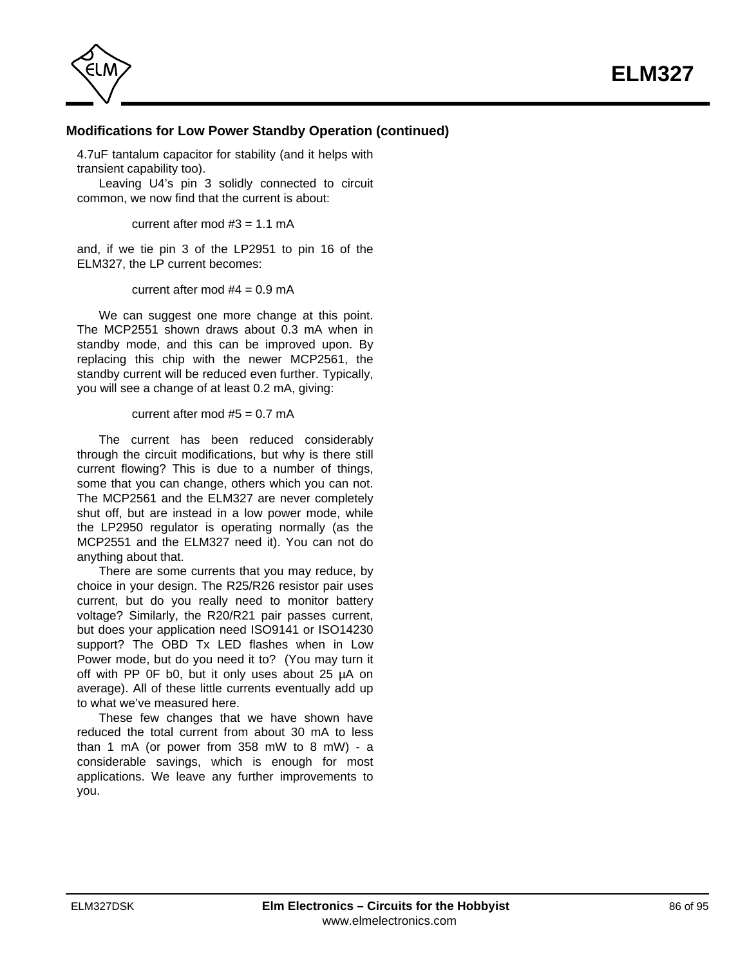

## **Modifications for Low Power Standby Operation (continued)**

4.7uF tantalum capacitor for stability (and it helps with transient capability too).

Leaving U4's pin 3 solidly connected to circuit common, we now find that the current is about:

current after mod  $#3 = 1.1$  mA

and, if we tie pin 3 of the LP2951 to pin 16 of the ELM327, the LP current becomes:

current after mod  $#4 = 0.9$  mA

We can suggest one more change at this point. The MCP2551 shown draws about 0.3 mA when in standby mode, and this can be improved upon. By replacing this chip with the newer MCP2561, the standby current will be reduced even further. Typically, you will see a change of at least 0.2 mA, giving:

current after mod  $#5 = 0.7$  mA

The current has been reduced considerably through the circuit modifications, but why is there still current flowing? This is due to a number of things, some that you can change, others which you can not. The MCP2561 and the ELM327 are never completely shut off, but are instead in a low power mode, while the LP2950 regulator is operating normally (as the MCP2551 and the ELM327 need it). You can not do anything about that.

There are some currents that you may reduce, by choice in your design. The R25/R26 resistor pair uses current, but do you really need to monitor battery voltage? Similarly, the R20/R21 pair passes current, but does your application need ISO9141 or ISO14230 support? The OBD Tx LED flashes when in Low Power mode, but do you need it to? (You may turn it off with PP 0F b0, but it only uses about 25 µA on average). All of these little currents eventually add up to what we've measured here.

These few changes that we have shown have reduced the total current from about 30 mA to less than 1 mA (or power from 358 mW to 8 mW) - a considerable savings, which is enough for most applications. We leave any further improvements to you.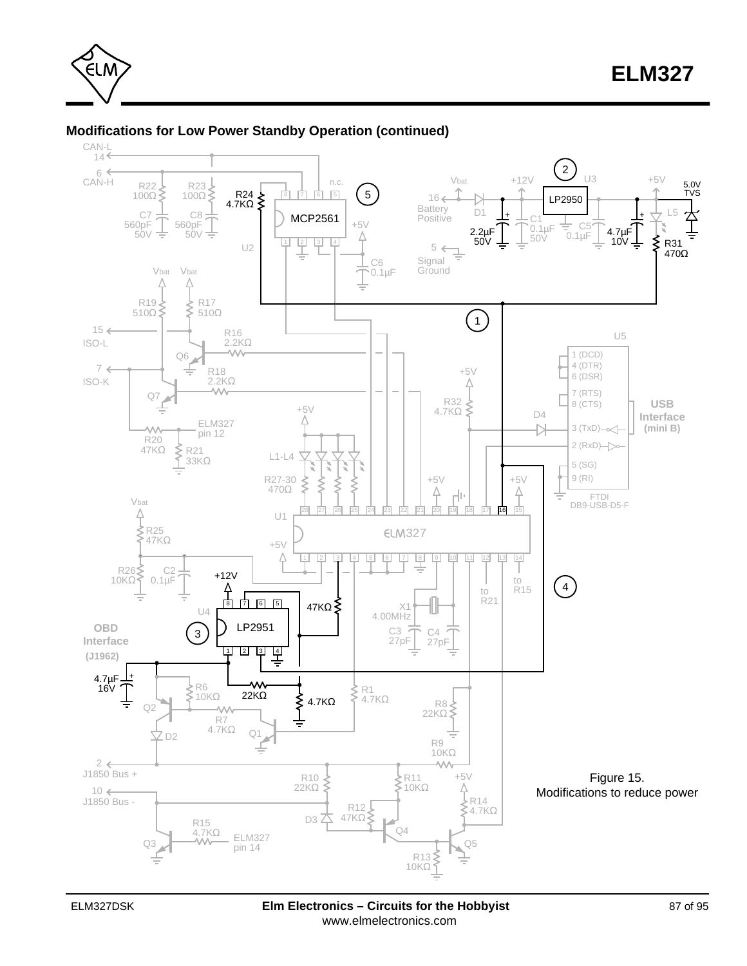

## **Modifications for Low Power Standby Operation (continued)**

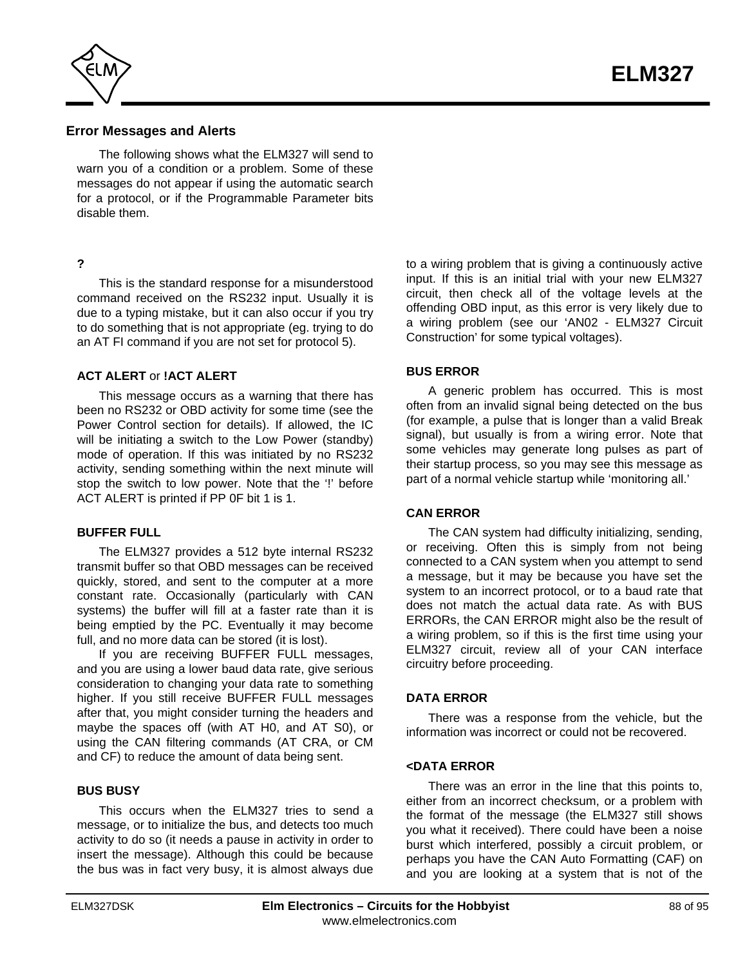<span id="page-87-0"></span>

### **Error Messages and Alerts**

The following shows what the ELM327 will send to warn you of a condition or a problem. Some of these messages do not appear if using the automatic search for a protocol, or if the Programmable Parameter bits disable them.

#### **?**

This is the standard response for a misunderstood command received on the RS232 input. Usually it is due to a typing mistake, but it can also occur if you try to do something that is not appropriate (eg. trying to do an AT FI command if you are not set for protocol 5).

#### **ACT ALERT** or **!ACT ALERT**

This message occurs as a warning that there has been no RS232 or OBD activity for some time (see the [Power Control section for details\).](#page-64-0) If allowed, the IC will be initiating a switch to the Low Power (standby) mode of operation. If this was initiated by no RS232 activity, sending something within the next minute will stop the switch to low power. Note that the '!' before ACT ALERT is printed if PP 0F bit 1 is 1.

#### **BUFFER FULL**

The ELM327 provides a 512 byte internal RS232 transmit buffer so that OBD messages can be received quickly, stored, and sent to the computer at a more constant rate. Occasionally (particularly with CAN systems) the buffer will fill at a faster rate than it is being emptied by the PC. Eventually it may become full, and no more data can be stored (it is lost).

If you are receiving BUFFER FULL messages, and you are using a lower baud data rate, give serious consideration to changing your data rate to something higher. If you still receive BUFFER FULL messages after that, you might consider turning the headers and maybe the spaces off (with AT H0, and AT S0), or using the CAN filtering commands (AT CRA, or CM and CF) to reduce the amount of data being sent.

#### **BUS BUSY**

This occurs when the ELM327 tries to send a message, or to initialize the bus, and detects too much activity to do so (it needs a pause in activity in order to insert the message). Although this could be because the bus was in fact very busy, it is almost always due to a wiring problem that is giving a continuously active input. If this is an initial trial with your new ELM327 circuit, then check all of the voltage levels at the offending OBD input, as this error is very likely due to a wiring problem (see our 'AN02 - ELM327 Circuit Construction' for some typical voltages).

## **BUS ERROR**

A generic problem has occurred. This is most often from an invalid signal being detected on the bus (for example, a pulse that is longer than a valid Break signal), but usually is from a wiring error. Note that some vehicles may generate long pulses as part of their startup process, so you may see this message as part of a normal vehicle startup while 'monitoring all.'

#### **CAN ERROR**

The CAN system had difficulty initializing, sending, or receiving. Often this is simply from not being connected to a CAN system when you attempt to send a message, but it may be because you have set the system to an incorrect protocol, or to a baud rate that does not match the actual data rate. As with BUS ERRORs, the CAN ERROR might also be the result of a wiring problem, so if this is the first time using your ELM327 circuit, review all of your CAN interface circuitry before proceeding.

#### **DATA ERROR**

There was a response from the vehicle, but the information was incorrect or could not be recovered.

#### **<DATA ERROR**

There was an error in the line that this points to, either from an incorrect checksum, or a problem with the format of the message (the ELM327 still shows you what it received). There could have been a noise burst which interfered, possibly a circuit problem, or perhaps you have the CAN Auto Formatting (CAF) on and you are looking at a system that is not of the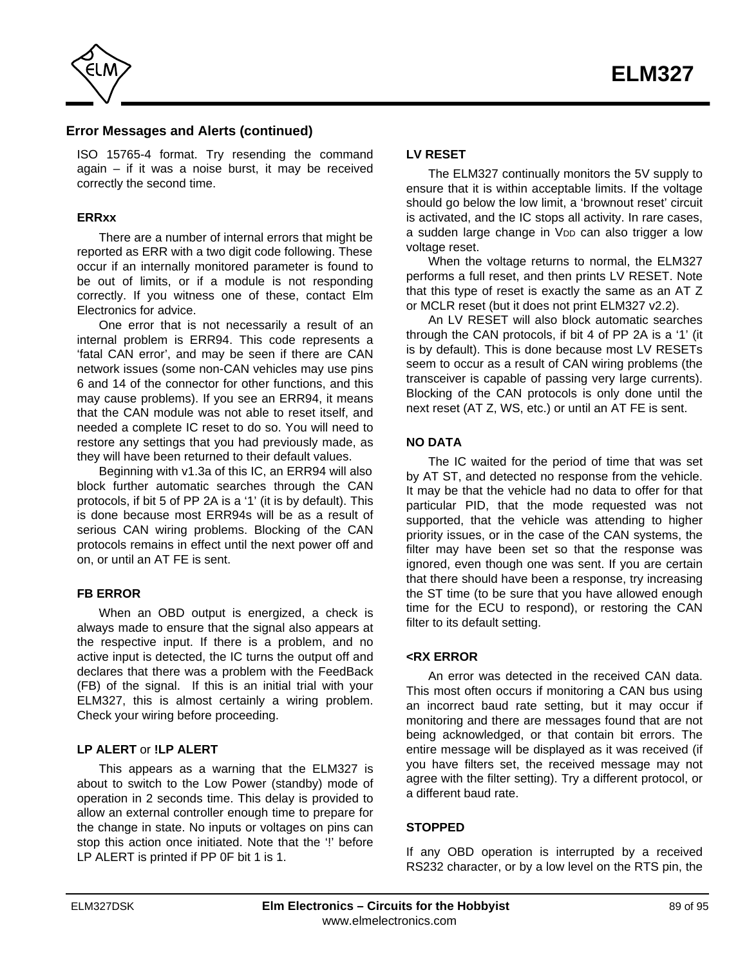<span id="page-88-0"></span>

## **Error Messages and Alerts (continued)**

ISO 15765-4 format. Try resending the command again – if it was a noise burst, it may be received correctly the second time.

#### **ERRxx**

There are a number of internal errors that might be reported as ERR with a two digit code following. These occur if an internally monitored parameter is found to be out of limits, or if a module is not responding correctly. If you witness one of these, contact Elm Electronics for advice.

One error that is not necessarily a result of an internal problem is ERR94. This code represents a 'fatal CAN error', and may be seen if there are CAN network issues (some non-CAN vehicles may use pins 6 and 14 of the connector for other functions, and this may cause problems). If you see an ERR94, it means that the CAN module was not able to reset itself, and needed a complete IC reset to do so. You will need to restore any settings that you had previously made, as they will have been returned to their default values.

Beginning with v1.3a of this IC, an ERR94 will also block further automatic searches through the CAN protocols, if bit 5 of PP 2A is a '1' (it is by default). This is done because most ERR94s will be as a result of serious CAN wiring problems. Blocking of the CAN protocols remains in effect until the next power off and on, or until an AT FE is sent.

#### **FB ERROR**

When an OBD output is energized, a check is always made to ensure that the signal also appears at the respective input. If there is a problem, and no active input is detected, the IC turns the output off and declares that there was a problem with the FeedBack (FB) of the signal. If this is an initial trial with your ELM327, this is almost certainly a wiring problem. Check your wiring before proceeding.

#### **LP ALERT** or **!LP ALERT**

This appears as a warning that the ELM327 is about to switch to the Low Power (standby) mode of operation in 2 seconds time. This delay is provided to allow an external controller enough time to prepare for the change in state. No inputs or voltages on pins can stop this action once initiated. Note that the '!' before LP ALERT is printed if PP 0F bit 1 is 1.

## **LV RESET**

The ELM327 continually monitors the 5V supply to ensure that it is within acceptable limits. If the voltage should go below the low limit, a 'brownout reset' circuit is activated, and the IC stops all activity. In rare cases, a sudden large change in VDD can also trigger a low voltage reset.

When the voltage returns to normal, the ELM327 performs a full reset, and then prints LV RESET. Note that this type of reset is exactly the same as an AT Z or MCLR reset (but it does not print ELM327 v2.2).

An LV RESET will also block automatic searches through the CAN protocols, if bit 4 of PP 2A is a '1' (it is by default). This is done because most LV RESETs seem to occur as a result of CAN wiring problems (the transceiver is capable of passing very large currents). Blocking of the CAN protocols is only done until the next reset (AT Z, WS, etc.) or until an AT FE is sent.

## **NO DATA**

The IC waited for the period of time that was set by AT ST, and detected no response from the vehicle. It may be that the vehicle had no data to offer for that particular PID, that the mode requested was not supported, that the vehicle was attending to higher priority issues, or in the case of the CAN systems, the filter may have been set so that the response was ignored, even though one was sent. If you are certain that there should have been a response, try increasing the ST time (to be sure that you have allowed enough time for the ECU to respond), or restoring the CAN filter to its default setting.

#### **<RX ERROR**

An error was detected in the received CAN data. This most often occurs if monitoring a CAN bus using an incorrect baud rate setting, but it may occur if monitoring and there are messages found that are not being acknowledged, or that contain bit errors. The entire message will be displayed as it was received (if you have filters set, the received message may not agree with the filter setting). Try a different protocol, or a different baud rate.

#### **STOPPED**

If any OBD operation is interrupted by a received RS232 character, or by a low level on the RTS pin, the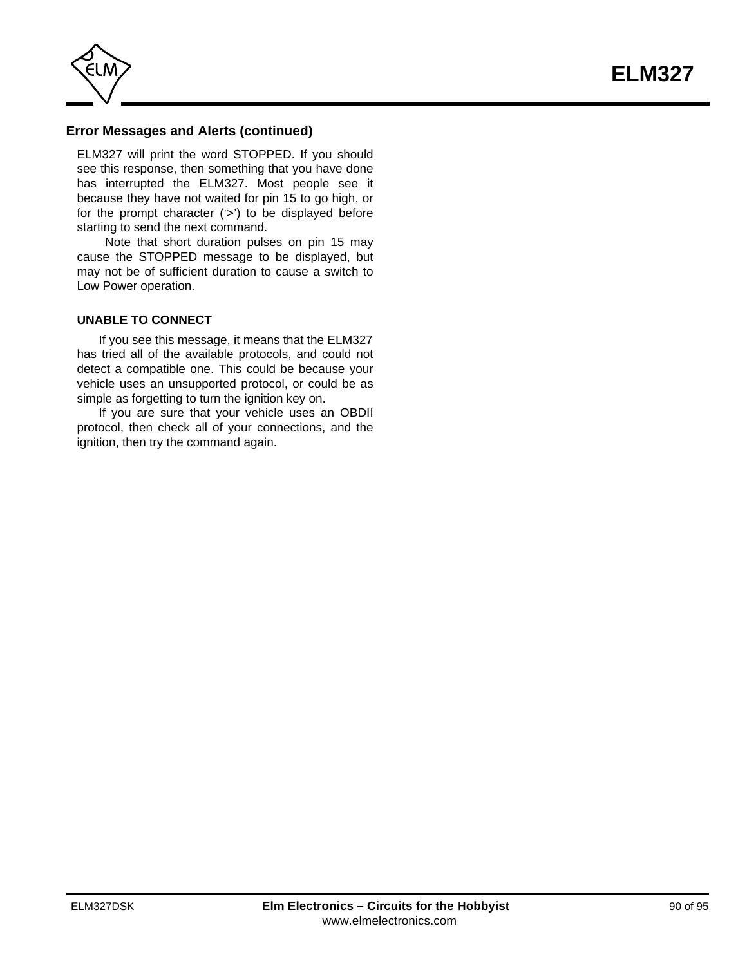

## **Error Messages and Alerts (continued)**

ELM327 will print the word STOPPED. If you should see this response, then something that you have done has interrupted the ELM327. Most people see it because they have not waited for pin 15 to go high, or for the prompt character ('>') to be displayed before starting to send the next command.

 Note that short duration pulses on pin 15 may cause the STOPPED message to be displayed, but may not be of sufficient duration to cause a switch to Low Power operation.

#### **UNABLE TO CONNECT**

If you see this message, it means that the ELM327 has tried all of the available protocols, and could not detect a compatible one. This could be because your vehicle uses an unsupported protocol, or could be as simple as forgetting to turn the ignition key on.

If you are sure that your vehicle uses an OBDII protocol, then check all of your connections, and the ignition, then try the command again.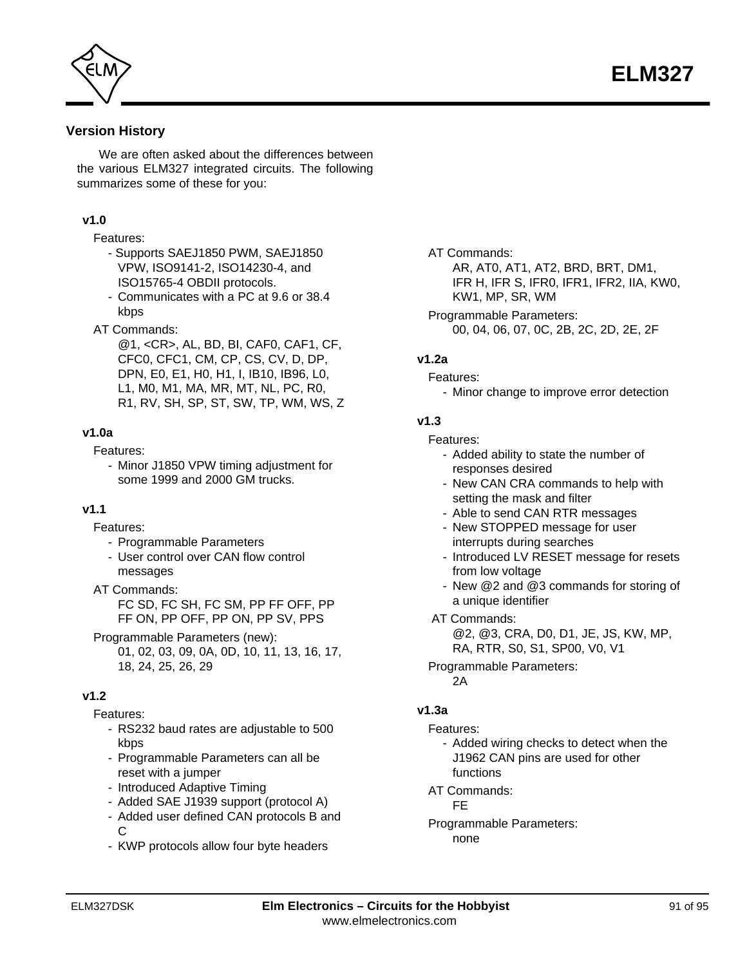

<span id="page-90-0"></span>

## **Version History**

We are often asked about the differences between the various ELM327 integrated circuits. The following summarizes some of these for you:

#### **v1.0**

#### Features:

- Supports SAEJ1850 PWM, SAEJ1850 VPW, ISO9141-2, ISO14230-4, and ISO15765-4 OBDII protocols.
- Communicates with a PC at 9.6 or 38.4 kbps
- AT Commands:
	- @1, <CR>, AL, BD, BI, CAF0, CAF1, CF, CFC0, CFC1, CM, CP, CS, CV, D, DP, DPN, E0, E1, H0, H1, I, IB10, IB96, L0, L1, M0, M1, MA, MR, MT, NL, PC, R0, R1, RV, SH, SP, ST, SW, TP, WM, WS, Z

#### **v1.0a**

Features:

- Minor J1850 VPW timing adjustment for some 1999 and 2000 GM trucks.

#### **v1.1**

Features:

- Programmable Parameters
- User control over CAN flow control messages
- AT Commands:
	- FC SD, FC SH, FC SM, PP FF OFF, PP FF ON, PP OFF, PP ON, PP SV, PPS
- Programmable Parameters (new):
	- 01, 02, 03, 09, 0A, 0D, 10, 11, 13, 16, 17, 18, 24, 25, 26, 29

## **v1.2**

Features:

- RS232 baud rates are adjustable to 500 kbps
- Programmable Parameters can all be reset with a jumper
- Introduced Adaptive Timing
- Added SAE J1939 support (protocol A)
- Added user defined CAN protocols B and C
- KWP protocols allow four byte headers

#### AT Commands:

AR, AT0, AT1, AT2, BRD, BRT, DM1, IFR H, IFR S, IFR0, IFR1, IFR2, IIA, KW0, KW1, MP, SR, WM

Programmable Parameters: 00, 04, 06, 07, 0C, 2B, 2C, 2D, 2E, 2F

#### **v1.2a**

- Features:
	- Minor change to improve error detection

#### **v1.3**

- Features:
	- Added ability to state the number of responses desired
	- New CAN CRA commands to help with setting the mask and filter
	- Able to send CAN RTR messages
	- New STOPPED message for user interrupts during searches
	- Introduced LV RESET message for resets from low voltage
	- New @2 and @3 commands for storing of a unique identifier
- AT Commands:

@2, @3, CRA, D0, D1, JE, JS, KW, MP, RA, RTR, S0, S1, SP00, V0, V1

Programmable Parameters:

2A

## **v1.3a**

- Features:
	- Added wiring checks to detect when the J1962 CAN pins are used for other functions
- AT Commands:

FE

Programmable Parameters: none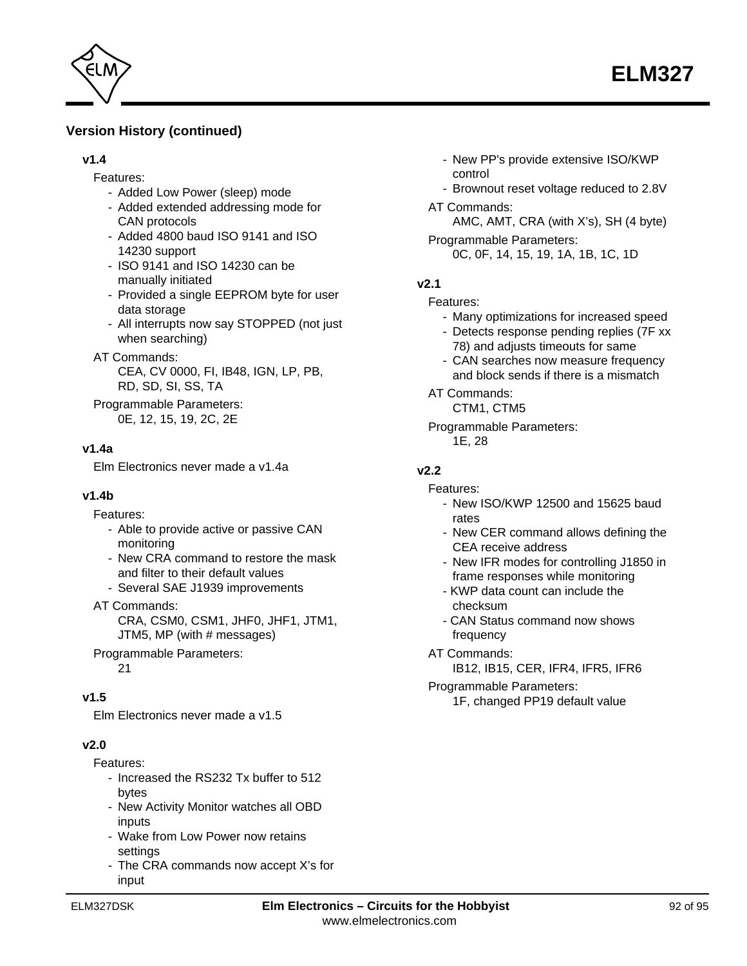

## **Version History (continued)**

#### **v1.4**

- Features:
	- Added Low Power (sleep) mode
	- Added extended addressing mode for CAN protocols
	- Added 4800 baud ISO 9141 and ISO 14230 support
	- ISO 9141 and ISO 14230 can be manually initiated
	- Provided a single EEPROM byte for user data storage
	- All interrupts now say STOPPED (not just when searching)
- AT Commands:
	- CEA, CV 0000, FI, IB48, IGN, LP, PB, RD, SD, SI, SS, TA
- Programmable Parameters: 0E, 12, 15, 19, 2C, 2E

## **v1.4a**

Elm Electronics never made a v1.4a

#### **v1.4b**

Features:

- Able to provide active or passive CAN monitoring
- New CRA command to restore the mask and filter to their default values
- Several SAE J1939 improvements
- AT Commands:

CRA, CSM0, CSM1, JHF0, JHF1, JTM1, JTM5, MP (with # messages)

Programmable Parameters: 21

## **v1.5**

Elm Electronics never made a v1.5

## **v2.0**

Features:

- Increased the RS232 Tx buffer to 512 bytes
- New Activity Monitor watches all OBD inputs
- Wake from Low Power now retains settings
- The CRA commands now accept X's for input
- New PP's provide extensive ISO/KWP control
- Brownout reset voltage reduced to 2.8V
- AT Commands:

AMC, AMT, CRA (with X's), SH (4 byte)

Programmable Parameters: 0C, 0F, 14, 15, 19, 1A, 1B, 1C, 1D

## **v2.1**

Features:

- Many optimizations for increased speed
- Detects response pending replies (7F xx 78) and adjusts timeouts for same
- CAN searches now measure frequency and block sends if there is a mismatch
- AT Commands:
	- CTM1, CTM5
- Programmable Parameters: 1E, 28

## **v2.2**

- Features:
	- New ISO/KWP 12500 and 15625 baud rates
	- New CER command allows defining the CEA receive address
	- New IFR modes for controlling J1850 in frame responses while monitoring
	- KWP data count can include the checksum
	- CAN Status command now shows frequency
- AT Commands:
	- IB12, IB15, CER, IFR4, IFR5, IFR6

Programmable Parameters:

1F, changed PP19 default value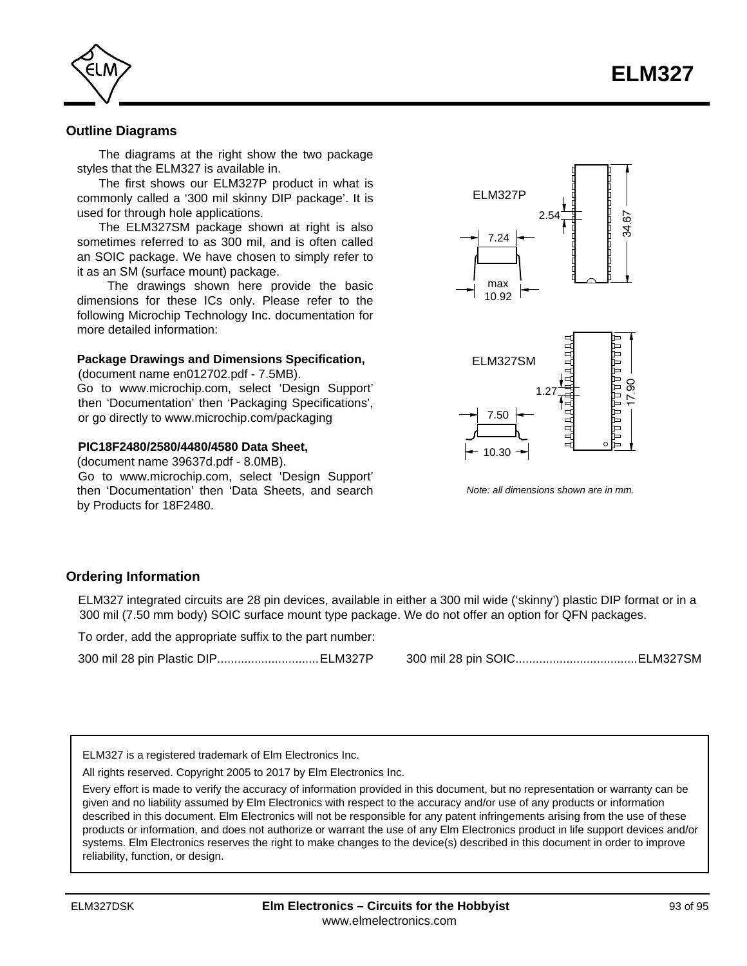<span id="page-92-0"></span>

#### **Outline Diagrams**

The diagrams at the right show the two package styles that the ELM327 is available in.

The first shows our ELM327P product in what is commonly called a '300 mil skinny DIP package'. It is used for through hole applications.

The ELM327SM package shown at right is also sometimes referred to as 300 mil, and is often called an SOIC package. We have chosen to simply refer to it as an SM (surface mount) package.

 The drawings shown here provide the basic dimensions for these ICs only. Please refer to the following Microchip Technology Inc. documentation for more detailed information:

#### **Package Drawings and Dimensions Specification,**

(document name en012702.pdf - 7.5MB).

Go to www.microchip.com, select 'Design Support' then 'Documentation' then 'Packaging Specifications', or go directly [to www.microchip.com/packaging](http://www.microchip.com/packaging)

#### **PIC18F2480/2580/4480/4580 Data Sheet,**

(document name 39637d.pdf - 8.0MB). Go [to www.microchip.com,](http://www.microchip.com/) select 'Design Support' then 'Documentation' then 'Data Sheets, and search by Products for 18F2480.





*Note: all dimensions shown are in mm.*

#### **Ordering Information**

ELM327 integrated circuits are 28 pin devices, available in either a 300 mil wide ('skinny') plastic DIP format or in a 300 mil (7.50 mm body) SOIC surface mount type package. We do not offer an option for QFN packages.

To order, add the appropriate suffix to the part number:

300 mil 28 pin Plastic DIP..............................ELM327P 300 mil 28 pin SOIC....................................ELM327SM

ELM327 is a registered trademark of Elm Electronics Inc.

All rights reserved. Copyright 2005 to 2017 by Elm Electronics Inc.

Every effort is made to verify the accuracy of information provided in this document, but no representation or warranty can be given and no liability assumed by Elm Electronics with respect to the accuracy and/or use of any products or information described in this document. Elm Electronics will not be responsible for any patent infringements arising from the use of these products or information, and does not authorize or warrant the use of any Elm Electronics product in life support devices and/or systems. Elm Electronics reserves the right to make changes to the device(s) described in this document in order to improve reliability, function, or design.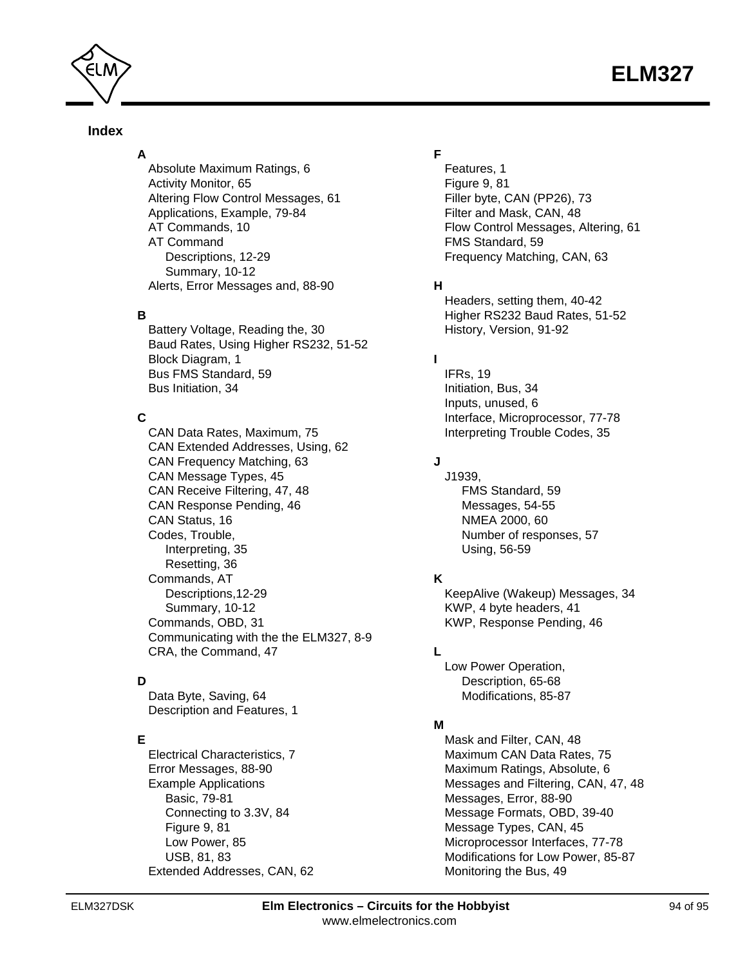

## **Index**

**A** [Absolute Maximum Ratings, 6](#page-5-0) [Activity Monitor, 65](#page-64-0) [Altering Flow Control Messages, 61](#page-60-0) [Applications, Example, 79-84](#page-78-0) [AT Commands, 10](#page-9-0) AT Command [Descriptions, 12-29](#page-11-0) [Summary, 10-12](#page-9-0) [Alerts, Error Messages and, 88-90](#page-87-0)

#### **B**

[Battery Voltage, Reading the, 30](#page-29-0) [Baud Rates, Using Higher RS232, 51-52](#page-50-0) [Block Diagram, 1](#page-0-0) [Bus FMS Standard, 59](#page-58-0) [Bus Initiation, 34](#page-33-0)

## **C**

[CAN Data Rates, Maximum, 75](#page-74-0) [CAN Extended Addresses, Using, 62](#page-61-0) [CAN Frequency Matching, 63](#page-62-0) [CAN Message Types, 45](#page-44-0) [CAN Receive Filtering, 47,](#page-46-0) [48](#page-47-0) [CAN Response Pending, 46](#page-45-0) [CAN Status, 16](#page-15-0) Codes, Trouble, [Interpreting, 35](#page-34-0) [Resetting, 36](#page-35-0) Commands, AT [Descriptions,12-29](#page-11-0) [Summary, 10-12](#page-9-0) [Commands, OBD, 31](#page-30-0) [Communicating with the the ELM327, 8-9](#page-7-0) [CRA, the Command, 47](#page-46-0)

## **D**

[Data Byte, Saving, 64](#page-63-0) [Description and Features, 1](#page-0-0)

## **E**

[Electrical Characteristics, 7](#page-6-0) [Error Messages, 88-90](#page-87-0) Example Applications [Basic, 79-81](#page-78-0) [Connecting to 3.3V, 84](#page-83-0) [Figure 9, 81](#page-80-0) [Low Power, 85](#page-84-0) [USB, 81](#page-80-0)[, 83](#page-82-0) [Extended Addresses, CAN, 62](#page-61-0)

## **F**

[Features, 1](#page-0-0) [Figure 9, 81](#page-80-0) [Filler byte, CAN \(PP26\), 73](#page-72-0) [Filter and Mask, CAN, 48](#page-47-0) [Flow Control Messages, Altering, 61](#page-60-0) [FMS Standard, 59](#page-58-0) [Frequency Matching, CAN, 63](#page-62-0)

## **H**

[Headers, setting them, 40-42](#page-39-0) [Higher RS232 Baud Rates, 51-52](#page-50-0) [History, Version, 91-92](#page-90-0)

## **I**

[IFRs, 19](#page-18-0) [Initiation, Bus, 34](#page-33-0) [Inputs, unused, 6](#page-5-0) [Interface, Microprocessor, 77-78](#page-76-0) [Interpreting Trouble Codes, 35](#page-34-0)

## **J**

J1939, [FMS Standard, 59](#page-58-0) [Messages, 54-55](#page-53-0) [NMEA 2000, 60](#page-59-0) [Number of responses, 57](#page-56-0) [Using, 56-59](#page-55-0)

## **K**

[KeepAlive \(Wakeup\) Messages, 34](#page-33-0) [KWP, 4 byte headers, 41](#page-40-0) [KWP, Response Pending, 46](#page-45-0)

## **L**

[Low Power Operation,](#page-64-0) Description, 65-68 [Modifications, 85-87](#page-84-0)

## **M**

[Mask and Filter, CAN, 48](#page-47-0) [Maximum CAN Data Rates, 75](#page-74-0) [Maximum Ratings, Absolute, 6](#page-5-0) [Messages and Filtering, CAN, 47](#page-46-0)[, 48](#page-47-0) [Messages, Error, 88-90](#page-87-0) [Message Formats, OBD, 39-40](#page-38-0) [Message Types, CAN, 45](#page-44-0) [Microprocessor Interfaces, 77-78](#page-76-0) [Modifications for Low Power, 85-87](#page-84-0) [Monitoring the Bus, 49](#page-48-0)